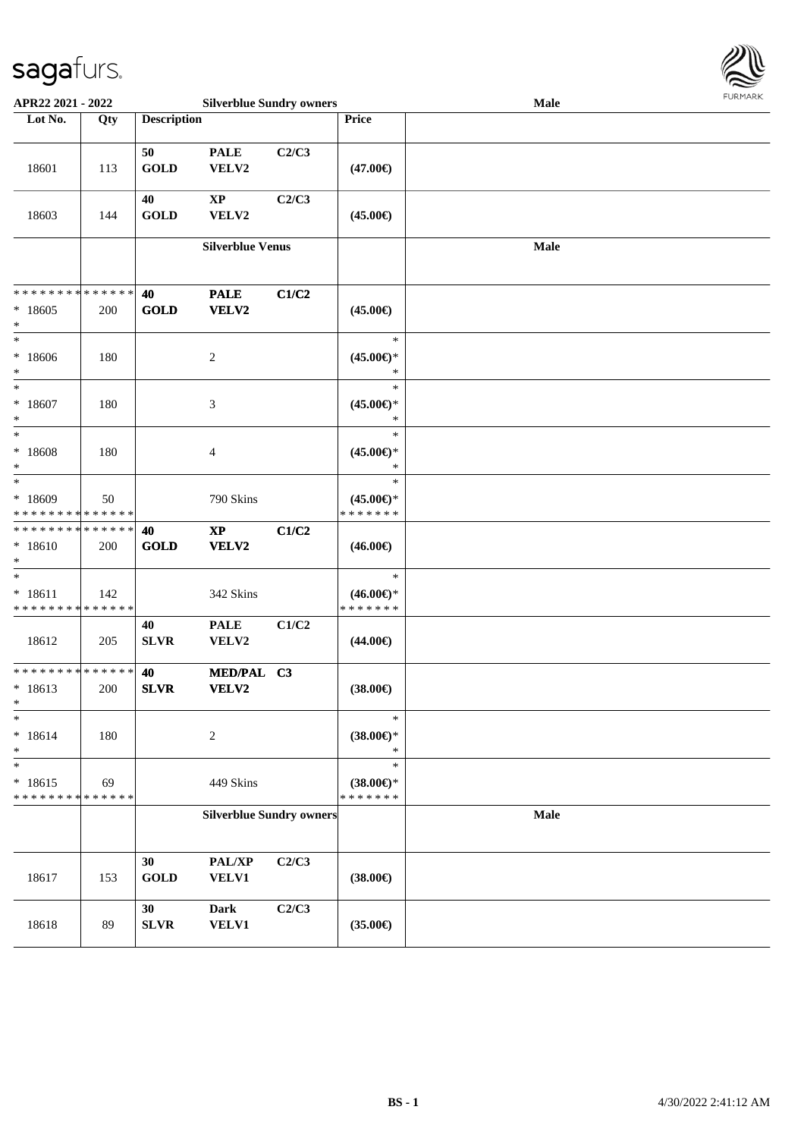

| APR22 2021 - 2022                                          |                      | <b>Silverblue Sundry owners</b> |                                        |       |                                                   | Male | <b>FURPIARA</b> |
|------------------------------------------------------------|----------------------|---------------------------------|----------------------------------------|-------|---------------------------------------------------|------|-----------------|
| Lot No.                                                    | Qty                  | <b>Description</b>              |                                        |       | Price                                             |      |                 |
| 18601                                                      | 113                  | 50<br><b>GOLD</b>               | <b>PALE</b><br>VELV2                   | C2/C3 | $(47.00\epsilon)$                                 |      |                 |
| 18603                                                      | 144                  | 40<br><b>GOLD</b>               | $\bold{XP}$<br>VELV2                   | C2/C3 | $(45.00\epsilon)$                                 |      |                 |
|                                                            |                      |                                 | <b>Silverblue Venus</b>                |       |                                                   | Male |                 |
| * * * * * * * *<br>$*18605$<br>$\ast$                      | * * * * * *  <br>200 | 40<br><b>GOLD</b>               | <b>PALE</b><br><b>VELV2</b>            | C1/C2 | $(45.00\epsilon)$                                 |      |                 |
| $_{*}$<br>* 18606<br>$*$                                   | 180                  |                                 | $\overline{c}$                         |       | $\ast$<br>$(45.00\epsilon)$ *<br>*                |      |                 |
| $\ast$<br>$*18607$<br>$\ast$<br>$\ast$                     | 180                  |                                 | $\mathfrak{Z}$                         |       | $\ast$<br>$(45.00\epsilon)$ *<br>$\ast$           |      |                 |
| * 18608<br>$\ast$<br>$_{*}^{-}$                            | 180                  |                                 | $\overline{4}$                         |       | $\ast$<br>$(45.00\epsilon)$ *<br>$\ast$<br>$\ast$ |      |                 |
| * 18609<br>* * * * * * * * <mark>* * * * * * *</mark>      | 50                   |                                 | 790 Skins                              |       | $(45.00\epsilon)$ *<br>* * * * * * *              |      |                 |
| * * * * * * * * * * * * * * *<br>$* 18610$<br>$\ast$       | 200                  | 40<br><b>GOLD</b>               | $\mathbf{X}\mathbf{P}$<br><b>VELV2</b> | C1/C2 | $(46.00\epsilon)$                                 |      |                 |
| $*$<br>$* 18611$<br>* * * * * * * * * * * * * *            | 142                  |                                 | 342 Skins                              |       | $\ast$<br>$(46.00\epsilon)$ *<br>* * * * * * *    |      |                 |
| 18612                                                      | 205                  | 40<br><b>SLVR</b>               | <b>PALE</b><br>VELV2                   | C1/C2 | $(44.00\epsilon)$                                 |      |                 |
| * * * * * * * * * * * * * * *<br>$* 18613$<br>$\mathbf{k}$ | 200                  | 40<br><b>SLVR</b>               | MED/PAL C3<br><b>VELV2</b>             |       | $(38.00\epsilon)$                                 |      |                 |
| $\ast$<br>$* 18614$<br>$\ast$                              | 180                  |                                 | $\sqrt{2}$                             |       | $\ast$<br>$(38.00\epsilon)$ *<br>$\ast$           |      |                 |
| $\ast$<br>$* 18615$<br>* * * * * * * *                     | 69<br>* * * * * *    |                                 | 449 Skins                              |       | $\ast$<br>$(38.00\epsilon)$ *<br>* * * * * * *    |      |                 |
|                                                            |                      |                                 | <b>Silverblue Sundry owners</b>        |       |                                                   | Male |                 |
| 18617                                                      | 153                  | 30<br><b>GOLD</b>               | PAL/XP<br><b>VELV1</b>                 | C2/C3 | $(38.00\epsilon)$                                 |      |                 |
| 18618                                                      | 89                   | 30<br>${\bf SLVR}$              | <b>Dark</b><br><b>VELV1</b>            | C2/C3 | $(35.00\epsilon)$                                 |      |                 |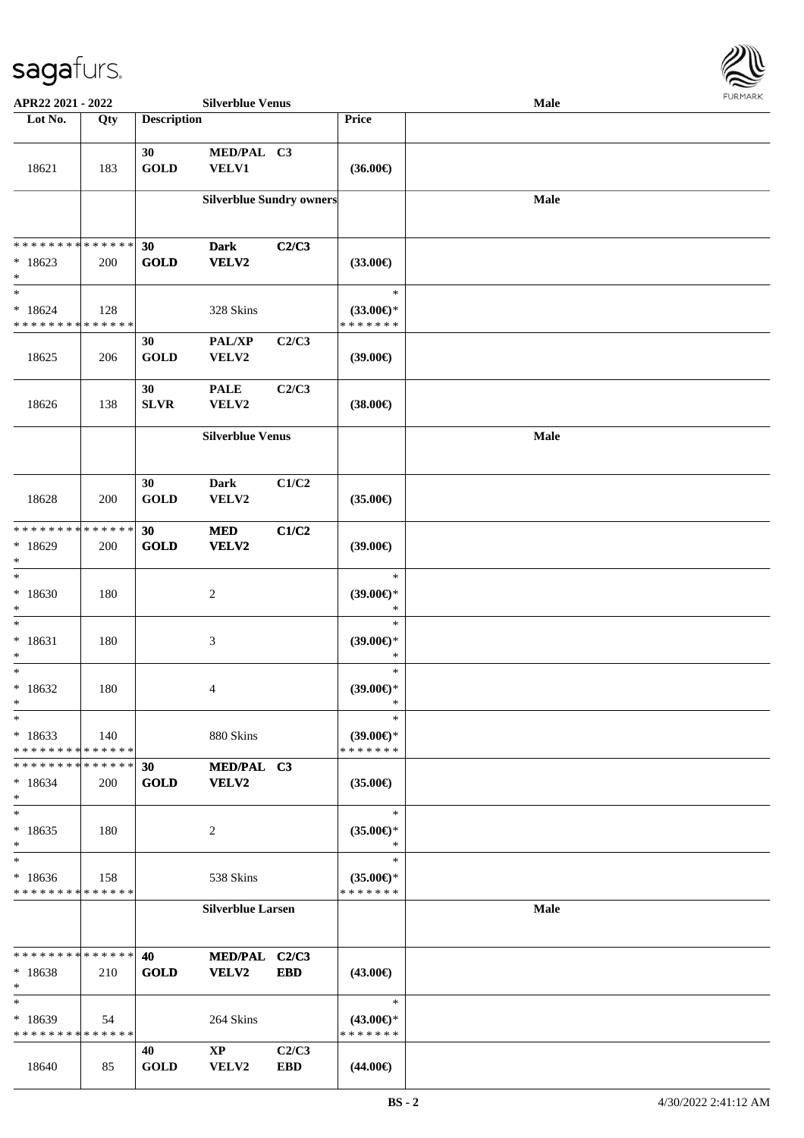

| APR22 2021 - 2022                                                |     |                    | <b>Silverblue Venus</b>                 |                     |                                                | <b>Male</b> |  |
|------------------------------------------------------------------|-----|--------------------|-----------------------------------------|---------------------|------------------------------------------------|-------------|--|
| Lot No.                                                          | Qty | <b>Description</b> |                                         |                     | Price                                          |             |  |
| 18621                                                            | 183 | 30<br><b>GOLD</b>  | MED/PAL C3<br><b>VELV1</b>              |                     | $(36.00\epsilon)$                              |             |  |
|                                                                  |     |                    | <b>Silverblue Sundry owners</b>         |                     |                                                | <b>Male</b> |  |
| * * * * * * * * * * * * * *<br>$*18623$<br>$\ast$                | 200 | 30<br><b>GOLD</b>  | <b>Dark</b><br>VELV2                    | C2/C3               | $(33.00\epsilon)$                              |             |  |
| $\ast$<br>$*18624$<br>* * * * * * * * * * * * * *                | 128 |                    | 328 Skins                               |                     | $\ast$<br>$(33.00\epsilon)$ *<br>* * * * * * * |             |  |
| 18625                                                            | 206 | 30<br><b>GOLD</b>  | PAL/XP<br>VELV2                         | C2/C3               | $(39.00\epsilon)$                              |             |  |
| 18626                                                            | 138 | 30<br><b>SLVR</b>  | <b>PALE</b><br>VELV2                    | C2/C3               | $(38.00\epsilon)$                              |             |  |
|                                                                  |     |                    | <b>Silverblue Venus</b>                 |                     |                                                | Male        |  |
| 18628                                                            | 200 | 30<br><b>GOLD</b>  | <b>Dark</b><br>VELV2                    | C1/C2               | $(35.00\epsilon)$                              |             |  |
| * * * * * * * * <mark>* * * * * * *</mark><br>$*18629$<br>$\ast$ | 200 | 30<br><b>GOLD</b>  | <b>MED</b><br>VELV2                     | C1/C2               | $(39.00\epsilon)$                              |             |  |
| $\ast$<br>$*18630$<br>$\ast$                                     | 180 |                    | $\sqrt{2}$                              |                     | $\ast$<br>$(39.00\epsilon)$ *<br>$\ast$        |             |  |
| $\ast$<br>$* 18631$<br>$\ast$                                    | 180 |                    | $\mathfrak{Z}$                          |                     | $\ast$<br>$(39.00\epsilon)$ *<br>$\ast$        |             |  |
| $\ast$<br>$*18632$<br>$*$                                        | 180 |                    | 4                                       |                     | $\ast$<br>$(39.00\epsilon)$ *<br>*             |             |  |
| $*$<br>$*18633$<br>* * * * * * * * * * * * * *                   | 140 |                    | 880 Skins                               |                     | $\ast$<br>$(39.00€)$ *<br>* * * * * * *        |             |  |
| * * * * * * * * * * * * * *<br>$*18634$<br>$*$                   | 200 | 30<br><b>GOLD</b>  | MED/PAL C3<br>VELV2                     |                     | $(35.00\epsilon)$                              |             |  |
| $\ast$<br>$*18635$<br>$\ast$                                     | 180 |                    | 2                                       |                     | $\ast$<br>$(35.00\epsilon)$ *<br>$\ast$        |             |  |
| $\ast$<br>$*18636$<br>* * * * * * * * * * * * * *                | 158 |                    | 538 Skins                               |                     | $\ast$<br>(35.00)<br>* * * * * * *             |             |  |
|                                                                  |     |                    | <b>Silverblue Larsen</b>                |                     |                                                | Male        |  |
| * * * * * * * * * * * * * *<br>$*18638$<br>$\ast$                | 210 | 40<br><b>GOLD</b>  | MED/PAL C2/C3<br>VELV2                  | <b>EBD</b>          | $(43.00\epsilon)$                              |             |  |
| $\ast$<br>* 18639<br>* * * * * * * * * * * * * *                 | 54  |                    | 264 Skins                               |                     | $\ast$<br>$(43.00€)$ *<br>* * * * * * *        |             |  |
| 18640                                                            | 85  | 40<br><b>GOLD</b>  | $\mathbf{X}\mathbf{P}$<br>${\bf VELV2}$ | C2/C3<br><b>EBD</b> | $(44.00\epsilon)$                              |             |  |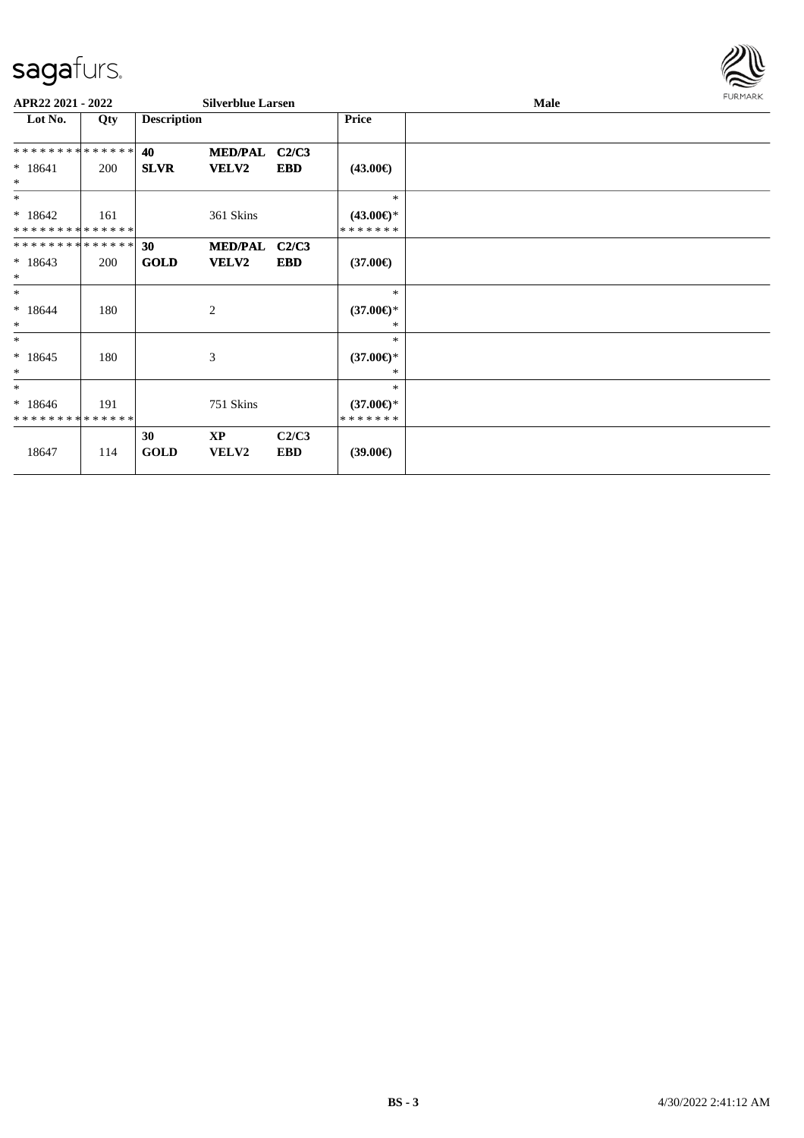

| APR22 2021 - 2022          |     |                    | <b>Silverblue Larsen</b>  |                     |                                | Male |  |  |  |
|----------------------------|-----|--------------------|---------------------------|---------------------|--------------------------------|------|--|--|--|
| Lot No.                    | Qty | <b>Description</b> |                           |                     | <b>Price</b>                   |      |  |  |  |
| **************             |     | 40                 | MED/PAL C2/C3             |                     |                                |      |  |  |  |
| $* 18641$<br>$\ast$        | 200 | <b>SLVR</b>        | <b>VELV2</b>              | <b>EBD</b>          | $(43.00\epsilon)$              |      |  |  |  |
| $*$                        |     |                    |                           |                     | $\ast$                         |      |  |  |  |
| $*18642$<br>************** | 161 |                    | 361 Skins                 |                     | $(43.00€)$ *<br>*******        |      |  |  |  |
| **************             |     | 30                 | MED/PAL C2/C3             |                     |                                |      |  |  |  |
| $*18643$<br>$\ast$         | 200 | <b>GOLD</b>        | <b>VELV2</b>              | EBD                 | $(37.00\epsilon)$              |      |  |  |  |
| $\ast$                     |     |                    |                           |                     | $\ast$                         |      |  |  |  |
| $*18644$<br>$\ast$         | 180 |                    | 2                         |                     | $(37.00\epsilon)$ *<br>*       |      |  |  |  |
| $\ast$                     |     |                    |                           |                     | $\ast$                         |      |  |  |  |
| $*18645$<br>$*$            | 180 |                    | 3                         |                     | $(37.00\epsilon)$ *<br>$*$     |      |  |  |  |
| $*$                        |     |                    |                           |                     | $*$                            |      |  |  |  |
| $*18646$<br>************** | 191 |                    | 751 Skins                 |                     | $(37.00\epsilon)$ *<br>******* |      |  |  |  |
| 18647                      | 114 | 30<br><b>GOLD</b>  | <b>XP</b><br><b>VELV2</b> | C2/C3<br><b>EBD</b> | $(39.00\epsilon)$              |      |  |  |  |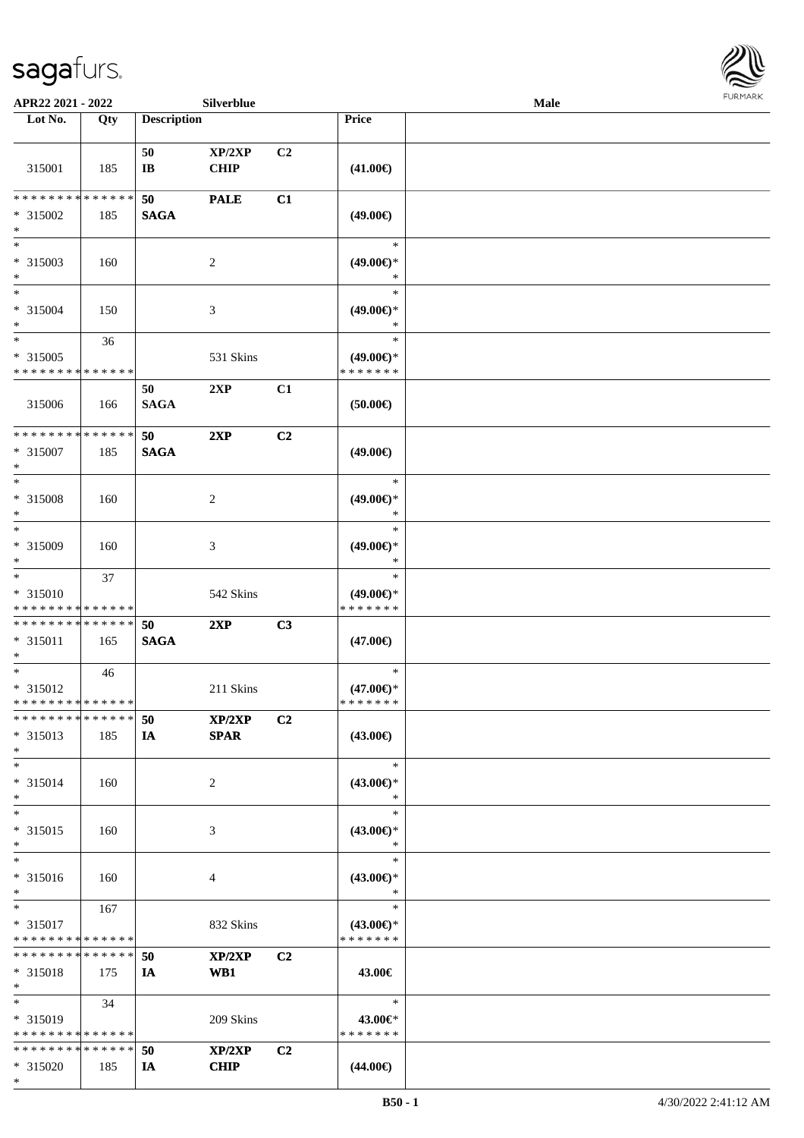\*



| APR22 2021 - 2022             |             |                        | Silverblue     |                |                               | Male |  |
|-------------------------------|-------------|------------------------|----------------|----------------|-------------------------------|------|--|
| Lot No.                       | Qty         | <b>Description</b>     |                |                | Price                         |      |  |
|                               |             |                        |                |                |                               |      |  |
|                               |             | 50                     | XP/2XP         | C <sub>2</sub> |                               |      |  |
| 315001                        | 185         | $\mathbf{I}\mathbf{B}$ | <b>CHIP</b>    |                | $(41.00\epsilon)$             |      |  |
|                               |             |                        |                |                |                               |      |  |
| * * * * * * * *               | * * * * * * | 50                     | <b>PALE</b>    | C1             |                               |      |  |
| * 315002                      | 185         | <b>SAGA</b>            |                |                | $(49.00\epsilon)$             |      |  |
| $\ast$                        |             |                        |                |                |                               |      |  |
| $*$                           |             |                        |                |                | $\ast$                        |      |  |
| * 315003                      | 160         |                        | 2              |                | $(49.00\epsilon)$ *           |      |  |
| $*$                           |             |                        |                |                | $\ast$                        |      |  |
| $*$                           |             |                        |                |                | $\ast$                        |      |  |
| * 315004                      | 150         |                        | 3              |                | $(49.00\epsilon)$ *           |      |  |
| $*$<br>$*$                    |             |                        |                |                | $\ast$<br>$\ast$              |      |  |
|                               | 36          |                        |                |                |                               |      |  |
| * 315005                      |             |                        | 531 Skins      |                | $(49.00€)$ *                  |      |  |
| * * * * * * * * * * * * * *   |             |                        |                |                | * * * * * * *                 |      |  |
|                               |             | 50                     | 2XP            | C1             |                               |      |  |
| 315006                        | 166         | <b>SAGA</b>            |                |                | (50.00)                       |      |  |
| * * * * * * * * * * * * * *   |             |                        |                |                |                               |      |  |
|                               |             | 50                     | 2XP            | C2             |                               |      |  |
| * 315007<br>$*$               | 185         | <b>SAGA</b>            |                |                | $(49.00\epsilon)$             |      |  |
| $*$                           |             |                        |                |                | $\ast$                        |      |  |
|                               |             |                        |                |                |                               |      |  |
| * 315008<br>$\ast$            | 160         |                        | 2              |                | $(49.00\epsilon)$ *<br>$\ast$ |      |  |
| $*$                           |             |                        |                |                | $\ast$                        |      |  |
| * 315009                      |             |                        |                |                |                               |      |  |
| $*$                           | 160         |                        | 3              |                | $(49.00\epsilon)$ *<br>$\ast$ |      |  |
| $*$                           | 37          |                        |                |                | $\ast$                        |      |  |
| $* 315010$                    |             |                        | 542 Skins      |                | $(49.00\epsilon)$ *           |      |  |
| * * * * * * * * * * * * * *   |             |                        |                |                | * * * * * * *                 |      |  |
| * * * * * * * * * * * * * *   |             | 50                     | 2XP            | C3             |                               |      |  |
| $* 315011$                    | 165         | <b>SAGA</b>            |                |                | $(47.00\epsilon)$             |      |  |
| $*$                           |             |                        |                |                |                               |      |  |
| $*$                           | 46          |                        |                |                | $\ast$                        |      |  |
| $* 315012$                    |             |                        | 211 Skins      |                | $(47.00\epsilon)$ *           |      |  |
| * * * * * * * * * * * * * *   |             |                        |                |                | * * * * * * *                 |      |  |
| * * * * * * * * * * * * * *   |             | 50                     | XP/2XP         | C <sub>2</sub> |                               |      |  |
| * 315013                      | 185         | IA                     | <b>SPAR</b>    |                | $(43.00\epsilon)$             |      |  |
| $*$                           |             |                        |                |                |                               |      |  |
| $*$                           |             |                        |                |                | $\ast$                        |      |  |
| * 315014                      | 160         |                        | $\overline{2}$ |                | $(43.00\epsilon)$ *           |      |  |
| $*$                           |             |                        |                |                | $\ast$                        |      |  |
| $*$                           |             |                        |                |                | $\ast$                        |      |  |
| * 315015                      | 160         |                        | 3              |                | $(43.00\epsilon)$ *           |      |  |
| $*$                           |             |                        |                |                | $\ast$                        |      |  |
| $*$                           |             |                        |                |                | $\ast$                        |      |  |
| * 315016                      | 160         |                        | 4              |                | $(43.00\epsilon)$ *           |      |  |
| $*$                           |             |                        |                |                | $\ast$                        |      |  |
| $*$                           | 167         |                        |                |                | $\ast$                        |      |  |
| * 315017                      |             |                        | 832 Skins      |                | $(43.00€)$ *                  |      |  |
| * * * * * * * * * * * * * *   |             |                        |                |                | * * * * * * *                 |      |  |
| * * * * * * * * * * * * * *   |             | 50                     | XP/2XP         | C <sub>2</sub> |                               |      |  |
| * 315018                      | 175         | IA                     | WB1            |                | 43.00€                        |      |  |
| $*$                           |             |                        |                |                |                               |      |  |
| $*$                           | 34          |                        |                |                | $\ast$                        |      |  |
| * 315019                      |             |                        | 209 Skins      |                | 43.00€*                       |      |  |
| * * * * * * * * * * * * * *   |             |                        |                |                | * * * * * * *                 |      |  |
| * * * * * * * * * * * * * * * |             | 50                     | XP/2XP         | C <sub>2</sub> |                               |      |  |
| * 315020                      | 185         | IA                     | <b>CHIP</b>    |                | $(44.00\epsilon)$             |      |  |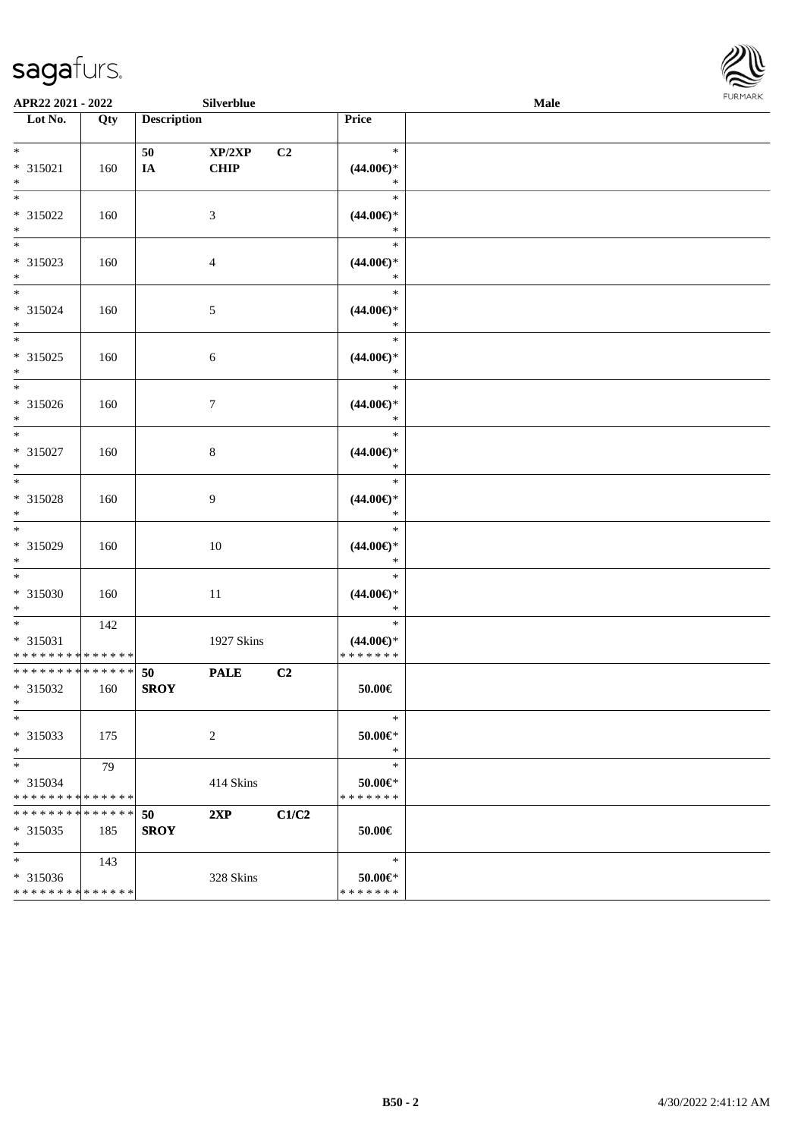

| APR22 2021 - 2022                                                  |                    |                    | Silverblue            |       |                                          | Male |  |
|--------------------------------------------------------------------|--------------------|--------------------|-----------------------|-------|------------------------------------------|------|--|
| Lot No.                                                            | $\overline{Q}$ ty  | <b>Description</b> |                       |       | Price                                    |      |  |
| $*$<br>$* 315021$<br>$\ast$                                        | 160                | 50<br>IA           | XP/2XP<br><b>CHIP</b> | C2    | $\ast$<br>$(44.00\epsilon)$ *<br>$\ast$  |      |  |
| $\overline{\phantom{0}}$<br>* 315022<br>$\ast$                     | 160                |                    | 3                     |       | $\ast$<br>$(44.00ε)$ *<br>$\ast$         |      |  |
| $\overline{\phantom{a}^*}$<br>* 315023<br>$\ast$                   | 160                |                    | $\overline{4}$        |       | $\ast$<br>$(44.00ε)$ *<br>$\ast$         |      |  |
| $\overline{\phantom{0}}$<br>$* 315024$<br>$\ast$                   | 160                |                    | $5\,$                 |       | $\ast$<br>$(44.00ε)$ *<br>$\ast$         |      |  |
| $\overline{\phantom{0}}$<br>$* 315025$<br>$\ast$                   | 160                |                    | 6                     |       | $\ast$<br>$(44.00ε)$ *<br>$\ast$         |      |  |
| $\overline{\phantom{a}^*}$<br>* 315026<br>$\ast$                   | 160                |                    | $\boldsymbol{7}$      |       | $\ast$<br>$(44.00\epsilon)$ *<br>$\ast$  |      |  |
| $\ast$<br>$* 315027$<br>$\ast$                                     | 160                |                    | $8\,$                 |       | $\ast$<br>$(44.00\epsilon)$ *<br>$\ast$  |      |  |
| $\ast$<br>* 315028<br>$\ast$                                       | 160                |                    | $\overline{9}$        |       | $\ast$<br>$(44.00\epsilon)$ *<br>$\ast$  |      |  |
| $\overline{\phantom{a}^*}$<br>* 315029<br>$\ast$                   | 160                |                    | $10\,$                |       | $\ast$<br>$(44.00ε)$ *<br>$\ast$         |      |  |
| $\overline{\phantom{a}^*}$<br>$* 315030$<br>$*$                    | 160                |                    | $11\,$                |       | $\ast$<br>$(44.00ε)$ *<br>$\ast$         |      |  |
| $*$<br>$* 315031$<br>* * * * * * * * * * * * * *                   | 142                |                    | 1927 Skins            |       | $\ast$<br>$(44.00ε)$ *<br>* * * * * * *  |      |  |
| **************<br>* 315032<br>$*$                                  | 160                | 50<br><b>SROY</b>  | <b>PALE</b>           | C2    | 50.00€                                   |      |  |
| $\ast$<br>* 315033<br>$\ast$                                       | 175                |                    | $\overline{c}$        |       | $\ast$<br>$50.00 \in$ *<br>$\ast$        |      |  |
| $*$<br>* 315034<br>* * * * * * * * * * * * * *                     | 79                 |                    | 414 Skins             |       | $\ast$<br>$50.00 \in$ *<br>* * * * * * * |      |  |
| * * * * * * * *<br>$* 315035$<br>$\ast$                            | * * * * * *<br>185 | 50<br><b>SROY</b>  | 2XP                   | C1/C2 | $50.00 \in$                              |      |  |
| $\ast$<br>$* 315036$<br>* * * * * * * * <mark>* * * * * * *</mark> | 143                |                    | 328 Skins             |       | $\ast$<br>50.00€*<br>* * * * * * *       |      |  |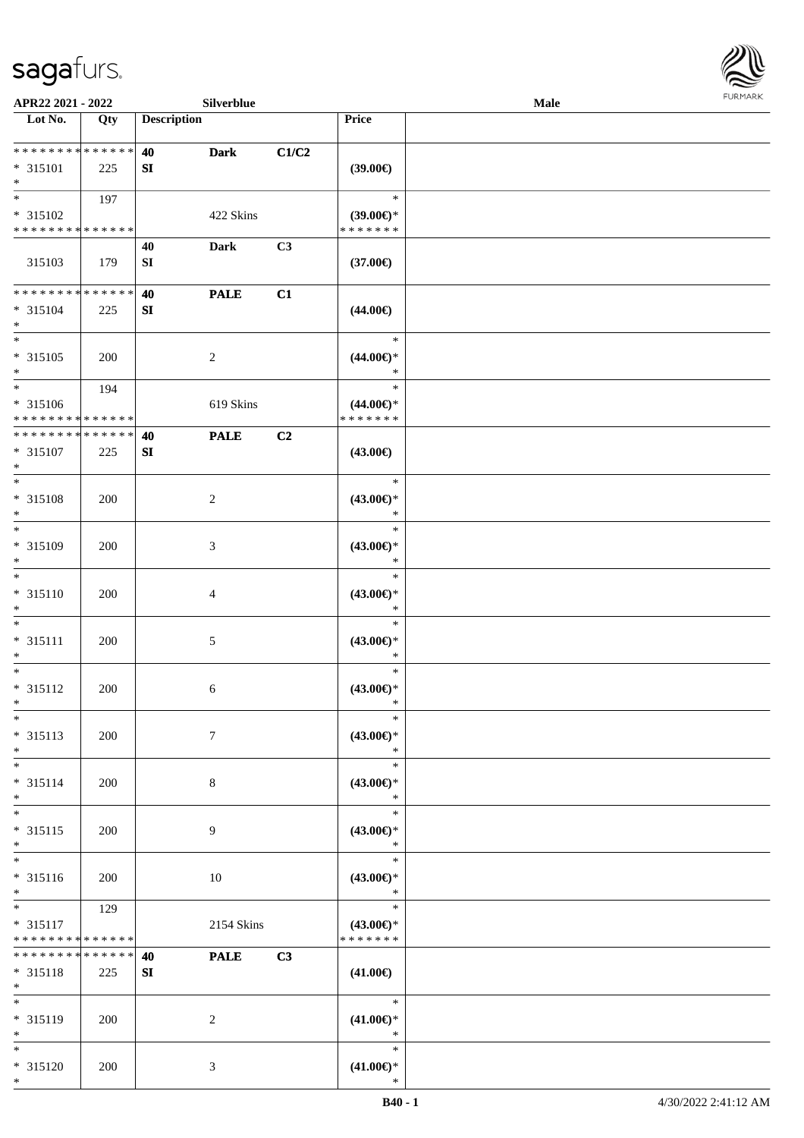

| APR22 2021 - 2022                                    |                    |                        | Silverblue      |       |                                                | Male |  |
|------------------------------------------------------|--------------------|------------------------|-----------------|-------|------------------------------------------------|------|--|
| Lot No.                                              | Qty                | <b>Description</b>     |                 |       | Price                                          |      |  |
| ******** <mark>******</mark><br>* 315101<br>$*$      | 225                | 40<br>SI               | <b>Dark</b>     | C1/C2 | (39.00)                                        |      |  |
| * 315102<br>* * * * * * * * * * * * * *              | 197                |                        | 422 Skins       |       | $\ast$<br>$(39.00\epsilon)$ *<br>* * * * * * * |      |  |
| 315103                                               | 179                | 40<br>${\bf S}{\bf I}$ | <b>Dark</b>     | C3    | $(37.00\epsilon)$                              |      |  |
| ******** <mark>******</mark><br>$* 315104$<br>$*$    | 225                | 40<br>${\bf S}{\bf I}$ | <b>PALE</b>     | C1    | $(44.00\epsilon)$                              |      |  |
| $\overline{\ }$<br>$* 315105$<br>$*$                 | 200                |                        | $\overline{c}$  |       | $\ast$<br>$(44.00\epsilon)$ *<br>$\ast$        |      |  |
| $*$<br>$* 315106$<br>* * * * * * * * * * * * * *     | 194                |                        | 619 Skins       |       | $\ast$<br>$(44.00\epsilon)$ *<br>* * * * * * * |      |  |
| * * * * * * * * * * * * * *<br>* 315107<br>$*$       | 225                | 40<br>${\bf S}{\bf I}$ | <b>PALE</b>     | C2    | $(43.00\epsilon)$                              |      |  |
| $\overline{\ast}$<br>$* 315108$<br>$\ast$            | 200                |                        | $\sqrt{2}$      |       | $\ast$<br>$(43.00\epsilon)$ *<br>$\ast$        |      |  |
| $*$<br>* 315109<br>$*$                               | 200                |                        | 3               |       | $\ast$<br>$(43.00ε)$ *<br>$\ast$               |      |  |
| $*$<br>$* 315110$<br>$*$                             | 200                |                        | 4               |       | $\ast$<br>$(43.00ε)$ *<br>$\ast$               |      |  |
| $*$<br>$* 315111$<br>$*$                             | 200                |                        | $\mathfrak{S}$  |       | $\ast$<br>$(43.00ε)$ *<br>$\ast$               |      |  |
| $*$<br>$* 315112$<br>$*$                             | 200                |                        | 6               |       | $\ast$<br>$(43.00ε)$ *<br>$\ast$               |      |  |
| $*$<br>* 315113<br>$*$                               | 200                |                        | $7\phantom{.0}$ |       | $\ast$<br>$(43.00\epsilon)$ *<br>$\ast$        |      |  |
| $*$<br>$* 315114$<br>$*$                             | 200                |                        | 8               |       | $\ast$<br>$(43.00\epsilon)$ *<br>$\ast$        |      |  |
| $*$<br>$* 315115$<br>$*$<br>$\overline{\phantom{0}}$ | 200                |                        | 9               |       | $\ast$<br>$(43.00\epsilon)$ *<br>$\ast$        |      |  |
| $* 315116$<br>$*$                                    | 200                |                        | 10              |       | $\ast$<br>$(43.00\epsilon)$ *<br>$\ast$        |      |  |
| $*$<br>$* 315117$<br>* * * * * * * * * * * * * *     | 129                |                        | 2154 Skins      |       | $\ast$<br>$(43.00\epsilon)$ *<br>* * * * * * * |      |  |
| * * * * * * * *<br>* 315118<br>$*$                   | * * * * * *<br>225 | 40<br>SI               | <b>PALE</b>     | C3    | $(41.00\epsilon)$                              |      |  |
| $*$<br>* 315119<br>$*$                               | 200                |                        | 2               |       | $\ast$<br>$(41.00\epsilon)$ *<br>$\ast$        |      |  |
| $*$<br>* 315120<br>$*$                               | 200                |                        | 3               |       | $\ast$<br>$(41.00\epsilon)$ *<br>$\ast$        |      |  |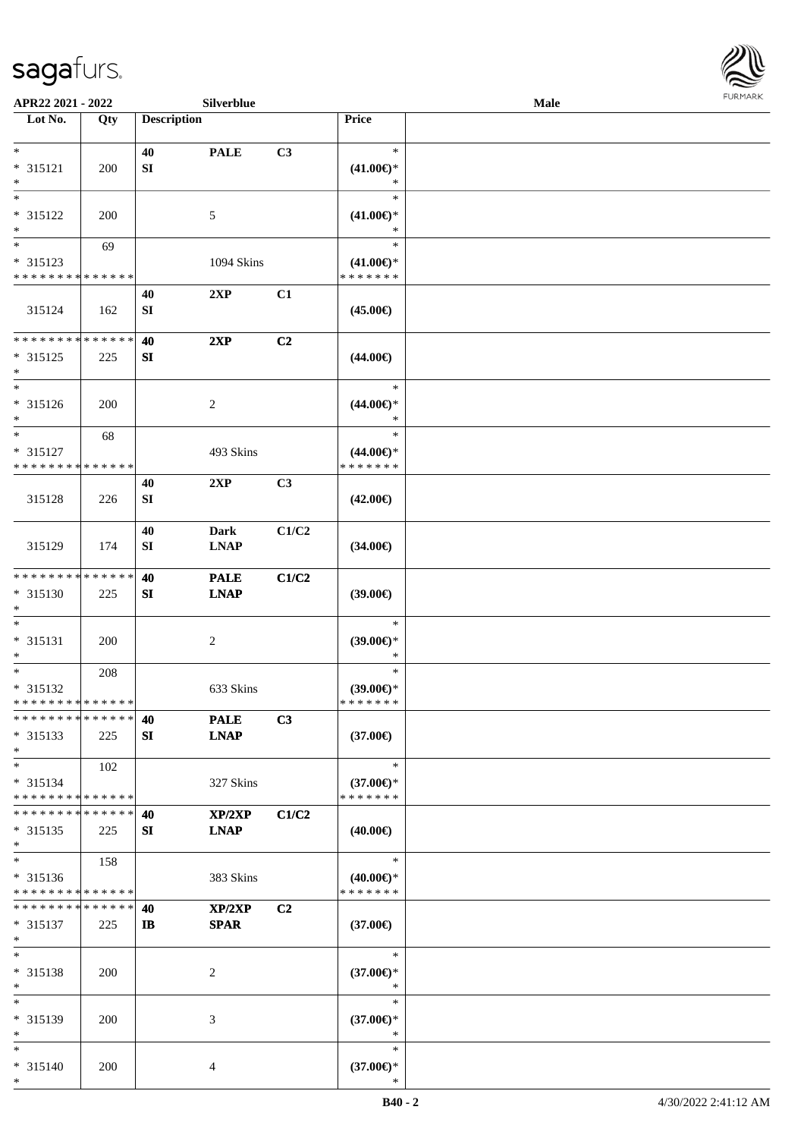

| APR22 2021 - 2022                         |            |                    | Silverblue     |       |                                      | <b>Male</b> |  |
|-------------------------------------------|------------|--------------------|----------------|-------|--------------------------------------|-------------|--|
| Lot No.                                   | Qty        | <b>Description</b> |                |       | Price                                |             |  |
|                                           |            |                    |                |       |                                      |             |  |
| $\ast$                                    |            | 40                 | <b>PALE</b>    | C3    | $\ast$                               |             |  |
| $* 315121$                                | 200        | ${\bf S}{\bf I}$   |                |       | $(41.00\epsilon)$ *                  |             |  |
| $\ast$<br>$\ast$                          |            |                    |                |       | $\ast$                               |             |  |
|                                           |            |                    |                |       | $\ast$                               |             |  |
| * 315122                                  | 200        |                    | $\mathfrak{S}$ |       | $(41.00\epsilon)$ *                  |             |  |
| $\ast$<br>$_{\ast}^{-}$                   |            |                    |                |       | $\ast$                               |             |  |
|                                           | 69         |                    |                |       | $\ast$                               |             |  |
| * 315123<br>* * * * * * * * * * * * * *   |            |                    | 1094 Skins     |       | $(41.00\epsilon)$ *<br>* * * * * * * |             |  |
|                                           |            |                    |                |       |                                      |             |  |
|                                           |            | 40                 | 2XP            | C1    |                                      |             |  |
| 315124                                    | 162        | ${\bf S}{\bf I}$   |                |       | $(45.00\epsilon)$                    |             |  |
| **************                            |            | 40                 | 2XP            | C2    |                                      |             |  |
| $* 315125$                                | 225        | SI                 |                |       | $(44.00\epsilon)$                    |             |  |
| $\ast$                                    |            |                    |                |       |                                      |             |  |
| $\ast$                                    |            |                    |                |       | $\ast$                               |             |  |
| * 315126                                  | 200        |                    | $\overline{2}$ |       | $(44.00\epsilon)$ *                  |             |  |
| $\ast$                                    |            |                    |                |       | $\ast$                               |             |  |
| $\ast$                                    | 68         |                    |                |       | $\ast$                               |             |  |
| * 315127                                  |            |                    | 493 Skins      |       | $(44.00\epsilon)$ *                  |             |  |
| * * * * * * * * * * * * * *               |            |                    |                |       | * * * * * * *                        |             |  |
|                                           |            | 40                 | 2XP            | C3    |                                      |             |  |
| 315128                                    | 226        | <b>SI</b>          |                |       | $(42.00\epsilon)$                    |             |  |
|                                           |            |                    |                |       |                                      |             |  |
|                                           |            | 40                 | <b>Dark</b>    | C1/C2 |                                      |             |  |
| 315129                                    | 174        | ${\bf SI}$         | <b>LNAP</b>    |       | $(34.00\epsilon)$                    |             |  |
|                                           |            |                    |                |       |                                      |             |  |
| ******** <mark>******</mark>              |            | 40                 | <b>PALE</b>    | C1/C2 |                                      |             |  |
| $* 315130$                                | 225        | SI                 | <b>LNAP</b>    |       | (39.00)                              |             |  |
| $\ast$                                    |            |                    |                |       |                                      |             |  |
| $\ast$                                    |            |                    |                |       | $\ast$                               |             |  |
| $* 315131$                                | 200        |                    | $\sqrt{2}$     |       | (39.00)                              |             |  |
| $\ast$                                    |            |                    |                |       | $\ast$                               |             |  |
| $\ast$                                    | 208        |                    |                |       | $\ast$                               |             |  |
| * 315132                                  |            |                    | 633 Skins      |       | (39.00)                              |             |  |
| **************                            |            |                    |                |       | * * * * * * *                        |             |  |
| * * * * * * * * * * * * * *               |            | 40                 | <b>PALE</b>    | C3    |                                      |             |  |
| * 315133                                  | 225        | SI                 | <b>LNAP</b>    |       | $(37.00\epsilon)$                    |             |  |
| $\ast$<br>$*$                             |            |                    |                |       | $\ast$                               |             |  |
|                                           | 102        |                    |                |       |                                      |             |  |
| $* 315134$<br>* * * * * * * * * * * * * * |            |                    | 327 Skins      |       | $(37.00\epsilon)$ *<br>* * * * * * * |             |  |
| * * * * * * * * * * * * * *               |            | 40                 | XP/2XP         | C1/C2 |                                      |             |  |
| $* 315135$                                | 225        | SI                 | <b>LNAP</b>    |       | $(40.00\epsilon)$                    |             |  |
| $*$                                       |            |                    |                |       |                                      |             |  |
| $*$                                       | 158        |                    |                |       | $\ast$                               |             |  |
| * 315136                                  |            |                    | 383 Skins      |       | $(40.00\epsilon)$ *                  |             |  |
| * * * * * * * * * * * * * *               |            |                    |                |       | * * * * * * *                        |             |  |
| * * * * * * * * * * * * * *               |            | 40                 | XP/2XP         | C2    |                                      |             |  |
| $* 315137$                                | 225        | $\mathbf{I}$       | <b>SPAR</b>    |       | $(37.00\epsilon)$                    |             |  |
| $\ast$                                    |            |                    |                |       |                                      |             |  |
| $\ast$                                    |            |                    |                |       | $\ast$                               |             |  |
| * 315138                                  | <b>200</b> |                    | $\overline{c}$ |       | $(37.00\epsilon)$ *                  |             |  |
| $\ast$                                    |            |                    |                |       | $\ast$                               |             |  |
| $\ast$                                    |            |                    |                |       | $\ast$                               |             |  |
| * 315139                                  | 200        |                    | 3              |       | $(37.00\epsilon)$ *                  |             |  |
| $\ast$                                    |            |                    |                |       | $\ast$                               |             |  |
| $*$                                       |            |                    |                |       | $\ast$                               |             |  |
| * 315140                                  | 200        |                    | 4              |       | $(37.00\epsilon)$ *                  |             |  |
| $\ast$                                    |            |                    |                |       | ∗                                    |             |  |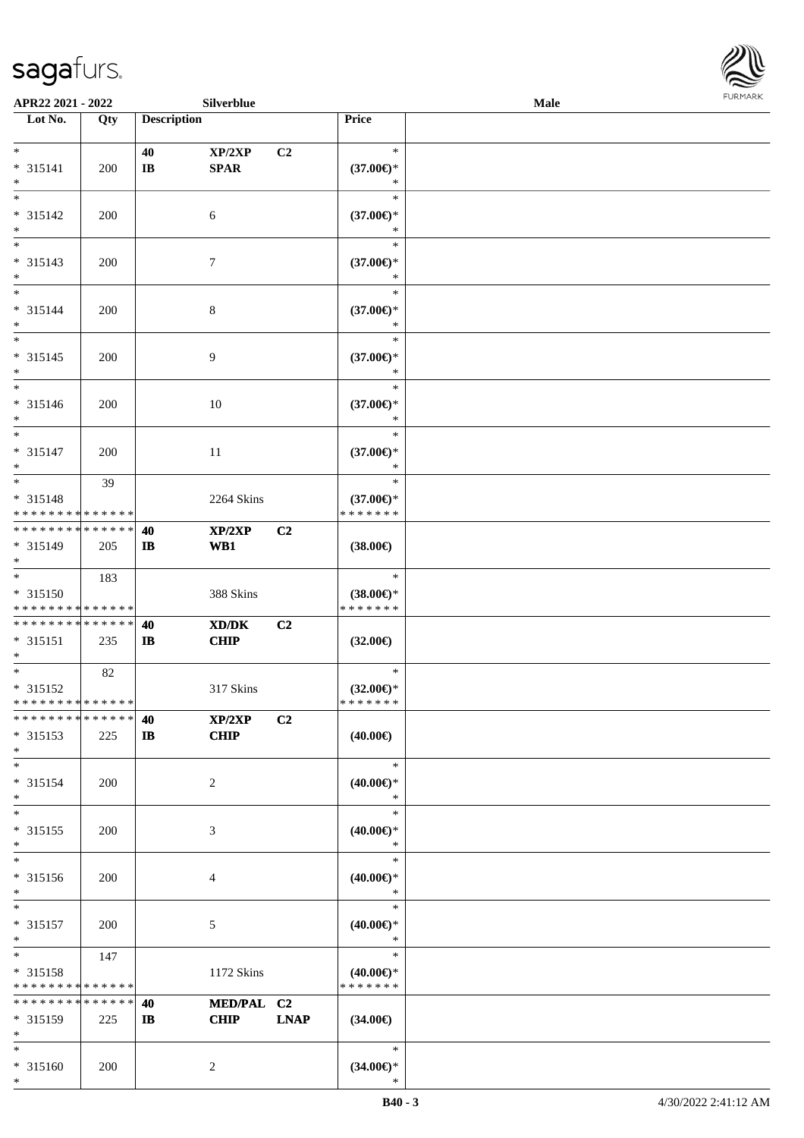\*



| APR22 2021 - 2022                       |     |                    | Silverblue     |                |                                      | Male |  |
|-----------------------------------------|-----|--------------------|----------------|----------------|--------------------------------------|------|--|
| Lot No.                                 | Qty | <b>Description</b> |                |                | Price                                |      |  |
|                                         |     |                    |                |                |                                      |      |  |
| $*$                                     |     | 40                 | XP/2XP         | C <sub>2</sub> | $\ast$                               |      |  |
| * 315141                                | 200 | $\bf{IB}$          | SPAR           |                | $(37.00\epsilon)$ *                  |      |  |
| $\ast$                                  |     |                    |                |                | ∗                                    |      |  |
| $*$                                     |     |                    |                |                | $\ast$                               |      |  |
| $* 315142$                              | 200 |                    | 6              |                | $(37.00\epsilon)$ *                  |      |  |
| $\ast$                                  |     |                    |                |                | ∗                                    |      |  |
| $\overline{\phantom{0}}$                |     |                    |                |                | $\ast$                               |      |  |
| * 315143                                | 200 |                    | $\tau$         |                | $(37.00\epsilon)$ *                  |      |  |
| $\ast$                                  |     |                    |                |                | *                                    |      |  |
| $\ast$                                  |     |                    |                |                | $\ast$                               |      |  |
| $* 315144$                              | 200 |                    | $\,8\,$        |                | $(37.00\epsilon)$ *                  |      |  |
| $\ast$<br>$*$                           |     |                    |                |                | $\ast$                               |      |  |
|                                         |     |                    |                |                | $\ast$                               |      |  |
| $* 315145$                              | 200 |                    | 9              |                | $(37.00\epsilon)$ *                  |      |  |
| $\ast$<br>$\ast$                        |     |                    |                |                | $\ast$                               |      |  |
|                                         |     |                    |                |                | $\ast$                               |      |  |
| $* 315146$                              | 200 |                    | $10\,$         |                | $(37.00\epsilon)$ *<br>$\ast$        |      |  |
| $\ast$<br>$\ast$                        |     |                    |                |                | $\ast$                               |      |  |
|                                         |     |                    |                |                |                                      |      |  |
| $* 315147$<br>$\ast$                    | 200 |                    | 11             |                | $(37.00\epsilon)$ *<br>$\ast$        |      |  |
| $*$                                     |     |                    |                |                | $\ast$                               |      |  |
|                                         | 39  |                    |                |                |                                      |      |  |
| * 315148<br>* * * * * * * * * * * * * * |     |                    | 2264 Skins     |                | $(37.00\epsilon)$ *<br>* * * * * * * |      |  |
| * * * * * * * * * * * * * *             |     | 40                 | XP/2XP         | C <sub>2</sub> |                                      |      |  |
| * 315149                                | 205 | $\bf I\bf B$       | WB1            |                | $(38.00\epsilon)$                    |      |  |
| $*$                                     |     |                    |                |                |                                      |      |  |
| $\overline{\ast}$                       | 183 |                    |                |                | $\ast$                               |      |  |
| $* 315150$                              |     |                    | 388 Skins      |                | $(38.00\epsilon)$ *                  |      |  |
| * * * * * * * * * * * * * *             |     |                    |                |                | * * * * * * *                        |      |  |
| * * * * * * * * * * * * * * *           |     | 40                 | XD/DK          | C2             |                                      |      |  |
| $* 315151$                              | 235 | $\mathbf{I}$       | <b>CHIP</b>    |                | $(32.00\epsilon)$                    |      |  |
| $*$                                     |     |                    |                |                |                                      |      |  |
| $*$                                     | 82  |                    |                |                | $\ast$                               |      |  |
| $* 315152$                              |     |                    | 317 Skins      |                | $(32.00\epsilon)$ *                  |      |  |
| * * * * * * * * * * * * * * *           |     |                    |                |                | *******                              |      |  |
| * * * * * * * * * * * * * *             |     | 40                 | XP/2XP         | C <sub>2</sub> |                                      |      |  |
| * 315153                                | 225 | $\bf I\bf B$       | CHIP           |                | $(40.00\epsilon)$                    |      |  |
| $*$                                     |     |                    |                |                |                                      |      |  |
| $*$                                     |     |                    |                |                | $\ast$                               |      |  |
| $* 315154$                              | 200 |                    | $\overline{c}$ |                | (40.00)                              |      |  |
| $\ast$                                  |     |                    |                |                | $\ast$                               |      |  |
| $\ast$                                  |     |                    |                |                | $\ast$                               |      |  |
| $* 315155$                              | 200 |                    | 3              |                | $(40.00\epsilon)$ *                  |      |  |
| $*$                                     |     |                    |                |                | $\ast$                               |      |  |
| $\ast$                                  |     |                    |                |                | $\ast$                               |      |  |
| $* 315156$                              | 200 |                    | 4              |                | $(40.00\epsilon)$ *                  |      |  |
| $*$                                     |     |                    |                |                | $\ast$                               |      |  |
| $\ast$                                  |     |                    |                |                | $\ast$                               |      |  |
| $* 315157$                              | 200 |                    | 5              |                | $(40.00\epsilon)$ *                  |      |  |
| $\ast$<br>$*$                           |     |                    |                |                | $\ast$<br>$\ast$                     |      |  |
|                                         | 147 |                    |                |                |                                      |      |  |
| * 315158<br>* * * * * * * * * * * * * * |     |                    | 1172 Skins     |                | $(40.00\epsilon)$ *<br>* * * * * * * |      |  |
| * * * * * * * * * * * * * *             |     | 40                 | MED/PAL C2     |                |                                      |      |  |
| * 315159                                | 225 | $\mathbf{I}$       | <b>CHIP</b>    | <b>LNAP</b>    | $(34.00\epsilon)$                    |      |  |
| $*$                                     |     |                    |                |                |                                      |      |  |
| $*$                                     |     |                    |                |                | $\ast$                               |      |  |
| * 315160                                | 200 |                    | $\overline{2}$ |                | $(34.00\epsilon)$ *                  |      |  |
| $*$                                     |     |                    |                |                |                                      |      |  |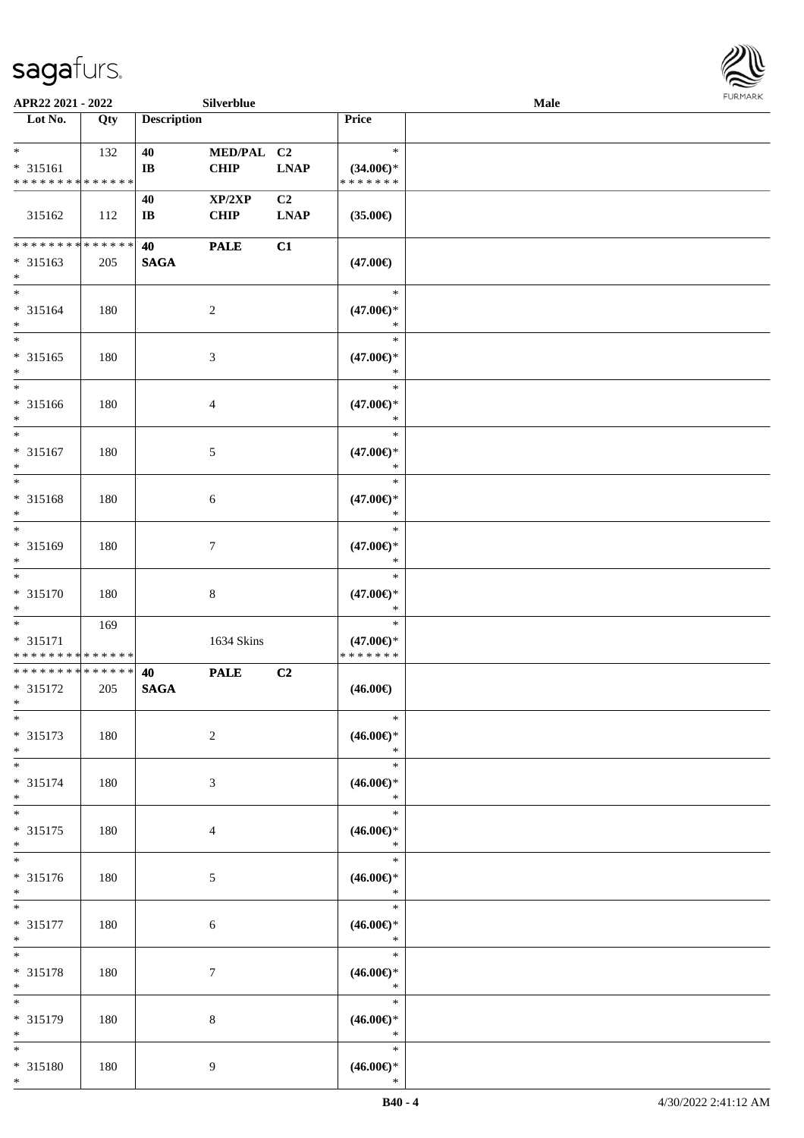

| APR22 2021 - 2022            |     |                        | Silverblue      |             |                               | Male |  |
|------------------------------|-----|------------------------|-----------------|-------------|-------------------------------|------|--|
| Lot No.                      | Qty | <b>Description</b>     |                 |             | <b>Price</b>                  |      |  |
|                              |     |                        |                 |             |                               |      |  |
| $*$                          | 132 | 40                     | MED/PAL C2      |             | $\ast$                        |      |  |
| * 315161                     |     | $\bf{IB}$              | <b>CHIP</b>     | <b>LNAP</b> | $(34.00\epsilon)$ *           |      |  |
| * * * * * * * * * * * * * *  |     |                        |                 |             | * * * * * * *                 |      |  |
|                              |     | 40                     | XP/2XP          | C2          |                               |      |  |
| 315162                       | 112 | $\mathbf{I}\mathbf{B}$ | <b>CHIP</b>     | <b>LNAP</b> | $(35.00\epsilon)$             |      |  |
|                              |     |                        |                 |             |                               |      |  |
| ******** <mark>******</mark> |     | 40                     | <b>PALE</b>     | C1          |                               |      |  |
| * 315163                     | 205 | <b>SAGA</b>            |                 |             | $(47.00\epsilon)$             |      |  |
| $\ast$<br>$*$                |     |                        |                 |             |                               |      |  |
|                              |     |                        |                 |             | $\ast$                        |      |  |
| $* 315164$<br>$*$            | 180 |                        | $\sqrt{2}$      |             | $(47.00\epsilon)$ *<br>$\ast$ |      |  |
| $\ast$                       |     |                        |                 |             | $\ast$                        |      |  |
| $* 315165$                   |     |                        |                 |             |                               |      |  |
| $\ast$                       | 180 |                        | $\mathfrak{Z}$  |             | $(47.00\epsilon)$ *<br>$\ast$ |      |  |
| $\ast$                       |     |                        |                 |             | $\ast$                        |      |  |
| $* 315166$                   | 180 |                        | 4               |             | $(47.00\epsilon)$ *           |      |  |
| $*$                          |     |                        |                 |             | $\ast$                        |      |  |
| $\ast$                       |     |                        |                 |             | $\ast$                        |      |  |
| $* 315167$                   | 180 |                        | 5               |             | $(47.00\epsilon)$ *           |      |  |
| $\ast$                       |     |                        |                 |             | $\ast$                        |      |  |
| $*$                          |     |                        |                 |             | $\ast$                        |      |  |
| $* 315168$                   | 180 |                        | 6               |             | $(47.00\epsilon)$ *           |      |  |
| $\ast$                       |     |                        |                 |             | $\ast$                        |      |  |
| $*$                          |     |                        |                 |             | $\ast$                        |      |  |
| * 315169                     | 180 |                        | $\tau$          |             | $(47.00\epsilon)$ *           |      |  |
| $\ast$<br>$\ast$             |     |                        |                 |             | $\ast$                        |      |  |
| $* 315170$                   |     |                        |                 |             | $\ast$                        |      |  |
| $*$                          | 180 |                        | $\,8\,$         |             | $(47.00\epsilon)$ *<br>$\ast$ |      |  |
| $*$                          | 169 |                        |                 |             | $\ast$                        |      |  |
| $* 315171$                   |     |                        | 1634 Skins      |             | $(47.00\epsilon)$ *           |      |  |
| * * * * * * * * * * * * * *  |     |                        |                 |             | * * * * * * *                 |      |  |
| * * * * * * * * * * * * * *  |     | 40                     | <b>PALE</b>     | C2          |                               |      |  |
| * 315172                     | 205 | <b>SAGA</b>            |                 |             | $(46.00\epsilon)$             |      |  |
| $*$                          |     |                        |                 |             |                               |      |  |
| $*$                          |     |                        |                 |             | $\ast$                        |      |  |
| $* 315173$                   | 180 |                        | $\overline{c}$  |             | $(46.00ε)$ *                  |      |  |
| $\ast$                       |     |                        |                 |             | $\ast$                        |      |  |
| $*$                          |     |                        |                 |             | $\ast$                        |      |  |
| * 315174<br>$*$              | 180 |                        | 3               |             | $(46.00\epsilon)$ *<br>$\ast$ |      |  |
| $*$                          |     |                        |                 |             | $\ast$                        |      |  |
| $* 315175$                   | 180 |                        | 4               |             | $(46.00\epsilon)$ *           |      |  |
| $*$                          |     |                        |                 |             | $\ast$                        |      |  |
| $\overline{\phantom{a}^*}$   |     |                        |                 |             | $\ast$                        |      |  |
| * 315176                     | 180 |                        | $\mathfrak{S}$  |             | $(46.00ε)$ *                  |      |  |
| $*$                          |     |                        |                 |             | $\ast$                        |      |  |
| $*$                          |     |                        |                 |             | $\ast$                        |      |  |
| $* 315177$                   | 180 |                        | $6\phantom{.}6$ |             | $(46.00ε)$ *                  |      |  |
| $*$                          |     |                        |                 |             | $\ast$                        |      |  |
| $*$                          |     |                        |                 |             | $\ast$                        |      |  |
| * 315178<br>$\ast$           | 180 |                        | $\tau$          |             | $(46.00\epsilon)$ *<br>$\ast$ |      |  |
| $\ast$                       |     |                        |                 |             | $\ast$                        |      |  |
| * 315179                     | 180 |                        | $8\,$           |             | $(46.00\epsilon)$ *           |      |  |
| $*$                          |     |                        |                 |             | $\ast$                        |      |  |
| $*$                          |     |                        |                 |             | $\ast$                        |      |  |
| * 315180                     | 180 |                        | 9               |             | $(46.00ε)$ *                  |      |  |
| $*$                          |     |                        |                 |             | $\ast$                        |      |  |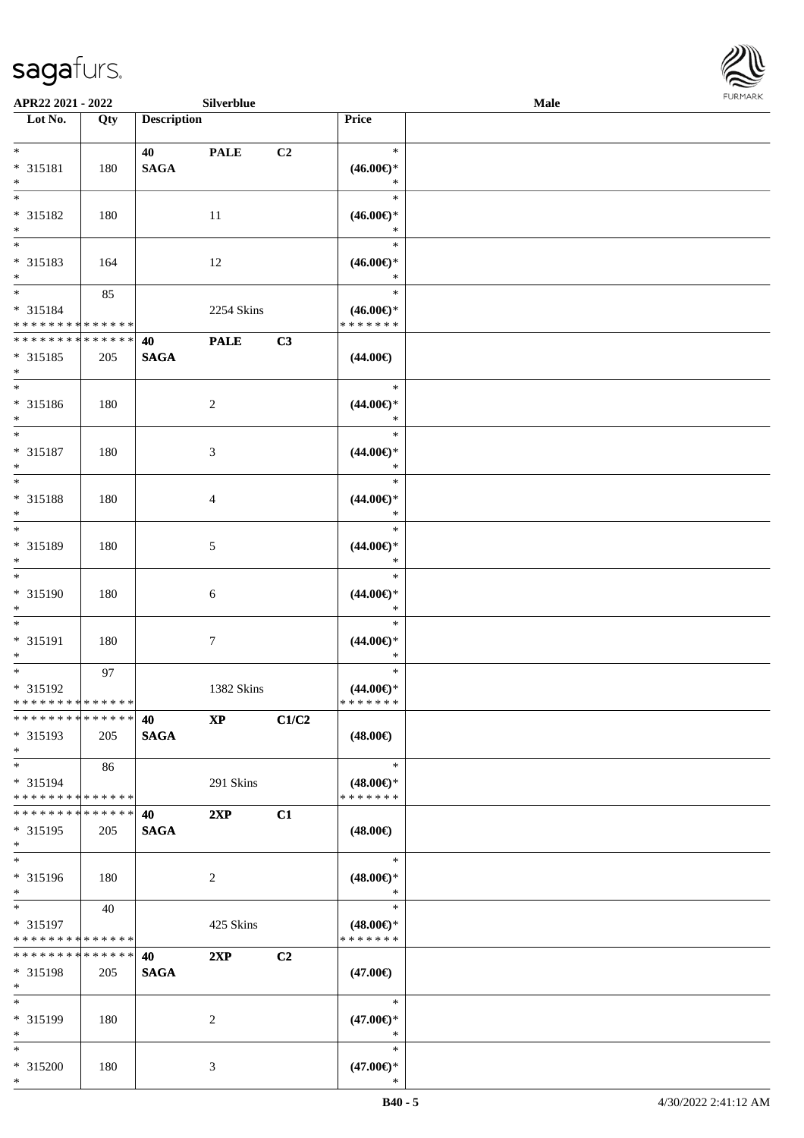\*



| APR22 2021 - 2022                          |     |                    | Silverblue             |                |                                      | Male |  |
|--------------------------------------------|-----|--------------------|------------------------|----------------|--------------------------------------|------|--|
| Lot No.                                    | Qty | <b>Description</b> |                        |                | Price                                |      |  |
|                                            |     |                    |                        |                |                                      |      |  |
| $*$                                        |     | 40                 | <b>PALE</b>            | C <sub>2</sub> | $\ast$                               |      |  |
| * 315181                                   | 180 | <b>SAGA</b>        |                        |                | $(46.00\epsilon)$ *                  |      |  |
| $*$                                        |     |                    |                        |                | $\ast$                               |      |  |
|                                            |     |                    |                        |                | $\ast$                               |      |  |
| * 315182                                   | 180 |                    | 11                     |                | $(46.00\epsilon)$ *                  |      |  |
| $*$                                        |     |                    |                        |                | $\ast$                               |      |  |
|                                            |     |                    |                        |                | $\ast$                               |      |  |
| * 315183                                   | 164 |                    | 12                     |                | $(46.00\epsilon)$ *<br>$\ast$        |      |  |
| $*$<br>$*$                                 |     |                    |                        |                | $\ast$                               |      |  |
|                                            | 85  |                    |                        |                |                                      |      |  |
| * 315184<br>* * * * * * * * * * * * * *    |     |                    | 2254 Skins             |                | $(46.00\epsilon)$ *<br>* * * * * * * |      |  |
| * * * * * * * * <mark>* * * * * * *</mark> |     |                    |                        | C3             |                                      |      |  |
| * 315185                                   |     | 40                 | <b>PALE</b>            |                |                                      |      |  |
| $*$                                        | 205 | <b>SAGA</b>        |                        |                | $(44.00\epsilon)$                    |      |  |
| $\overline{\phantom{0}}$                   |     |                    |                        |                | $\ast$                               |      |  |
| * 315186                                   | 180 |                    | 2                      |                | $(44.00\epsilon)$ *                  |      |  |
| $*$                                        |     |                    |                        |                | $\ast$                               |      |  |
| $\overline{\ast}$                          |     |                    |                        |                | $\ast$                               |      |  |
| * 315187                                   | 180 |                    | 3                      |                | $(44.00\epsilon)$ *                  |      |  |
| $*$                                        |     |                    |                        |                | $\ast$                               |      |  |
| $*$                                        |     |                    |                        |                | $\ast$                               |      |  |
| * 315188                                   | 180 |                    | 4                      |                | $(44.00\epsilon)$ *                  |      |  |
| $*$                                        |     |                    |                        |                | $\ast$                               |      |  |
| $\overline{\ast}$                          |     |                    |                        |                | $\ast$                               |      |  |
| * 315189                                   | 180 |                    | 5                      |                | $(44.00\epsilon)$ *                  |      |  |
| $*$                                        |     |                    |                        |                | $\ast$                               |      |  |
| $*$                                        |     |                    |                        |                | $\ast$                               |      |  |
| * 315190                                   | 180 |                    | 6                      |                | $(44.00\epsilon)$ *                  |      |  |
| $*$                                        |     |                    |                        |                | $\ast$                               |      |  |
| $*$                                        |     |                    |                        |                | $\ast$                               |      |  |
| * 315191                                   | 180 |                    | $\tau$                 |                | $(44.00\epsilon)$ *                  |      |  |
| $\ast$                                     |     |                    |                        |                | $\ast$                               |      |  |
| $*$ $-$                                    | 97  |                    |                        |                | $\ast$                               |      |  |
| * 315192                                   |     |                    | 1382 Skins             |                | $(44.00€)$ *                         |      |  |
| * * * * * * * * * * * * * *                |     |                    |                        |                | *******                              |      |  |
| * * * * * * * * <mark>* * * * * * *</mark> |     | 40                 | $\mathbf{X}\mathbf{P}$ | C1/C2          |                                      |      |  |
| * 315193                                   | 205 | <b>SAGA</b>        |                        |                | $(48.00\epsilon)$                    |      |  |
| $*$                                        |     |                    |                        |                |                                      |      |  |
| $*$                                        | 86  |                    |                        |                | $\ast$                               |      |  |
| * 315194<br>* * * * * * * * * * * * * *    |     |                    | 291 Skins              |                | $(48.00\epsilon)$ *<br>* * * * * * * |      |  |
| * * * * * * * * * * * * * * *              |     |                    |                        |                |                                      |      |  |
| * 315195                                   | 205 | 40<br><b>SAGA</b>  | 2XP                    | C1             | $(48.00\epsilon)$                    |      |  |
| $*$                                        |     |                    |                        |                |                                      |      |  |
| $\ast$                                     |     |                    |                        |                | $\ast$                               |      |  |
| * 315196                                   | 180 |                    | 2                      |                | $(48.00\epsilon)$ *                  |      |  |
| $*$                                        |     |                    |                        |                | *                                    |      |  |
| $*$ $*$                                    | 40  |                    |                        |                | $\ast$                               |      |  |
| * 315197                                   |     |                    | 425 Skins              |                | $(48.00\epsilon)$ *                  |      |  |
| * * * * * * * * * * * * * *                |     |                    |                        |                | * * * * * * *                        |      |  |
| * * * * * * * * * * * * * *                |     | 40                 | 2XP                    | C2             |                                      |      |  |
| * 315198                                   | 205 | <b>SAGA</b>        |                        |                | $(47.00\epsilon)$                    |      |  |
| $\ast$                                     |     |                    |                        |                |                                      |      |  |
| $*$                                        |     |                    |                        |                | $\ast$                               |      |  |
| * 315199                                   | 180 |                    | 2                      |                | $(47.00\epsilon)$ *                  |      |  |
| $*$                                        |     |                    |                        |                | ∗                                    |      |  |
| $*$                                        |     |                    |                        |                | $\ast$                               |      |  |
| * 315200                                   | 180 |                    | 3                      |                | $(47.00\epsilon)$ *                  |      |  |
| $*$                                        |     |                    |                        |                | $\ast$                               |      |  |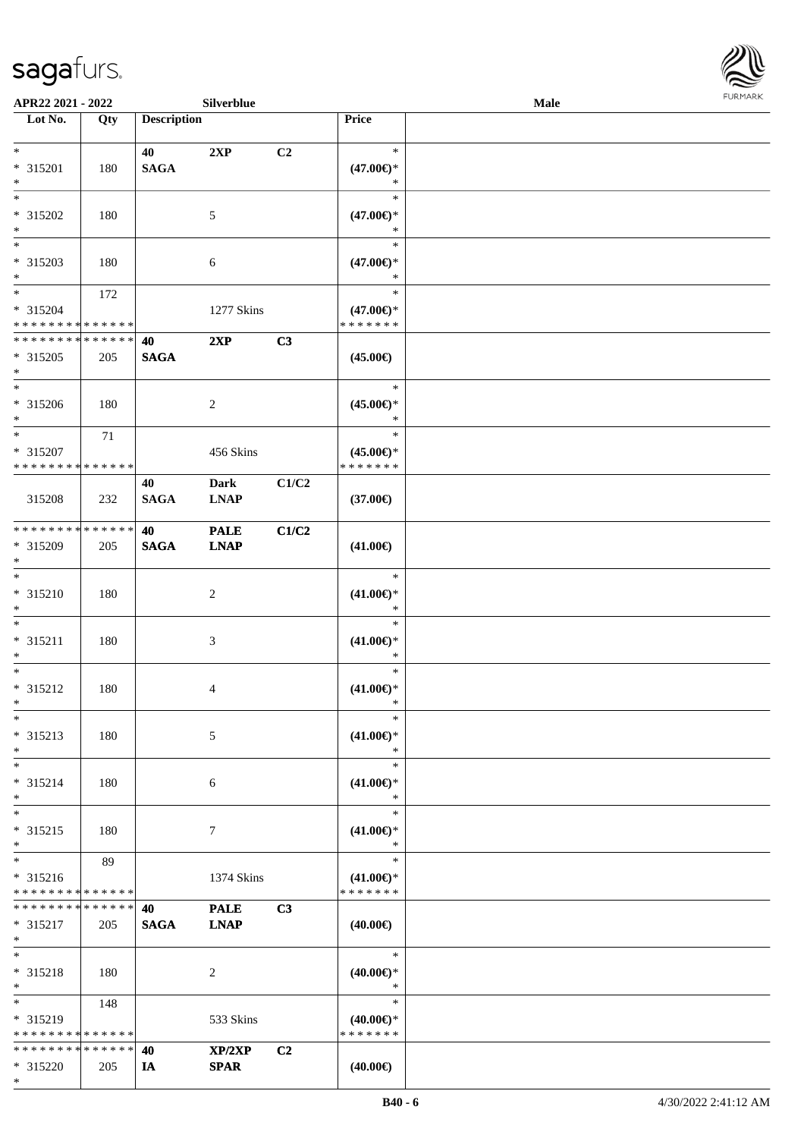\*



| APR22 2021 - 2022             |     |                    | Silverblue     |                |                                      | <b>Male</b> |  |
|-------------------------------|-----|--------------------|----------------|----------------|--------------------------------------|-------------|--|
| Lot No.                       | Qty | <b>Description</b> |                |                | Price                                |             |  |
|                               |     |                    |                |                |                                      |             |  |
| $*$                           |     | 40                 | 2XP            | C <sub>2</sub> | $\ast$                               |             |  |
| * 315201                      | 180 | <b>SAGA</b>        |                |                | $(47.00\epsilon)$ *                  |             |  |
| $*$                           |     |                    |                |                | ∗                                    |             |  |
| $*$                           |     |                    |                |                | $\ast$                               |             |  |
| * 315202                      | 180 |                    | 5              |                | $(47.00\epsilon)$ *                  |             |  |
| $*$                           |     |                    |                |                | *                                    |             |  |
|                               |     |                    |                |                | $\ast$                               |             |  |
| * 315203                      | 180 |                    | 6              |                | $(47.00\epsilon)$ *<br>*             |             |  |
| $*$<br>$*$                    |     |                    |                |                | $\ast$                               |             |  |
| * 315204                      | 172 |                    |                |                |                                      |             |  |
| * * * * * * * * * * * * * *   |     |                    | 1277 Skins     |                | $(47.00\epsilon)$ *<br>* * * * * * * |             |  |
| * * * * * * * * * * * * * *   |     | 40                 | 2XP            | C3             |                                      |             |  |
| * 315205                      | 205 | <b>SAGA</b>        |                |                | $(45.00\epsilon)$                    |             |  |
| $*$                           |     |                    |                |                |                                      |             |  |
| $*$                           |     |                    |                |                | $\ast$                               |             |  |
| * 315206                      | 180 |                    | 2              |                | $(45.00\epsilon)$ *                  |             |  |
| $*$                           |     |                    |                |                | $\ast$                               |             |  |
| $*$                           | 71  |                    |                |                | $\ast$                               |             |  |
| * 315207                      |     |                    | 456 Skins      |                | $(45.00\epsilon)$ *                  |             |  |
| * * * * * * * * * * * * * * * |     |                    |                |                | * * * * * * *                        |             |  |
|                               |     | 40                 | <b>Dark</b>    | C1/C2          |                                      |             |  |
| 315208                        | 232 | <b>SAGA</b>        | <b>LNAP</b>    |                | $(37.00\epsilon)$                    |             |  |
|                               |     |                    |                |                |                                      |             |  |
| * * * * * * * * * * * * * * * |     | 40                 | <b>PALE</b>    | C1/C2          |                                      |             |  |
| * 315209                      | 205 | <b>SAGA</b>        | <b>LNAP</b>    |                | $(41.00\epsilon)$                    |             |  |
| $*$                           |     |                    |                |                |                                      |             |  |
| $*$                           |     |                    |                |                | $\ast$                               |             |  |
| $* 315210$                    | 180 |                    | $\overline{c}$ |                | $(41.00\epsilon)$ *                  |             |  |
| $*$                           |     |                    |                |                | $\ast$                               |             |  |
| $*$                           |     |                    |                |                | $\ast$                               |             |  |
| * 315211                      | 180 |                    | 3              |                | $(41.00\epsilon)$ *                  |             |  |
| $*$                           |     |                    |                |                | $\ast$                               |             |  |
| $*$                           |     |                    |                |                | $\ast$                               |             |  |
| * 315212                      | 180 |                    | 4              |                | $(41.00\epsilon)$ *                  |             |  |
| $*$                           |     |                    |                |                | $\ast$<br>$\ast$                     |             |  |
| $*$                           |     |                    |                |                |                                      |             |  |
| * 315213<br>$*$               | 180 |                    | 5              |                | $(41.00\epsilon)$ *<br>∗             |             |  |
| $*$                           |     |                    |                |                | $\ast$                               |             |  |
| * 315214                      |     |                    |                |                | $(41.00\epsilon)$ *                  |             |  |
| $*$                           | 180 |                    | 6              |                | $\ast$                               |             |  |
| $*$                           |     |                    |                |                | $\ast$                               |             |  |
| * 315215                      | 180 |                    | 7              |                | $(41.00\epsilon)$ *                  |             |  |
| $*$                           |     |                    |                |                | $\ast$                               |             |  |
| $*$                           | 89  |                    |                |                | $\ast$                               |             |  |
| * 315216                      |     |                    | 1374 Skins     |                | $(41.00\epsilon)$ *                  |             |  |
| * * * * * * * * * * * * * *   |     |                    |                |                | * * * * * * *                        |             |  |
| * * * * * * * * * * * * * * * |     | 40                 | <b>PALE</b>    | C3             |                                      |             |  |
| $* 315217$                    | 205 | <b>SAGA</b>        | <b>LNAP</b>    |                | $(40.00\epsilon)$                    |             |  |
| $*$                           |     |                    |                |                |                                      |             |  |
| $*$                           |     |                    |                |                | $\ast$                               |             |  |
| * 315218                      | 180 |                    | 2              |                | $(40.00\epsilon)$ *                  |             |  |
| $*$                           |     |                    |                |                | $\ast$                               |             |  |
| $*$                           | 148 |                    |                |                | $\ast$                               |             |  |
| * 315219                      |     |                    | 533 Skins      |                | $(40.00\epsilon)$ *                  |             |  |
| * * * * * * * * * * * * * *   |     |                    |                |                | * * * * * * *                        |             |  |
| * * * * * * * * * * * * * * * |     | 40                 | XP/2XP         | C2             |                                      |             |  |
| * 315220                      | 205 | IA                 | <b>SPAR</b>    |                | $(40.00\epsilon)$                    |             |  |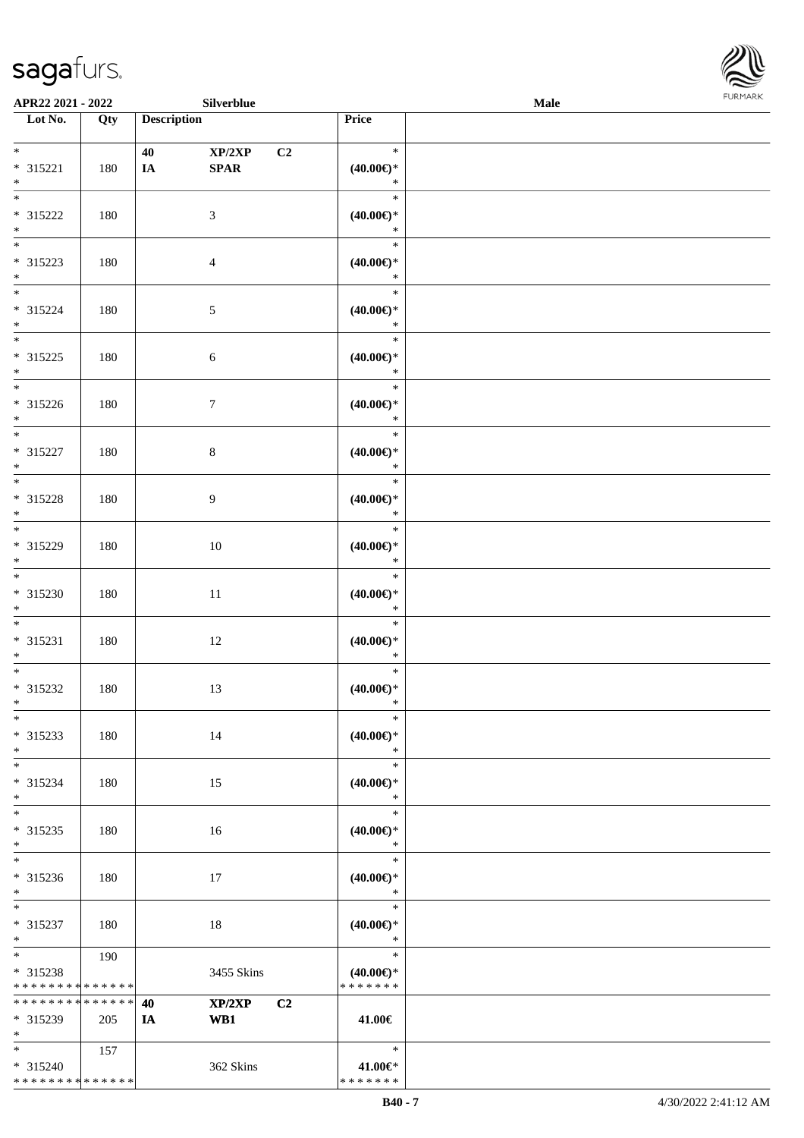\* \* \* \* \* \* \* \* \* \* \* \* \* \*



|                                                          | APR22 2021 - 2022<br>Silverblue |                    |                      |                                                | Male | FURMARK |
|----------------------------------------------------------|---------------------------------|--------------------|----------------------|------------------------------------------------|------|---------|
| $\overline{\phantom{1}}$ Lot No.                         | Qty                             | <b>Description</b> |                      | Price                                          |      |         |
| $*$<br>* 315221<br>$\ast$                                | 180                             | 40<br>IA           | XP/2XP<br>C2<br>SPAR | $\ast$<br>$(40.00\epsilon)$ *<br>$\ast$        |      |         |
| $\overline{\phantom{a}}$<br>$* 315222$<br>$\ast$         | 180                             |                    | $\mathfrak{Z}$       | $\ast$<br>$(40.00\in)^\ast$<br>$\ast$          |      |         |
| $\frac{1}{*}$<br>* 315223<br>$*$                         | 180                             |                    | $\overline{4}$       | $\ast$<br>$(40.00\epsilon)$ *<br>$\ast$        |      |         |
| $\overline{\ }$<br>* 315224<br>$*$                       | 180                             |                    | $5\,$                | $\ast$<br>$(40.00\epsilon)$ *<br>$\ast$        |      |         |
| $\ast$<br>$* 315225$<br>$*$ $*$                          | 180                             |                    | $\sqrt{6}$           | $\ast$<br>(40.00)<br>$\ast$                    |      |         |
| * 315226<br>$\ast$                                       | 180                             |                    | $\boldsymbol{7}$     | $\ast$<br>$(40.00\epsilon)$ *<br>$\ast$        |      |         |
| $\overline{\phantom{0}}$<br>* 315227<br>$\ast$           | 180                             |                    | $\,8\,$              | $\ast$<br>(40.00)<br>$\ast$                    |      |         |
| $\overline{\phantom{0}}$<br>* 315228<br>$\ast$           | 180                             |                    | $\overline{9}$       | $\ast$<br>(40.00)<br>$\ast$                    |      |         |
| $\overline{\phantom{0}}$<br>* 315229<br>$\ast$           | 180                             |                    | $10\,$               | $\ast$<br>(40.00)<br>$\ast$                    |      |         |
| $\overline{\phantom{0}}$<br>* 315230<br>$\ast$           | 180                             |                    | $11\,$               | $\ast$<br>(40.00)<br>$\ast$                    |      |         |
| $*$<br>$* 315231$<br>$\ast$                              | 180                             |                    | 12                   | $\ast$<br>(40.00)<br>$\ast$                    |      |         |
| $\overline{\phantom{0}}$<br>* 315232<br>$\ast$           | 180                             |                    | 13                   | $\ast$<br>$(40.00\epsilon)$ *<br>$\ast$        |      |         |
| $_{\ast}$<br>* 315233<br>$\ast$                          | 180                             |                    | 14                   | $\ast$<br>$(40.00\epsilon)$ *<br>$\ast$        |      |         |
| $\ast$<br>* 315234<br>$\ast$                             | 180                             |                    | 15                   | $\ast$<br>$(40.00\epsilon)$ *<br>$\ast$        |      |         |
| $\overline{\phantom{a}^*}$<br>$* 315235$<br>$\ast$       | 180                             |                    | 16                   | $\ast$<br>$(40.00\epsilon)$ *<br>$\ast$        |      |         |
| $_{\ast}^{-}$<br>* 315236<br>$\ast$                      | 180                             |                    | 17                   | $\ast$<br>$(40.00\in)^\ast$<br>$\ast$          |      |         |
| $\ast$<br>* 315237<br>$\ast$                             | 180                             |                    | 18                   | $\ast$<br>$(40.00\epsilon)$ *<br>$\ast$        |      |         |
| $\frac{1}{*}$<br>* 315238<br>* * * * * * * * * * * * * * | 190                             |                    | 3455 Skins           | $\ast$<br>$(40.00\epsilon)$ *<br>* * * * * * * |      |         |
| * * * * * * * * * * * * * *                              |                                 | 40                 | XP/2XP<br>C2         |                                                |      |         |
| * 315239<br>$\ast$                                       | 205                             | <b>IA</b>          | WB1                  | 41.00€                                         |      |         |
| $*$<br>$* 315240$                                        | 157                             |                    | 362 Skins            | $\ast$<br>41.00€*                              |      |         |

\* \* \* \* \* \* \*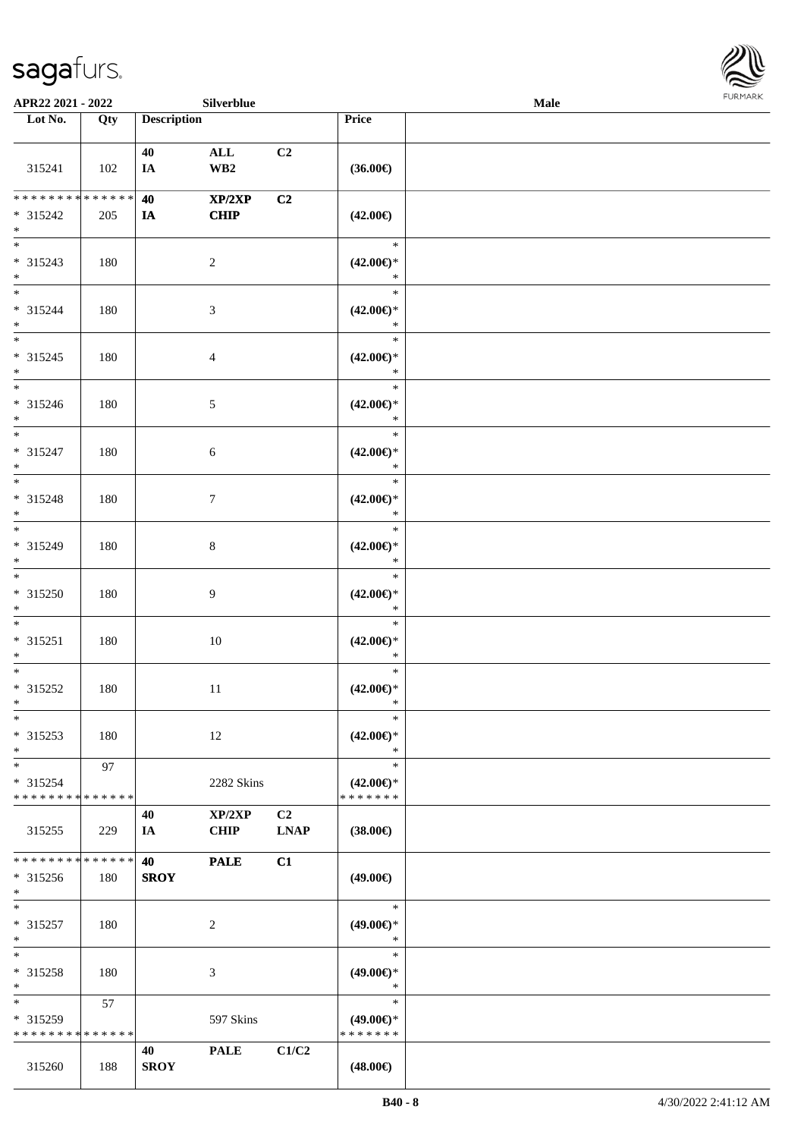

| APR22 2021 - 2022                                                     |     |                    | Silverblue                  |                   |                                                | <b>Male</b> | FURMARK |
|-----------------------------------------------------------------------|-----|--------------------|-----------------------------|-------------------|------------------------------------------------|-------------|---------|
| $\overline{\phantom{1}}$ Lot No.                                      | Qty | <b>Description</b> |                             |                   | Price                                          |             |         |
| 315241                                                                | 102 | 40<br>IA           | $\mathbf{ALL}$<br>WB2       | C2                | $(36.00\in)$                                   |             |         |
| ******** <mark>******</mark><br>$* 315242$<br>$*$                     | 205 | 40<br>IA           | XP/2XP<br><b>CHIP</b>       | C2                | $(42.00\epsilon)$                              |             |         |
| $_{\ast}^{-}$<br>* 315243<br>$*$                                      | 180 |                    | $\sqrt{2}$                  |                   | $\ast$<br>$(42.00\epsilon)$ *<br>$\ast$        |             |         |
| $*$<br>* 315244<br>$*$                                                | 180 |                    | $\ensuremath{\mathfrak{Z}}$ |                   | $\ast$<br>$(42.00\epsilon)$ *<br>$\ast$        |             |         |
| $\frac{1}{*}$<br>$* 315245$<br>$\ast$                                 | 180 |                    | $\overline{4}$              |                   | $\ast$<br>$(42.00\epsilon)$ *<br>$\ast$        |             |         |
| $\overline{\phantom{a}^*}$<br>* 315246<br>$\ast$                      | 180 |                    | $\sqrt{5}$                  |                   | $\ast$<br>$(42.00\epsilon)$ *<br>$\ast$        |             |         |
| $*$<br>$* 315247$<br>$\ast$                                           | 180 |                    | 6                           |                   | $\ast$<br>$(42.00\epsilon)$ *<br>$\ast$        |             |         |
| $\overline{\phantom{a}^*}$<br>* 315248<br>$*$                         | 180 |                    | $\tau$                      |                   | $\ast$<br>$(42.00\epsilon)$ *<br>$\ast$        |             |         |
| $\overline{\phantom{0}}$<br>$* 315249$<br>$\ast$                      | 180 |                    | $\,8\,$                     |                   | $\ast$<br>$(42.00\epsilon)$ *<br>$\ast$        |             |         |
| $\ast$<br>* 315250<br>$\ast$                                          | 180 |                    | $\overline{9}$              |                   | $\ast$<br>$(42.00\epsilon)$ *<br>$\ast$        |             |         |
| $\overline{\phantom{0}}$<br>$* 315251$<br>$\ast$                      | 180 |                    | 10                          |                   | $\ast$<br>$(42.00\epsilon)$ *<br>$\ast$        |             |         |
| $\overline{\ast}$<br>* 315252<br>$\ast$                               | 180 |                    | 11                          |                   | $\ast$<br>$(42.00\epsilon)$ *<br>$\ast$        |             |         |
| $\ast$<br>$* 315253$<br>$\ast$                                        | 180 |                    | 12                          |                   | $\ast$<br>$(42.00\epsilon)$ *<br>$\ast$        |             |         |
| $\overline{\phantom{a}^*}$<br>* 315254<br>* * * * * * * * * * * * * * | 97  |                    | 2282 Skins                  |                   | $\ast$<br>$(42.00\epsilon)$ *<br>* * * * * * * |             |         |
| 315255                                                                | 229 | 40<br>IA           | XP/2XP<br><b>CHIP</b>       | C2<br><b>LNAP</b> | $(38.00\epsilon)$                              |             |         |
| **************<br>$* 315256$<br>$\ast$                                | 180 | 40<br><b>SROY</b>  | <b>PALE</b>                 | C1                | $(49.00\epsilon)$                              |             |         |
| $\ast$<br>$* 315257$<br>$\ast$                                        | 180 |                    | 2                           |                   | $\ast$<br>$(49.00\epsilon)$ *<br>$\ast$        |             |         |
| $\ast$<br>* 315258<br>$\ast$                                          | 180 |                    | 3                           |                   | $\ast$<br>$(49.00\epsilon)$ *<br>$\ast$        |             |         |
| $\ast$<br>* 315259<br>* * * * * * * * * * * * * *                     | 57  |                    | 597 Skins                   |                   | $\ast$<br>$(49.00\epsilon)$ *<br>* * * * * * * |             |         |
| 315260                                                                | 188 | 40<br><b>SROY</b>  | <b>PALE</b>                 | C1/C2             | $(48.00\epsilon)$                              |             |         |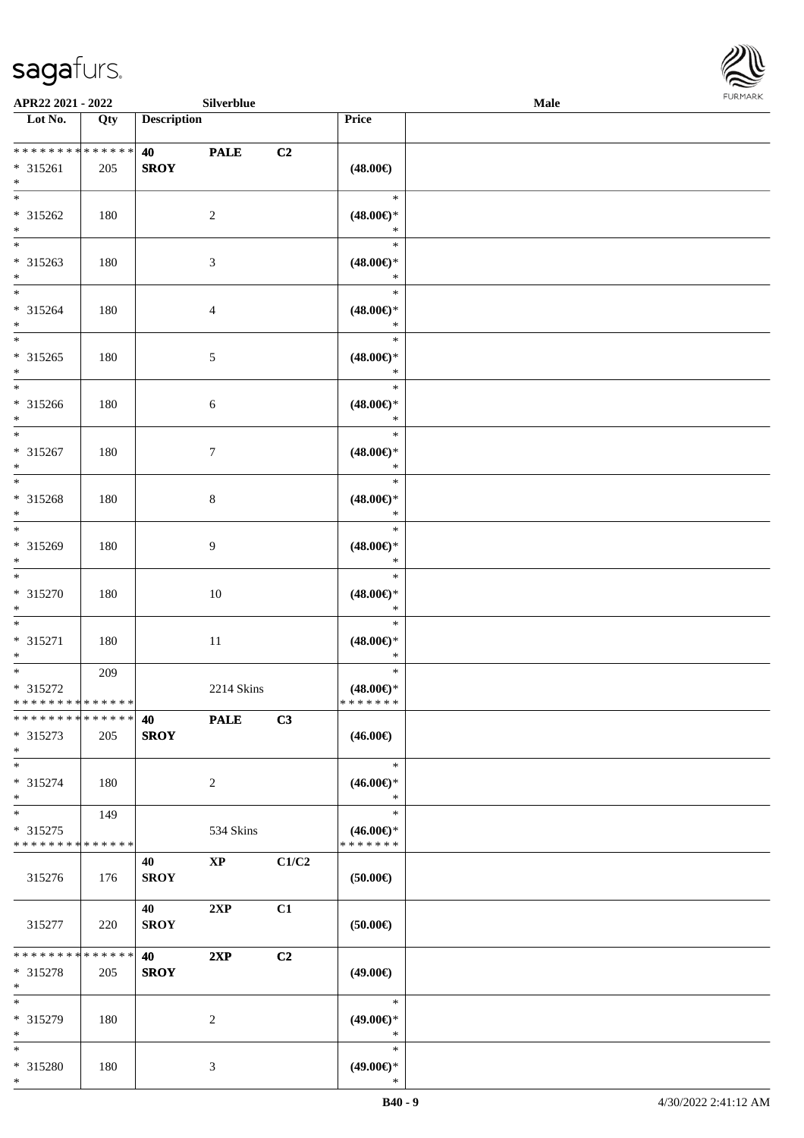

| APR22 2021 - 2022                          |     |                    | Silverblue             |       |                                      | Male |  |
|--------------------------------------------|-----|--------------------|------------------------|-------|--------------------------------------|------|--|
| Lot No.                                    | Qty | <b>Description</b> |                        |       | Price                                |      |  |
|                                            |     |                    |                        |       |                                      |      |  |
| ******** <mark>******</mark>               |     | 40                 | <b>PALE</b>            | C2    |                                      |      |  |
| $* 315261$                                 | 205 | <b>SROY</b>        |                        |       | $(48.00\epsilon)$                    |      |  |
| $*$                                        |     |                    |                        |       |                                      |      |  |
|                                            |     |                    |                        |       | $\ast$                               |      |  |
| * 315262                                   | 180 |                    | 2                      |       | $(48.00\epsilon)$ *                  |      |  |
| $*$                                        |     |                    |                        |       | $\ast$                               |      |  |
| $\overline{\ast}$                          |     |                    |                        |       | $\ast$                               |      |  |
| * 315263                                   | 180 |                    | $\mathfrak{Z}$         |       | $(48.00\epsilon)$ *                  |      |  |
| $*$                                        |     |                    |                        |       | $\ast$                               |      |  |
| $*$                                        |     |                    |                        |       | $\ast$                               |      |  |
| * 315264                                   | 180 |                    | $\overline{4}$         |       | $(48.00\epsilon)$ *                  |      |  |
| $*$                                        |     |                    |                        |       | $\ast$                               |      |  |
| $\overline{\ast}$                          |     |                    |                        |       | $\ast$                               |      |  |
| * 315265                                   | 180 |                    | $\mathfrak{S}$         |       | $(48.00\epsilon)$ *                  |      |  |
| $*$                                        |     |                    |                        |       | $\ast$                               |      |  |
| $\overline{\phantom{0}}$                   |     |                    |                        |       | $\ast$                               |      |  |
| * 315266                                   | 180 |                    | 6                      |       | $(48.00\epsilon)$ *                  |      |  |
| $*$                                        |     |                    |                        |       | $\ast$                               |      |  |
|                                            |     |                    |                        |       | $\ast$                               |      |  |
| * 315267                                   | 180 |                    | $\tau$                 |       | $(48.00\epsilon)$ *                  |      |  |
| $*$                                        |     |                    |                        |       | $\ast$                               |      |  |
|                                            |     |                    |                        |       | $\ast$                               |      |  |
| * 315268                                   | 180 |                    | 8                      |       | $(48.00\epsilon)$ *                  |      |  |
| $*$                                        |     |                    |                        |       | $\ast$                               |      |  |
| $\overline{\ast}$                          |     |                    |                        |       | $\ast$                               |      |  |
| * 315269                                   | 180 |                    | 9                      |       | $(48.00\epsilon)$ *                  |      |  |
| $*$                                        |     |                    |                        |       | $\ast$                               |      |  |
| $*$                                        |     |                    |                        |       | $\ast$                               |      |  |
| * 315270                                   | 180 |                    | 10                     |       | $(48.00\epsilon)$ *                  |      |  |
| $*$                                        |     |                    |                        |       | $\ast$                               |      |  |
| $*$                                        |     |                    |                        |       | $\ast$                               |      |  |
| * 315271                                   | 180 |                    | $11\,$                 |       | $(48.00\epsilon)$ *                  |      |  |
| $*$                                        |     |                    |                        |       | $\ast$                               |      |  |
| $*$ $-$                                    | 209 |                    |                        |       | $\ast$                               |      |  |
| * 315272                                   |     |                    | 2214 Skins             |       | $(48.00\epsilon)$ *                  |      |  |
| * * * * * * * * * * * * * *                |     |                    |                        |       | *******                              |      |  |
| * * * * * * * * * * * * * * *              |     | 40                 | <b>PALE</b>            | C3    |                                      |      |  |
| * 315273                                   |     | <b>SROY</b>        |                        |       | $(46.00\epsilon)$                    |      |  |
| $*$                                        | 205 |                    |                        |       |                                      |      |  |
| $*$                                        |     |                    |                        |       | $\ast$                               |      |  |
|                                            |     |                    |                        |       |                                      |      |  |
| * 315274                                   | 180 |                    | 2                      |       | $(46.00\epsilon)$ *<br>$\ast$        |      |  |
| $\ast$<br>$*$                              |     |                    |                        |       | $\ast$                               |      |  |
|                                            | 149 |                    |                        |       |                                      |      |  |
| * 315275                                   |     |                    | 534 Skins              |       | $(46.00\epsilon)$ *<br>* * * * * * * |      |  |
| * * * * * * * * * * * * * *                |     |                    |                        |       |                                      |      |  |
|                                            |     | 40                 | $\mathbf{X}\mathbf{P}$ | C1/C2 |                                      |      |  |
| 315276                                     | 176 | <b>SROY</b>        |                        |       | $(50.00\epsilon)$                    |      |  |
|                                            |     |                    |                        |       |                                      |      |  |
|                                            |     | 40                 | 2XP                    | C1    |                                      |      |  |
| 315277                                     | 220 | <b>SROY</b>        |                        |       | $(50.00\epsilon)$                    |      |  |
|                                            |     |                    |                        |       |                                      |      |  |
| * * * * * * * * * * * * * * <mark>*</mark> |     | 40                 | 2XP                    | C2    |                                      |      |  |
| * 315278                                   | 205 | <b>SROY</b>        |                        |       | $(49.00\epsilon)$                    |      |  |
| $*$                                        |     |                    |                        |       |                                      |      |  |
| $*$                                        |     |                    |                        |       | $\ast$                               |      |  |
| * 315279                                   | 180 |                    | 2                      |       | $(49.00\epsilon)$ *                  |      |  |
| $*$                                        |     |                    |                        |       | $\ast$                               |      |  |
| $*$                                        |     |                    |                        |       | $\ast$                               |      |  |
| * 315280                                   | 180 |                    | 3                      |       | $(49.00\epsilon)$ *                  |      |  |
| $*$                                        |     |                    |                        |       | $\ast$                               |      |  |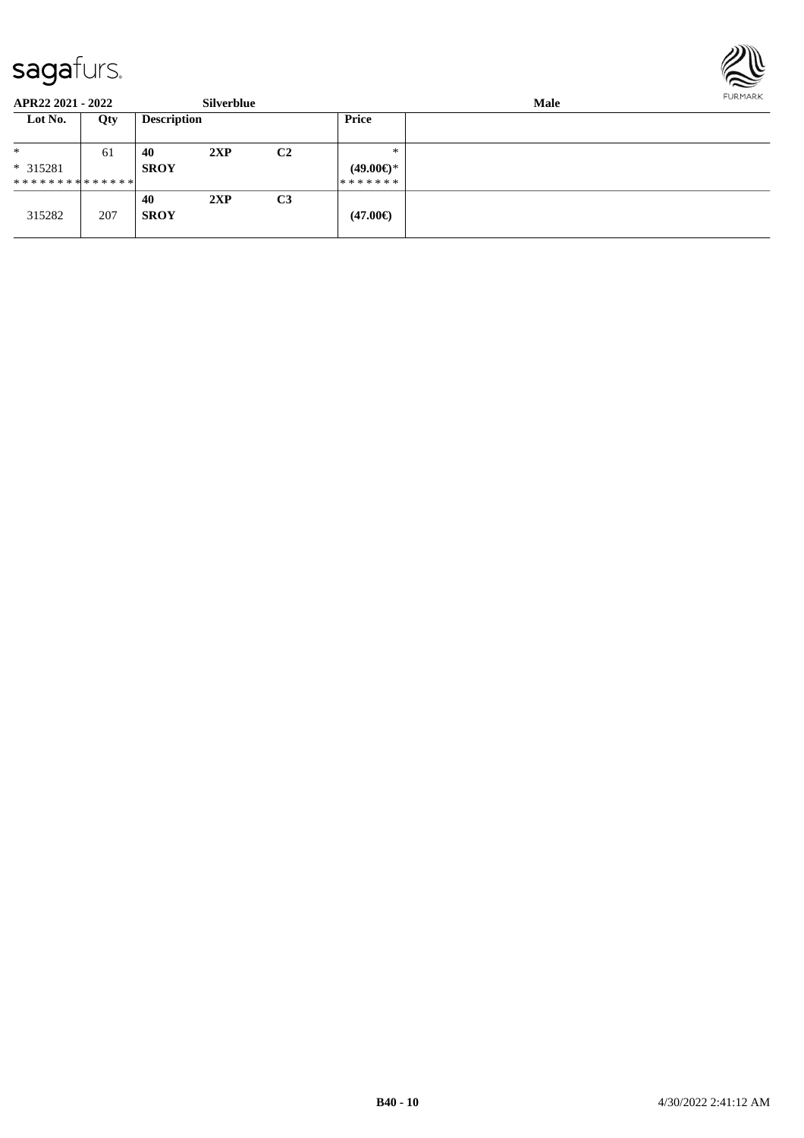

| APR22 2021 - 2022             |     |                    | <b>Silverblue</b> |                |                     | Male |  |  |  |
|-------------------------------|-----|--------------------|-------------------|----------------|---------------------|------|--|--|--|
| Lot No.                       | Qty | <b>Description</b> |                   |                | <b>Price</b>        |      |  |  |  |
| $*$                           | 61  | 40                 | 2XP               | C <sub>2</sub> | $*$                 |      |  |  |  |
| $* 315281$                    |     | <b>SROY</b>        |                   |                | $(49.00\epsilon)$ * |      |  |  |  |
| * * * * * * * * * * * * * * * |     |                    |                   |                | *******             |      |  |  |  |
|                               |     | 40                 | 2XP               | C <sub>3</sub> |                     |      |  |  |  |
| 315282                        | 207 | <b>SROY</b>        |                   |                | $(47.00\epsilon)$   |      |  |  |  |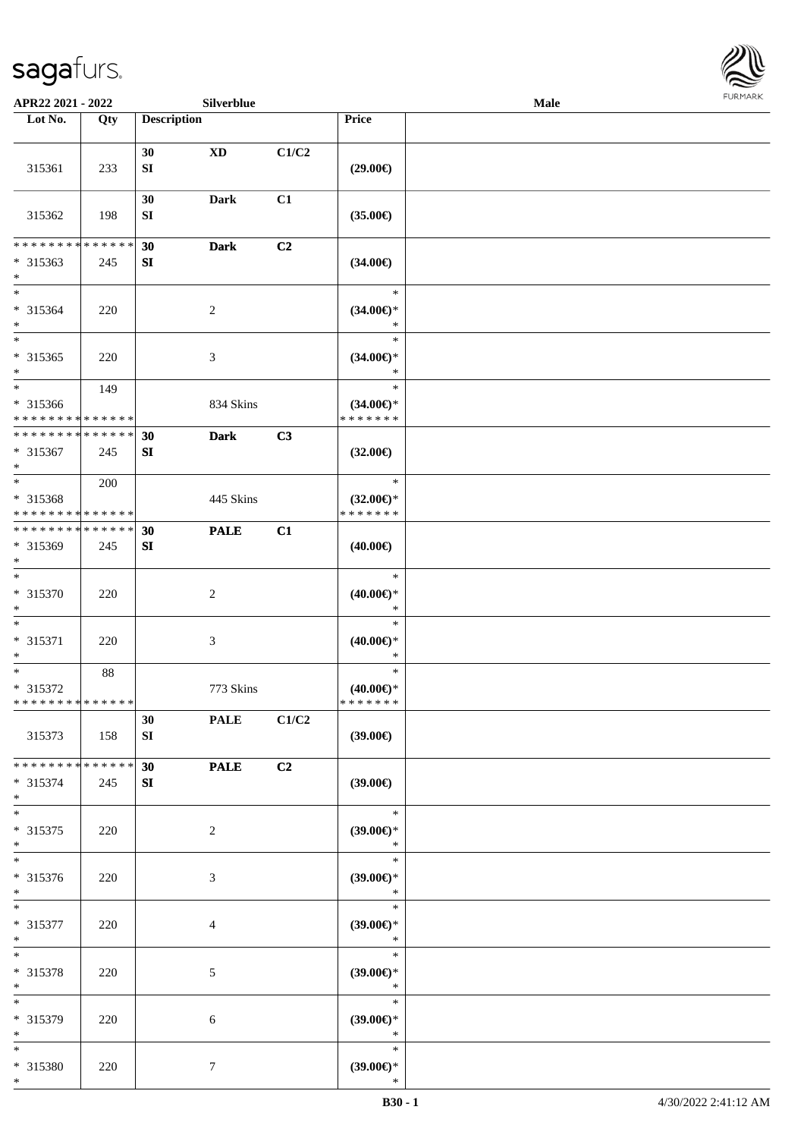

| APR22 2021 - 2022                                                   |                    |                        | Silverblue             |                |                                                | <b>FURMARK</b><br>Male |  |  |
|---------------------------------------------------------------------|--------------------|------------------------|------------------------|----------------|------------------------------------------------|------------------------|--|--|
| Lot No.                                                             | Qty                | <b>Description</b>     |                        |                | Price                                          |                        |  |  |
| 315361                                                              | 233                | 30<br>SI               | $\mathbf{X}\mathbf{D}$ | C1/C2          | $(29.00\epsilon)$                              |                        |  |  |
| 315362                                                              | 198                | 30<br>${\bf S}{\bf I}$ | Dark                   | C1             | $(35.00\in)$                                   |                        |  |  |
| * * * * * * * *<br>* 315363<br>$*$                                  | * * * * * *<br>245 | 30<br>${\bf S}{\bf I}$ | <b>Dark</b>            | C <sub>2</sub> | $(34.00\epsilon)$                              |                        |  |  |
| $*$<br>$* 315364$<br>$*$                                            | 220                |                        | $\boldsymbol{2}$       |                | $\ast$<br>$(34.00\epsilon)$ *<br>$\ast$        |                        |  |  |
| $*$<br>$* 315365$<br>$*$                                            | 220                |                        | 3                      |                | $\ast$<br>$(34.00\epsilon)$ *<br>$\ast$        |                        |  |  |
| * 315366<br>* * * * * * * * * * * * * *                             | 149                |                        | 834 Skins              |                | $\ast$<br>$(34.00\epsilon)$ *<br>* * * * * * * |                        |  |  |
| * * * * * * * * * * * * * *<br>* 315367<br>$*$                      | 245                | 30<br>SI               | <b>Dark</b>            | C3             | $(32.00\epsilon)$                              |                        |  |  |
| * 315368<br>* * * * * * * * * * * * * *                             | 200                |                        | 445 Skins              |                | $\ast$<br>$(32.00\epsilon)$ *<br>* * * * * * * |                        |  |  |
| * * * * * * * * * * * * * *<br>* 315369<br>$*$                      | 245                | 30<br>${\bf S}{\bf I}$ | <b>PALE</b>            | C1             | $(40.00\epsilon)$                              |                        |  |  |
| $*$<br>* 315370<br>$*$                                              | 220                |                        | $\overline{c}$         |                | $\ast$<br>$(40.00\epsilon)$ *<br>$\ast$        |                        |  |  |
| $*$<br>* 315371<br>$*$                                              | 220                |                        | $\mathfrak{Z}$         |                | $\ast$<br>$(40.00\epsilon)$ *<br>$\ast$        |                        |  |  |
| $\overline{\phantom{0}}$<br>* 315372<br>* * * * * * * * * * * * * * | 88                 |                        | 773 Skins              |                | $\ast$<br>$(40.00\epsilon)$ *<br>* * * * * * * |                        |  |  |
| 315373                                                              | 158                | 30<br>SI               | <b>PALE</b>            | C1/C2          | (39.00)                                        |                        |  |  |
| * * * * * * * * * * * * * *<br>* 315374<br>$*$                      | 245                | 30<br>SI               | <b>PALE</b>            | C <sub>2</sub> | (39.00)                                        |                        |  |  |
| $*$<br>* 315375<br>$*$                                              | 220                |                        | $\overline{c}$         |                | $\ast$<br>$(39.00\epsilon)$ *<br>$\ast$        |                        |  |  |
| $\ast$<br>$* 315376$<br>$*$                                         | 220                |                        | $\mathfrak{Z}$         |                | $\ast$<br>(39.00)<br>$\ast$                    |                        |  |  |
| $*$<br>* 315377<br>$*$                                              | 220                |                        | 4                      |                | $\ast$<br>$(39.00\epsilon)$ *<br>$\ast$        |                        |  |  |
| $*$<br>* 315378<br>$*$                                              | 220                |                        | 5                      |                | $\ast$<br>$(39.00\epsilon)$ *<br>$\ast$        |                        |  |  |
| $*$<br>* 315379<br>$*$                                              | 220                |                        | 6                      |                | $\ast$<br>$(39.00\epsilon)$ *<br>$\ast$        |                        |  |  |
| $*$<br>* 315380<br>$*$                                              | 220                |                        | 7                      |                | ∗<br>$(39.00\epsilon)$ *<br>$\ast$             |                        |  |  |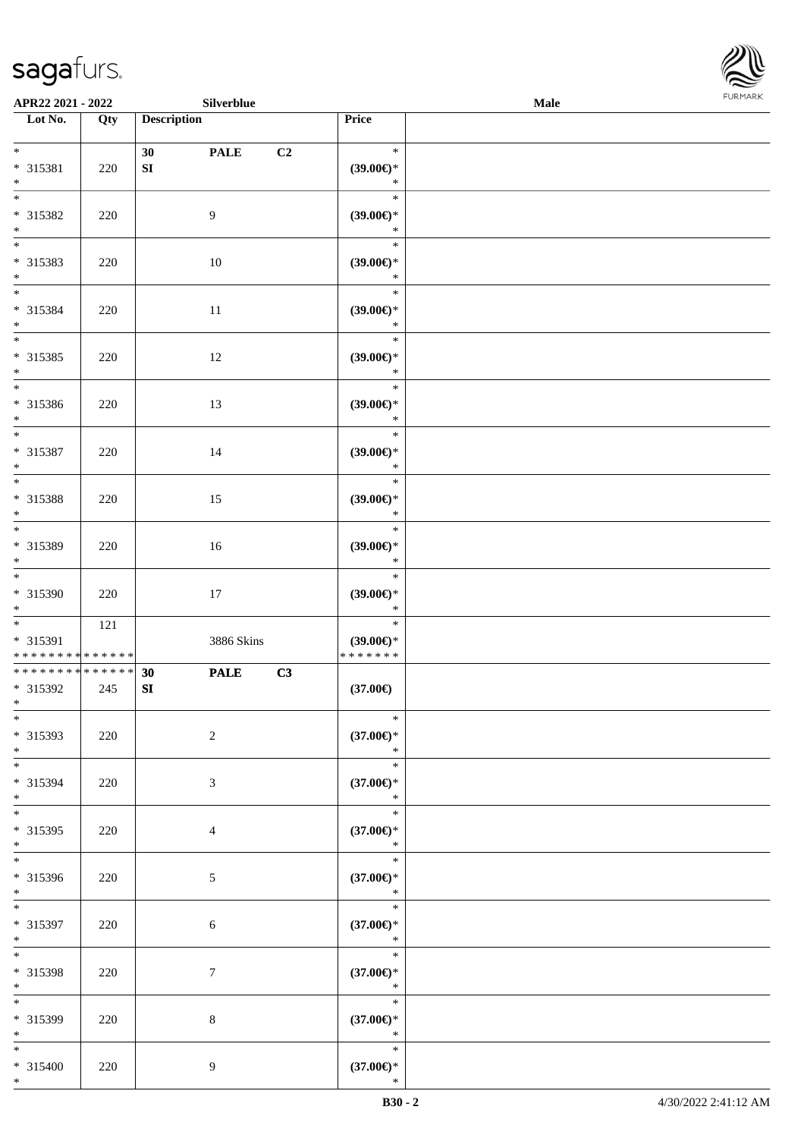\*



| APR22 2021 - 2022                                                |     | Silverblue                            |                                               | Male | <b>FURMARK</b> |
|------------------------------------------------------------------|-----|---------------------------------------|-----------------------------------------------|------|----------------|
| Lot No.                                                          | Qty | <b>Description</b>                    | Price                                         |      |                |
| $*$<br>* 315381<br>$*$                                           | 220 | 30<br><b>PALE</b><br>SI               | $\ast$<br>C2<br>$(39.00\epsilon)$ *<br>$\ast$ |      |                |
| * 315382<br>$*$                                                  | 220 | $\overline{9}$                        | $\ast$<br>$(39.00\epsilon)$ *<br>$\ast$       |      |                |
| * 315383<br>$*$                                                  | 220 | 10                                    | $\ast$<br>$(39.00\epsilon)$ *<br>$\ast$       |      |                |
| $*$<br>* 315384<br>$*$                                           | 220 | $11\,$                                | $\ast$<br>$(39.00\epsilon)$ *<br>$\ast$       |      |                |
| $*$<br>* 315385<br>$*$                                           | 220 | 12                                    | $\ast$<br>$(39.00\epsilon)$ *<br>$\ast$       |      |                |
| * 315386<br>$*$                                                  | 220 | 13                                    | $\ast$<br>$(39.00\epsilon)$ *<br>$\ast$       |      |                |
| * 315387<br>$\ast$                                               | 220 | 14                                    | $\ast$<br>$(39.00\epsilon)$ *<br>$\ast$       |      |                |
| * 315388<br>$*$                                                  | 220 | 15                                    | $\ast$<br>$(39.00\epsilon)$ *<br>$\ast$       |      |                |
| $\overline{\phantom{0}}$<br>* 315389<br>$*$                      | 220 | 16                                    | $\ast$<br>$(39.00\epsilon)$ *<br>$\ast$       |      |                |
| $\overline{\ast}$<br>* 315390<br>$*$                             | 220 | 17                                    | $\ast$<br>$(39.00\epsilon)$ *<br>$\ast$       |      |                |
| $*$<br>* 315391<br>* * * * * * * * <mark>* * * * * * *</mark>    | 121 | 3886 Skins                            | $\ast$<br>$(39.00\epsilon)$ *<br>*******      |      |                |
| * * * * * * * * <mark>* * * * * * *</mark><br>* 315392<br>$\ast$ | 245 | <b>PALE</b><br>30<br>${\bf S}{\bf I}$ | C3<br>$(37.00\epsilon)$                       |      |                |
| $_{*}$<br>* 315393<br>$*$                                        | 220 | $\overline{2}$                        | $\ast$<br>$(37.00\epsilon)$ *<br>$\ast$       |      |                |
| $\overline{\phantom{0}}$<br>* 315394<br>$*$                      | 220 | $\mathfrak{Z}$                        | $\ast$<br>$(37.00\epsilon)$ *<br>$\ast$       |      |                |
| $*$<br>* 315395<br>$*$                                           | 220 | $\overline{4}$                        | $\ast$<br>$(37.00\epsilon)$ *<br>$\ast$       |      |                |
| $\overline{\ }$<br>* 315396<br>$*$                               | 220 | $\sqrt{5}$                            | $\ast$<br>$(37.00\in)^\ast$<br>$\ast$         |      |                |
| $*$<br>* 315397<br>$\ast$                                        | 220 | 6                                     | $\ast$<br>$(37.00\epsilon)$ *<br>$\ast$       |      |                |
| $*$<br>* 315398<br>$*$                                           | 220 | 7                                     | $\ast$<br>$(37.00\epsilon)$ *<br>$\ast$       |      |                |
| $*$<br>* 315399<br>$*$                                           | 220 | $\,8\,$                               | $\ast$<br>$(37.00\epsilon)$ *<br>$\ast$       |      |                |
| $*$<br>* 315400                                                  | 220 | 9                                     | $\ast$<br>$(37.00\in)^\ast$                   |      |                |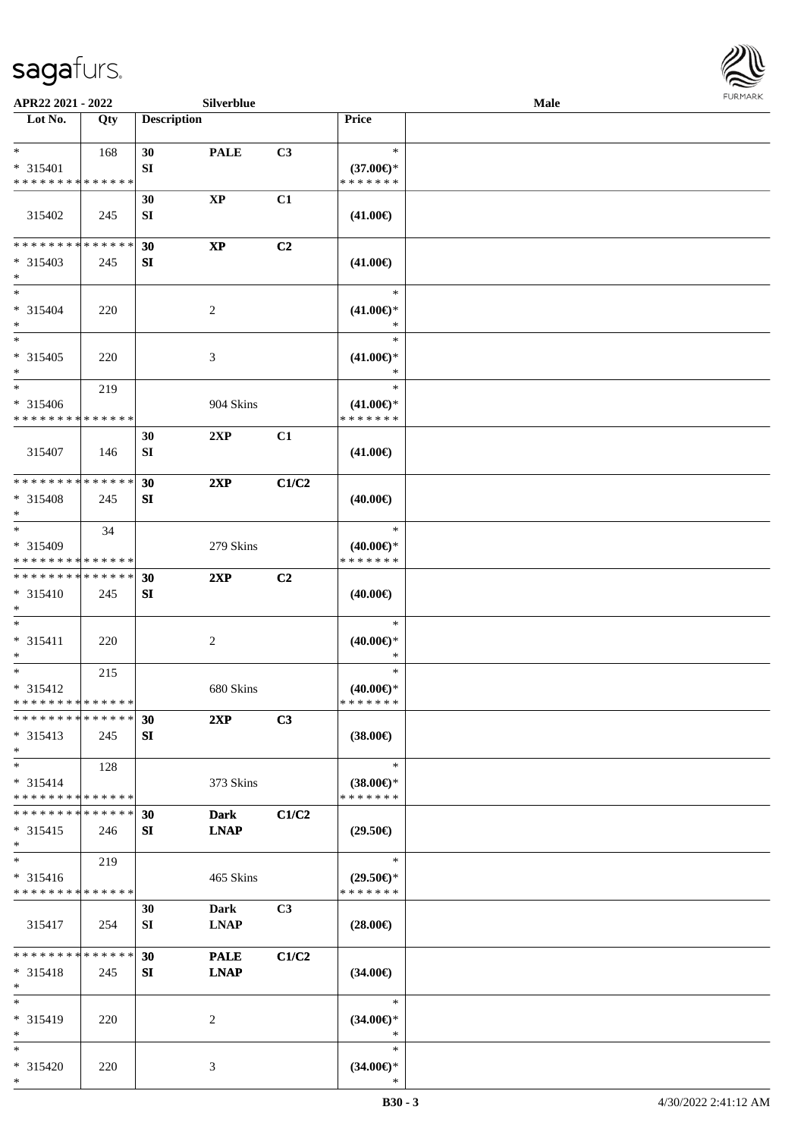

| APR22 2021 - 2022             |             |                    | Silverblue             |                |                     | Male |  |
|-------------------------------|-------------|--------------------|------------------------|----------------|---------------------|------|--|
| Lot No.                       | Qty         | <b>Description</b> |                        |                | Price               |      |  |
|                               |             |                    |                        |                |                     |      |  |
| $*$                           | 168         | 30                 | <b>PALE</b>            | C3             | $\ast$              |      |  |
| * 315401                      |             | SI                 |                        |                | $(37.00€)$ *        |      |  |
| * * * * * * * * * * * * * *   |             |                    |                        |                | * * * * * * *       |      |  |
|                               |             | 30                 | $\mathbf{XP}$          | C1             |                     |      |  |
| 315402                        | 245         | SI                 |                        |                | $(41.00\epsilon)$   |      |  |
|                               |             |                    |                        |                |                     |      |  |
| * * * * * * * * * * * * * *   |             | 30                 | $\mathbf{X}\mathbf{P}$ | C2             |                     |      |  |
| * 315403                      | 245         | SI                 |                        |                | $(41.00\epsilon)$   |      |  |
| $*$                           |             |                    |                        |                |                     |      |  |
| $*$                           |             |                    |                        |                | $\ast$              |      |  |
| * 315404                      | 220         |                    | 2                      |                | $(41.00\epsilon)$ * |      |  |
| $*$                           |             |                    |                        |                | $\ast$              |      |  |
| $*$                           |             |                    |                        |                | $\ast$              |      |  |
| $* 315405$                    | 220         |                    | 3                      |                | $(41.00\epsilon)$ * |      |  |
| $*$                           |             |                    |                        |                | $\ast$              |      |  |
| $*$                           | 219         |                    |                        |                | $\ast$              |      |  |
| * 315406                      |             |                    | 904 Skins              |                | $(41.00\epsilon)$ * |      |  |
| * * * * * * * * * * * * * *   |             |                    |                        |                | * * * * * * *       |      |  |
|                               |             | 30                 | 2XP                    | C1             |                     |      |  |
| 315407                        | 146         | SI                 |                        |                | $(41.00\epsilon)$   |      |  |
|                               |             |                    |                        |                |                     |      |  |
| * * * * * * * * * * * * * *   |             | 30                 | 2XP                    | C1/C2          |                     |      |  |
| * 315408                      | 245         | SI                 |                        |                | $(40.00\epsilon)$   |      |  |
| $*$                           |             |                    |                        |                |                     |      |  |
| $*$                           | 34          |                    |                        |                | $\ast$              |      |  |
| * 315409                      |             |                    | 279 Skins              |                | $(40.00\epsilon)$ * |      |  |
| * * * * * * * * * * * * * *   |             |                    |                        |                | * * * * * * *       |      |  |
| * * * * * * * * * * * * * *   |             | 30                 | 2XP                    | C <sub>2</sub> |                     |      |  |
| * 315410                      | 245         | SI                 |                        |                | $(40.00\epsilon)$   |      |  |
| $*$                           |             |                    |                        |                |                     |      |  |
| $*$                           |             |                    |                        |                | $\ast$              |      |  |
| * 315411                      | 220         |                    | $\overline{c}$         |                | $(40.00\epsilon)$ * |      |  |
| $*$                           |             |                    |                        |                | $\ast$              |      |  |
| $*$                           | 215         |                    |                        |                | $\ast$              |      |  |
| $* 315412$                    |             |                    | 680 Skins              |                | $(40.00€)$ *        |      |  |
| * * * * * * * * * * * * * * * |             |                    |                        |                | *******             |      |  |
| * * * * * * * * * * * * * * * |             | 30                 | 2XP                    | C3             |                     |      |  |
| $* 315413$                    | 245         | SI                 |                        |                | $(38.00\epsilon)$   |      |  |
| $*$                           |             |                    |                        |                |                     |      |  |
| $*$                           | 128         |                    |                        |                | $\ast$              |      |  |
| * 315414                      |             |                    | 373 Skins              |                | $(38.00\epsilon)$ * |      |  |
| * * * * * * * * * * * * * *   |             |                    |                        |                | * * * * * * *       |      |  |
| * * * * * * * *               | * * * * * * | 30                 | <b>Dark</b>            | C1/C2          |                     |      |  |
| $* 315415$                    | 246         | SI                 | <b>LNAP</b>            |                | $(29.50\epsilon)$   |      |  |
| $*$                           |             |                    |                        |                |                     |      |  |
| $*$                           | 219         |                    |                        |                | $\ast$              |      |  |
| $* 315416$                    |             |                    | 465 Skins              |                | $(29.50\epsilon)$ * |      |  |
| * * * * * * * * * * * * * *   |             |                    |                        |                | * * * * * * *       |      |  |
|                               |             | 30                 | Dark                   | C3             |                     |      |  |
| 315417                        | 254         | SI                 | <b>LNAP</b>            |                | $(28.00\epsilon)$   |      |  |
|                               |             |                    |                        |                |                     |      |  |
| * * * * * * * *               | * * * * * * | 30                 | <b>PALE</b>            | C1/C2          |                     |      |  |
| $* 315418$                    | 245         | SI                 | <b>LNAP</b>            |                | $(34.00\epsilon)$   |      |  |
| $*$                           |             |                    |                        |                |                     |      |  |
| $*$                           |             |                    |                        |                | $\ast$              |      |  |
| * 315419                      | 220         |                    | 2                      |                | $(34.00\epsilon)$ * |      |  |
| $*$                           |             |                    |                        |                | $\ast$              |      |  |
| $*$                           |             |                    |                        |                | $\ast$              |      |  |
| * 315420                      | 220         |                    | 3                      |                | $(34.00\epsilon)$ * |      |  |
| $*$                           |             |                    |                        |                | ∗                   |      |  |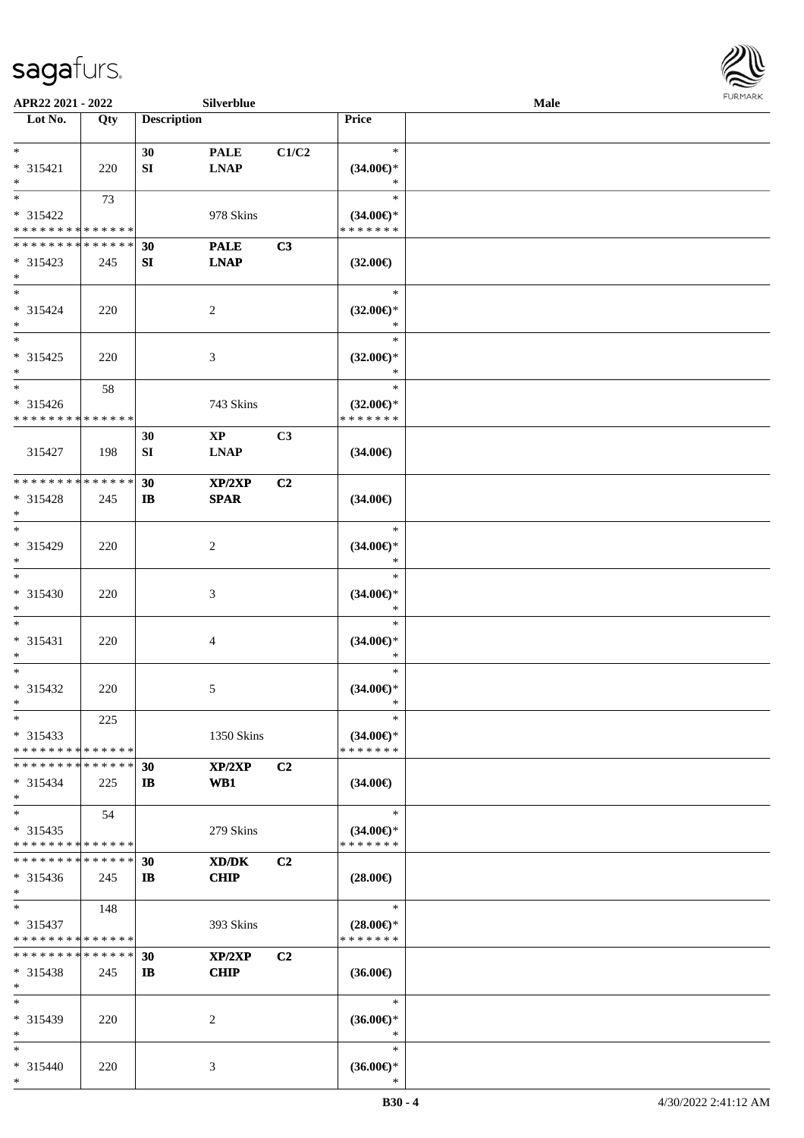

| APR22 2021 - 2022             |     |                    | Silverblue             |                |                               | Male |  |
|-------------------------------|-----|--------------------|------------------------|----------------|-------------------------------|------|--|
| Lot No.                       | Qty | <b>Description</b> |                        |                | Price                         |      |  |
|                               |     |                    |                        |                |                               |      |  |
| $*$                           |     | 30                 | <b>PALE</b>            | C1/C2          | $\ast$                        |      |  |
| * 315421                      | 220 | SI                 | <b>LNAP</b>            |                | $(34.00\epsilon)$ *           |      |  |
| $*$                           |     |                    |                        |                | $\ast$                        |      |  |
| $*$                           |     |                    |                        |                | $\ast$                        |      |  |
|                               | 73  |                    |                        |                |                               |      |  |
| * 315422                      |     |                    | 978 Skins              |                | $(34.00\epsilon)$ *           |      |  |
| * * * * * * * * * * * * * *   |     |                    |                        |                | * * * * * * *                 |      |  |
| * * * * * * * * * * * * * *   |     | 30                 | <b>PALE</b>            | C3             |                               |      |  |
| $* 315423$                    | 245 | SI                 | <b>LNAP</b>            |                | $(32.00\epsilon)$             |      |  |
| $*$                           |     |                    |                        |                |                               |      |  |
| $*$                           |     |                    |                        |                | $\ast$                        |      |  |
| * 315424                      | 220 |                    | 2                      |                | $(32.00\epsilon)$ *           |      |  |
| $*$                           |     |                    |                        |                | $\ast$                        |      |  |
| $*$                           |     |                    |                        |                | $\ast$                        |      |  |
| $* 315425$                    |     |                    |                        |                |                               |      |  |
|                               | 220 |                    | 3                      |                | $(32.00\epsilon)$ *<br>$\ast$ |      |  |
| $*$                           |     |                    |                        |                | $\ast$                        |      |  |
| $\ast$                        | 58  |                    |                        |                |                               |      |  |
| * 315426                      |     |                    | 743 Skins              |                | $(32.00\epsilon)$ *           |      |  |
| * * * * * * * * * * * * * *   |     |                    |                        |                | * * * * * * *                 |      |  |
|                               |     | 30                 | $\mathbf{X}\mathbf{P}$ | C3             |                               |      |  |
| 315427                        | 198 | SI                 | <b>LNAP</b>            |                | $(34.00\epsilon)$             |      |  |
|                               |     |                    |                        |                |                               |      |  |
| * * * * * * * * * * * * * *   |     | 30                 | XP/2XP                 | C2             |                               |      |  |
| * 315428                      | 245 | $\mathbf{I}$       | <b>SPAR</b>            |                | $(34.00\epsilon)$             |      |  |
| $*$                           |     |                    |                        |                |                               |      |  |
| $*$                           |     |                    |                        |                | $\ast$                        |      |  |
|                               |     |                    |                        |                |                               |      |  |
| * 315429                      | 220 |                    | 2                      |                | $(34.00\epsilon)$ *           |      |  |
| $*$                           |     |                    |                        |                | $\ast$                        |      |  |
| $*$                           |     |                    |                        |                | $\ast$                        |      |  |
| $* 315430$                    | 220 |                    | 3                      |                | $(34.00\in)^\ast$             |      |  |
| $*$                           |     |                    |                        |                | $\ast$                        |      |  |
| $*$                           |     |                    |                        |                | $\ast$                        |      |  |
| * 315431                      | 220 |                    | 4                      |                | $(34.00\epsilon)$ *           |      |  |
| $*$                           |     |                    |                        |                | $\ast$                        |      |  |
| $*$                           |     |                    |                        |                | $\ast$                        |      |  |
| * 315432                      | 220 |                    | 5                      |                | $(34.00\epsilon)$ *           |      |  |
| $*$                           |     |                    |                        |                | $\ast$                        |      |  |
| $*$                           | 225 |                    |                        |                | $\ast$                        |      |  |
| $* 315433$                    |     |                    | 1350 Skins             |                | $(34.00\epsilon)$ *           |      |  |
| * * * * * * * * * * * * * *   |     |                    |                        |                | * * * * * * *                 |      |  |
| * * * * * * * * * * * * * * * |     |                    |                        |                |                               |      |  |
|                               |     | 30                 | XP/2XP                 | C <sub>2</sub> |                               |      |  |
| * 315434                      | 225 | $\bf{IB}$          | WB1                    |                | $(34.00\epsilon)$             |      |  |
| $*$                           |     |                    |                        |                |                               |      |  |
| $*$                           | 54  |                    |                        |                | $\ast$                        |      |  |
| $* 315435$                    |     |                    | 279 Skins              |                | $(34.00€)$ *                  |      |  |
| * * * * * * * * * * * * * *   |     |                    |                        |                | * * * * * * *                 |      |  |
| * * * * * * * * * * * * * *   |     | 30                 | XD/DK                  | C <sub>2</sub> |                               |      |  |
| $* 315436$                    | 245 | IB.                | <b>CHIP</b>            |                | $(28.00\epsilon)$             |      |  |
| $*$                           |     |                    |                        |                |                               |      |  |
| $*$ $-$                       | 148 |                    |                        |                | $\ast$                        |      |  |
| $* 315437$                    |     |                    | 393 Skins              |                | $(28.00\epsilon)$ *           |      |  |
| * * * * * * * * * * * * * *   |     |                    |                        |                | *******                       |      |  |
| * * * * * * * * * * * * * * * |     |                    |                        |                |                               |      |  |
|                               |     | 30                 | XP/2XP                 | C <sub>2</sub> |                               |      |  |
| $* 315438$                    | 245 | IB.                | <b>CHIP</b>            |                | $(36.00\epsilon)$             |      |  |
| $*$                           |     |                    |                        |                |                               |      |  |
| $*$                           |     |                    |                        |                | $\ast$                        |      |  |
| * 315439                      | 220 |                    | 2                      |                | $(36.00\epsilon)$ *           |      |  |
| $*$                           |     |                    |                        |                | $\ast$                        |      |  |
| $*$                           |     |                    |                        |                | $\ast$                        |      |  |
| * 315440                      | 220 |                    | 3                      |                | $(36.00\epsilon)$ *           |      |  |
| $*$                           |     |                    |                        |                | ∗                             |      |  |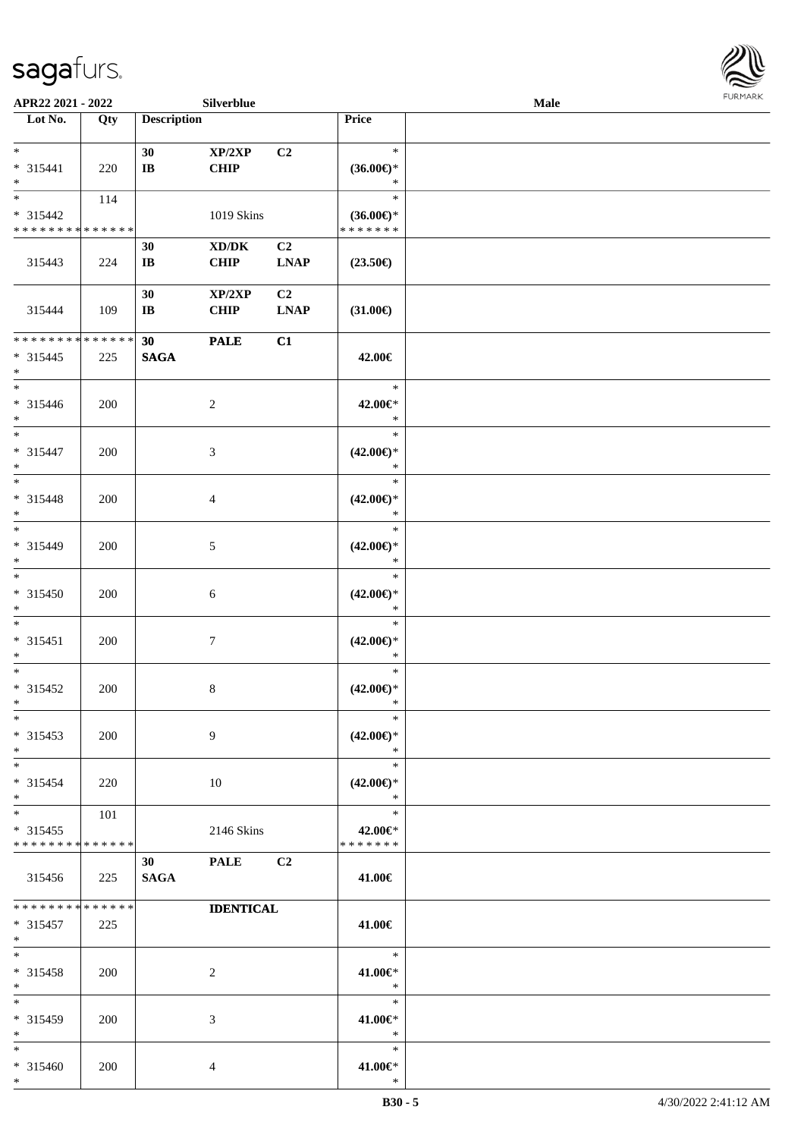

| APR22 2021 - 2022           |     |                        | Silverblue                          |                |                               | <b>Male</b> |  |
|-----------------------------|-----|------------------------|-------------------------------------|----------------|-------------------------------|-------------|--|
| Lot No.                     | Qty | <b>Description</b>     |                                     |                | Price                         |             |  |
|                             |     |                        |                                     |                |                               |             |  |
| $*$                         |     | 30                     | XP/2XP                              | C2             | $\ast$                        |             |  |
| * 315441                    | 220 | $\bf IB$               | <b>CHIP</b>                         |                | $(36.00\epsilon)$ *           |             |  |
| $*$                         |     |                        |                                     |                | $\ast$                        |             |  |
|                             | 114 |                        |                                     |                | $\ast$                        |             |  |
| * 315442                    |     |                        | 1019 Skins                          |                | $(36.00\epsilon)$ *           |             |  |
| * * * * * * * * * * * * * * |     |                        |                                     |                | * * * * * * *                 |             |  |
|                             |     | 30                     | $\bold{X}\bold{D}/\bold{D}\bold{K}$ | C2             |                               |             |  |
| 315443                      | 224 | $\mathbf{I}\mathbf{B}$ | <b>CHIP</b>                         | <b>LNAP</b>    | $(23.50\epsilon)$             |             |  |
|                             |     |                        |                                     |                |                               |             |  |
|                             |     | 30                     | XP/2XP                              | C <sub>2</sub> |                               |             |  |
| 315444                      | 109 | $\mathbf{I}\mathbf{B}$ | <b>CHIP</b>                         | <b>LNAP</b>    | $(31.00\in)$                  |             |  |
|                             |     |                        |                                     |                |                               |             |  |
| * * * * * * * * * * * * * * |     | 30                     | <b>PALE</b>                         | C1             |                               |             |  |
| * 315445                    | 225 | <b>SAGA</b>            |                                     |                | 42.00€                        |             |  |
| $*$                         |     |                        |                                     |                |                               |             |  |
| $*$                         |     |                        |                                     |                | $\ast$                        |             |  |
| $* 315446$                  | 200 |                        | 2                                   |                | 42.00€*                       |             |  |
| $*$                         |     |                        |                                     |                | $\ast$                        |             |  |
| $*$                         |     |                        |                                     |                | $\ast$                        |             |  |
| * 315447                    | 200 |                        | 3                                   |                | $(42.00\epsilon)$ *           |             |  |
| $*$                         |     |                        |                                     |                | $\ast$                        |             |  |
| $*$                         |     |                        |                                     |                | $\ast$                        |             |  |
| * 315448                    | 200 |                        | 4                                   |                | $(42.00\epsilon)$ *           |             |  |
| $*$                         |     |                        |                                     |                | $\ast$                        |             |  |
| $*$                         |     |                        |                                     |                | $\ast$                        |             |  |
| * 315449                    | 200 |                        | $\mathfrak{S}$                      |                | $(42.00\epsilon)$ *           |             |  |
| $*$                         |     |                        |                                     |                | $\ast$                        |             |  |
| $\overline{\phantom{0}}$    |     |                        |                                     |                | $\ast$                        |             |  |
| $* 315450$                  |     |                        |                                     |                |                               |             |  |
| $*$                         | 200 |                        | 6                                   |                | $(42.00\epsilon)$ *<br>$\ast$ |             |  |
| $*$                         |     |                        |                                     |                | $\ast$                        |             |  |
|                             |     |                        |                                     |                |                               |             |  |
| $* 315451$                  | 200 |                        | $\tau$                              |                | $(42.00\epsilon)$ *           |             |  |
| $*$<br>$*$                  |     |                        |                                     |                | $\ast$<br>$\ast$              |             |  |
|                             |     |                        |                                     |                |                               |             |  |
| $* 315452$                  | 200 |                        | 8                                   |                | $(42.00\epsilon)$ *           |             |  |
| $*$                         |     |                        |                                     |                | $\ast$                        |             |  |
| $*$                         |     |                        |                                     |                | $\ast$                        |             |  |
| $* 315453$                  | 200 |                        | 9                                   |                | $(42.00\epsilon)$ *           |             |  |
| $*$                         |     |                        |                                     |                | $\ast$                        |             |  |
| $*$                         |     |                        |                                     |                | $\ast$                        |             |  |
| * 315454                    | 220 |                        | 10                                  |                | $(42.00\epsilon)$ *           |             |  |
| $*$                         |     |                        |                                     |                | $\ast$                        |             |  |
| $*$ $*$                     | 101 |                        |                                     |                | $\ast$                        |             |  |
| $* 315455$                  |     |                        | 2146 Skins                          |                | 42.00€*                       |             |  |
| * * * * * * * * * * * * * * |     |                        |                                     |                | * * * * * * *                 |             |  |
|                             |     | 30 <sup>1</sup>        | PALE C2                             |                |                               |             |  |
| 315456                      | 225 | <b>SAGA</b>            |                                     |                | 41.00€                        |             |  |
|                             |     |                        |                                     |                |                               |             |  |
| * * * * * * * * * * * * * * |     |                        | <b>IDENTICAL</b>                    |                |                               |             |  |
| $* 315457$                  | 225 |                        |                                     |                | 41.00€                        |             |  |
| $*$ $-$                     |     |                        |                                     |                |                               |             |  |
| $*$                         |     |                        |                                     |                | $\ast$                        |             |  |
| * 315458                    | 200 |                        | 2                                   |                | 41.00€*                       |             |  |
| $*$                         |     |                        |                                     |                | $\ast$                        |             |  |
| $*$                         |     |                        |                                     |                | $\ast$                        |             |  |
| * 315459                    | 200 |                        | 3                                   |                | 41.00€*                       |             |  |
| $*$                         |     |                        |                                     |                | $\ast$                        |             |  |
| $*$                         |     |                        |                                     |                | $\ast$                        |             |  |
| * 315460                    | 200 |                        | 4                                   |                | 41.00€*                       |             |  |
| $*$                         |     |                        |                                     |                | $\ast$                        |             |  |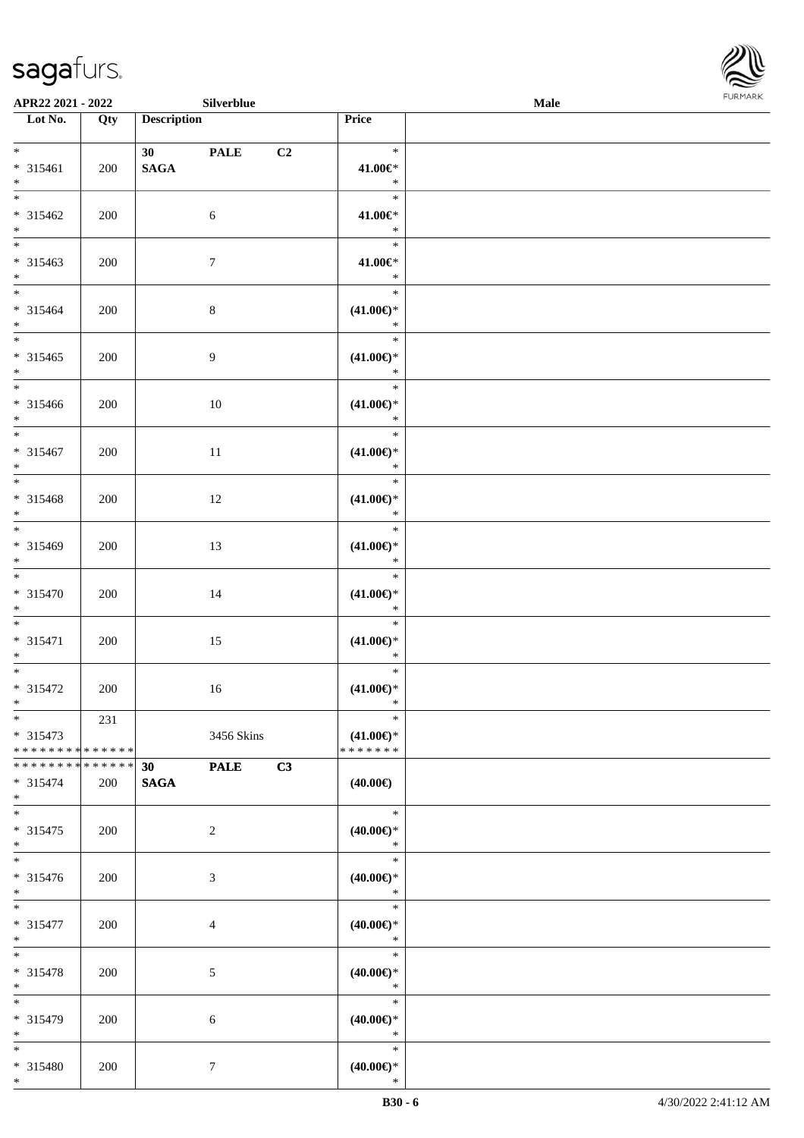

|                                                                    | APR22 2021 - 2022<br>Silverblue |                        |                  |    |                                                | Male |  |  |
|--------------------------------------------------------------------|---------------------------------|------------------------|------------------|----|------------------------------------------------|------|--|--|
| Lot No.                                                            | Qty                             | <b>Description</b>     |                  |    | Price                                          |      |  |  |
| $*$<br>* 315461<br>$*$                                             | 200                             | 30 PALE<br><b>SAGA</b> |                  | C2 | $\ast$<br>41.00€*<br>$\ast$                    |      |  |  |
| * 315462<br>$*$                                                    | 200                             |                        | 6                |    | $\ast$<br>41.00€*<br>$\ast$                    |      |  |  |
| * 315463<br>$*$                                                    | 200                             |                        | $\tau$           |    | $\ast$<br>41.00€*<br>$\ast$                    |      |  |  |
| $*$<br>$* 315464$<br>$*$                                           | 200                             |                        | $8\,$            |    | $\ast$<br>$(41.00\epsilon)$ *<br>$\ast$        |      |  |  |
| $*$<br>* 315465<br>$*$                                             | 200                             |                        | 9                |    | $\ast$<br>$(41.00\epsilon)$ *<br>$\ast$        |      |  |  |
| $*$<br>* 315466<br>$*$                                             | 200                             |                        | 10               |    | $\ast$<br>$(41.00\epsilon)$ *<br>$\ast$        |      |  |  |
| $*$<br>* 315467<br>$*$                                             | 200                             |                        | 11               |    | $\ast$<br>$(41.00\epsilon)$ *<br>$\ast$        |      |  |  |
| * 315468<br>$*$                                                    | 200                             |                        | 12               |    | $\ast$<br>$(41.00\epsilon)$ *<br>$\ast$        |      |  |  |
| * 315469<br>$*$                                                    | 200                             |                        | 13               |    | $\ast$<br>$(41.00\epsilon)$ *<br>$\ast$        |      |  |  |
| $\overline{\ast}$<br>* 315470<br>$*$                               | 200                             |                        | 14               |    | $\ast$<br>$(41.00\epsilon)$ *<br>$\ast$        |      |  |  |
| $*$<br>* 315471<br>$*$                                             | 200                             |                        | 15               |    | $\ast$<br>$(41.00\epsilon)$ *<br>$\ast$        |      |  |  |
| * 315472<br>$\ast$                                                 | 200                             |                        | 16               |    | $\ast$<br>$(41.00\epsilon)$ *<br>$\ast$        |      |  |  |
| $_{*}$<br>$* 315473$<br>* * * * * * * * <mark>* * * * * * *</mark> | 231                             |                        | 3456 Skins       |    | $\ast$<br>$(41.00\epsilon)$ *<br>* * * * * * * |      |  |  |
| * * * * * * * * <mark>* * * * * * *</mark><br>* 315474<br>$*$      | 200                             | 30<br><b>SAGA</b>      | <b>PALE</b>      | C3 | $(40.00\epsilon)$                              |      |  |  |
| $*$<br>* 315475<br>$*$                                             | 200                             |                        | $\overline{2}$   |    | $\ast$<br>$(40.00\epsilon)$ *<br>$\ast$        |      |  |  |
| $*$<br>* 315476<br>$*$                                             | 200                             |                        | 3                |    | $\ast$<br>$(40.00\epsilon)$ *<br>$\ast$        |      |  |  |
| $*$<br>* 315477<br>$*$                                             | 200                             |                        | $\overline{4}$   |    | $\ast$<br>$(40.00\epsilon)$ *<br>$\ast$        |      |  |  |
| $*$<br>* 315478<br>$*$                                             | 200                             |                        | 5                |    | $\ast$<br>$(40.00\epsilon)$ *<br>$\ast$        |      |  |  |
| $*$<br>* 315479<br>$*$                                             | 200                             |                        | 6                |    | $\ast$<br>$(40.00\epsilon)$ *<br>$\ast$        |      |  |  |
| $*$<br>* 315480<br>$*$                                             | 200                             |                        | $\boldsymbol{7}$ |    | $\ast$<br>$(40.00\epsilon)$ *<br>$\ast$        |      |  |  |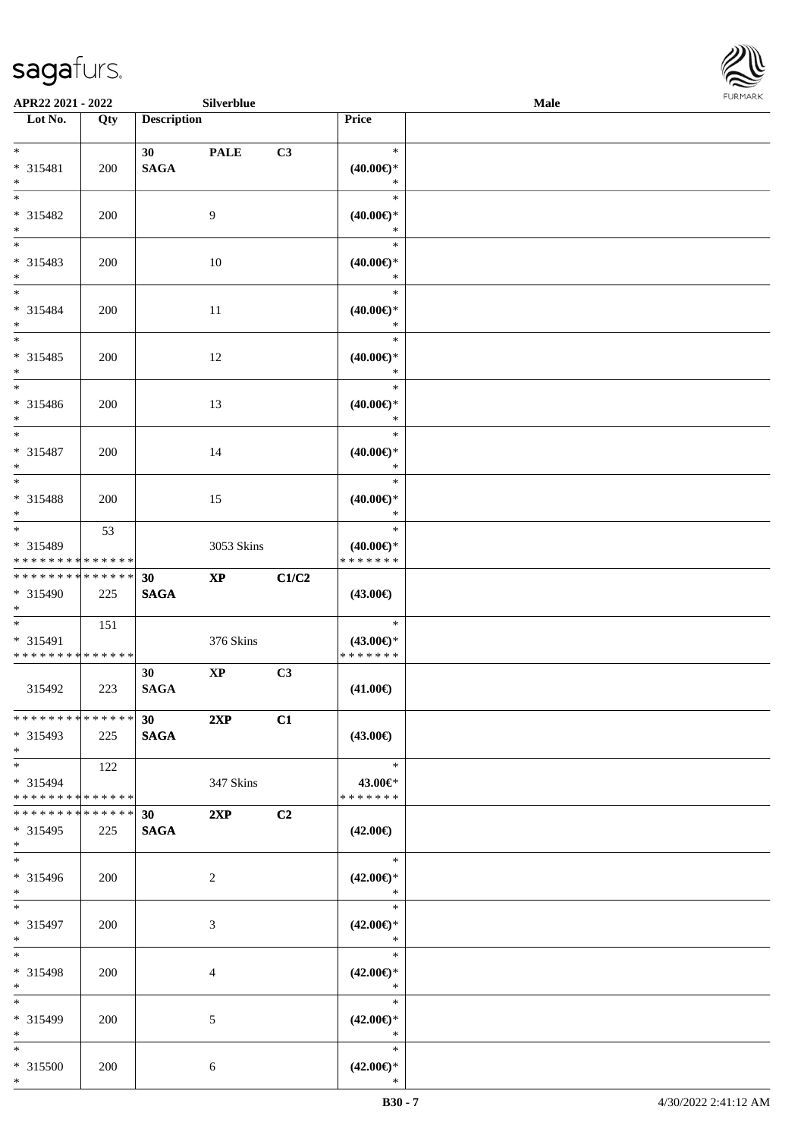

| APR22 2021 - 2022                                     |     |                                    | Silverblue             |                |                                                   | <b>Male</b> | <b>FURMARK</b> |
|-------------------------------------------------------|-----|------------------------------------|------------------------|----------------|---------------------------------------------------|-------------|----------------|
| $\overline{\phantom{1}}$ Lot No.                      | Qty | <b>Description</b>                 |                        |                | Price                                             |             |                |
| $*$<br>* 315481<br>$*$                                | 200 | 30 <sup>1</sup><br>$\mathbf{SAGA}$ | <b>PALE</b>            | C3             | $\ast$<br>$(40.00\in)^\ast$<br>$\ast$             |             |                |
| $*$<br>$* 315482$<br>$*$                              | 200 |                                    | 9                      |                | $\ast$<br>$(40.00\epsilon)$ *<br>$\ast$           |             |                |
| $\overline{\phantom{0}}$<br>* 315483<br>$*$           | 200 |                                    | $10\,$                 |                | $\ast$<br>$(40.00\epsilon)$ *<br>$\ast$           |             |                |
| $*$<br>* 315484<br>$*$                                | 200 |                                    | 11                     |                | $\ast$<br>$(40.00\in)^\ast$<br>$\ast$             |             |                |
| $*$<br>* 315485<br>$*$                                | 200 |                                    | 12                     |                | $\ast$<br>$(40.00\epsilon)$ *<br>$\ast$           |             |                |
| $*$<br>* 315486<br>$\ast$<br>$\overline{\phantom{0}}$ | 200 |                                    | 13                     |                | $\ast$<br>$(40.00\epsilon)$ *<br>$\ast$           |             |                |
| * 315487<br>$*$<br>$\overline{\phantom{0}}$           | 200 |                                    | 14                     |                | $\ast$<br>$(40.00\epsilon)$ *<br>$\ast$<br>$\ast$ |             |                |
| * 315488<br>$*$<br>$*$                                | 200 |                                    | 15                     |                | $(40.00\epsilon)$ *<br>$\ast$                     |             |                |
| * 315489<br>* * * * * * * * * * * * * *               | 53  |                                    | 3053 Skins             |                | $\ast$<br>$(40.00\epsilon)$ *<br>* * * * * * *    |             |                |
| * * * * * * * * * * * * * *<br>* 315490<br>$*$        | 225 | 30<br><b>SAGA</b>                  | $\mathbf{X}\mathbf{P}$ | C1/C2          | $(43.00\epsilon)$                                 |             |                |
| $*$<br>* 315491<br>* * * * * * * * * * * * * *        | 151 |                                    | 376 Skins              |                | $\ast$<br>$(43.00\epsilon)$ *<br>* * * * * * *    |             |                |
| 315492                                                | 223 | 30<br><b>SAGA</b>                  | $\bold{XP}$            | C3             | $(41.00\epsilon)$                                 |             |                |
| * * * * * * * * * * * * * *<br>* 315493<br>$*$        | 225 | 30<br><b>SAGA</b>                  | 2XP                    | C1             | $(43.00\epsilon)$                                 |             |                |
| $*$<br>* 315494<br>* * * * * * * * * * * * * *        | 122 |                                    | 347 Skins              |                | $\ast$<br>43.00€*<br>* * * * * * *                |             |                |
| * * * * * * * * * * * * * *<br>* 315495<br>$*$        | 225 | 30 <sub>1</sub><br><b>SAGA</b>     | 2XP                    | C <sub>2</sub> | $(42.00\epsilon)$                                 |             |                |
| $*$<br>* 315496<br>$*$                                | 200 |                                    | $\overline{2}$         |                | $\ast$<br>$(42.00\epsilon)$ *<br>$\ast$           |             |                |
| $*$<br>* 315497<br>$*$                                | 200 |                                    | 3                      |                | $\ast$<br>$(42.00\epsilon)$ *<br>$\ast$           |             |                |
| $*$<br>* 315498<br>$*$                                | 200 |                                    | 4                      |                | $\ast$<br>$(42.00\epsilon)$ *<br>$\ast$           |             |                |
| $*$<br>* 315499<br>$*$                                | 200 |                                    | 5                      |                | $\ast$<br>$(42.00\epsilon)$ *<br>$\ast$           |             |                |
| $*$<br>* 315500<br>$*$                                | 200 |                                    | 6                      |                | $\ast$<br>$(42.00\epsilon)$ *<br>$\ast$           |             |                |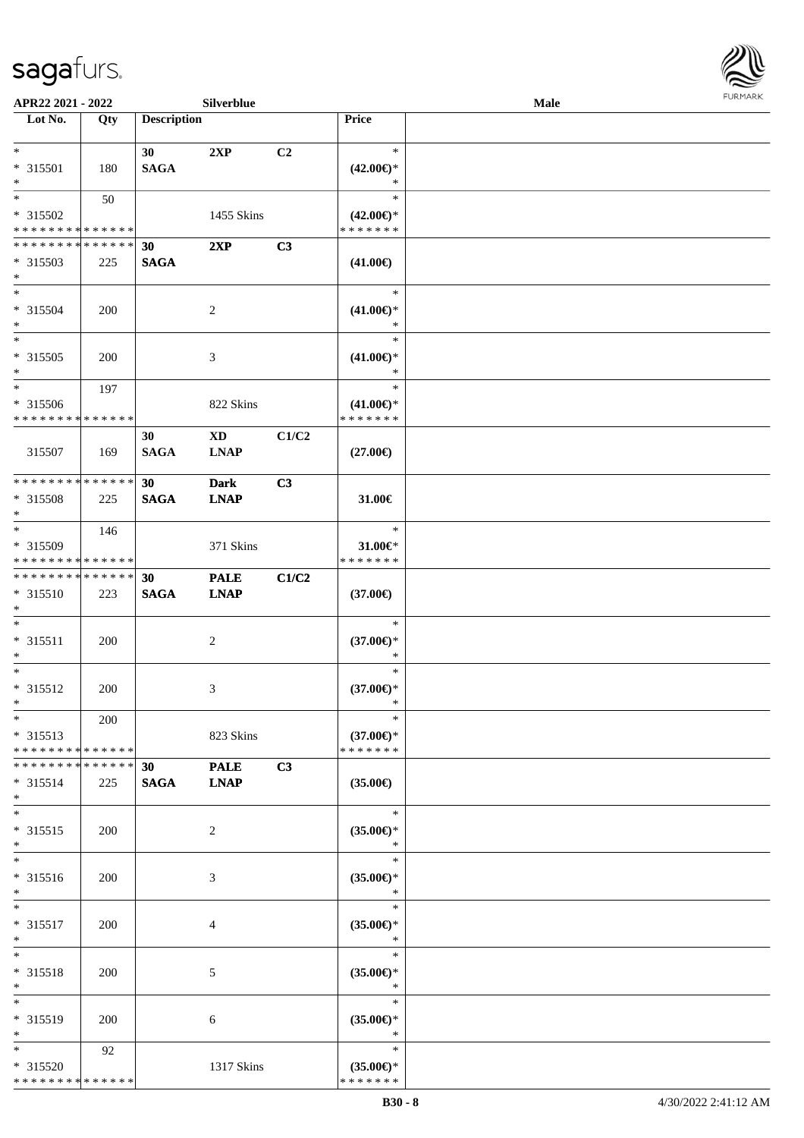

| APR22 2021 - 2022                                             |                    |                    | Silverblue                            |       | <b>FURMARK</b><br>Male                         |  |  |
|---------------------------------------------------------------|--------------------|--------------------|---------------------------------------|-------|------------------------------------------------|--|--|
| Lot No.                                                       | Qty                | <b>Description</b> |                                       |       | Price                                          |  |  |
| $*$<br>$* 315501$<br>$\ast$                                   | 180                | 30<br><b>SAGA</b>  | 2XP                                   | C2    | $\ast$<br>$(42.00\epsilon)$ *<br>$\ast$        |  |  |
| $*$<br>* 315502<br>* * * * * * * * * * * * * *                | 50                 |                    | 1455 Skins                            |       | $\ast$<br>$(42.00\epsilon)$ *<br>* * * * * * * |  |  |
| * * * * * * * *<br>* 315503<br>$*$                            | * * * * * *<br>225 | 30<br><b>SAGA</b>  | 2XP                                   | C3    | $(41.00\epsilon)$                              |  |  |
| $*$<br>* 315504<br>$*$                                        | 200                |                    | $\overline{c}$                        |       | $\ast$<br>$(41.00\epsilon)$ *<br>$\ast$        |  |  |
| $*$<br>$* 315505$<br>$*$                                      | 200                |                    | 3                                     |       | $\ast$<br>$(41.00\epsilon)$ *<br>$\ast$        |  |  |
| $*$<br>* 315506<br>* * * * * * * * * * * * * *                | 197                |                    | 822 Skins                             |       | $\ast$<br>$(41.00\epsilon)$ *<br>* * * * * * * |  |  |
| 315507                                                        | 169                | 30<br><b>SAGA</b>  | $\mathbf{X}\mathbf{D}$<br><b>LNAP</b> | C1/C2 | $(27.00\epsilon)$                              |  |  |
| * * * * * * * * * * * * * *<br>* 315508<br>$*$                | 225                | 30<br><b>SAGA</b>  | <b>Dark</b><br><b>LNAP</b>            | C3    | 31.00€                                         |  |  |
| $*$<br>* 315509<br>* * * * * * * * * * * * * *                | 146                |                    | 371 Skins                             |       | $\ast$<br>$31.00 \in$<br>* * * * * * *         |  |  |
| * * * * * * * * * * * * * *<br>* 315510<br>$*$                | 223                | 30<br><b>SAGA</b>  | <b>PALE</b><br><b>LNAP</b>            | C1/C2 | $(37.00\epsilon)$                              |  |  |
| $*$<br>$* 315511$<br>$*$                                      | 200                |                    | 2                                     |       | $\ast$<br>$(37.00\epsilon)$ *<br>$\ast$        |  |  |
| $*$<br>* 315512<br>$\ast$                                     | 200                |                    | 3                                     |       | $\ast$<br>$(37.00\epsilon)$ *<br>$\ast$        |  |  |
| $\ast$<br>* 315513<br>* * * * * * * * * * * * * *             | 200                |                    | 823 Skins                             |       | $\ast$<br>$(37.00\epsilon)$ *<br>* * * * * * * |  |  |
| * * * * * * * * * * * * * *<br>* 315514<br>$*$                | 225                | 30<br><b>SAGA</b>  | <b>PALE</b><br><b>LNAP</b>            | C3    | $(35.00\epsilon)$                              |  |  |
| $*$<br>* 315515<br>$\ast$                                     | 200                |                    | 2                                     |       | $\ast$<br>$(35.00\epsilon)$ *<br>$\ast$        |  |  |
| $\overline{\ast}$<br>* 315516<br>$*$                          | 200                |                    | $\mathfrak{Z}$                        |       | $\ast$<br>$(35.00\epsilon)$ *<br>$\ast$        |  |  |
| $*$<br>* 315517<br>$*$                                        | 200                |                    | 4                                     |       | $\ast$<br>$(35.00\epsilon)$ *<br>$\ast$        |  |  |
| $*$<br>* 315518<br>$*$                                        | 200                |                    | 5                                     |       | $\ast$<br>$(35.00\epsilon)$ *<br>$\ast$        |  |  |
| $*$<br>* 315519<br>$*$                                        | 200                |                    | 6                                     |       | $\ast$<br>$(35.00\epsilon)$ *<br>$\ast$        |  |  |
| $*$<br>* 315520<br>* * * * * * * * <mark>* * * * * * *</mark> | 92                 |                    | 1317 Skins                            |       | $\ast$<br>$(35.00\epsilon)$ *<br>* * * * * * * |  |  |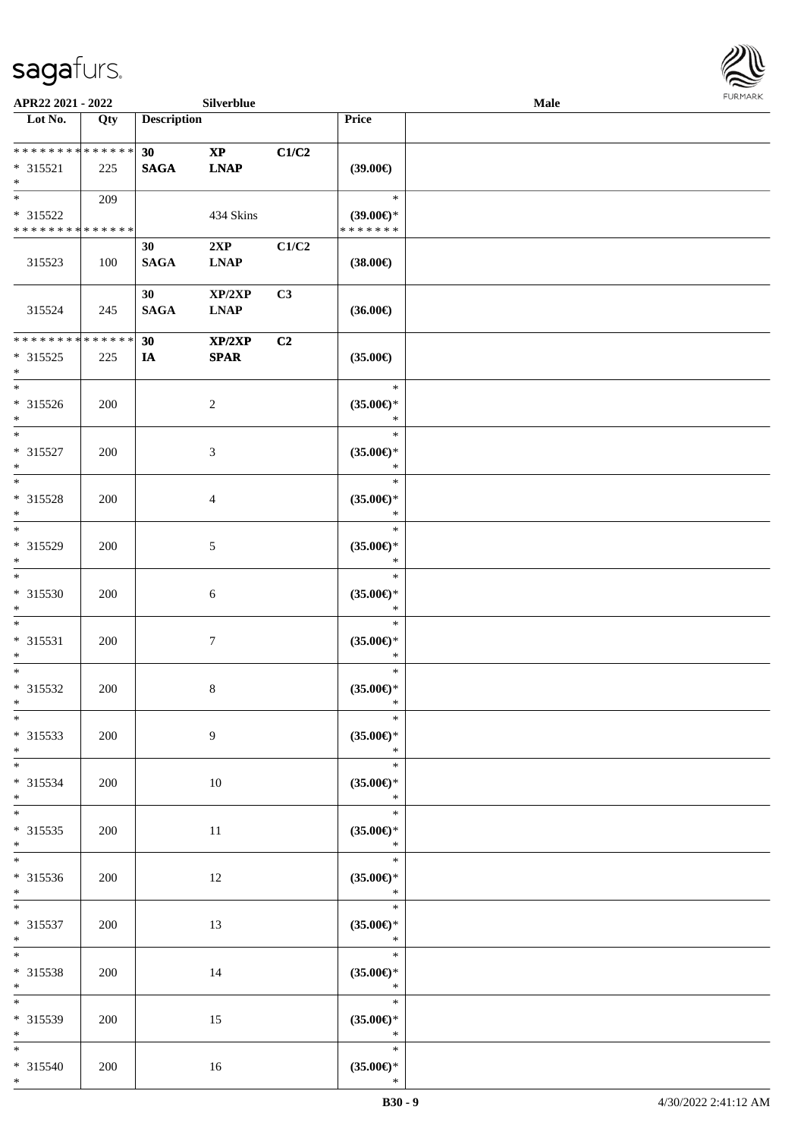

| APR22 2021 - 2022                                   |     |                    | Silverblue                 |       |                                                 | <b>Male</b> |  |
|-----------------------------------------------------|-----|--------------------|----------------------------|-------|-------------------------------------------------|-------------|--|
| Lot No.                                             | Qty | <b>Description</b> |                            |       | Price                                           |             |  |
| ******** <mark>******</mark><br>* 315521<br>$*$     | 225 | 30<br><b>SAGA</b>  | $\bold{XP}$<br><b>LNAP</b> | C1/C2 | $(39.00\in)$                                    |             |  |
| $*$<br>* 315522<br>* * * * * * * * * * * * * *      | 209 |                    | 434 Skins                  |       | $\ast$<br>$(39.00\epsilon)$ *<br>* * * * * * *  |             |  |
| 315523                                              | 100 | 30<br><b>SAGA</b>  | 2XP<br><b>LNAP</b>         | C1/C2 | $(38.00\epsilon)$                               |             |  |
| 315524                                              | 245 | 30<br><b>SAGA</b>  | XP/2XP<br><b>LNAP</b>      | C3    | $(36.00\epsilon)$                               |             |  |
| * * * * * * * * * * * * * *<br>$* 315525$<br>$\ast$ | 225 | 30<br>IA           | XP/2XP<br><b>SPAR</b>      | C2    | $(35.00\epsilon)$                               |             |  |
| $*$<br>$* 315526$<br>$*$                            | 200 |                    | $\overline{2}$             |       | $\ast$<br>$(35.00\epsilon)$ *<br>$\ast$         |             |  |
| $*$<br>* 315527<br>$*$                              | 200 |                    | 3                          |       | $\ast$<br>$(35.00\epsilon)$ *<br>$\ast$         |             |  |
| $*$<br>* 315528<br>$\ast$                           | 200 |                    | $\overline{4}$             |       | $\ast$<br>$(35.00\epsilon)$ *<br>$\ast$         |             |  |
| $*$<br>* 315529<br>$*$                              | 200 |                    | 5                          |       | $\ast$<br>$(35.00\epsilon)$ *<br>$\ast$         |             |  |
| $*$<br>$* 315530$<br>$*$                            | 200 |                    | 6                          |       | $\ast$<br>$(35.00\epsilon)$ *<br>$\ast$         |             |  |
| $*$<br>$* 315531$<br>$*$                            | 200 |                    | $\tau$                     |       | $\ast$<br>$(35.00\epsilon)$ *<br>$\ast$         |             |  |
| $*$<br>* 315532<br>$*$                              | 200 |                    | $\,8\,$                    |       | $\ast$<br>$(35.00\epsilon)$ *<br>$\ast$         |             |  |
| $*$<br>* 315533<br>$*$                              | 200 |                    | 9                          |       | $\ast$<br>$(35.00\epsilon)$ *<br>$\ast$         |             |  |
| $*$<br>* 315534<br>$*$                              | 200 |                    | 10                         |       | $\ast$<br>$(35.00\epsilon)$ *<br>$\ast$         |             |  |
| $*$<br>$* 315535$<br>$*$                            | 200 |                    | 11                         |       | $\ast$<br>$(35.00\epsilon)$ *<br>$\ast$         |             |  |
| * 315536<br>$*$ $-$                                 | 200 |                    | 12                         |       | $\ast$<br>$(35.00\epsilon)$ *<br>$\ast$         |             |  |
| $*$ and $*$<br>* 315537<br>$*$ $*$                  | 200 |                    | 13                         |       | $\ast$<br>$(35.00\epsilon)$ *<br>$\mathbb{R}^n$ |             |  |
| $*$<br>* 315538<br>$*$                              | 200 |                    | 14                         |       | $\ast$<br>$(35.00\epsilon)$ *<br>$\ast$         |             |  |
| $*$<br>* 315539<br>$*$                              | 200 |                    | 15                         |       | $\ast$<br>$(35.00\epsilon)$ *<br>$\ast$         |             |  |
| $*$<br>* 315540<br>$*$                              | 200 |                    | 16                         |       | $\ast$<br>$(35.00\epsilon)$ *<br>$\ast$         |             |  |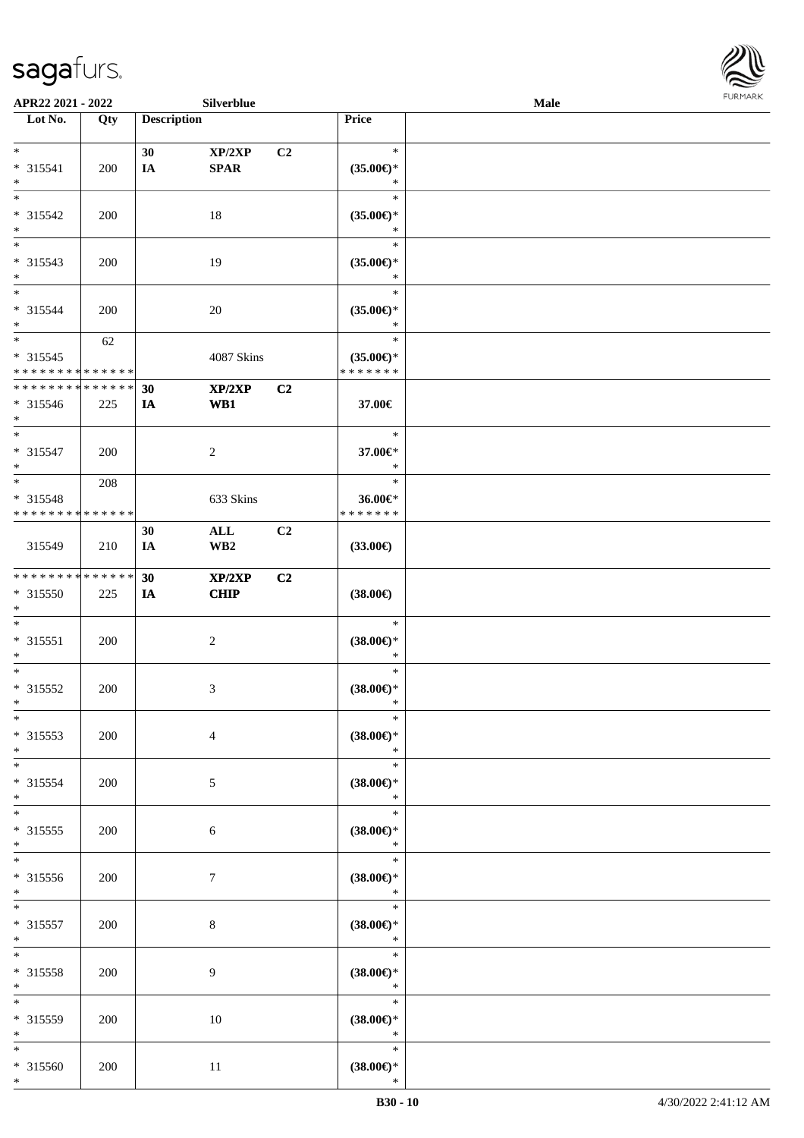

| APR22 2021 - 2022            |     |                    | Silverblue      |                |                               | Male |  |
|------------------------------|-----|--------------------|-----------------|----------------|-------------------------------|------|--|
| Lot No.                      | Qty | <b>Description</b> |                 |                | Price                         |      |  |
|                              |     |                    |                 |                |                               |      |  |
| $\ast$                       |     | 30                 | XP/2XP          | C <sub>2</sub> | $\ast$                        |      |  |
| * 315541<br>$\ast$           | 200 | IA                 | <b>SPAR</b>     |                | $(35.00\epsilon)$ *<br>$\ast$ |      |  |
| $\overline{\phantom{0}}$     |     |                    |                 |                | $\ast$                        |      |  |
| * 315542                     | 200 |                    | 18              |                | $(35.00\epsilon)$ *           |      |  |
| $\ast$                       |     |                    |                 |                | $\ast$                        |      |  |
| $\overline{\phantom{0}}$     |     |                    |                 |                | $\ast$                        |      |  |
| * 315543                     | 200 |                    | 19              |                | $(35.00\in)\!\!^*$            |      |  |
| $\ast$                       |     |                    |                 |                | $\ast$                        |      |  |
| $\overline{\ast}$            |     |                    |                 |                | $\ast$                        |      |  |
| * 315544                     | 200 |                    | $20\,$          |                | $(35.00\epsilon)$ *           |      |  |
| $\ast$                       |     |                    |                 |                | $\ast$                        |      |  |
| $\ast$                       | 62  |                    |                 |                | $\ast$                        |      |  |
| $* 315545$                   |     |                    | 4087 Skins      |                | $(35.00\epsilon)$ *           |      |  |
| * * * * * * * * * * * * * *  |     |                    |                 |                | * * * * * * *                 |      |  |
| ******** <mark>******</mark> |     | 30                 | XP/2XP          | C2             |                               |      |  |
| * 315546<br>$*$              | 225 | IA                 | WB1             |                | 37.00€                        |      |  |
| $\ast$                       |     |                    |                 |                | $\ast$                        |      |  |
| * 315547                     | 200 |                    | $\overline{c}$  |                | 37.00€*                       |      |  |
| $\ast$                       |     |                    |                 |                | $\ast$                        |      |  |
| $*$                          | 208 |                    |                 |                | $\ast$                        |      |  |
| * 315548                     |     |                    | 633 Skins       |                | 36.00€*                       |      |  |
| * * * * * * * * * * * * * *  |     |                    |                 |                | * * * * * * *                 |      |  |
|                              |     | 30                 | $\mathbf{ALL}$  | C2             |                               |      |  |
| 315549                       | 210 | IA                 | WB <sub>2</sub> |                | $(33.00\in)$                  |      |  |
|                              |     |                    |                 |                |                               |      |  |
| **************               |     | 30                 | XP/2XP          | C2             |                               |      |  |
| $* 315550$<br>$\ast$         | 225 | IA                 | <b>CHIP</b>     |                | $(38.00\in)$                  |      |  |
| $\ast$                       |     |                    |                 |                | $\ast$                        |      |  |
| $* 315551$                   | 200 |                    | $\sqrt{2}$      |                | $(38.00\epsilon)$ *           |      |  |
| $\ast$                       |     |                    |                 |                | $\ast$                        |      |  |
| $\ast$                       |     |                    |                 |                | $\ast$                        |      |  |
| * 315552                     | 200 |                    | 3               |                | $(38.00\epsilon)$ *           |      |  |
| $*$                          |     |                    |                 |                | $\ast$                        |      |  |
| $*$                          |     |                    |                 |                | $\ast$                        |      |  |
| $* 315553$                   | 200 |                    | $\overline{4}$  |                | $(38.00\in)^\ast$             |      |  |
| $\ast$                       |     |                    |                 |                | $\ast$                        |      |  |
| $*$                          |     |                    |                 |                | $\ast$                        |      |  |
| * 315554<br>$\ast$           | 200 |                    | 5               |                | $(38.00\epsilon)$ *<br>$\ast$ |      |  |
| $\ast$                       |     |                    |                 |                | $\ast$                        |      |  |
| $* 315555$                   | 200 |                    | 6               |                | $(38.00\epsilon)$ *           |      |  |
| $\ast$                       |     |                    |                 |                | $\ast$                        |      |  |
| $\overline{\phantom{0}}$     |     |                    |                 |                | $\ast$                        |      |  |
| * 315556                     | 200 |                    | $\tau$          |                | $(38.00\epsilon)$ *           |      |  |
| $*$                          |     |                    |                 |                | $\ast$                        |      |  |
| $\ast$                       |     |                    |                 |                | $\ast$                        |      |  |
| $* 315557$                   | 200 |                    | $\,8\,$         |                | $(38.00\in)\!\!^*$            |      |  |
| $\ast$<br>$\ast$             |     |                    |                 |                | $\ast$<br>$\ast$              |      |  |
| * 315558                     |     |                    | 9               |                |                               |      |  |
| $\ast$                       | 200 |                    |                 |                | $(38.00\epsilon)$ *<br>$\ast$ |      |  |
| $\ast$                       |     |                    |                 |                | $\ast$                        |      |  |
| * 315559                     | 200 |                    | $10\,$          |                | $(38.00\epsilon)$ *           |      |  |
| $\ast$                       |     |                    |                 |                | $\ast$                        |      |  |
| $*$                          |     |                    |                 |                | $\ast$                        |      |  |
| * 315560                     | 200 |                    | 11              |                | $(38.00\epsilon)$ *           |      |  |
| $*$                          |     |                    |                 |                | $\ast$                        |      |  |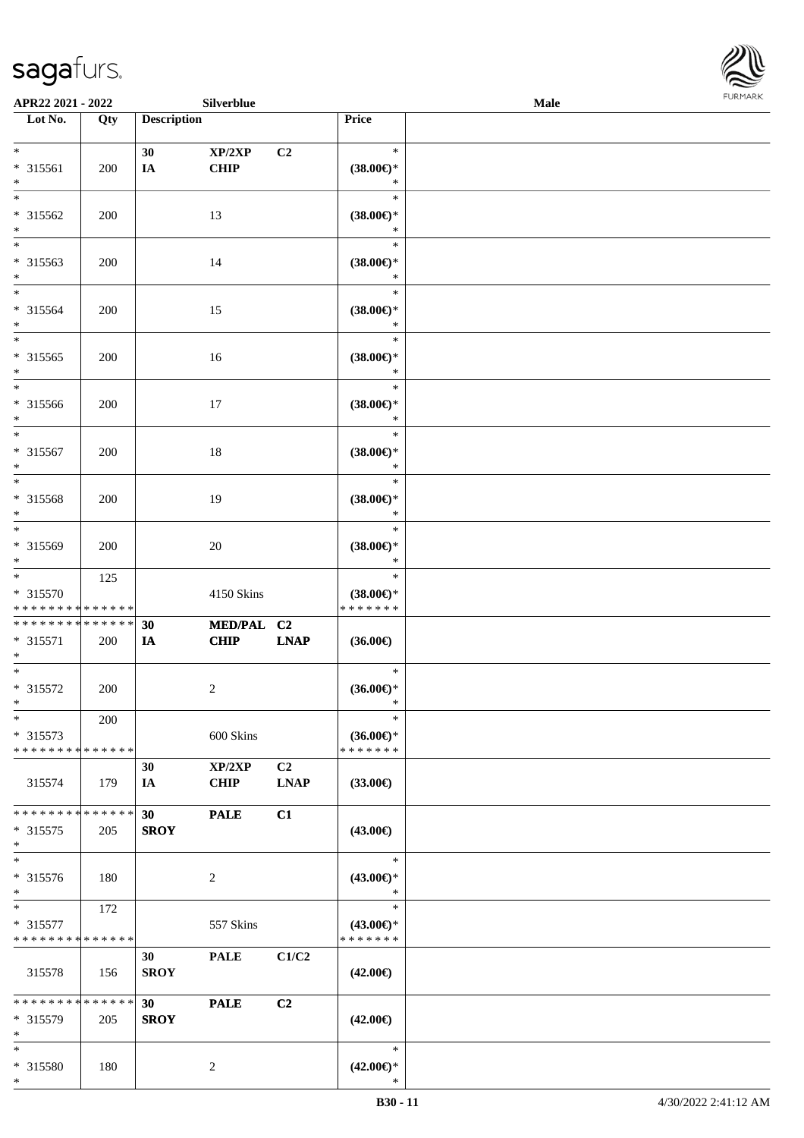

| APR22 2021 - 2022                                   |                    |                                | Silverblue                |                               |                                                | Male |  |
|-----------------------------------------------------|--------------------|--------------------------------|---------------------------|-------------------------------|------------------------------------------------|------|--|
| Lot No.                                             | Qty                | <b>Description</b>             |                           |                               | Price                                          |      |  |
| $*$<br>* 315561<br>$*$                              | 200                | 30<br>IA                       | XP/2XP<br><b>CHIP</b>     | C2                            | $\ast$<br>$(38.00\epsilon)$ *<br>$\ast$        |      |  |
| $*$<br>* 315562<br>$\ast$                           | 200                |                                | 13                        |                               | $\ast$<br>$(38.00\epsilon)$ *<br>$\ast$        |      |  |
| $\overline{\phantom{0}}$<br>* 315563<br>$*$         | 200                |                                | 14                        |                               | $\ast$<br>$(38.00\epsilon)$ *<br>$\ast$        |      |  |
| $*$<br>* 315564<br>$*$                              | 200                |                                | 15                        |                               | $\ast$<br>$(38.00\in)\!\!^*$<br>$\ast$         |      |  |
| $*$<br>$* 315565$<br>$*$                            | 200                |                                | 16                        |                               | $\ast$<br>$(38.00\epsilon)$ *<br>$\ast$        |      |  |
| $*$<br>$* 315566$<br>$*$                            | 200                |                                | 17                        |                               | $\ast$<br>$(38.00\epsilon)$ *<br>$\ast$        |      |  |
| $*$<br>$* 315567$<br>$*$                            | 200                |                                | 18                        |                               | $\ast$<br>$(38.00\epsilon)$ *<br>$\ast$        |      |  |
| $*$<br>* 315568<br>$\ast$                           | 200                |                                | 19                        |                               | $\ast$<br>$(38.00\epsilon)$ *<br>$\ast$        |      |  |
| $*$<br>* 315569<br>$*$                              | 200                |                                | 20                        |                               | $\ast$<br>$(38.00\in)^\ast$<br>$\ast$          |      |  |
| $*$<br>* 315570<br>* * * * * * * * * * * * * *      | 125                |                                | 4150 Skins                |                               | $\ast$<br>$(38.00\epsilon)$ *<br>* * * * * * * |      |  |
| * * * * * * * * * * * * * *<br>* 315571<br>$*$      | 200                | 30<br>IA                       | MED/PAL C2<br><b>CHIP</b> | <b>LNAP</b>                   | $(36.00\epsilon)$                              |      |  |
| $*$<br>* 315572<br>$*$                              | 200                |                                | 2                         |                               | $\ast$<br>$(36.00\epsilon)$ *<br>$\ast$        |      |  |
| $\ast$<br>$* 315573$<br>* * * * * * * * * * * * * * | 200                |                                | 600 Skins                 |                               | $\ast$<br>$(36.00\epsilon)$ *<br>* * * * * * * |      |  |
| 315574                                              | 179                | 30<br>IA                       | XP/2XP<br><b>CHIP</b>     | C <sub>2</sub><br><b>LNAP</b> | $(33.00\epsilon)$                              |      |  |
| * * * * * * * *<br>$* 315575$<br>$*$                | * * * * * *<br>205 | 30<br><b>SROY</b>              | <b>PALE</b>               | C1                            | $(43.00\epsilon)$                              |      |  |
| $\ast$<br>* 315576<br>$*$                           | 180                |                                | $\overline{2}$            |                               | $\ast$<br>$(43.00\epsilon)$ *<br>$\ast$        |      |  |
| $*$ $*$<br>* 315577<br>* * * * * * * * * * * * * *  | 172                |                                | 557 Skins                 |                               | $\ast$<br>$(43.00\epsilon)$ *<br>* * * * * * * |      |  |
| 315578                                              | 156                | 30<br><b>SROY</b>              | <b>PALE</b>               | C1/C2                         | $(42.00\epsilon)$                              |      |  |
| * * * * * * * * * * * * * * *<br>* 315579<br>$*$    | 205                | 30 <sup>°</sup><br><b>SROY</b> | <b>PALE</b>               | C2                            | $(42.00\epsilon)$                              |      |  |
| $*$<br>* 315580<br>$*$                              | 180                |                                | 2                         |                               | $\ast$<br>$(42.00\epsilon)$ *<br>$\ast$        |      |  |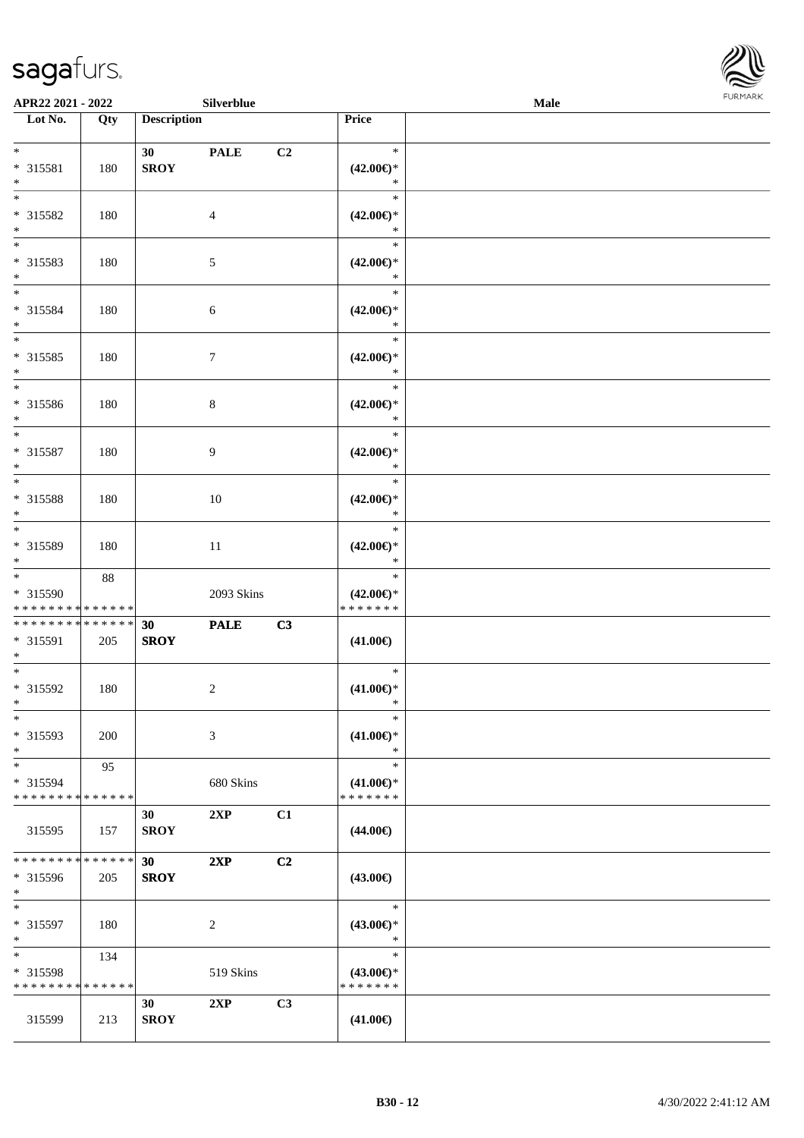

| APR22 2021 - 2022                          |     |                    | Silverblue     |    |                                      | Male | FURMARK |
|--------------------------------------------|-----|--------------------|----------------|----|--------------------------------------|------|---------|
| Lot No.                                    | Qty | <b>Description</b> |                |    | Price                                |      |         |
|                                            |     |                    |                |    |                                      |      |         |
| $*$<br>* 315581                            | 180 | 30<br><b>SROY</b>  | <b>PALE</b>    | C2 | $\ast$<br>$(42.00\epsilon)$ *        |      |         |
| $*$                                        |     |                    |                |    | $\ast$                               |      |         |
|                                            |     |                    |                |    | $\ast$                               |      |         |
| * 315582                                   | 180 |                    | 4              |    | $(42.00\epsilon)$ *                  |      |         |
| $*$                                        |     |                    |                |    | $\ast$<br>$\ast$                     |      |         |
| * 315583                                   | 180 |                    | 5              |    | $(42.00\epsilon)$ *                  |      |         |
| $*$                                        |     |                    |                |    | $\ast$                               |      |         |
| $*$                                        |     |                    |                |    | $\ast$                               |      |         |
| * 315584<br>$*$                            | 180 |                    | 6              |    | $(42.00\epsilon)$ *<br>$\ast$        |      |         |
| $*$                                        |     |                    |                |    | $\ast$                               |      |         |
| * 315585                                   | 180 |                    | $\tau$         |    | $(42.00\epsilon)$ *                  |      |         |
| $*$                                        |     |                    |                |    | $\ast$                               |      |         |
| $*$                                        |     |                    |                |    | $\ast$                               |      |         |
| * 315586<br>$*$                            | 180 |                    | 8              |    | $(42.00\epsilon)$ *<br>$\ast$        |      |         |
| $*$                                        |     |                    |                |    | $\ast$                               |      |         |
| * 315587                                   | 180 |                    | 9              |    | $(42.00\epsilon)$ *                  |      |         |
| $\ast$                                     |     |                    |                |    | $\ast$                               |      |         |
| * 315588                                   | 180 |                    | 10             |    | $\ast$<br>$(42.00\epsilon)$ *        |      |         |
| $*$                                        |     |                    |                |    | $\ast$                               |      |         |
| $\overline{\phantom{0}}$                   |     |                    |                |    | $\ast$                               |      |         |
| * 315589                                   | 180 |                    | 11             |    | $(42.00\epsilon)$ *                  |      |         |
| $*$<br>$\overline{\ast}$                   | 88  |                    |                |    | $\ast$<br>$\ast$                     |      |         |
| * 315590                                   |     |                    | 2093 Skins     |    | $(42.00\epsilon)$ *                  |      |         |
| * * * * * * * * <mark>* * * * * * *</mark> |     |                    |                |    | * * * * * * *                        |      |         |
| * * * * * * * * <mark>* * * * * * *</mark> |     | 30                 | <b>PALE</b>    | C3 |                                      |      |         |
| * 315591<br>$*$                            | 205 | <b>SROY</b>        |                |    | $(41.00\epsilon)$                    |      |         |
|                                            |     |                    |                |    | $\ast$                               |      |         |
| * 315592                                   | 180 |                    | $\overline{c}$ |    | $(41.00\epsilon)$ *                  |      |         |
| $\ast$                                     |     |                    |                |    | $\ast$                               |      |         |
| $\ast$<br>* 315593                         |     |                    |                |    | $\ast$<br>$(41.00\epsilon)$ *        |      |         |
| $\ast$                                     | 200 |                    | 3              |    | $\ast$                               |      |         |
| $\overline{\phantom{0}}$                   | 95  |                    |                |    | $\ast$                               |      |         |
| * 315594                                   |     |                    | 680 Skins      |    | $(41.00\epsilon)$ *                  |      |         |
| * * * * * * * * <mark>* * * * * * *</mark> |     |                    |                |    | * * * * * * *                        |      |         |
| 315595                                     | 157 | 30<br><b>SROY</b>  | 2XP            | C1 | $(44.00\epsilon)$                    |      |         |
|                                            |     |                    |                |    |                                      |      |         |
| * * * * * * * * <mark>* * * * * *</mark>   |     | 30                 | 2XP            | C2 |                                      |      |         |
| * 315596                                   | 205 | <b>SROY</b>        |                |    | $(43.00\epsilon)$                    |      |         |
| $*$<br>$*$                                 |     |                    |                |    | $\ast$                               |      |         |
| * 315597                                   | 180 |                    | 2              |    | $(43.00\epsilon)$ *                  |      |         |
| $*$                                        |     |                    |                |    | $\ast$                               |      |         |
| $\ast$                                     | 134 |                    |                |    | $\ast$                               |      |         |
| * 315598<br>* * * * * * * * * * * * * *    |     |                    | 519 Skins      |    | $(43.00\epsilon)$ *<br>* * * * * * * |      |         |
|                                            |     | 30                 | 2XP            | C3 |                                      |      |         |
| 315599                                     | 213 | ${\bf SROY}$       |                |    | $(41.00\epsilon)$                    |      |         |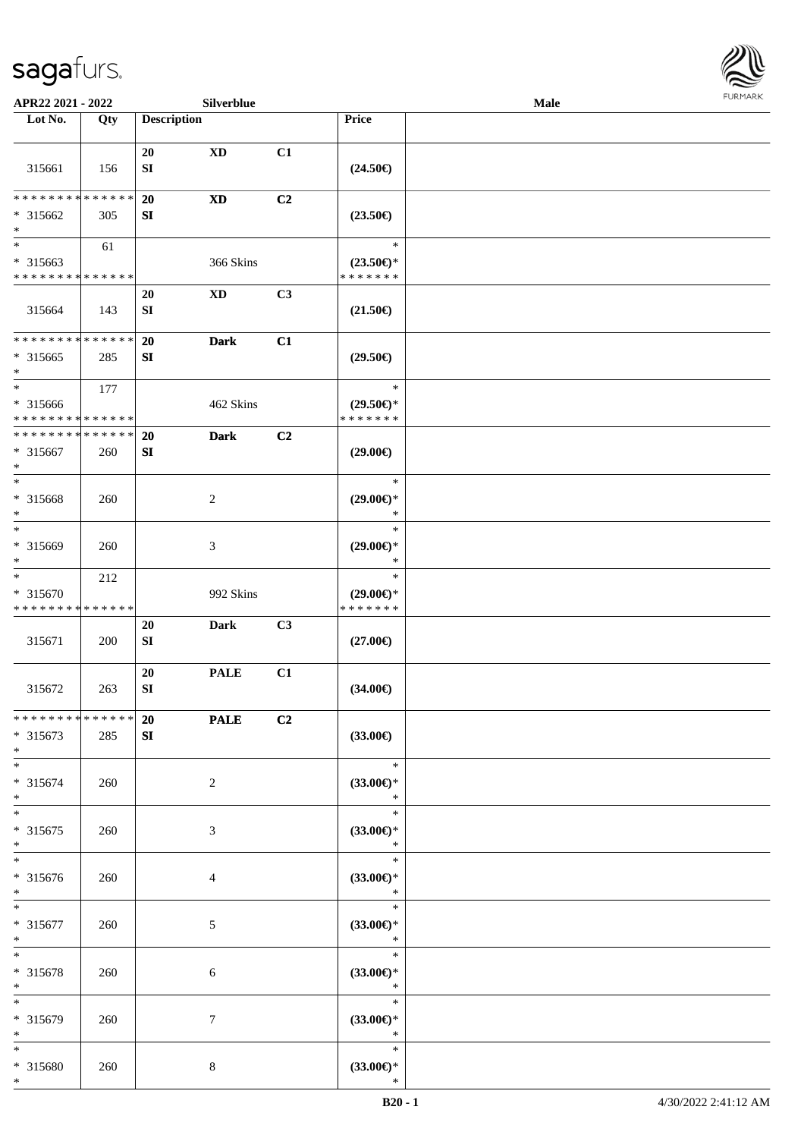

| APR22 2021 - 2022                                                   |                    |                        | Silverblue             |    |                                                                               | <b>Male</b> |  |
|---------------------------------------------------------------------|--------------------|------------------------|------------------------|----|-------------------------------------------------------------------------------|-------------|--|
| Lot No.                                                             | Qty                | <b>Description</b>     |                        |    | Price                                                                         |             |  |
| 315661                                                              | 156                | 20<br>${\bf SI}$       | $\mathbf{X}\mathbf{D}$ | C1 | $(24.50\epsilon)$                                                             |             |  |
| * * * * * * * *<br>* 315662<br>$\ast$                               | * * * * * *<br>305 | 20<br>SI               | <b>XD</b>              | C2 | $(23.50\epsilon)$                                                             |             |  |
| $\overline{\phantom{0}}$<br>* 315663<br>* * * * * * * * * * * * * * | 61                 |                        | 366 Skins              |    | $\ast$<br>$(23.50\mathnormal{\in}\mathcal{)^{\! \! \times}}$<br>* * * * * * * |             |  |
| 315664                                                              | 143                | 20<br>${\bf SI}$       | $\mathbf{X}\mathbf{D}$ | C3 | $(21.50\in)$                                                                  |             |  |
| * * * * * * * * * * * * * *<br>* 315665<br>$*$                      | 285                | 20<br>SI               | <b>Dark</b>            | C1 | $(29.50\epsilon)$                                                             |             |  |
| $*$<br>$* 315666$<br>* * * * * * * * * * * * * *                    | 177                |                        | 462 Skins              |    | $\ast$<br>$(29.50\epsilon)$ *<br>* * * * * * *                                |             |  |
| * * * * * * * * * * * * * *<br>$* 315667$<br>$*$                    | 260                | 20<br>${\bf S}{\bf I}$ | <b>Dark</b>            | C2 | $(29.00\epsilon)$                                                             |             |  |
| $*$<br>$* 315668$<br>$\ast$                                         | 260                |                        | $\overline{c}$         |    | $\ast$<br>$(29.00\epsilon)$ *<br>$\ast$                                       |             |  |
| $*$<br>* 315669<br>$*$                                              | 260                |                        | 3                      |    | $\ast$<br>$(29.00\epsilon)$ *<br>$\ast$                                       |             |  |
| $\ast$<br>* 315670<br>* * * * * * * * * * * * * *                   | 212                |                        | 992 Skins              |    | $\ast$<br>$(29.00\epsilon)$ *<br>* * * * * * *                                |             |  |
| 315671                                                              | 200                | 20<br>SI               | <b>Dark</b>            | C3 | $(27.00\epsilon)$                                                             |             |  |
| 315672                                                              | 263                | 20<br>${\bf SI}$       | <b>PALE</b>            | C1 | $(34.00\epsilon)$                                                             |             |  |
| * * * * * * * * * * * * * * *<br>* 315673<br>$*$                    | 285                | 20<br>SI               | <b>PALE</b>            | C2 | $(33.00\epsilon)$                                                             |             |  |
| $*$<br>$* 315674$<br>$*$                                            | 260                |                        | $\overline{2}$         |    | $\ast$<br>$(33.00\epsilon)$ *<br>$\ast$                                       |             |  |
| $*$<br>* 315675<br>$*$                                              | 260                |                        | 3                      |    | $\ast$<br>$(33.00\epsilon)$ *<br>$\ast$                                       |             |  |
| $*$<br>$* 315676$<br>$*$                                            | 260                |                        | $\overline{4}$         |    | $\ast$<br>$(33.00\epsilon)$ *<br>$\ast$                                       |             |  |
| $*$<br>$* 315677$<br>$*$                                            | 260                |                        | $5\phantom{.0}$        |    | T.<br>$\ast$<br>$(33.00\epsilon)$ *<br>$\ast$                                 |             |  |
| $*$<br>* 315678<br>$*$                                              | 260                |                        | 6                      |    | $\ast$<br>$(33.00\epsilon)$ *<br>$\ast$                                       |             |  |
| $*$<br>* 315679<br>$*$                                              | 260                |                        | 7                      |    | $\ast$<br>$(33.00\epsilon)$ *<br>$\ast$                                       |             |  |
| $*$<br>* 315680<br>$*$                                              | 260                |                        | 8                      |    | $\ast$<br>$(33.00\epsilon)$ *<br>$\ast$                                       |             |  |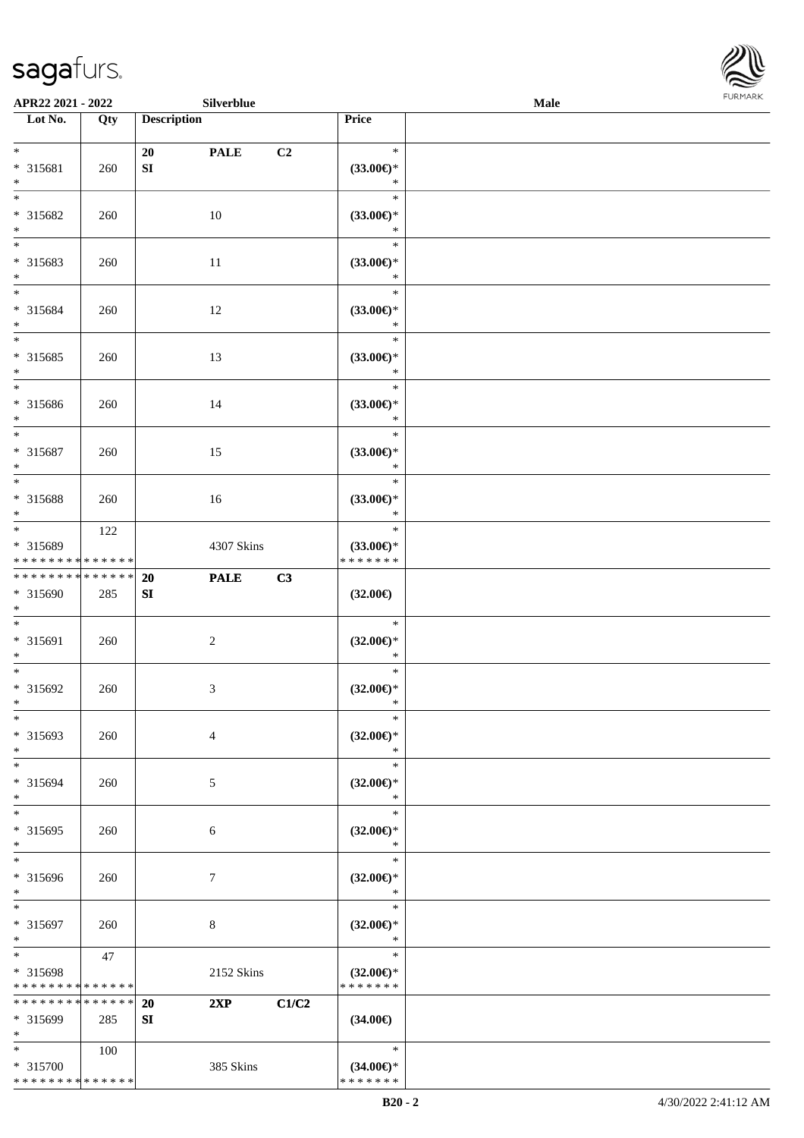

| APR22 2021 - 2022                                                     |     |                    | Silverblue       |       |                                                | Male | FURMARK |
|-----------------------------------------------------------------------|-----|--------------------|------------------|-------|------------------------------------------------|------|---------|
| $\overline{\phantom{1}}$ Lot No.                                      | Qty | <b>Description</b> |                  |       | Price                                          |      |         |
| $\ast$<br>* 315681<br>$\ast$                                          | 260 | 20<br>SI           | <b>PALE</b>      | C2    | $\ast$<br>$(33.00\epsilon)$ *<br>$\ast$        |      |         |
| $\overline{\phantom{1}}$<br>* 315682<br>$*$                           | 260 |                    | $10\,$           |       | $\ast$<br>$(33.00\in)^\ast$<br>$\ast$          |      |         |
| $\overline{\phantom{a}^*}$<br>* 315683<br>$\ast$                      | 260 |                    | $11\,$           |       | $\ast$<br>$(33.00\epsilon)$ *<br>$\ast$        |      |         |
| $*$<br>* 315684<br>$\ast$                                             | 260 |                    | 12               |       | $\ast$<br>$(33.00\epsilon)$ *<br>$\ast$        |      |         |
| $\overline{\phantom{a}^*}$<br>$* 315685$<br>$\ast$                    | 260 |                    | 13               |       | $\ast$<br>$(33.00\epsilon)$ *<br>$\ast$        |      |         |
| $\overline{\phantom{0}}$<br>* 315686<br>$\ast$                        | 260 |                    | 14               |       | $\ast$<br>$(33.00\epsilon)$ *<br>$\ast$        |      |         |
| $\ast$<br>* 315687<br>$\ast$                                          | 260 |                    | 15               |       | $\ast$<br>$(33.00\epsilon)$ *<br>$\ast$        |      |         |
| $\overline{\phantom{0}}$<br>* 315688<br>$\ast$                        | 260 |                    | 16               |       | $\ast$<br>$(33.00\epsilon)$ *<br>$\ast$        |      |         |
| $\overline{\phantom{a}^*}$<br>* 315689<br>* * * * * * * * * * * * * * | 122 |                    | 4307 Skins       |       | $\ast$<br>$(33.00\epsilon)$ *<br>* * * * * * * |      |         |
| ******** <mark>*****</mark> *<br>* 315690<br>$\ast$                   | 285 | 20<br>SI           | <b>PALE</b>      | C3    | $(32.00\epsilon)$                              |      |         |
| $\ast$<br>$* 315691$<br>$\ast$                                        | 260 |                    | $\boldsymbol{2}$ |       | $\ast$<br>$(32.00\epsilon)$ *<br>$\ast$        |      |         |
| $\overline{\ast}$<br>* 315692<br>$*$                                  | 260 |                    | 3                |       | $\ast$<br>$(32.00\epsilon)$ *<br>$\ast$        |      |         |
| $\ast$<br>* 315693<br>$\ast$                                          | 260 |                    | 4                |       | $\ast$<br>$(32.00\epsilon)$ *<br>$\ast$        |      |         |
| $\overline{\phantom{a}^*}$<br>* 315694<br>$\ast$                      | 260 |                    | 5                |       | $\ast$<br>$(32.00\epsilon)$ *<br>$\ast$        |      |         |
| $\overline{\phantom{a}^*}$<br>$* 315695$<br>$\ast$                    | 260 |                    | 6                |       | $\ast$<br>$(32.00\epsilon)$ *<br>$\ast$        |      |         |
| $\ast$<br>* 315696<br>$\ast$                                          | 260 |                    | $\boldsymbol{7}$ |       | $\ast$<br>$(32.00\epsilon)$ *<br>$\ast$        |      |         |
| $\ast$<br>* 315697<br>$\ast$                                          | 260 |                    | $8\,$            |       | $\ast$<br>$(32.00\epsilon)$ *<br>$\ast$        |      |         |
| $\ast$<br>* 315698<br>* * * * * * * * * * * * * *                     | 47  |                    | 2152 Skins       |       | $\ast$<br>$(32.00\epsilon)$ *<br>* * * * * * * |      |         |
| * * * * * * * * * * * * * *<br>* 315699<br>$\ast$                     | 285 | <b>20</b><br>SI    | 2XP              | C1/C2 | $(34.00\epsilon)$                              |      |         |
| $\ast$<br>* 315700<br>**************                                  | 100 |                    | 385 Skins        |       | $\ast$<br>$(34.00\epsilon)$ *<br>* * * * * * * |      |         |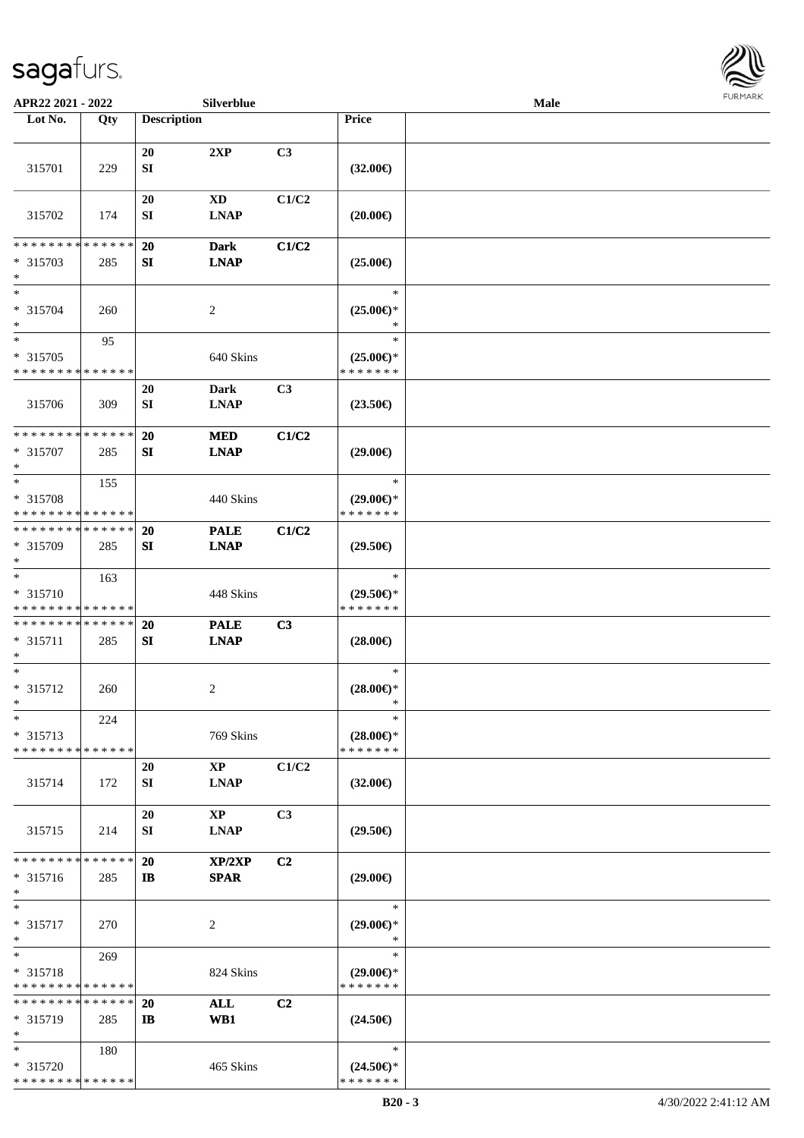

| APR22 2021 - 2022                                     |     |                           | Silverblue                            |       |                                                | Male | <b>FURMARK</b> |
|-------------------------------------------------------|-----|---------------------------|---------------------------------------|-------|------------------------------------------------|------|----------------|
| Lot No.                                               | Qty | <b>Description</b>        |                                       |       | Price                                          |      |                |
| 315701                                                | 229 | 20<br>SI                  | 2XP                                   | C3    | $(32.00\epsilon)$                              |      |                |
| 315702                                                | 174 | <b>20</b><br>${\bf SI}$   | <b>XD</b><br><b>LNAP</b>              | C1/C2 | $(20.00\epsilon)$                              |      |                |
| * * * * * * * * * * * * * *<br>* 315703<br>$\ast$     | 285 | 20<br>${\bf S}{\bf I}$    | <b>Dark</b><br><b>LNAP</b>            | C1/C2 | $(25.00\epsilon)$                              |      |                |
| $\ast$<br>* 315704<br>$\ast$                          | 260 |                           | $\boldsymbol{2}$                      |       | $\ast$<br>$(25.00\epsilon)$ *<br>$\ast$        |      |                |
| $\ast$<br>* 315705<br>* * * * * * * * * * * * * *     | 95  |                           | 640 Skins                             |       | $\ast$<br>$(25.00\epsilon)$ *<br>* * * * * * * |      |                |
| 315706                                                | 309 | 20<br>${\bf SI}$          | <b>Dark</b><br><b>LNAP</b>            | C3    | $(23.50\epsilon)$                              |      |                |
| **************<br>* 315707<br>$\ast$                  | 285 | 20<br>SI                  | <b>MED</b><br><b>LNAP</b>             | C1/C2 | $(29.00\epsilon)$                              |      |                |
| $\ast$<br>* 315708<br>* * * * * * * * * * * * * *     | 155 |                           | 440 Skins                             |       | $\ast$<br>$(29.00\epsilon)$ *<br>* * * * * * * |      |                |
| * * * * * * * * * * * * * *<br>* 315709<br>$\ast$     | 285 | 20<br>${\bf S}{\bf I}$    | <b>PALE</b><br><b>LNAP</b>            | C1/C2 | $(29.50\epsilon)$                              |      |                |
| $\ast$<br>* 315710<br>* * * * * * * * * * * * * *     | 163 |                           | 448 Skins                             |       | $\ast$<br>$(29.50\epsilon)$ *<br>* * * * * * * |      |                |
| ******** <mark>*****</mark> *<br>$* 315711$<br>$\ast$ | 285 | <b>20</b><br>SI           | <b>PALE</b><br><b>LNAP</b>            | C3    | $(28.00\epsilon)$                              |      |                |
| $\ast$<br>* 315712<br>$\ast$                          | 260 |                           | 2                                     |       | $\ast$<br>$(28.00\epsilon)$ *<br>$\ast$        |      |                |
| $\ast$<br>* 315713<br>* * * * * * * * * * * * * *     | 224 |                           | 769 Skins                             |       | $\ast$<br>$(28.00\epsilon)$ *<br>* * * * * * * |      |                |
| 315714                                                | 172 | <b>20</b><br>SI           | $\mathbf{X}\mathbf{P}$<br><b>LNAP</b> | C1/C2 | $(32.00\epsilon)$                              |      |                |
| 315715                                                | 214 | 20<br><b>SI</b>           | $\mathbf{X}\mathbf{P}$<br><b>LNAP</b> | C3    | $(29.50\epsilon)$                              |      |                |
| * * * * * * * * * * * * * *<br>$* 315716$<br>$\ast$   | 285 | 20<br>$\mathbf{I}$        | XP/2XP<br><b>SPAR</b>                 | C2    | $(29.00\epsilon)$                              |      |                |
| $\ast$<br>$* 315717$<br>$\ast$                        | 270 |                           | 2                                     |       | $\ast$<br>$(29.00\epsilon)$ *<br>$\ast$        |      |                |
| $\ast$<br>$* 315718$<br>* * * * * * * * * * * * * *   | 269 |                           | 824 Skins                             |       | $\ast$<br>$(29.00\epsilon)$ *<br>* * * * * * * |      |                |
| * * * * * * * * * * * * * *<br>$* 315719$<br>$\ast$   | 285 | <b>20</b><br>$\mathbf{I}$ | <b>ALL</b><br>WB1                     | C2    | $(24.50\epsilon)$                              |      |                |
| $\ast$<br>* 315720<br>* * * * * * * * * * * * * *     | 180 |                           | 465 Skins                             |       | $\ast$<br>$(24.50\epsilon)$ *<br>* * * * * * * |      |                |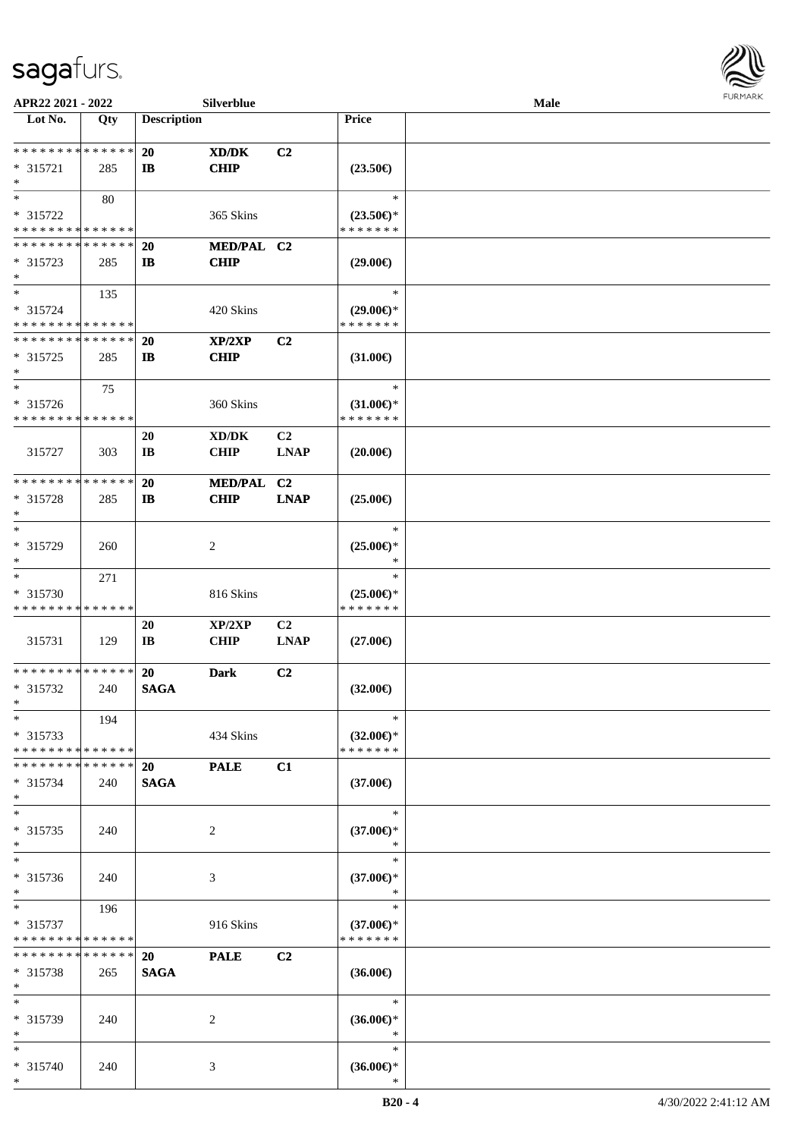

| APR22 2021 - 2022                         |             |                    | Silverblue                  |                |                     | Male |  |
|-------------------------------------------|-------------|--------------------|-----------------------------|----------------|---------------------|------|--|
| Lot No.                                   | Qty         | <b>Description</b> |                             |                | <b>Price</b>        |      |  |
|                                           |             |                    |                             |                |                     |      |  |
| **************                            |             | <b>20</b>          | $\boldsymbol{\text{XD/DK}}$ | C <sub>2</sub> |                     |      |  |
| $* 315721$                                | 285         | $\mathbf{I}$       | <b>CHIP</b>                 |                | $(23.50\epsilon)$   |      |  |
| $\ast$                                    |             |                    |                             |                |                     |      |  |
| $\ast$                                    | 80          |                    |                             |                | $\ast$              |      |  |
| * 315722                                  |             |                    | 365 Skins                   |                | $(23.50\epsilon)$ * |      |  |
| * * * * * * * * * * * * * *               |             |                    |                             |                | * * * * * * *       |      |  |
| * * * * * * * * * * * * * *               |             | <b>20</b>          | MED/PAL C2                  |                |                     |      |  |
| $* 315723$                                | 285         | $\mathbf{I}$       | <b>CHIP</b>                 |                | $(29.00\epsilon)$   |      |  |
| $\ast$                                    |             |                    |                             |                |                     |      |  |
| $\ast$                                    | 135         |                    |                             |                | $\ast$              |      |  |
| * 315724                                  |             |                    | 420 Skins                   |                | $(29.00\epsilon)$ * |      |  |
| * * * * * * * * * * * * * *               |             |                    |                             |                | * * * * * * *       |      |  |
| ******** <mark>******</mark>              |             | <b>20</b>          | XP/2XP                      | C2             |                     |      |  |
| $* 315725$                                | 285         | $\mathbf{I}$       | <b>CHIP</b>                 |                | $(31.00\epsilon)$   |      |  |
| $\ast$                                    |             |                    |                             |                |                     |      |  |
| $\ast$                                    | 75          |                    |                             |                | $\ast$              |      |  |
| * 315726                                  |             |                    | 360 Skins                   |                | $(31.00\epsilon)$ * |      |  |
| * * * * * * * * * * * * * *               |             |                    |                             |                | * * * * * * *       |      |  |
|                                           |             | 20                 | XD/DK                       | C <sub>2</sub> |                     |      |  |
| 315727                                    | 303         | IB                 | <b>CHIP</b>                 | <b>LNAP</b>    | $(20.00\epsilon)$   |      |  |
|                                           |             |                    |                             |                |                     |      |  |
| * * * * * * * * * * * * * *               |             | <b>20</b>          | <b>MED/PAL</b>              | C <sub>2</sub> |                     |      |  |
| * 315728                                  | 285         | $\mathbf{I}$       | <b>CHIP</b>                 | <b>LNAP</b>    | $(25.00\epsilon)$   |      |  |
| $\ast$                                    |             |                    |                             |                |                     |      |  |
| $\ast$                                    |             |                    |                             |                | $\ast$              |      |  |
| * 315729                                  | 260         |                    | $\overline{c}$              |                | $(25.00\epsilon)$ * |      |  |
| $\ast$                                    |             |                    |                             |                | *                   |      |  |
| $\ast$                                    | 271         |                    |                             |                | $\ast$              |      |  |
| * 315730                                  |             |                    | 816 Skins                   |                | $(25.00\epsilon)$ * |      |  |
| * * * * * * * * * * * * * *               |             |                    |                             |                | * * * * * * *       |      |  |
|                                           |             | 20                 | XP/2XP                      | C2             |                     |      |  |
| 315731                                    | 129         | IB                 | <b>CHIP</b>                 | ${\bf LNAP}$   | $(27.00\epsilon)$   |      |  |
| **************                            |             |                    |                             |                |                     |      |  |
|                                           |             | <b>20</b>          | <b>Dark</b>                 | C2             |                     |      |  |
| * 315732<br>$*$                           | 240         | <b>SAGA</b>        |                             |                | $(32.00\epsilon)$   |      |  |
| $*$                                       |             |                    |                             |                | $\ast$              |      |  |
|                                           | 194         |                    |                             |                | $(32.00\epsilon)$ * |      |  |
| $* 315733$<br>* * * * * * * * * * * * * * |             |                    | 434 Skins                   |                | * * * * * * *       |      |  |
| * * * * * * * *                           | * * * * * * |                    |                             |                |                     |      |  |
| * 315734                                  |             | <b>20</b>          | <b>PALE</b>                 | C1             | $(37.00\epsilon)$   |      |  |
| $\ast$                                    | 240         | <b>SAGA</b>        |                             |                |                     |      |  |
| $\ast$                                    |             |                    |                             |                | $\ast$              |      |  |
| $* 315735$                                | 240         |                    | 2                           |                | $(37.00\epsilon)$ * |      |  |
| $*$                                       |             |                    |                             |                | ∗                   |      |  |
| $\ast$                                    |             |                    |                             |                | $\ast$              |      |  |
| * 315736                                  | 240         |                    | 3                           |                | $(37.00\epsilon)$ * |      |  |
| $*$                                       |             |                    |                             |                | $\ast$              |      |  |
| $*$                                       | 196         |                    |                             |                | $\ast$              |      |  |
| * 315737                                  |             |                    | 916 Skins                   |                | $(37.00\epsilon)$ * |      |  |
| * * * * * * * * * * * * * *               |             |                    |                             |                | * * * * * * *       |      |  |
| * * * * * * * *                           | * * * * * * | <b>20</b>          | <b>PALE</b>                 | C2             |                     |      |  |
| $* 315738$                                | 265         | <b>SAGA</b>        |                             |                | $(36.00\epsilon)$   |      |  |
| $*$                                       |             |                    |                             |                |                     |      |  |
| $*$                                       |             |                    |                             |                | $\ast$              |      |  |
| * 315739                                  | 240         |                    | 2                           |                | $(36.00\epsilon)$ * |      |  |
| $*$                                       |             |                    |                             |                | $\ast$              |      |  |
| $*$                                       |             |                    |                             |                | $\ast$              |      |  |
| * 315740                                  | 240         |                    | 3                           |                | $(36.00\epsilon)$ * |      |  |
| $*$                                       |             |                    |                             |                | $\ast$              |      |  |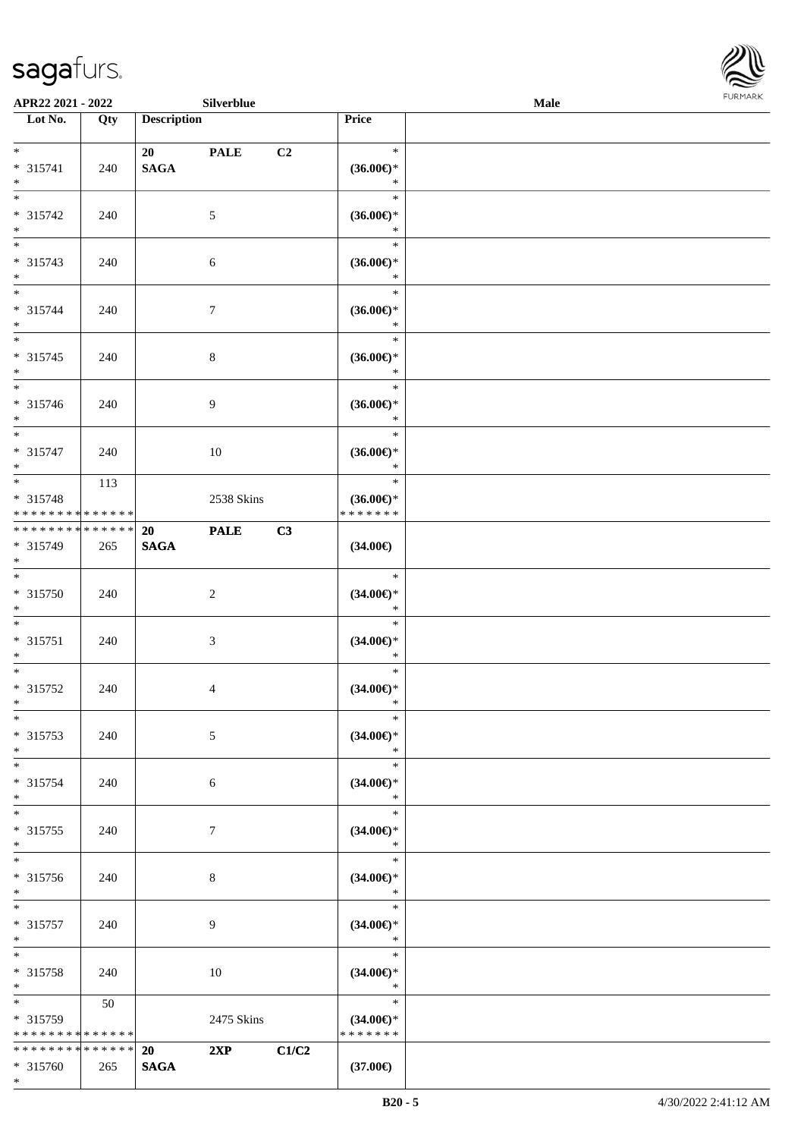\*



| APR22 2021 - 2022                                             |                   |                          | Silverblue     |                |                                                | Male |  |
|---------------------------------------------------------------|-------------------|--------------------------|----------------|----------------|------------------------------------------------|------|--|
| Lot No.                                                       | Qty               | <b>Description</b>       |                |                | Price                                          |      |  |
| $*$<br>* 315741<br>$*$                                        | 240               | 20<br><b>SAGA</b>        | <b>PALE</b>    | C <sub>2</sub> | $\ast$<br>$(36.00\epsilon)$ *<br>$\ast$        |      |  |
| $*$<br>* 315742<br>$*$                                        | 240               |                          | 5              |                | $\ast$<br>$(36.00\epsilon)$ *<br>$\ast$        |      |  |
| * 315743<br>$\ast$                                            | 240               |                          | 6              |                | $\ast$<br>$(36.00\epsilon)$ *<br>$\ast$        |      |  |
| $*$<br>* 315744<br>$*$                                        | 240               |                          | $\tau$         |                | $\ast$<br>$(36.00\epsilon)$ *<br>$\ast$        |      |  |
| $*$<br>* 315745<br>$*$                                        | 240               |                          | $\,8\,$        |                | $\ast$<br>$(36.00\epsilon)$ *<br>$\ast$        |      |  |
| $\overline{\ }$<br>* 315746<br>$*$                            | 240               |                          | 9              |                | $\ast$<br>$(36.00\epsilon)$ *<br>$\ast$        |      |  |
| $\overline{\phantom{0}}$<br>* 315747<br>$*$                   | 240               |                          | 10             |                | $\ast$<br>$(36.00\epsilon)$ *<br>$\ast$        |      |  |
| $\overline{\ast}$<br>* 315748<br>* * * * * * * * * * * * * *  | 113               |                          | 2538 Skins     |                | $\ast$<br>$(36.00\epsilon)$ *<br>* * * * * * * |      |  |
| * * * * * * * * <mark>* * * * * * *</mark><br>* 315749<br>$*$ | 265               | <b>20</b><br><b>SAGA</b> | <b>PALE</b>    | C3             | $(34.00\epsilon)$                              |      |  |
| $\overline{\phantom{0}}$<br>* 315750<br>$*$                   | 240               |                          | $\overline{2}$ |                | $\ast$<br>$(34.00\epsilon)$ *<br>$\ast$        |      |  |
| $*$<br>$* 315751$<br>$\ast$                                   | 240               |                          | 3              |                | $\ast$<br>$(34.00\epsilon)$ *<br>$\ast$        |      |  |
| $*$<br>* 315752<br>$*$                                        | 240               |                          | $\overline{4}$ |                | $\ast$<br>$(34.00\epsilon)$ *<br>$\ast$        |      |  |
| $\ast$<br>* 315753<br>$*$                                     | 240               |                          | 5              |                | $\ast$<br>$(34.00\epsilon)$ *<br>$\ast$        |      |  |
| $*$ $-$<br>* 315754<br>$\ast$                                 | 240               |                          | 6              |                | $\ast$<br>$(34.00\epsilon)$ *<br>$\ast$        |      |  |
| $*$<br>* 315755<br>$\ast$                                     | 240               |                          | 7              |                | $\ast$<br>$(34.00\epsilon)$ *<br>$*$           |      |  |
| $*$<br>* 315756<br>$*$                                        | 240               |                          | 8              |                | $\ast$<br>$(34.00\epsilon)$ *<br>$\ast$        |      |  |
| $\overline{\ast}$<br>* 315757<br>$*$                          | 240               |                          | 9              |                | $\ast$<br>$(34.00\epsilon)$ *<br>$\ast$        |      |  |
| $*$<br>* 315758<br>$*$                                        | 240               |                          | 10             |                | $\ast$<br>$(34.00\epsilon)$ *<br>$\ast$        |      |  |
| $\overline{\mathbf{r}}$<br>* 315759<br>* * * * * * * *        | 50<br>* * * * * * |                          | 2475 Skins     |                | $\ast$<br>$(34.00\epsilon)$ *<br>* * * * * * * |      |  |
| * * * * * * * * <mark>* * * * * * *</mark><br>* 315760        | 265               | <b>20</b><br><b>SAGA</b> | 2XP            | C1/C2          | $(37.00\epsilon)$                              |      |  |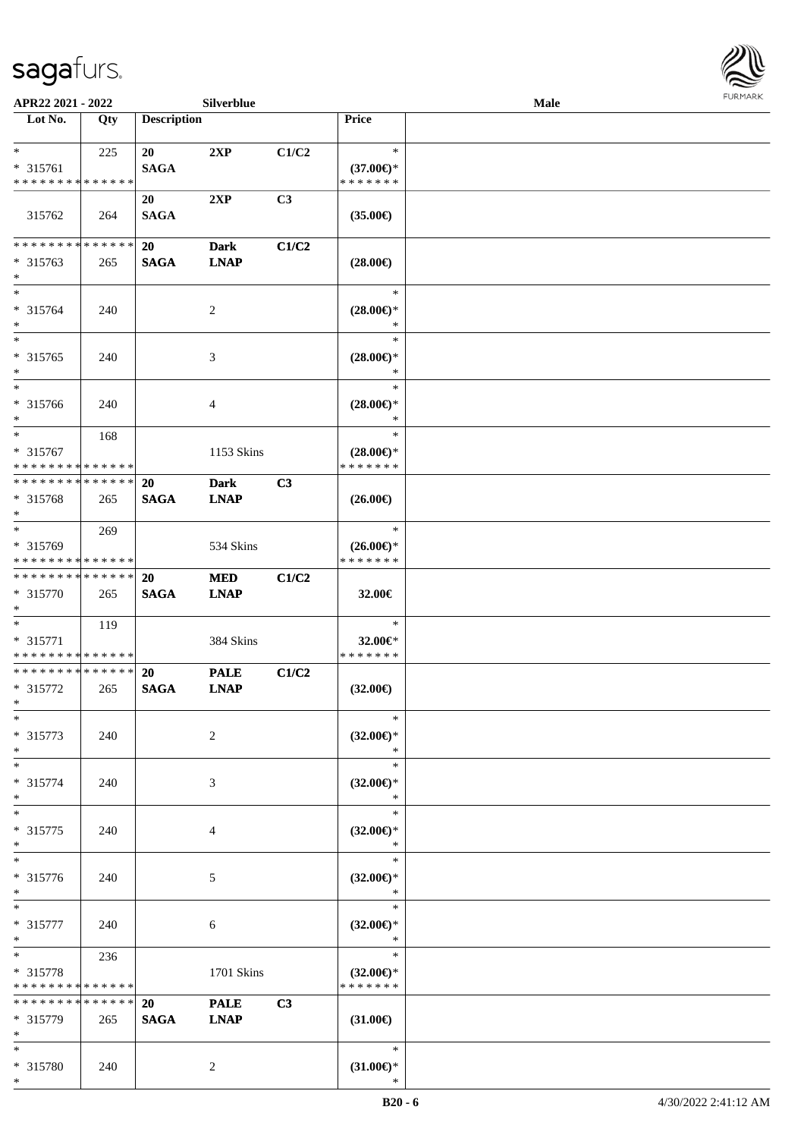

| APR22 2021 - 2022                       |             |                    | Silverblue     |                |                               | Male |  |
|-----------------------------------------|-------------|--------------------|----------------|----------------|-------------------------------|------|--|
| Lot No.                                 | Qty         | <b>Description</b> |                |                | <b>Price</b>                  |      |  |
|                                         |             |                    |                |                |                               |      |  |
| $*$                                     | 225         | 20                 | 2XP            | C1/C2          | $\ast$                        |      |  |
| $* 315761$                              |             | <b>SAGA</b>        |                |                | $(37.00\epsilon)$ *           |      |  |
| * * * * * * * * * * * * * *             |             |                    |                |                | * * * * * * *                 |      |  |
|                                         |             | 20                 | 2XP            | C <sub>3</sub> |                               |      |  |
| 315762                                  | 264         | <b>SAGA</b>        |                |                | $(35.00\epsilon)$             |      |  |
|                                         |             |                    |                |                |                               |      |  |
| * * * * * * * * * * * * * *             |             | <b>20</b>          | <b>Dark</b>    | C1/C2          |                               |      |  |
| $* 315763$                              | 265         | <b>SAGA</b>        | <b>LNAP</b>    |                | $(28.00\epsilon)$             |      |  |
| $*$<br>$\ast$                           |             |                    |                |                | $\ast$                        |      |  |
| * 315764                                |             |                    |                |                |                               |      |  |
| $\ast$                                  | 240         |                    | $\overline{c}$ |                | $(28.00\epsilon)$ *<br>$\ast$ |      |  |
| $*$                                     |             |                    |                |                | $\ast$                        |      |  |
| $* 315765$                              | 240         |                    | 3              |                | $(28.00\epsilon)$ *           |      |  |
| $\ast$                                  |             |                    |                |                | $\ast$                        |      |  |
| $\ast$                                  |             |                    |                |                | $\ast$                        |      |  |
| $* 315766$                              | 240         |                    | 4              |                | $(28.00\epsilon)$ *           |      |  |
| $\ast$                                  |             |                    |                |                | $\ast$                        |      |  |
| $\ast$                                  | 168         |                    |                |                | $\ast$                        |      |  |
| * 315767                                |             |                    | 1153 Skins     |                | $(28.00\epsilon)$ *           |      |  |
| * * * * * * * * * * * * * *             |             |                    |                |                | * * * * * * *                 |      |  |
| * * * * * * * * * * * * * *             |             | 20                 | <b>Dark</b>    | C3             |                               |      |  |
| $* 315768$                              | 265         | <b>SAGA</b>        | <b>LNAP</b>    |                | $(26.00\epsilon)$             |      |  |
| $\ast$                                  |             |                    |                |                |                               |      |  |
| $*$                                     | 269         |                    |                |                | $\ast$                        |      |  |
| * 315769                                |             |                    | 534 Skins      |                | $(26.00\epsilon)$ *           |      |  |
| * * * * * * * * * * * * * *             |             |                    |                |                | * * * * * * *                 |      |  |
| * * * * * * * * * * * * * *             |             | 20                 | <b>MED</b>     | C1/C2          |                               |      |  |
| * 315770                                | 265         | <b>SAGA</b>        | <b>LNAP</b>    |                | 32.00€                        |      |  |
| $*$                                     |             |                    |                |                |                               |      |  |
| $*$                                     | 119         |                    |                |                | $\ast$                        |      |  |
| * 315771<br>* * * * * * * * * * * * * * |             |                    | 384 Skins      |                | 32.00€*<br>* * * * * * *      |      |  |
| * * * * * * * * * * * * * *             |             | 20                 | <b>PALE</b>    | C1/C2          |                               |      |  |
| * 315772                                | 265         | <b>SAGA</b>        | <b>LNAP</b>    |                | $(32.00\epsilon)$             |      |  |
| $*$                                     |             |                    |                |                |                               |      |  |
| $\ast$                                  |             |                    |                |                | $\ast$                        |      |  |
| * 315773                                | 240         |                    | $\overline{c}$ |                | $(32.00\epsilon)$ *           |      |  |
| $\ast$                                  |             |                    |                |                | $\ast$                        |      |  |
| $\ast$                                  |             |                    |                |                | $\ast$                        |      |  |
| $* 315774$                              | 240         |                    | 3              |                | $(32.00\epsilon)$ *           |      |  |
| $\ast$                                  |             |                    |                |                | ∗                             |      |  |
| $\ast$                                  |             |                    |                |                | $\ast$                        |      |  |
| $* 315775$                              | 240         |                    | 4              |                | $(32.00\epsilon)$ *           |      |  |
| $\ast$                                  |             |                    |                |                | $\ast$                        |      |  |
| $\ast$                                  |             |                    |                |                | $\ast$                        |      |  |
| * 315776                                | 240         |                    | 5              |                | $(32.00\epsilon)$ *           |      |  |
| $*$<br>$*$                              |             |                    |                |                | $\ast$<br>$\ast$              |      |  |
| $* 315777$                              |             |                    |                |                |                               |      |  |
| $*$                                     | 240         |                    | 6              |                | $(32.00\epsilon)$ *<br>$\ast$ |      |  |
| $\ast$                                  | 236         |                    |                |                | $\ast$                        |      |  |
| $* 315778$                              |             |                    | 1701 Skins     |                | $(32.00\epsilon)$ *           |      |  |
| * * * * * * * *                         | * * * * * * |                    |                |                | * * * * * * *                 |      |  |
| * * * * * * * * * * * * * *             |             | 20                 | <b>PALE</b>    | C3             |                               |      |  |
| * 315779                                | 265         | <b>SAGA</b>        | <b>LNAP</b>    |                | $(31.00\epsilon)$             |      |  |
| $*$                                     |             |                    |                |                |                               |      |  |
| $*$                                     |             |                    |                |                | $\ast$                        |      |  |
| * 315780                                | 240         |                    | 2              |                | $(31.00\epsilon)$ *           |      |  |
| $*$                                     |             |                    |                |                | ∗                             |      |  |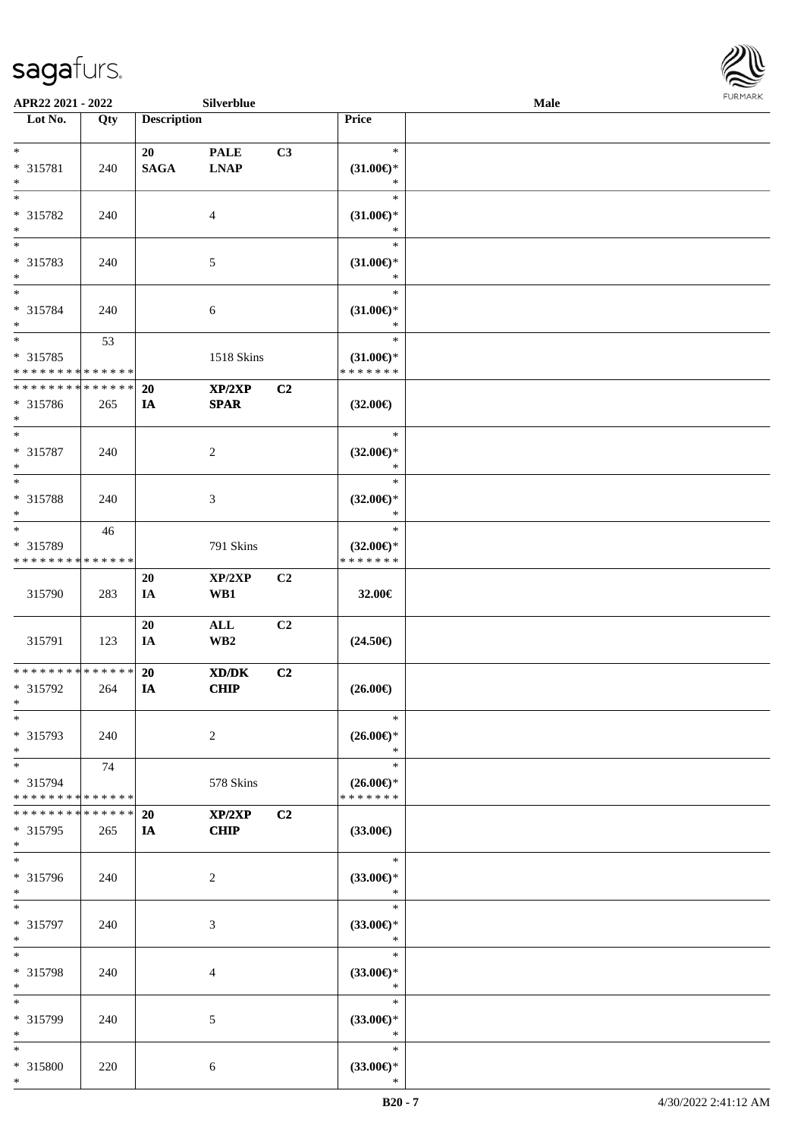

| APR22 2021 - 2022           |             |                    | Silverblue                                 |    |                               | Male |  |
|-----------------------------|-------------|--------------------|--------------------------------------------|----|-------------------------------|------|--|
| Lot No.                     | Qty         | <b>Description</b> |                                            |    | Price                         |      |  |
|                             |             |                    |                                            |    |                               |      |  |
| $*$                         |             | 20                 | <b>PALE</b>                                | C3 | $\ast$                        |      |  |
| * 315781                    | 240         | <b>SAGA</b>        | $\mathbf{L}\mathbf{N}\mathbf{A}\mathbf{P}$ |    | $(31.00\epsilon)$ *           |      |  |
| $\ast$<br>$\overline{\ast}$ |             |                    |                                            |    | $\ast$<br>$\ast$              |      |  |
|                             |             |                    |                                            |    |                               |      |  |
| * 315782<br>$\ast$          | 240         |                    | 4                                          |    | $(31.00\epsilon)$ *<br>$\ast$ |      |  |
| $\overline{\phantom{0}}$    |             |                    |                                            |    | $\ast$                        |      |  |
|                             |             |                    |                                            |    |                               |      |  |
| * 315783<br>$*$             | 240         |                    | 5                                          |    | $(31.00\epsilon)$ *<br>$\ast$ |      |  |
| $*$                         |             |                    |                                            |    | $\ast$                        |      |  |
| * 315784                    | 240         |                    |                                            |    | $(31.00\epsilon)$ *           |      |  |
| $*$                         |             |                    | 6                                          |    | $\ast$                        |      |  |
| $\overline{\ast}$           | 53          |                    |                                            |    | $\ast$                        |      |  |
| $* 315785$                  |             |                    | 1518 Skins                                 |    | $(31.00\epsilon)$ *           |      |  |
| * * * * * * * * * * * * * * |             |                    |                                            |    | * * * * * * *                 |      |  |
| * * * * * * * * * * * * * * |             | 20                 | XP/2XP                                     | C2 |                               |      |  |
| $* 315786$                  | 265         | IA                 | <b>SPAR</b>                                |    | $(32.00\epsilon)$             |      |  |
| $*$                         |             |                    |                                            |    |                               |      |  |
| $*$                         |             |                    |                                            |    | $\ast$                        |      |  |
| $* 315787$                  | 240         |                    | $\overline{c}$                             |    | $(32.00\epsilon)$ *           |      |  |
| $*$                         |             |                    |                                            |    | $\ast$                        |      |  |
| $*$                         |             |                    |                                            |    | $\ast$                        |      |  |
| * 315788                    | 240         |                    | 3                                          |    | $(32.00\epsilon)$ *           |      |  |
| $*$                         |             |                    |                                            |    | $\ast$                        |      |  |
| $*$                         | 46          |                    |                                            |    | $\ast$                        |      |  |
| * 315789                    |             |                    | 791 Skins                                  |    | $(32.00\epsilon)$ *           |      |  |
| * * * * * * * * * * * * * * |             |                    |                                            |    | * * * * * * *                 |      |  |
|                             |             | 20                 | XP/2XP                                     | C2 |                               |      |  |
| 315790                      | 283         | IA                 | WB1                                        |    | 32.00€                        |      |  |
|                             |             |                    |                                            |    |                               |      |  |
|                             |             | 20                 | $\mathbf{ALL}$                             | C2 |                               |      |  |
| 315791                      | 123         | IA                 | WB <sub>2</sub>                            |    | $(24.50\epsilon)$             |      |  |
| * * * * * * * * * * * * * * |             |                    |                                            |    |                               |      |  |
| * 315792                    | 264         | 20<br>IA           | XD/DK<br><b>CHIP</b>                       | C2 | $(26.00\epsilon)$             |      |  |
| $*$                         |             |                    |                                            |    |                               |      |  |
| $\ast$                      |             |                    |                                            |    | $\ast$                        |      |  |
| * 315793                    | 240         |                    | $\overline{c}$                             |    | $(26.00\epsilon)$ *           |      |  |
| $*$                         |             |                    |                                            |    | $\ast$                        |      |  |
| $*$                         | 74          |                    |                                            |    | $\ast$                        |      |  |
| * 315794                    |             |                    | 578 Skins                                  |    | $(26.00\epsilon)$ *           |      |  |
| * * * * * * * * * * * * * * |             |                    |                                            |    | * * * * * * *                 |      |  |
| * * * * * * * *             | * * * * * * | 20                 | XP/2XP                                     | C2 |                               |      |  |
| * 315795                    | 265         | IA                 | <b>CHIP</b>                                |    | $(33.00\epsilon)$             |      |  |
| $*$                         |             |                    |                                            |    |                               |      |  |
| $*$                         |             |                    |                                            |    | $\ast$                        |      |  |
| * 315796                    | 240         |                    | 2                                          |    | $(33.00\epsilon)$ *           |      |  |
| $*$                         |             |                    |                                            |    | $\ast$                        |      |  |
| $*$                         |             |                    |                                            |    | $\ast$                        |      |  |
| * 315797                    | 240         |                    | 3                                          |    | $(33.00\epsilon)$ *           |      |  |
| $*$                         |             |                    |                                            |    | $\ast$                        |      |  |
| $*$                         |             |                    |                                            |    | $\ast$                        |      |  |
| * 315798                    | 240         |                    | 4                                          |    | $(33.00\epsilon)$ *           |      |  |
| $*$                         |             |                    |                                            |    | $\ast$                        |      |  |
| $\ast$                      |             |                    |                                            |    | $\ast$                        |      |  |
| * 315799<br>$*$             | 240         |                    | 5                                          |    | $(33.00\epsilon)$ *           |      |  |
| $*$                         |             |                    |                                            |    | $\ast$<br>$\ast$              |      |  |
| * 315800                    | 220         |                    |                                            |    | $(33.00\epsilon)$ *           |      |  |
| $*$                         |             |                    | 6                                          |    | $\ast$                        |      |  |
|                             |             |                    |                                            |    |                               |      |  |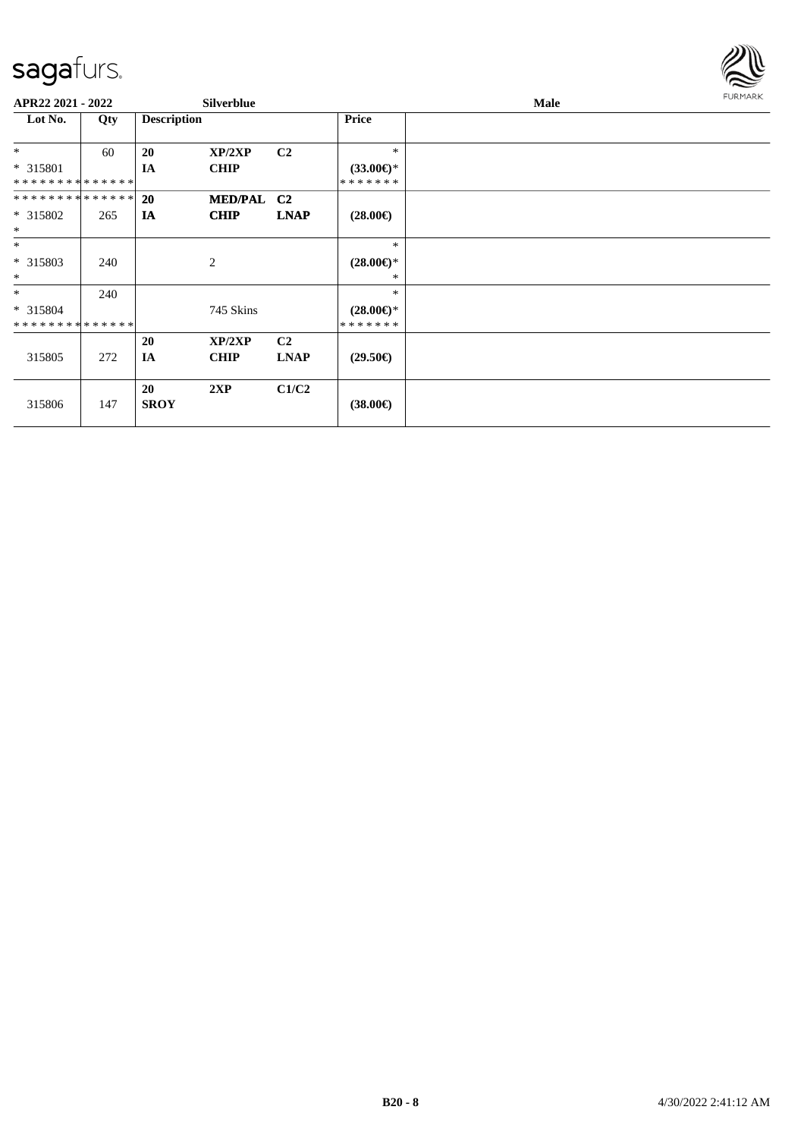

| APR22 2021 - 2022           |     |                    | <b>Silverblue</b> |                |                     | Male | <b>FURMARK</b> |
|-----------------------------|-----|--------------------|-------------------|----------------|---------------------|------|----------------|
| Lot No.                     | Qty | <b>Description</b> |                   |                | Price               |      |                |
| $\ast$                      | 60  | 20                 | XP/2XP            | C <sub>2</sub> | $\ast$              |      |                |
| * 315801                    |     | <b>IA</b>          | <b>CHIP</b>       |                | $(33.00\epsilon)$ * |      |                |
| * * * * * * * * * * * * * * |     |                    |                   |                | * * * * * * *       |      |                |
| **************              |     | <b>20</b>          | <b>MED/PAL</b>    | C <sub>2</sub> |                     |      |                |
| $* 315802$                  | 265 | IA                 | <b>CHIP</b>       | <b>LNAP</b>    | $(28.00\epsilon)$   |      |                |
| $\ast$                      |     |                    |                   |                |                     |      |                |
| $\ast$                      |     |                    |                   |                | $\ast$              |      |                |
| * 315803                    | 240 |                    | $\overline{c}$    |                | $(28.00\epsilon)$ * |      |                |
| $\ast$                      |     |                    |                   |                | ∗                   |      |                |
| $*$                         | 240 |                    |                   |                | $\ast$              |      |                |
| $* 315804$                  |     |                    | 745 Skins         |                | $(28.00\epsilon)$ * |      |                |
| * * * * * * * * * * * * * * |     |                    |                   |                | * * * * * * *       |      |                |
|                             |     | 20                 | XP/2XP            | C <sub>2</sub> |                     |      |                |
| 315805                      | 272 | IA                 | <b>CHIP</b>       | <b>LNAP</b>    | $(29.50\epsilon)$   |      |                |
|                             |     | <b>20</b>          | 2XP               | C1/C2          |                     |      |                |
| 315806                      | 147 | <b>SROY</b>        |                   |                | $(38.00\epsilon)$   |      |                |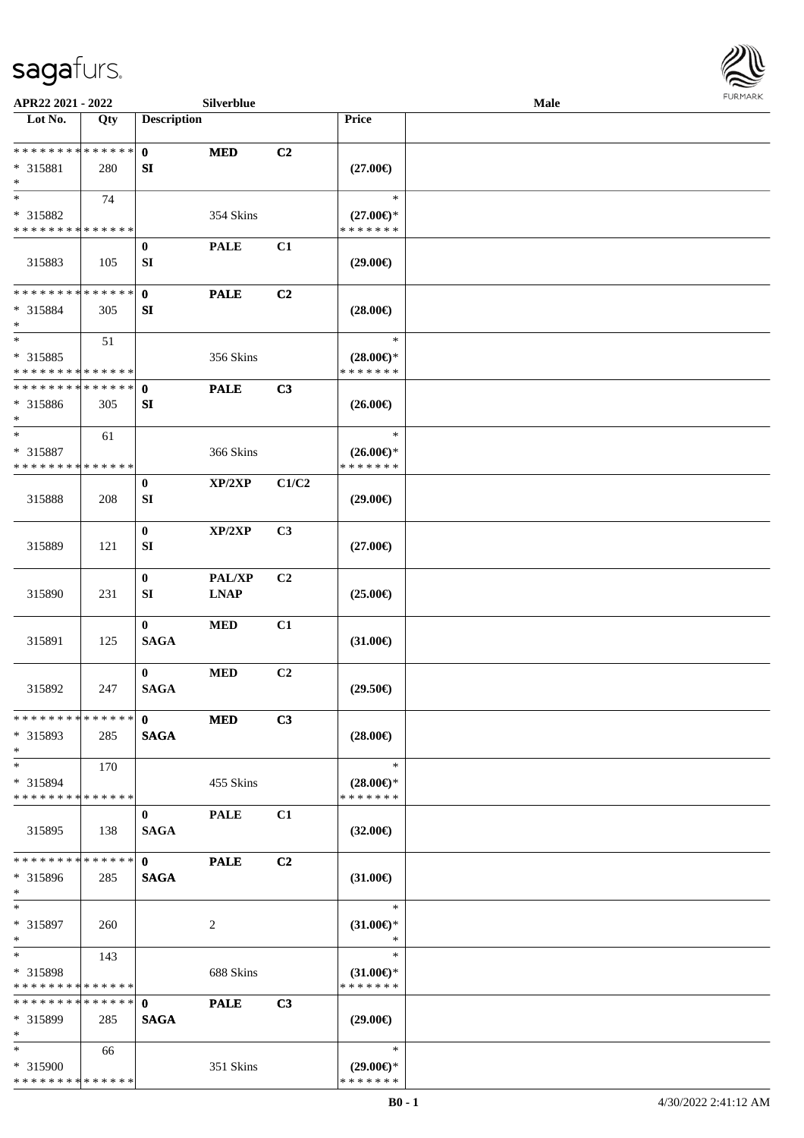

| APR22 2021 - 2022                                 |     |                             | Silverblue            |                |                                                | Male |  |
|---------------------------------------------------|-----|-----------------------------|-----------------------|----------------|------------------------------------------------|------|--|
| Lot No.                                           | Qty | <b>Description</b>          |                       |                | Price                                          |      |  |
| **************<br>* 315881<br>$\ast$              | 280 | $\mathbf{0}$<br>SI          | <b>MED</b>            | C2             | $(27.00\epsilon)$                              |      |  |
| $\ast$<br>* 315882<br>* * * * * * * * * * * * * * | 74  |                             | 354 Skins             |                | $\ast$<br>$(27.00\epsilon)$ *<br>* * * * * * * |      |  |
| 315883                                            | 105 | $\bf{0}$<br>SI              | <b>PALE</b>           | C1             | $(29.00\epsilon)$                              |      |  |
| * * * * * * * * * * * * * *<br>* 315884<br>$\ast$ | 305 | $\mathbf{0}$<br>SI          | <b>PALE</b>           | C2             | $(28.00\epsilon)$                              |      |  |
| $\ast$<br>* 315885<br>* * * * * * * * * * * * * * | 51  |                             | 356 Skins             |                | $\ast$<br>$(28.00\epsilon)$ *<br>* * * * * * * |      |  |
| * * * * * * * * * * * * * *<br>* 315886<br>$\ast$ | 305 | $\mathbf 0$<br>SI           | <b>PALE</b>           | C3             | $(26.00\epsilon)$                              |      |  |
| $\ast$<br>* 315887<br>* * * * * * * * * * * * * * | 61  |                             | 366 Skins             |                | $\ast$<br>$(26.00\epsilon)$ *<br>* * * * * * * |      |  |
| 315888                                            | 208 | $\bf{0}$<br>SI              | XP/2XP                | C1/C2          | $(29.00\epsilon)$                              |      |  |
| 315889                                            | 121 | $\boldsymbol{0}$<br>SI      | XP/2XP                | C3             | $(27.00\epsilon)$                              |      |  |
| 315890                                            | 231 | $\bf{0}$<br>SI              | PAL/XP<br><b>LNAP</b> | C2             | $(25.00\epsilon)$                              |      |  |
| 315891                                            | 125 | $\bf{0}$<br><b>SAGA</b>     | <b>MED</b>            | C1             | $(31.00\epsilon)$                              |      |  |
| 315892                                            | 247 | $\bf{0}$<br><b>SAGA</b>     | <b>MED</b>            | C2             | $(29.50\epsilon)$                              |      |  |
| * * * * * * * * * * * * * * *<br>* 315893<br>$*$  | 285 | $\mathbf{0}$<br><b>SAGA</b> | <b>MED</b>            | C3             | $(28.00\epsilon)$                              |      |  |
| $*$<br>* 315894<br>* * * * * * * * * * * * * *    | 170 |                             | 455 Skins             |                | $\ast$<br>$(28.00\epsilon)$ *<br>* * * * * * * |      |  |
| 315895                                            | 138 | $\bf{0}$<br><b>SAGA</b>     | <b>PALE</b>           | C1             | $(32.00\epsilon)$                              |      |  |
| * * * * * * * * * * * * * *<br>* 315896<br>$*$    | 285 | $\mathbf{0}$<br><b>SAGA</b> | <b>PALE</b>           | C <sub>2</sub> | $(31.00\epsilon)$                              |      |  |
| $*$<br>* 315897<br>$\ast$                         | 260 |                             | 2                     |                | $\ast$<br>$(31.00\epsilon)$ *<br>$\ast$        |      |  |
| $*$<br>* 315898<br>* * * * * * * * * * * * * *    | 143 |                             | 688 Skins             |                | $\ast$<br>$(31.00\epsilon)$ *<br>* * * * * * * |      |  |
| * * * * * * * * * * * * * *<br>* 315899<br>$*$    | 285 | $\mathbf{0}$<br><b>SAGA</b> | <b>PALE</b>           | C3             | $(29.00\epsilon)$                              |      |  |
| $*$<br>* 315900<br>* * * * * * * * * * * * * *    | 66  |                             | 351 Skins             |                | $\ast$<br>$(29.00\epsilon)$ *<br>* * * * * * * |      |  |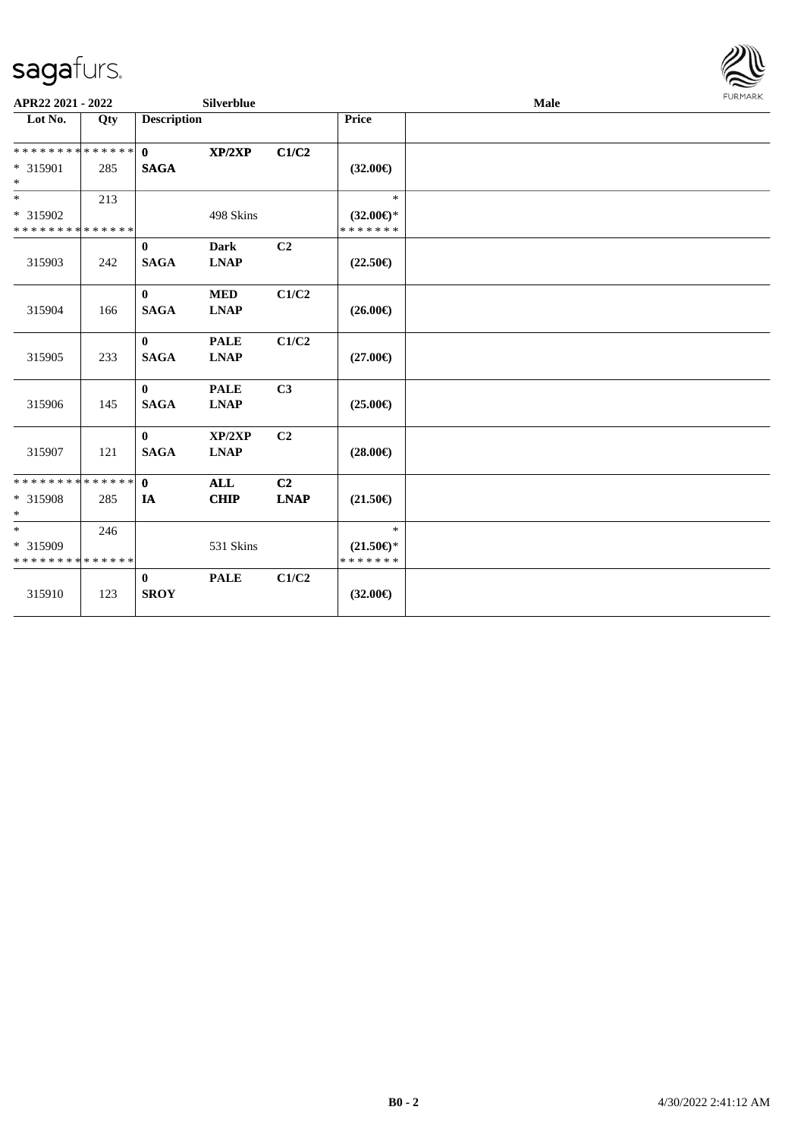

| $\overline{\phantom{1}}$ Lot No.<br><b>Description</b><br>Price<br>Qty<br>**************<br>$\mathbf{0}$<br>C1/C2<br>XP/2XP<br>* 315901<br><b>SAGA</b><br>$(32.00\epsilon)$<br>285<br>$*$<br>$*$<br>$\ast$<br>213<br>* 315902<br>498 Skins<br>$(32.00\epsilon)$ *<br>* * * * * * * * * * * * * *<br>* * * * * * *<br>C <sub>2</sub><br>$\bf{0}$<br><b>Dark</b><br><b>SAGA</b><br><b>LNAP</b><br>315903<br>$(22.50\epsilon)$<br>242<br>C1/C2<br>$\mathbf{0}$<br><b>MED</b><br><b>SAGA</b><br>$(26.00\epsilon)$<br>315904<br><b>LNAP</b><br>166<br>C1/C2<br><b>PALE</b><br>$\bf{0}$<br><b>SAGA</b><br><b>LNAP</b><br>315905<br>$(27.00\epsilon)$<br>233<br><b>PALE</b><br>C3<br>$\mathbf{0}$<br>315906<br><b>SAGA</b><br><b>LNAP</b><br>145<br>$(25.00\epsilon)$<br>C <sub>2</sub><br>$\mathbf{0}$<br>XP/2XP<br><b>SAGA</b><br><b>LNAP</b><br>$(28.00\epsilon)$<br>315907<br>121<br>**************<br>C2<br>$\mathbf{0}$<br><b>ALL</b><br>* 315908<br><b>CHIP</b><br><b>LNAP</b><br>285<br>IA<br>$(21.50\epsilon)$<br>$\ast$<br>$*$<br>$\ast$<br>246<br>* 315909<br>531 Skins<br>$(21.50\epsilon)$ *<br>* * * * * * * * * * * * * *<br>* * * * * * *<br>C1/C2<br><b>PALE</b><br>$\bf{0}$<br><b>SROY</b><br>$(32.00\epsilon)$<br>315910<br>123 | APR22 2021 - 2022 |  | <b>Silverblue</b> |  | Male | <b>FURMARK</b> |
|---------------------------------------------------------------------------------------------------------------------------------------------------------------------------------------------------------------------------------------------------------------------------------------------------------------------------------------------------------------------------------------------------------------------------------------------------------------------------------------------------------------------------------------------------------------------------------------------------------------------------------------------------------------------------------------------------------------------------------------------------------------------------------------------------------------------------------------------------------------------------------------------------------------------------------------------------------------------------------------------------------------------------------------------------------------------------------------------------------------------------------------------------------------------------------------------------------------------------------------------|-------------------|--|-------------------|--|------|----------------|
|                                                                                                                                                                                                                                                                                                                                                                                                                                                                                                                                                                                                                                                                                                                                                                                                                                                                                                                                                                                                                                                                                                                                                                                                                                             |                   |  |                   |  |      |                |
|                                                                                                                                                                                                                                                                                                                                                                                                                                                                                                                                                                                                                                                                                                                                                                                                                                                                                                                                                                                                                                                                                                                                                                                                                                             |                   |  |                   |  |      |                |
|                                                                                                                                                                                                                                                                                                                                                                                                                                                                                                                                                                                                                                                                                                                                                                                                                                                                                                                                                                                                                                                                                                                                                                                                                                             |                   |  |                   |  |      |                |
|                                                                                                                                                                                                                                                                                                                                                                                                                                                                                                                                                                                                                                                                                                                                                                                                                                                                                                                                                                                                                                                                                                                                                                                                                                             |                   |  |                   |  |      |                |
|                                                                                                                                                                                                                                                                                                                                                                                                                                                                                                                                                                                                                                                                                                                                                                                                                                                                                                                                                                                                                                                                                                                                                                                                                                             |                   |  |                   |  |      |                |
|                                                                                                                                                                                                                                                                                                                                                                                                                                                                                                                                                                                                                                                                                                                                                                                                                                                                                                                                                                                                                                                                                                                                                                                                                                             |                   |  |                   |  |      |                |
|                                                                                                                                                                                                                                                                                                                                                                                                                                                                                                                                                                                                                                                                                                                                                                                                                                                                                                                                                                                                                                                                                                                                                                                                                                             |                   |  |                   |  |      |                |
|                                                                                                                                                                                                                                                                                                                                                                                                                                                                                                                                                                                                                                                                                                                                                                                                                                                                                                                                                                                                                                                                                                                                                                                                                                             |                   |  |                   |  |      |                |
|                                                                                                                                                                                                                                                                                                                                                                                                                                                                                                                                                                                                                                                                                                                                                                                                                                                                                                                                                                                                                                                                                                                                                                                                                                             |                   |  |                   |  |      |                |
|                                                                                                                                                                                                                                                                                                                                                                                                                                                                                                                                                                                                                                                                                                                                                                                                                                                                                                                                                                                                                                                                                                                                                                                                                                             |                   |  |                   |  |      |                |
|                                                                                                                                                                                                                                                                                                                                                                                                                                                                                                                                                                                                                                                                                                                                                                                                                                                                                                                                                                                                                                                                                                                                                                                                                                             |                   |  |                   |  |      |                |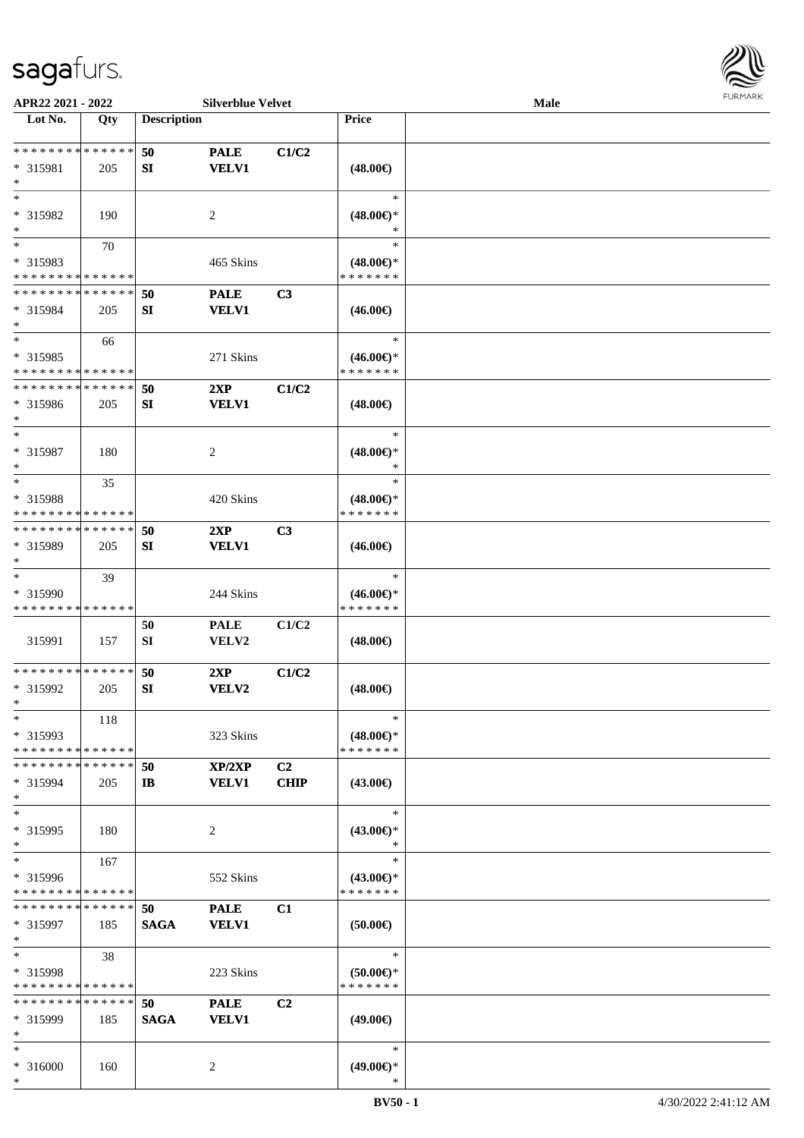

| APR22 2021 - 2022                                            |     |                        | <b>Silverblue Velvet</b>    |                               |                                                | Male |  |
|--------------------------------------------------------------|-----|------------------------|-----------------------------|-------------------------------|------------------------------------------------|------|--|
| Lot No.                                                      | Qty | <b>Description</b>     |                             |                               | <b>Price</b>                                   |      |  |
| * * * * * * * * * * * * * *<br>* 315981<br>$\ast$            | 205 | 50<br>SI               | <b>PALE</b><br><b>VELV1</b> | C1/C2                         | $(48.00\epsilon)$                              |      |  |
| $*$<br>* 315982<br>$\ast$                                    | 190 |                        | 2                           |                               | $\ast$<br>$(48.00\epsilon)$ *                  |      |  |
| $\overline{\ast}$<br>* 315983<br>* * * * * * * * * * * * * * | 70  |                        | 465 Skins                   |                               | $\ast$<br>$(48.00\epsilon)$ *<br>* * * * * * * |      |  |
| * * * * * * * * * * * * * *<br>* 315984<br>$\ast$            | 205 | 50<br>${\bf S}{\bf I}$ | <b>PALE</b><br><b>VELV1</b> | C3                            | $(46.00\epsilon)$                              |      |  |
| $\ast$<br>* 315985<br>* * * * * * * * * * * * * *            | 66  |                        | 271 Skins                   |                               | $\ast$<br>$(46.00ε)$ *<br>* * * * * * *        |      |  |
| * * * * * * * * * * * * * *<br>* 315986<br>$\ast$            | 205 | 50<br>SI               | 2XP<br><b>VELV1</b>         | C1/C2                         | $(48.00\epsilon)$                              |      |  |
| $\ast$<br>* 315987<br>$\ast$                                 | 180 |                        | $\overline{c}$              |                               | $\ast$<br>$(48.00\epsilon)$ *<br>∗             |      |  |
| $\ast$<br>* 315988<br>* * * * * * * * * * * * * *            | 35  |                        | 420 Skins                   |                               | $\ast$<br>$(48.00\epsilon)$ *<br>* * * * * * * |      |  |
| * * * * * * * * * * * * * *<br>* 315989<br>$\ast$            | 205 | 50<br>SI               | 2XP<br><b>VELV1</b>         | C <sub>3</sub>                | $(46.00\epsilon)$                              |      |  |
| $\ast$<br>* 315990<br>* * * * * * * * * * * * * *            | 39  |                        | 244 Skins                   |                               | $\ast$<br>$(46.00\epsilon)$ *<br>* * * * * * * |      |  |
| 315991                                                       | 157 | 50<br>SI               | <b>PALE</b><br>VELV2        | C1/C2                         | $(48.00\epsilon)$                              |      |  |
| * * * * * * * * * * * * * *<br>* 315992<br>$*$               | 205 | 50<br>SI               | 2XP<br>VELV2                | C1/C2                         | $(48.00\epsilon)$                              |      |  |
| $\ast$<br>* 315993<br>* * * * * * * * * * * * * *            | 118 |                        | 323 Skins                   |                               | $\ast$<br>$(48.00\epsilon)$ *<br>* * * * * * * |      |  |
| * * * * * * * * * * * * * *<br>* 315994<br>$*$               | 205 | 50<br>$\mathbf{I}$     | XP/2XP<br><b>VELV1</b>      | C <sub>2</sub><br><b>CHIP</b> | $(43.00\epsilon)$                              |      |  |
| $\ast$<br>* 315995<br>$\ast$                                 | 180 |                        | 2                           |                               | $\ast$<br>$(43.00\epsilon)$ *<br>$\ast$        |      |  |
| $\ast$<br>* 315996<br>* * * * * * * * * * * * * *            | 167 |                        | 552 Skins                   |                               | $\ast$<br>$(43.00€)$ *<br>* * * * * * *        |      |  |
| * * * * * * * * * * * * * * *<br>* 315997<br>$\ast$          | 185 | 50<br><b>SAGA</b>      | <b>PALE</b><br><b>VELV1</b> | C1                            | $(50.00\in)$                                   |      |  |
| $*$<br>* 315998<br>* * * * * * * * * * * * * *               | 38  |                        | 223 Skins                   |                               | $\ast$<br>$(50.00 \in )$ *<br>* * * * * * *    |      |  |
| * * * * * * * * * * * * * *<br>* 315999<br>$*$               | 185 | 50<br><b>SAGA</b>      | <b>PALE</b><br><b>VELV1</b> | C <sub>2</sub>                | $(49.00\epsilon)$                              |      |  |
| $*$<br>* 316000<br>$\ast$                                    | 160 |                        | 2                           |                               | $\ast$<br>$(49.00\epsilon)$ *<br>∗             |      |  |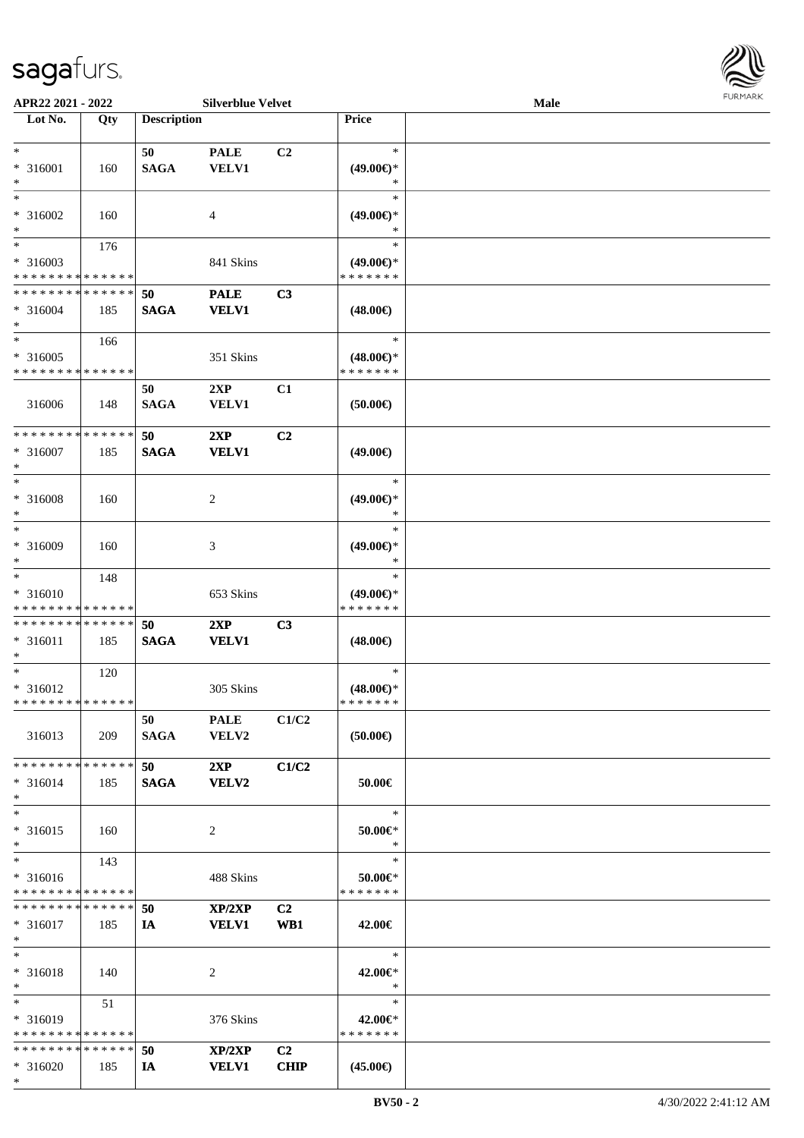\*



| APR22 2021 - 2022             |     |                    | <b>Silverblue Velvet</b> |                |                     | Male |  |
|-------------------------------|-----|--------------------|--------------------------|----------------|---------------------|------|--|
| Lot No.                       | Qty | <b>Description</b> |                          |                | <b>Price</b>        |      |  |
|                               |     |                    |                          |                |                     |      |  |
| $*$                           |     | 50                 | <b>PALE</b>              | C <sub>2</sub> | $\ast$              |      |  |
| * 316001                      | 160 | <b>SAGA</b>        | <b>VELV1</b>             |                | $(49.00€)$ *        |      |  |
| $\ast$                        |     |                    |                          |                | ∗                   |      |  |
| $*$                           |     |                    |                          |                | $\ast$              |      |  |
|                               |     |                    |                          |                |                     |      |  |
| * 316002                      | 160 |                    | 4                        |                | $(49.00\epsilon)$ * |      |  |
| $\ast$                        |     |                    |                          |                |                     |      |  |
| $\overline{\phantom{0}}$      | 176 |                    |                          |                | $\ast$              |      |  |
| * 316003                      |     |                    | 841 Skins                |                | $(49.00€)$ *        |      |  |
| * * * * * * * * * * * * * *   |     |                    |                          |                | * * * * * * *       |      |  |
| * * * * * * * * * * * * * *   |     | 50                 | <b>PALE</b>              | C3             |                     |      |  |
|                               |     |                    |                          |                |                     |      |  |
| * 316004                      | 185 | <b>SAGA</b>        | <b>VELV1</b>             |                | $(48.00\epsilon)$   |      |  |
| $*$                           |     |                    |                          |                |                     |      |  |
| $*$                           | 166 |                    |                          |                | $\ast$              |      |  |
| $* 316005$                    |     |                    | 351 Skins                |                | $(48.00\epsilon)$ * |      |  |
| * * * * * * * * * * * * * *   |     |                    |                          |                | * * * * * * *       |      |  |
|                               |     | 50                 | 2XP                      | C1             |                     |      |  |
| 316006                        | 148 | <b>SAGA</b>        | <b>VELV1</b>             |                | (50.00)             |      |  |
|                               |     |                    |                          |                |                     |      |  |
|                               |     |                    |                          |                |                     |      |  |
| * * * * * * * * * * * * * *   |     | 50                 | 2XP                      | C <sub>2</sub> |                     |      |  |
| $* 316007$                    | 185 | <b>SAGA</b>        | <b>VELV1</b>             |                | $(49.00\epsilon)$   |      |  |
| $*$                           |     |                    |                          |                |                     |      |  |
| $*$                           |     |                    |                          |                | $\ast$              |      |  |
| * 316008                      | 160 |                    | 2                        |                | $(49.00\epsilon)$ * |      |  |
| $*$                           |     |                    |                          |                | ∗                   |      |  |
| $*$                           |     |                    |                          |                |                     |      |  |
|                               |     |                    |                          |                | $\ast$              |      |  |
| $* 316009$                    | 160 |                    | 3                        |                | $(49.00\epsilon)$ * |      |  |
| $*$                           |     |                    |                          |                | *                   |      |  |
| $\ast$                        | 148 |                    |                          |                | $\ast$              |      |  |
| $* 316010$                    |     |                    | 653 Skins                |                | $(49.00\epsilon)$ * |      |  |
| * * * * * * * * * * * * * *   |     |                    |                          |                | * * * * * * *       |      |  |
| * * * * * * * * * * * * * *   |     | 50                 | 2XP                      | C3             |                     |      |  |
|                               |     |                    |                          |                |                     |      |  |
| * 316011                      | 185 | <b>SAGA</b>        | <b>VELV1</b>             |                | $(48.00\epsilon)$   |      |  |
| $*$                           |     |                    |                          |                |                     |      |  |
| $*$                           | 120 |                    |                          |                | $\ast$              |      |  |
| * 316012                      |     |                    | 305 Skins                |                | $(48.00\epsilon)$ * |      |  |
| * * * * * * * * * * * * * * * |     |                    |                          |                | * * * * * * *       |      |  |
|                               |     | 50                 | <b>PALE</b>              | C1/C2          |                     |      |  |
| 316013                        | 209 | <b>SAGA</b>        | VELV2                    |                | $(50.00\epsilon)$   |      |  |
|                               |     |                    |                          |                |                     |      |  |
|                               |     |                    |                          |                |                     |      |  |
| * * * * * * * * * * * * * * * |     | 50                 | 2XP                      | C1/C2          |                     |      |  |
| $* 316014$                    | 185 | <b>SAGA</b>        | <b>VELV2</b>             |                | 50.00€              |      |  |
| $*$                           |     |                    |                          |                |                     |      |  |
| $*$                           |     |                    |                          |                | $\ast$              |      |  |
| $* 316015$                    | 160 |                    | 2                        |                | 50.00€*             |      |  |
| $*$                           |     |                    |                          |                | $\ast$              |      |  |
| $*$                           | 143 |                    |                          |                | $\ast$              |      |  |
|                               |     |                    |                          |                |                     |      |  |
| * 316016                      |     |                    | 488 Skins                |                | 50.00€*             |      |  |
| * * * * * * * * * * * * * *   |     |                    |                          |                | * * * * * * *       |      |  |
| * * * * * * * * * * * * * * * |     | 50                 | XP/2XP                   | C <sub>2</sub> |                     |      |  |
| $* 316017$                    | 185 | IA                 | <b>VELV1</b>             | WB1            | 42.00€              |      |  |
| $*$                           |     |                    |                          |                |                     |      |  |
| $*$                           |     |                    |                          |                | $\ast$              |      |  |
| $* 316018$                    | 140 |                    | 2                        |                | 42.00€*             |      |  |
| $*$                           |     |                    |                          |                | $\ast$              |      |  |
|                               |     |                    |                          |                |                     |      |  |
| $*$ $*$                       | 51  |                    |                          |                | $\ast$              |      |  |
| * 316019                      |     |                    | 376 Skins                |                | 42.00€*             |      |  |
| * * * * * * * * * * * * * *   |     |                    |                          |                | * * * * * * *       |      |  |
| * * * * * * * * * * * * * *   |     | 50                 | XP/2XP                   | C <sub>2</sub> |                     |      |  |
| * 316020                      | 185 | IA                 | <b>VELV1</b>             | <b>CHIP</b>    | $(45.00\epsilon)$   |      |  |
|                               |     |                    |                          |                |                     |      |  |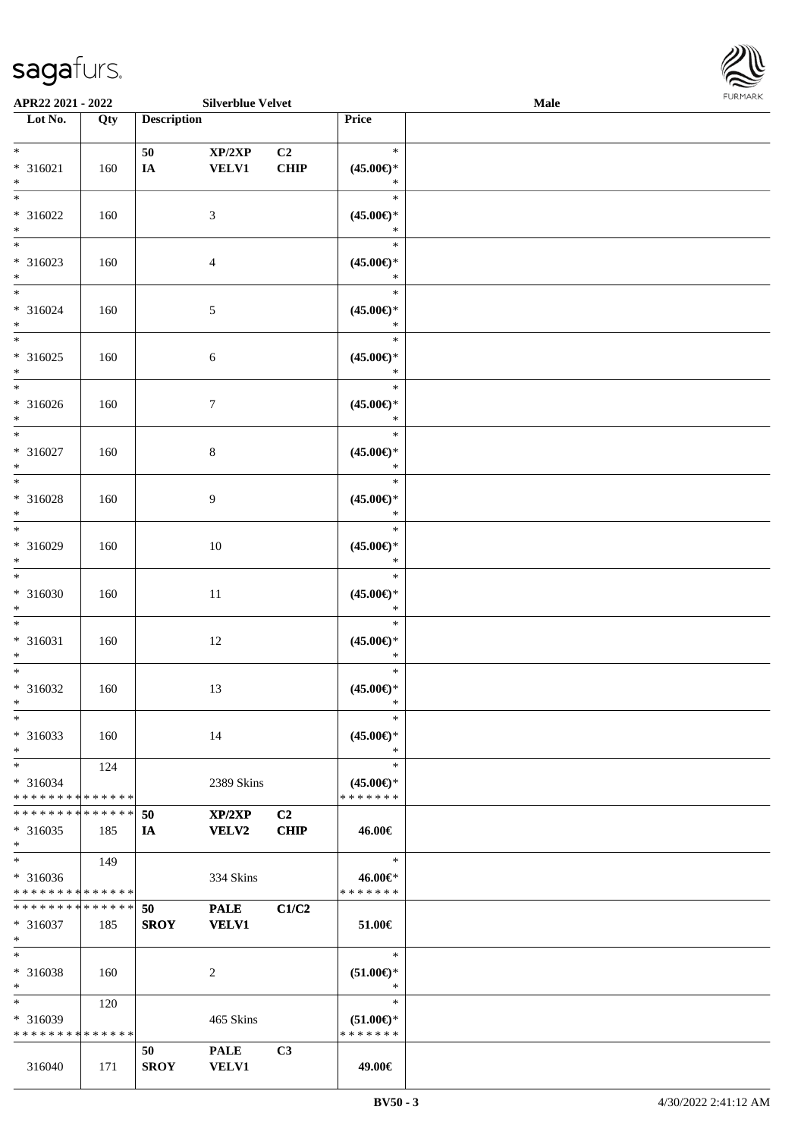

| APR22 2021 - 2022                          |     |                    | <b>Silverblue Velvet</b> |                |                               | Male |  |
|--------------------------------------------|-----|--------------------|--------------------------|----------------|-------------------------------|------|--|
| Lot No.                                    | Qty | <b>Description</b> |                          |                | Price                         |      |  |
|                                            |     |                    |                          |                |                               |      |  |
| $*$                                        |     | 50                 | XP/2XP                   | C <sub>2</sub> | $\ast$                        |      |  |
| $* 316021$                                 | 160 | IA                 | <b>VELV1</b>             | <b>CHIP</b>    | $(45.00\epsilon)$ *           |      |  |
| $*$                                        |     |                    |                          |                | $\ast$                        |      |  |
|                                            |     |                    |                          |                | $\ast$                        |      |  |
| * 316022                                   | 160 |                    | 3                        |                | $(45.00\epsilon)$ *           |      |  |
| $*$                                        |     |                    |                          |                | *                             |      |  |
|                                            |     |                    |                          |                | $\ast$                        |      |  |
| * 316023                                   | 160 |                    | $\overline{4}$           |                | $(45.00\epsilon)$ *           |      |  |
| $*$                                        |     |                    |                          |                | *                             |      |  |
| $\ddot{x}$                                 |     |                    |                          |                | $\ast$                        |      |  |
| * 316024                                   | 160 |                    | 5                        |                | $(45.00\epsilon)$ *           |      |  |
| $*$                                        |     |                    |                          |                | $\ast$                        |      |  |
| $*$                                        |     |                    |                          |                | $\ast$                        |      |  |
| $* 316025$                                 | 160 |                    | $\sqrt{6}$               |                | $(45.00\epsilon)$ *           |      |  |
| $\ast$                                     |     |                    |                          |                | $\ast$                        |      |  |
| $\overline{\phantom{0}}$                   |     |                    |                          |                | $\ast$                        |      |  |
| * 316026                                   |     |                    |                          |                | $(45.00\epsilon)$ *           |      |  |
| $*$                                        | 160 |                    | $\tau$                   |                | $\ast$                        |      |  |
| $\overline{\ast}$                          |     |                    |                          |                | $\ast$                        |      |  |
|                                            |     |                    |                          |                |                               |      |  |
| $* 316027$                                 | 160 |                    | $8\,$                    |                | $(45.00\epsilon)$ *           |      |  |
| $*$<br>$*$                                 |     |                    |                          |                | $\ast$                        |      |  |
|                                            |     |                    |                          |                | $\ast$                        |      |  |
| * 316028                                   | 160 |                    | 9                        |                | $(45.00\epsilon)$ *           |      |  |
| $*$                                        |     |                    |                          |                | $\ast$                        |      |  |
| $\overline{\ast}$                          |     |                    |                          |                | $\ast$                        |      |  |
| * 316029                                   | 160 |                    | 10                       |                | $(45.00\epsilon)$ *           |      |  |
| $*$                                        |     |                    |                          |                | $\ast$                        |      |  |
| $*$                                        |     |                    |                          |                | $\ast$                        |      |  |
| * 316030                                   | 160 |                    | 11                       |                | $(45.00\epsilon)$ *           |      |  |
| $*$                                        |     |                    |                          |                | $\ast$                        |      |  |
| $*$                                        |     |                    |                          |                | $\ast$                        |      |  |
| $* 316031$                                 | 160 |                    | 12                       |                | $(45.00\epsilon)$ *           |      |  |
| $\ast$                                     |     |                    |                          |                | $\ast$                        |      |  |
| $*$                                        |     |                    |                          |                | $\ast$                        |      |  |
| * 316032                                   | 160 |                    | 13                       |                | $(45.00\epsilon)$ *           |      |  |
| $*$                                        |     |                    |                          |                | $\ast$                        |      |  |
| $\ast$                                     |     |                    |                          |                | $\ast$                        |      |  |
| $* 316033$                                 | 160 |                    | 14                       |                | $(45.00\epsilon)$ *           |      |  |
| $*$                                        |     |                    |                          |                | $\ast$                        |      |  |
| $*$                                        | 124 |                    |                          |                | $\ast$                        |      |  |
| $* 316034$                                 |     |                    | 2389 Skins               |                | $(45.00\epsilon)$ *           |      |  |
| * * * * * * * * * * * * * *                |     |                    |                          |                | * * * * * * *                 |      |  |
| * * * * * * * * * * * * * * *              |     | 50                 | XP/2XP                   | C2             |                               |      |  |
| * 316035                                   | 185 | IA                 | <b>VELV2</b>             | <b>CHIP</b>    | 46.00€                        |      |  |
| $*$                                        |     |                    |                          |                |                               |      |  |
| $*$                                        | 149 |                    |                          |                | $\ast$                        |      |  |
| $* 316036$                                 |     |                    | 334 Skins                |                | 46.00€*                       |      |  |
| * * * * * * * * * * * * * *                |     |                    |                          |                | * * * * * * *                 |      |  |
| * * * * * * * * <mark>* * * * * *</mark> * |     | 50                 | <b>PALE</b>              | C1/C2          |                               |      |  |
| * 316037                                   |     | <b>SROY</b>        | <b>VELV1</b>             |                | 51.00€                        |      |  |
| $\ast$                                     | 185 |                    |                          |                |                               |      |  |
| $*$                                        |     |                    |                          |                | $\ast$                        |      |  |
|                                            |     |                    |                          |                |                               |      |  |
| * 316038<br>$\ast$                         | 160 |                    | 2                        |                | $(51.00\epsilon)$ *<br>$\ast$ |      |  |
|                                            |     |                    |                          |                | $\ast$                        |      |  |
| $*$                                        | 120 |                    |                          |                |                               |      |  |
| * 316039                                   |     |                    | 465 Skins                |                | $(51.00\epsilon)$ *           |      |  |
| * * * * * * * * * * * * * *                |     |                    |                          |                | * * * * * * *                 |      |  |
|                                            |     | 50                 | <b>PALE</b>              | C <sub>3</sub> |                               |      |  |
| 316040                                     | 171 | <b>SROY</b>        | <b>VELV1</b>             |                | 49.00€                        |      |  |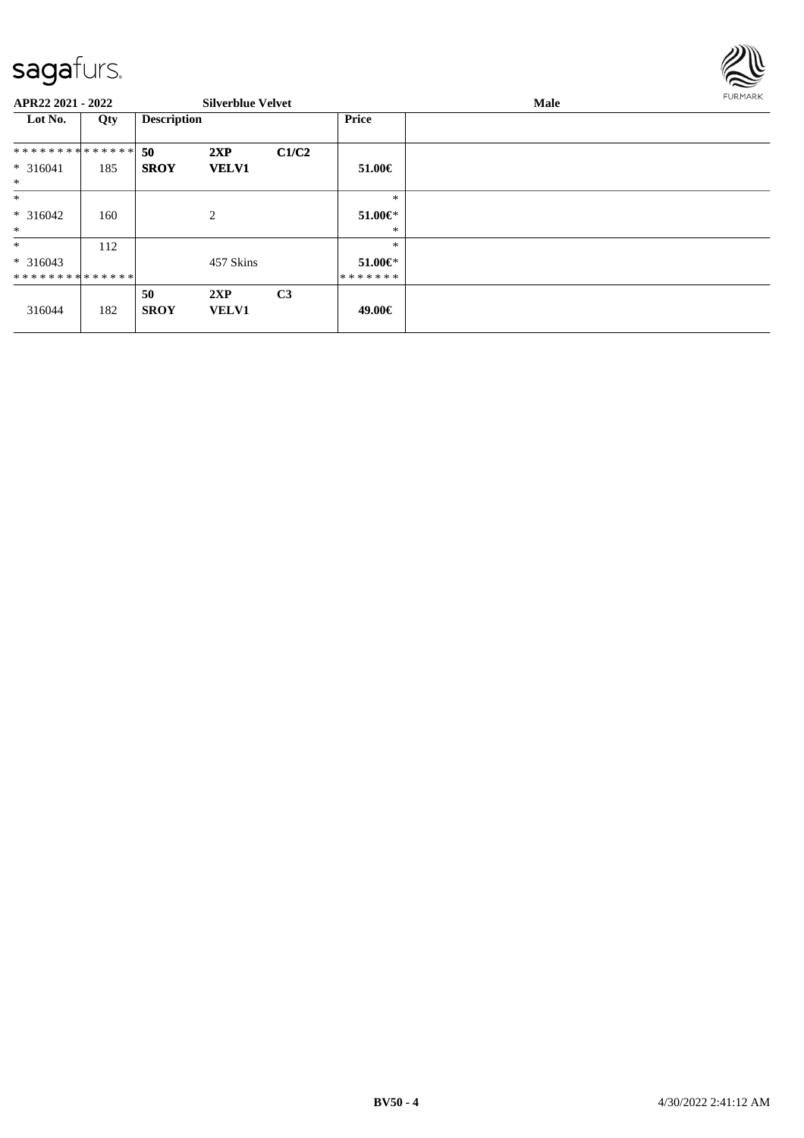

#### **APR22 2021 - 2022 Silverblue Velvet Male Lot No. Qty Description Price 50 2XP C1/C2 SROY VELV1** \* \* \* \* \* \* \* \* \* \* \* \* \* \* \* 316041 185 \* **51.00€** \* \* 316042 160 2 \* \* \* **51.00€** \* \* \* 316043 \* \* \* \* \* \* \* \* \* \* \* \* \* \* 112 457 Skins \* \* **51.00€** \* \* \* \* \* \* \* 316044 182 **50 2XP C3 SROY VELV1 49.00€**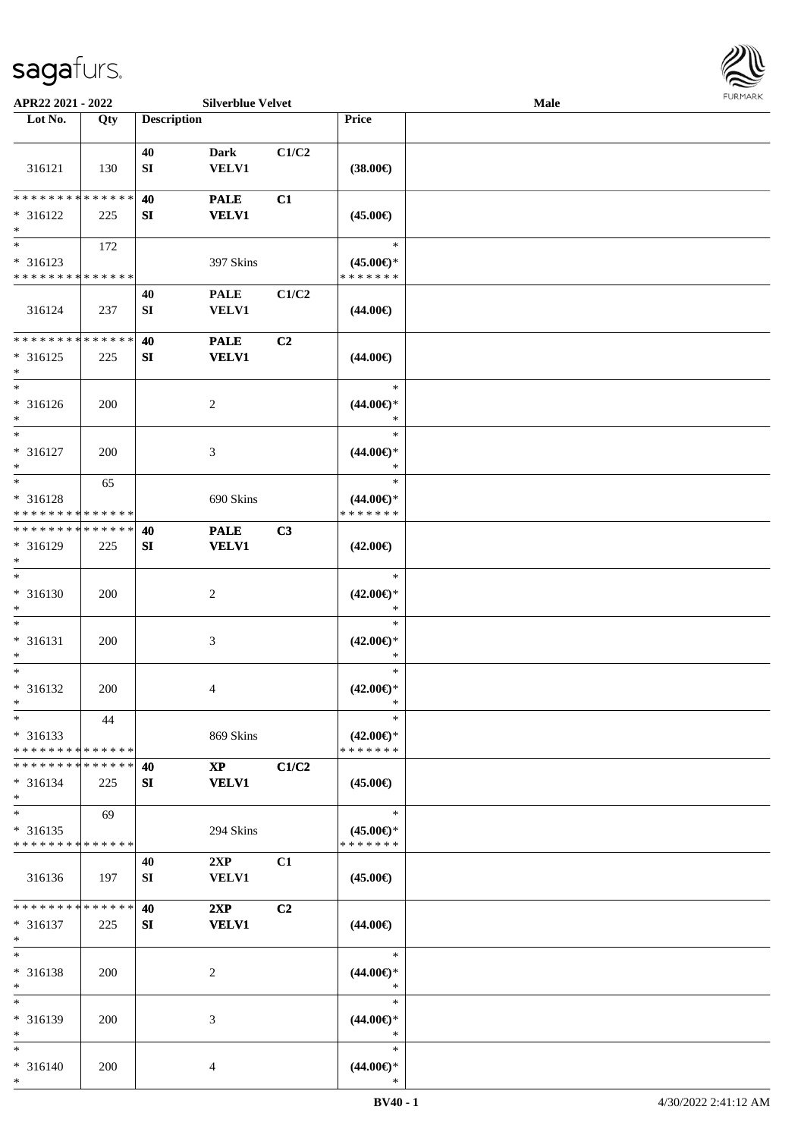

| APR22 2021 - 2022                       |             |                    | <b>Silverblue Velvet</b> |                |                                      | Male |  |
|-----------------------------------------|-------------|--------------------|--------------------------|----------------|--------------------------------------|------|--|
| Lot No.                                 | Qty         | <b>Description</b> |                          |                | Price                                |      |  |
|                                         |             |                    |                          |                |                                      |      |  |
|                                         |             | 40                 | <b>Dark</b>              | C1/C2          |                                      |      |  |
| 316121                                  | 130         | ${\bf S}{\bf I}$   | <b>VELV1</b>             |                | $(38.00\epsilon)$                    |      |  |
|                                         |             |                    |                          |                |                                      |      |  |
| * * * * * * * *                         | * * * * * * | 40                 | <b>PALE</b>              | C1             |                                      |      |  |
| $* 316122$                              | 225         | SI                 | <b>VELV1</b>             |                | $(45.00\epsilon)$                    |      |  |
| $\ast$                                  |             |                    |                          |                |                                      |      |  |
| $\overline{\phantom{1}}$                | 172         |                    |                          |                | $\ast$                               |      |  |
| $* 316123$                              |             |                    | 397 Skins                |                | $(45.00\epsilon)$ *                  |      |  |
| * * * * * * * * * * * * * *             |             |                    |                          |                | * * * * * * *                        |      |  |
|                                         |             | 40                 | <b>PALE</b>              | C1/C2          |                                      |      |  |
| 316124                                  | 237         | ${\bf S}{\bf I}$   | <b>VELV1</b>             |                | $(44.00\epsilon)$                    |      |  |
|                                         |             |                    |                          |                |                                      |      |  |
| * * * * * * * *                         | * * * * * * | 40                 | <b>PALE</b>              | C <sub>2</sub> |                                      |      |  |
| $* 316125$                              | 225         | SI                 | <b>VELV1</b>             |                | $(44.00\epsilon)$                    |      |  |
| $\ast$<br>$\ast$                        |             |                    |                          |                |                                      |      |  |
|                                         |             |                    |                          |                | $\ast$                               |      |  |
| $* 316126$                              | 200         |                    | $\overline{c}$           |                | $(44.00\epsilon)$ *                  |      |  |
| $\ast$<br>$\overline{\ast}$             |             |                    |                          |                | $\ast$                               |      |  |
|                                         |             |                    |                          |                | $\ast$                               |      |  |
| $* 316127$<br>$\ast$                    | 200         |                    | $\mathfrak{Z}$           |                | $(44.00\epsilon)$ *<br>$\ast$        |      |  |
| $\ast$                                  |             |                    |                          |                | $\ast$                               |      |  |
|                                         | 65          |                    |                          |                |                                      |      |  |
| * 316128<br>* * * * * * * * * * * * * * |             |                    | 690 Skins                |                | $(44.00\epsilon)$ *<br>* * * * * * * |      |  |
| * * * * * * * * * * * * * *             |             | 40                 | <b>PALE</b>              | C3             |                                      |      |  |
| * 316129                                | 225         | ${\bf S}{\bf I}$   | <b>VELV1</b>             |                | $(42.00\epsilon)$                    |      |  |
| $\ast$                                  |             |                    |                          |                |                                      |      |  |
| $\overline{\phantom{1}}$                |             |                    |                          |                | $\ast$                               |      |  |
| $* 316130$                              | 200         |                    | $\overline{c}$           |                | $(42.00\epsilon)$ *                  |      |  |
| $\ast$                                  |             |                    |                          |                | $\ast$                               |      |  |
| $\ast$                                  |             |                    |                          |                | $\ast$                               |      |  |
| $* 316131$                              | 200         |                    | $\mathfrak{Z}$           |                | $(42.00\epsilon)$ *                  |      |  |
| $\ast$                                  |             |                    |                          |                | $\ast$                               |      |  |
| $\ast$                                  |             |                    |                          |                | $\ast$                               |      |  |
| * 316132                                | 200         |                    | $\overline{4}$           |                | $(42.00\epsilon)$ *                  |      |  |
| $*$                                     |             |                    |                          |                | $\ast$                               |      |  |
| $*$                                     | 44          |                    |                          |                | $\ast$                               |      |  |
| $* 316133$                              |             |                    | 869 Skins                |                | $(42.00\epsilon)$ *                  |      |  |
| * * * * * * * * * * * * * *             |             |                    |                          |                | * * * * * * *                        |      |  |
| * * * * * * * * * * * * * *             |             | 40                 | $\mathbf{XP}$            | C1/C2          |                                      |      |  |
| $* 316134$                              | 225         | SI                 | <b>VELV1</b>             |                | $(45.00\epsilon)$                    |      |  |
| $\ast$                                  |             |                    |                          |                |                                      |      |  |
| $\ast$                                  | 69          |                    |                          |                | $\ast$                               |      |  |
| $* 316135$                              |             |                    | 294 Skins                |                | $(45.00\epsilon)$ *                  |      |  |
| * * * * * * * * * * * * * *             |             |                    |                          |                | * * * * * * *                        |      |  |
|                                         |             | 40                 | 2XP                      | C1             |                                      |      |  |
| 316136                                  | 197         | SI                 | VELV1                    |                | $(45.00\epsilon)$                    |      |  |
| * * * * * * * * * * * * * *             |             |                    |                          |                |                                      |      |  |
|                                         |             | 40                 | 2XP                      | C2             |                                      |      |  |
| $* 316137$<br>$\ast$                    | 225         | SI                 | <b>VELV1</b>             |                | $(44.00\epsilon)$                    |      |  |
| $\ast$                                  |             |                    |                          |                | $\ast$                               |      |  |
| * 316138                                | 200         |                    | $\sqrt{2}$               |                | $(44.00\epsilon)$ *                  |      |  |
| $\ast$                                  |             |                    |                          |                | $\ast$                               |      |  |
| $\ast$                                  |             |                    |                          |                | $\ast$                               |      |  |
| * 316139                                | 200         |                    | 3                        |                | $(44.00\epsilon)$ *                  |      |  |
| $*$                                     |             |                    |                          |                | $\ast$                               |      |  |
| $*$                                     |             |                    |                          |                | $\ast$                               |      |  |
| $* 316140$                              | 200         |                    | $\overline{4}$           |                | $(44.00\epsilon)$ *                  |      |  |
| $*$                                     |             |                    |                          |                | $\ast$                               |      |  |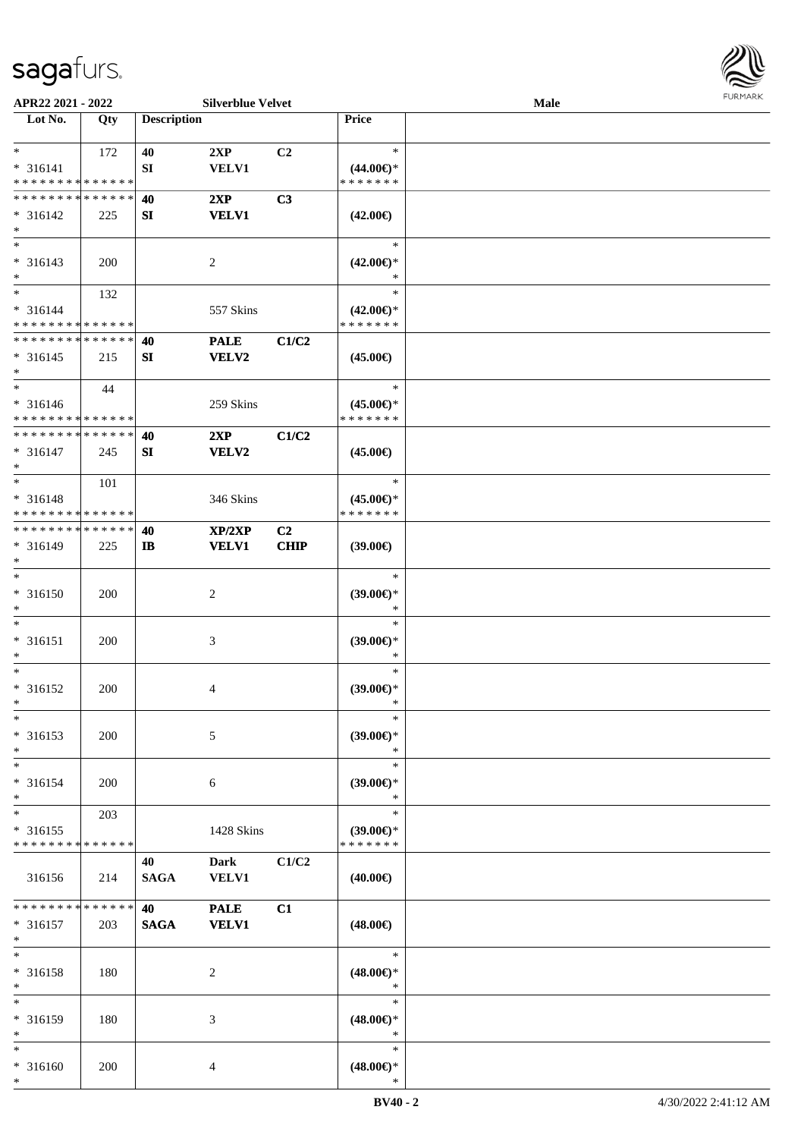

| APR22 2021 - 2022                          |             |                    | <b>Silverblue Velvet</b> |             |                               | <b>Male</b> |  |
|--------------------------------------------|-------------|--------------------|--------------------------|-------------|-------------------------------|-------------|--|
| Lot No.                                    | Qty         | <b>Description</b> |                          |             | <b>Price</b>                  |             |  |
|                                            |             |                    |                          |             |                               |             |  |
| $*$                                        | 172         | 40                 | 2XP                      | C2          | $\ast$                        |             |  |
| $* 316141$                                 |             | SI                 | <b>VELV1</b>             |             | $(44.00\epsilon)$ *           |             |  |
| * * * * * * * * * * * * * *                |             |                    |                          |             | * * * * * * *                 |             |  |
|                                            |             |                    |                          |             |                               |             |  |
| * * * * * * * * * * * * * *                |             | 40                 | 2XP                      | C3          |                               |             |  |
| $* 316142$                                 | 225         | SI                 | <b>VELV1</b>             |             | $(42.00\epsilon)$             |             |  |
| $*$                                        |             |                    |                          |             |                               |             |  |
| $*$                                        |             |                    |                          |             | $\ast$                        |             |  |
| $* 316143$                                 | 200         |                    | $\overline{2}$           |             | $(42.00\epsilon)$ *           |             |  |
| $*$                                        |             |                    |                          |             | $\ast$                        |             |  |
| $*$                                        | 132         |                    |                          |             | $\ast$                        |             |  |
| * 316144                                   |             |                    | 557 Skins                |             | $(42.00\epsilon)$ *           |             |  |
| * * * * * * * * * * * * * *                |             |                    |                          |             | * * * * * * *                 |             |  |
| * * * * * * * * * * * * * *                |             |                    |                          |             |                               |             |  |
|                                            |             | 40                 | <b>PALE</b>              | C1/C2       |                               |             |  |
| $* 316145$                                 | 215         | SI                 | VELV2                    |             | $(45.00\epsilon)$             |             |  |
| $\ast$                                     |             |                    |                          |             |                               |             |  |
| $*$                                        | 44          |                    |                          |             | $\ast$                        |             |  |
| $* 316146$                                 |             |                    | 259 Skins                |             | $(45.00\epsilon)$ *           |             |  |
| * * * * * * * * * * * * * *                |             |                    |                          |             | * * * * * * *                 |             |  |
| * * * * * * * * * * * * * *                |             | 40                 | 2XP                      | C1/C2       |                               |             |  |
| $* 316147$                                 | 245         | SI                 | <b>VELV2</b>             |             | $(45.00\epsilon)$             |             |  |
| $*$                                        |             |                    |                          |             |                               |             |  |
| $*$                                        |             |                    |                          |             | $\ast$                        |             |  |
|                                            | 101         |                    |                          |             |                               |             |  |
| * 316148                                   |             |                    | 346 Skins                |             | $(45.00\epsilon)$ *           |             |  |
| * * * * * * * * <mark>* * * * * * *</mark> |             |                    |                          |             | * * * * * * *                 |             |  |
| * * * * * * * * * * * * * *                |             | 40                 | XP/2XP                   | C2          |                               |             |  |
| * 316149                                   | 225         | $\mathbf{I}$       | <b>VELV1</b>             | <b>CHIP</b> | $(39.00\epsilon)$             |             |  |
| $*$                                        |             |                    |                          |             |                               |             |  |
| $*$                                        |             |                    |                          |             | $\ast$                        |             |  |
| $* 316150$                                 | 200         |                    | $\overline{2}$           |             | $(39.00\epsilon)$ *           |             |  |
| $*$                                        |             |                    |                          |             | $\ast$                        |             |  |
| $*$                                        |             |                    |                          |             | $\ast$                        |             |  |
|                                            |             |                    |                          |             |                               |             |  |
| $* 316151$                                 | 200         |                    | $\mathfrak{Z}$           |             | $(39.00\epsilon)$ *           |             |  |
| $*$                                        |             |                    |                          |             | $\ast$                        |             |  |
| $*$                                        |             |                    |                          |             | $\ast$                        |             |  |
| * 316152                                   | 200         |                    | 4                        |             | $(39.00\epsilon)$ *           |             |  |
| $*$                                        |             |                    |                          |             | $\ast$                        |             |  |
| $*$                                        |             |                    |                          |             | $\ast$                        |             |  |
| * 316153                                   | 200         |                    | 5                        |             | $(39.00\epsilon)$ *           |             |  |
| $*$                                        |             |                    |                          |             | $\ast$                        |             |  |
| $*$                                        |             |                    |                          |             | $\ast$                        |             |  |
| * 316154                                   |             |                    |                          |             |                               |             |  |
| $*$                                        | 200         |                    | 6                        |             | $(39.00\epsilon)$ *<br>$\ast$ |             |  |
|                                            |             |                    |                          |             |                               |             |  |
| $*$                                        | 203         |                    |                          |             | $\ast$                        |             |  |
| * 316155                                   |             |                    | 1428 Skins               |             | $(39.00\epsilon)$ *           |             |  |
| * * * * * * * *                            | * * * * * * |                    |                          |             | * * * * * * *                 |             |  |
|                                            |             | 40                 | <b>Dark</b>              | C1/C2       |                               |             |  |
| 316156                                     | 214         | <b>SAGA</b>        | <b>VELV1</b>             |             | $(40.00\epsilon)$             |             |  |
|                                            |             |                    |                          |             |                               |             |  |
| * * * * * * * *                            | * * * * * * | 40                 | <b>PALE</b>              | C1          |                               |             |  |
| * 316157                                   | 203         | <b>SAGA</b>        | <b>VELV1</b>             |             | $(48.00\epsilon)$             |             |  |
| $*$                                        |             |                    |                          |             |                               |             |  |
| $*$                                        |             |                    |                          |             | $\ast$                        |             |  |
|                                            |             |                    |                          |             |                               |             |  |
| * 316158                                   | 180         |                    | 2                        |             | $(48.00\epsilon)$ *           |             |  |
| $*$                                        |             |                    |                          |             | $\ast$                        |             |  |
| $*$                                        |             |                    |                          |             | $\ast$                        |             |  |
| * 316159                                   | 180         |                    | 3                        |             | $(48.00\epsilon)$ *           |             |  |
| $*$                                        |             |                    |                          |             | $\ast$                        |             |  |
| $*$                                        |             |                    |                          |             | $\ast$                        |             |  |
| * 316160                                   | 200         |                    | 4                        |             | $(48.00\epsilon)$ *           |             |  |
| $*$                                        |             |                    |                          |             | $\ast$                        |             |  |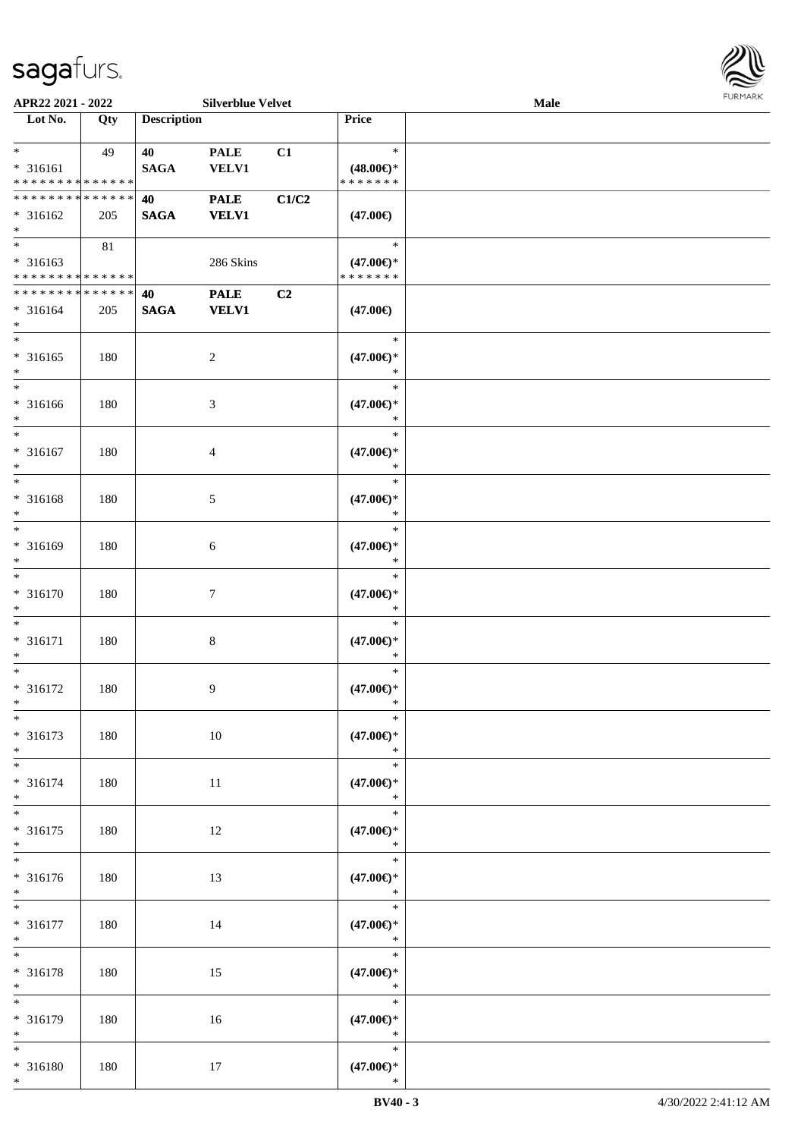

| APR22 2021 - 2022                              |     |                    | <b>Silverblue Velvet</b>    |                |                                                   | Male |  |
|------------------------------------------------|-----|--------------------|-----------------------------|----------------|---------------------------------------------------|------|--|
| Lot No.                                        | Qty | <b>Description</b> |                             |                | Price                                             |      |  |
| $*$<br>* 316161<br>* * * * * * * * * * * * * * | 49  | 40<br><b>SAGA</b>  | <b>PALE</b><br><b>VELV1</b> | C1             | $\ast$<br>$(48.00\epsilon)$ *<br>* * * * * * *    |      |  |
| * * * * * * * * * * * * * *<br>* 316162<br>$*$ | 205 | 40<br><b>SAGA</b>  | <b>PALE</b><br><b>VELV1</b> | C1/C2          | $(47.00\epsilon)$                                 |      |  |
| * 316163<br>* * * * * * * * * * * * * *        | 81  |                    | 286 Skins                   |                | $\ast$<br>$(47.00\epsilon)$ *<br>* * * * * * *    |      |  |
| * * * * * * * * * * * * * *<br>* 316164<br>$*$ | 205 | 40<br><b>SAGA</b>  | <b>PALE</b><br><b>VELV1</b> | C <sub>2</sub> | $(47.00\epsilon)$                                 |      |  |
| $*$<br>$* 316165$<br>$*$                       | 180 |                    | $\overline{c}$              |                | $\ast$<br>$(47.00\epsilon)$ *<br>$\ast$           |      |  |
| $*$<br>$* 316166$<br>$*$                       | 180 |                    | 3                           |                | $\ast$<br>$(47.00\epsilon)$ *<br>$\ast$           |      |  |
| $\ast$<br>$* 316167$<br>$*$                    | 180 |                    | 4                           |                | $\ast$<br>$(47.00\epsilon)$ *<br>$\ast$           |      |  |
| $*$<br>* 316168<br>$\ast$                      | 180 |                    | 5                           |                | $\ast$<br>$(47.00\epsilon)$ *<br>$\ast$           |      |  |
| $*$<br>* 316169<br>$*$<br>$\ast$               | 180 |                    | 6                           |                | $\ast$<br>$(47.00\epsilon)$ *<br>$\ast$           |      |  |
| $* 316170$<br>$*$                              | 180 |                    | $\tau$                      |                | $\ast$<br>$(47.00\epsilon)$ *<br>$\ast$           |      |  |
| $*$<br>$* 316171$<br>$*$<br>$*$                | 180 |                    | 8                           |                | $\ast$<br>$(47.00\epsilon)$ *<br>$\ast$           |      |  |
| $* 316172$<br>$*$<br>$\ast$                    | 180 |                    | 9                           |                | $\ast$<br>$(47.00\epsilon)$ *<br>$\ast$<br>$\ast$ |      |  |
| * 316173<br>$*$<br>$*$                         | 180 |                    | 10                          |                | $(47.00\epsilon)$ *<br>$\ast$<br>$\ast$           |      |  |
| * 316174<br>$*$<br>$*$                         | 180 |                    | 11                          |                | $(47.00\epsilon)$ *<br>$\ast$<br>$\ast$           |      |  |
| $* 316175$<br>$*$                              | 180 |                    | 12                          |                | $(47.00ε)$ *<br>$\ast$<br>$\ast$                  |      |  |
| * 316176<br>$*$<br>$*$                         | 180 |                    | 13                          |                | $(47.00\epsilon)$ *<br>$\ast$                     |      |  |
| $* 316177$<br>$*$                              | 180 |                    | 14                          |                | $\ast$<br>$(47.00\epsilon)$ *<br>$\ast$           |      |  |
| $*$<br>* 316178<br>$*$<br>$\overline{\ast}$    | 180 |                    | 15                          |                | $\ast$<br>$(47.00\epsilon)$ *<br>$\ast$           |      |  |
| * 316179<br>$*$                                | 180 |                    | 16                          |                | $\ast$<br>$(47.00\epsilon)$ *<br>$\ast$           |      |  |
| $*$<br>* 316180<br>$*$                         | 180 |                    | 17                          |                | $\ast$<br>$(47.00\epsilon)$ *<br>$\ast$           |      |  |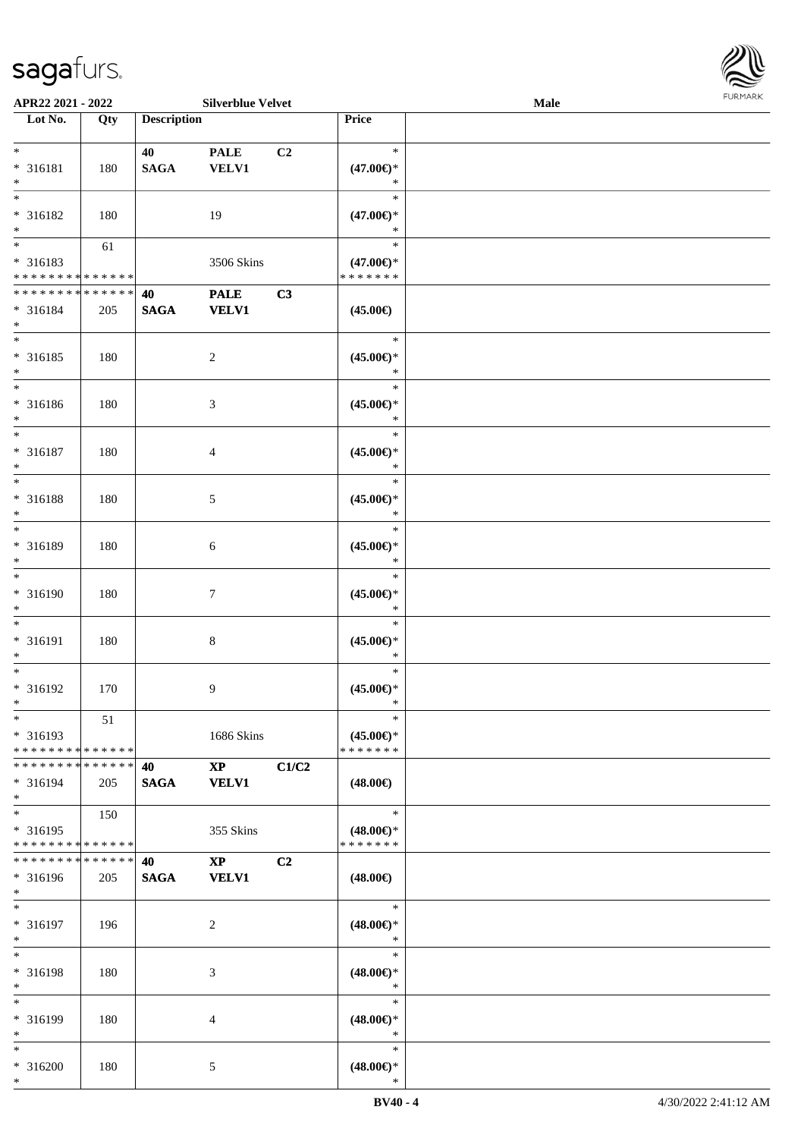

| APR22 2021 - 2022                |             |                    | <b>Silverblue Velvet</b> |       |                     | Male | 1.91111111 |
|----------------------------------|-------------|--------------------|--------------------------|-------|---------------------|------|------------|
| $\overline{\phantom{1}}$ Lot No. | Qty         | <b>Description</b> |                          |       | Price               |      |            |
|                                  |             |                    |                          |       |                     |      |            |
| $*$                              |             | 40                 | <b>PALE</b>              | C2    | $\ast$              |      |            |
| * 316181                         | 180         | $\mathbf{SAGA}$    | VELV1                    |       | $(47.00\epsilon)$ * |      |            |
| $\ast$                           |             |                    |                          |       | $\ast$              |      |            |
| $\overline{\phantom{1}}$         |             |                    |                          |       | $\ast$              |      |            |
| * 316182                         | 180         |                    | 19                       |       | $(47.00\epsilon)$ * |      |            |
| $\ast$                           |             |                    |                          |       | $\ast$              |      |            |
| $\overline{\ }$                  |             |                    |                          |       | $\ast$              |      |            |
|                                  | 61          |                    |                          |       |                     |      |            |
| * 316183                         |             |                    | 3506 Skins               |       | $(47.00\epsilon)$ * |      |            |
| * * * * * * * * * * * * * *      |             |                    |                          |       | * * * * * * *       |      |            |
| * * * * * * * * * * * * * *      |             | 40                 | <b>PALE</b>              | C3    |                     |      |            |
| $* 316184$                       | 205         | <b>SAGA</b>        | <b>VELV1</b>             |       | $(45.00\epsilon)$   |      |            |
| $*$                              |             |                    |                          |       |                     |      |            |
| $\overline{\ast}$                |             |                    |                          |       | $\ast$              |      |            |
| $* 316185$                       | 180         |                    | $\sqrt{2}$               |       | $(45.00ε)$ *        |      |            |
| $\ast$                           |             |                    |                          |       | $\ast$              |      |            |
| $\overline{\ast}$                |             |                    |                          |       | $\ast$              |      |            |
| $* 316186$                       | 180         |                    | $\mathfrak{Z}$           |       | $(45.00\epsilon)*$  |      |            |
| $\ast$                           |             |                    |                          |       | $\ast$              |      |            |
| $\overline{\ast}$                |             |                    |                          |       | $\ast$              |      |            |
|                                  |             |                    |                          |       |                     |      |            |
| $* 316187$                       | 180         |                    | $\overline{4}$           |       | $(45.00\epsilon)$ * |      |            |
| $\ast$                           |             |                    |                          |       | $\ast$              |      |            |
| $\overline{\phantom{0}}$         |             |                    |                          |       | $\ast$              |      |            |
| $* 316188$                       | 180         |                    | $\mathfrak{S}$           |       | $(45.00\epsilon)$ * |      |            |
| $\ast$                           |             |                    |                          |       | $\ast$              |      |            |
| $\ast$                           |             |                    |                          |       | $\ast$              |      |            |
| * 316189                         | 180         |                    | $\sqrt{6}$               |       | $(45.00\epsilon)$ * |      |            |
| $\ast$                           |             |                    |                          |       | $\ast$              |      |            |
| $\ast$                           |             |                    |                          |       | $\ast$              |      |            |
| * 316190                         | 180         |                    | $7\phantom{.0}$          |       | $(45.00ε)$ *        |      |            |
| $\ast$                           |             |                    |                          |       | $\ast$              |      |            |
| $\overline{\phantom{1}}$         |             |                    |                          |       | $\ast$              |      |            |
|                                  |             |                    |                          |       |                     |      |            |
| * 316191                         | 180         |                    | $\,8\,$                  |       | $(45.00ε)$ *        |      |            |
| $\ast$                           |             |                    |                          |       | $\ast$              |      |            |
| $\ast$                           |             |                    |                          |       | $\ast$              |      |            |
| $* 316192$                       | 170         |                    | 9                        |       | $(45.00\epsilon)*$  |      |            |
| $*$                              |             |                    |                          |       | $\ast$              |      |            |
| $*$                              | 51          |                    |                          |       | $\ast$              |      |            |
| * 316193                         |             |                    | 1686 Skins               |       | $(45.00\epsilon)$ * |      |            |
| * * * * * * * * * * * * * *      |             |                    |                          |       | * * * * * * *       |      |            |
| * * * * * * * *                  | * * * * * * | 40                 | $\mathbf{X}\mathbf{P}$   | C1/C2 |                     |      |            |
| $* 316194$                       | 205         | <b>SAGA</b>        | <b>VELV1</b>             |       | $(48.00\epsilon)$   |      |            |
| $*$                              |             |                    |                          |       |                     |      |            |
| $\ast$                           | 150         |                    |                          |       | $\ast$              |      |            |
| * 316195                         |             |                    |                          |       | $(48.00\epsilon)$ * |      |            |
|                                  |             |                    | 355 Skins                |       |                     |      |            |
| * * * * * * * * * * * * * *      |             |                    |                          |       | * * * * * * *       |      |            |
| * * * * * * * *                  | * * * * * * | 40                 | $\mathbf{X}\mathbf{P}$   | C2    |                     |      |            |
| * 316196                         | 205         | <b>SAGA</b>        | <b>VELV1</b>             |       | $(48.00\epsilon)$   |      |            |
| $\ast$                           |             |                    |                          |       |                     |      |            |
| $\ast$                           |             |                    |                          |       | $\ast$              |      |            |
| $* 316197$                       | 196         |                    | $\overline{c}$           |       | $(48.00\epsilon)$ * |      |            |
| $*$                              |             |                    |                          |       | $\ast$              |      |            |
| $\ast$                           |             |                    |                          |       | $\ast$              |      |            |
| * 316198                         | 180         |                    | $\mathfrak{Z}$           |       | $(48.00\epsilon)$ * |      |            |
| $\ast$                           |             |                    |                          |       | $\ast$              |      |            |
| $\ast$                           |             |                    |                          |       | $\ast$              |      |            |
| * 316199                         | 180         |                    | $\overline{4}$           |       | $(48.00\epsilon)$ * |      |            |
| $\ast$                           |             |                    |                          |       | $\ast$              |      |            |
| $\overline{\phantom{a}^*}$       |             |                    |                          |       | $\ast$              |      |            |
|                                  |             |                    |                          |       |                     |      |            |
| $* 316200$                       | 180         |                    | $\sqrt{5}$               |       | $(48.00\epsilon)$ * |      |            |
| $*$                              |             |                    |                          |       | $\ast$              |      |            |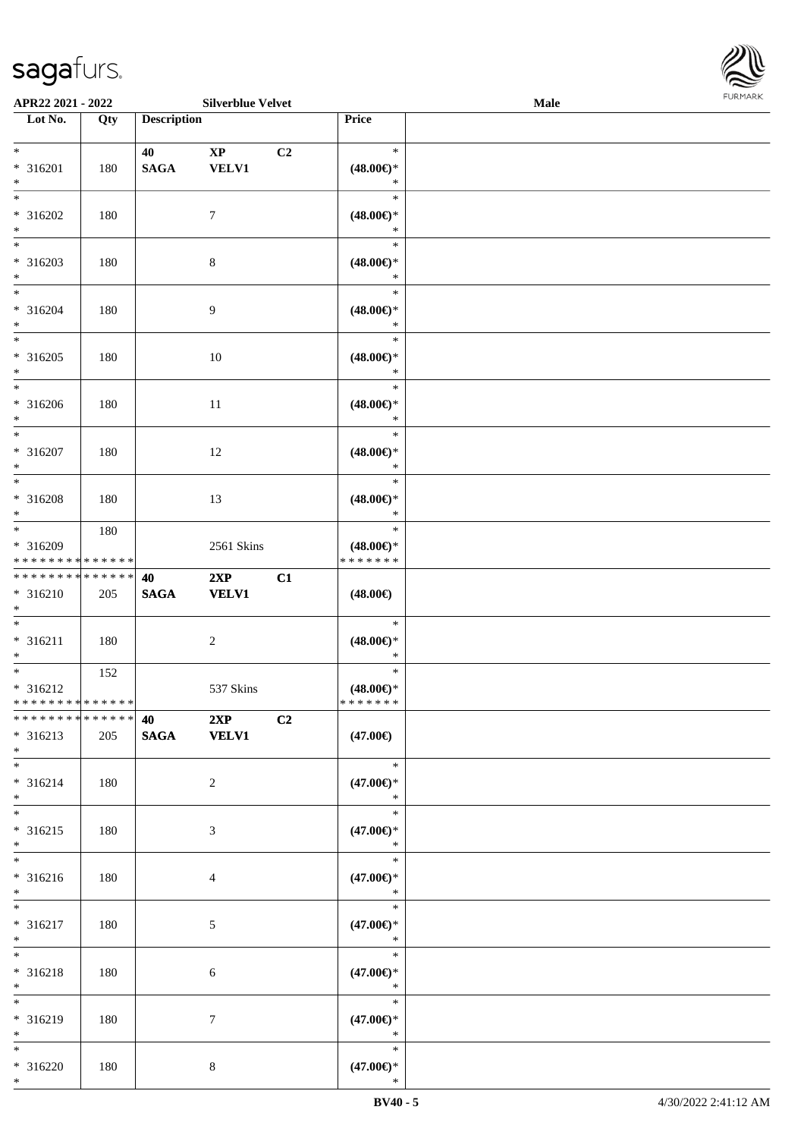\*



| APR22 2021 - 2022                                                                                  |            |                    | <b>Silverblue Velvet</b>               |    |                                                   | <b>Male</b> |  |
|----------------------------------------------------------------------------------------------------|------------|--------------------|----------------------------------------|----|---------------------------------------------------|-------------|--|
| Lot No.                                                                                            | Qty        | <b>Description</b> |                                        |    | Price                                             |             |  |
| $*$<br>* 316201<br>$*$                                                                             | 180        | 40<br><b>SAGA</b>  | $\mathbf{X}\mathbf{P}$<br><b>VELV1</b> | C2 | $\ast$<br>$(48.00\epsilon)$ *<br>$\ast$           |             |  |
| $\overline{\ast}$<br>* 316202<br>$*$                                                               | 180        |                    | $\tau$                                 |    | $\ast$<br>$(48.00\epsilon)$ *<br>$\ast$           |             |  |
| * 316203<br>$*$<br>$*$                                                                             | 180        |                    | $8\,$                                  |    | $\ast$<br>$(48.00\epsilon)$ *<br>$\ast$           |             |  |
| $* 316204$<br>$*$<br>$\overline{\ast}$                                                             | 180        |                    | $\overline{9}$                         |    | $\ast$<br>$(48.00\epsilon)$ *<br>$\ast$<br>$\ast$ |             |  |
| $* 316205$<br>$\ast$<br>$\overline{\ }$                                                            | 180        |                    | 10                                     |    | $(48.00\epsilon)$ *<br>$\ast$<br>$\ast$           |             |  |
| * 316206<br>$*$<br>$\overline{\ast}$                                                               | 180        |                    | 11                                     |    | $(48.00\epsilon)$ *<br>$\ast$<br>$\ast$           |             |  |
| * 316207<br>$*$<br>$*$                                                                             | 180        |                    | 12                                     |    | $(48.00\epsilon)$ *<br>$\ast$<br>$\ast$           |             |  |
| * 316208<br>$*$<br>$*$                                                                             | 180<br>180 |                    | 13                                     |    | $(48.00\epsilon)$ *<br>$\ast$<br>$\ast$           |             |  |
| * 316209<br>* * * * * * * * <mark>* * * * * *</mark><br>* * * * * * * * <mark>* * * * * * *</mark> |            | 40                 | 2561 Skins<br>2XP                      | C1 | $(48.00\epsilon)$ *<br>* * * * * * *              |             |  |
| $* 316210$<br>$*$<br>$*$                                                                           | 205        | <b>SAGA</b>        | <b>VELV1</b>                           |    | $(48.00\epsilon)$<br>$\ast$                       |             |  |
| $* 316211$<br>$\ast$                                                                               | 180<br>152 |                    | $\overline{c}$                         |    | $(48.00\epsilon)$ *<br>$\ast$<br>$\ast$           |             |  |
| $* 316212$<br>* * * * * * * * <mark>* * * * * *</mark>                                             |            | 40 2XP             | 537 Skins                              | C2 | $(48.00\epsilon)$ *<br>*******                    |             |  |
| $* 316213$<br>$*$<br>$\ddot{x}$                                                                    | 205        |                    | SAGA VELV1                             |    | $(47.00\epsilon)$<br>$\ast$                       |             |  |
| $* 316214$<br>$\ast$<br>$*$                                                                        | 180        |                    | $\overline{2}$                         |    | $(47.00\epsilon)$ *<br>$\ast$<br>$\ast$           |             |  |
| $* 316215$<br>$\ast$<br>$*$                                                                        | 180        |                    | 3                                      |    | $(47.00\epsilon)$ *<br>$\ast$<br>$\ast$           |             |  |
| $* 316216$<br>$*$<br>$*$                                                                           | 180        |                    | $\overline{4}$                         |    | $(47.00\epsilon)$ *<br>$\ast$<br>$\ast$           |             |  |
| * 316217<br>$*$<br>$\ast$                                                                          | 180        |                    | 5                                      |    | $(47.00\epsilon)$ *<br>$\mathbb{R}^n$<br>$\ast$   |             |  |
| * 316218<br>$*$                                                                                    | 180        |                    | 6                                      |    | $(47.00\epsilon)$ *<br>$\ast$<br>$\ast$           |             |  |
| * 316219<br>$*$<br>$\ddot{x}$                                                                      | 180        |                    | $7\phantom{.0}$                        |    | $(47.00\epsilon)$ *<br>$\ast$<br>$\ast$           |             |  |
| $* 316220$<br>$*$                                                                                  | 180        |                    | 8                                      |    | $(47.00\epsilon)$ *<br>$\ast$                     |             |  |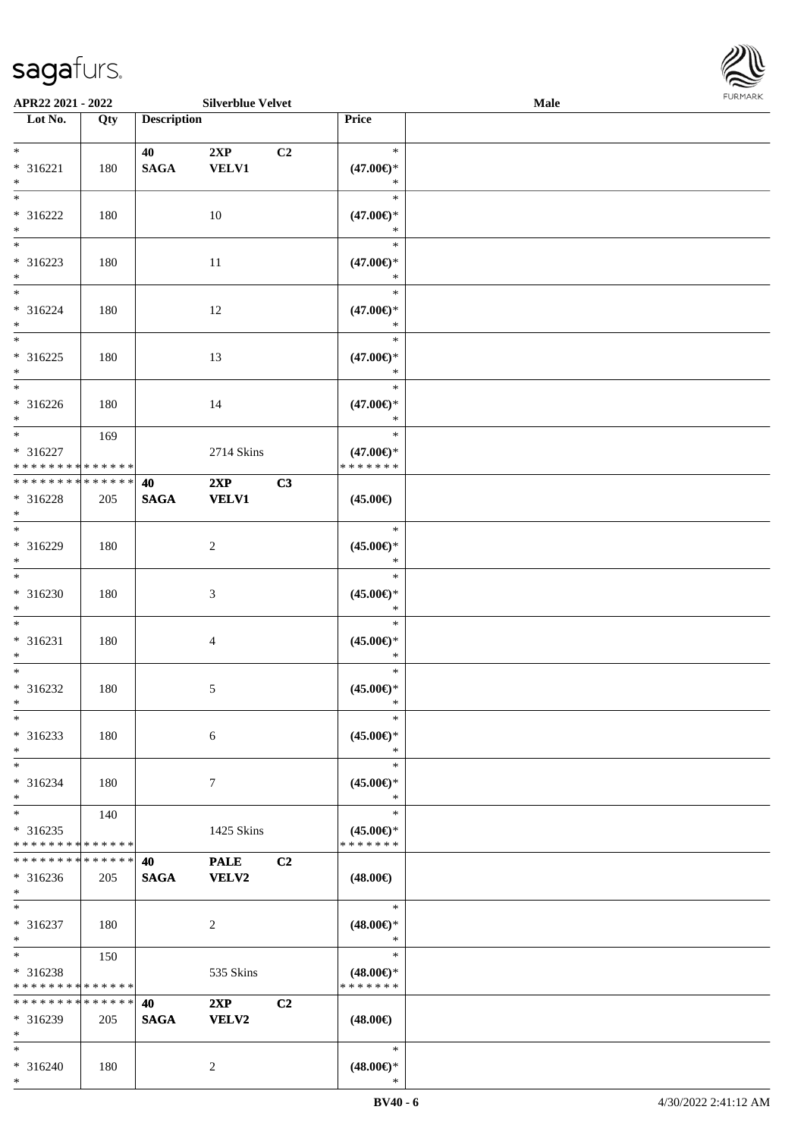\*



| APR22 2021 - 2022                                                             |     |                    | <b>Silverblue Velvet</b>    |                                                   | <b>Male</b> |  |
|-------------------------------------------------------------------------------|-----|--------------------|-----------------------------|---------------------------------------------------|-------------|--|
| Lot No.                                                                       | Qty | <b>Description</b> |                             | Price                                             |             |  |
| $*$<br>* 316221                                                               | 180 | 40<br><b>SAGA</b>  | 2XP<br><b>VELV1</b>         | $\ast$<br>C <sub>2</sub><br>$(47.00\epsilon)$ *   |             |  |
| $\ast$<br>$*$<br>* 316222<br>$*$                                              | 180 |                    | 10                          | $\ast$<br>$\ast$<br>$(47.00\epsilon)$ *<br>*      |             |  |
| * 316223<br>$\ast$                                                            | 180 |                    | 11                          | $\ast$<br>$(47.00\epsilon)$ *<br>*                |             |  |
| $*$<br>* 316224<br>$*$                                                        | 180 |                    | 12                          | $\ast$<br>$(47.00\epsilon)$ *<br>$\ast$           |             |  |
| $*$<br>$* 316225$<br>$*$                                                      | 180 |                    | 13                          | $\ast$<br>$(47.00\epsilon)$ *<br>$\ast$           |             |  |
| $*$<br>$* 316226$<br>$*$                                                      | 180 |                    | 14                          | $\ast$<br>$(47.00\epsilon)$ *<br>$\ast$           |             |  |
| $*$<br>* 316227<br>* * * * * * * * * * * * * *                                | 169 |                    | 2714 Skins                  | $\ast$<br>$(47.00\epsilon)$ *<br>* * * * * * *    |             |  |
| * * * * * * * * * * * * * * *<br>* 316228<br>$\ast$                           | 205 | 40<br><b>SAGA</b>  | 2XP<br><b>VELV1</b>         | C3<br>$(45.00\epsilon)$                           |             |  |
| $*$<br>* 316229<br>$*$                                                        | 180 |                    | 2                           | $\ast$<br>$(45.00\epsilon)$ *<br>$\ast$           |             |  |
| $*$<br>$* 316230$<br>$*$                                                      | 180 |                    | 3                           | $\ast$<br>$(45.00\epsilon)$ *<br>$\ast$           |             |  |
| $*$<br>* 316231<br>$*$                                                        | 180 |                    | 4                           | $\ast$<br>$(45.00\epsilon)$ *<br>$\ast$           |             |  |
| $*$<br>* 316232<br>$*$                                                        | 180 |                    | 5                           | $\ast$<br>$(45.00\epsilon)$ *<br>$\ast$           |             |  |
| $*$<br>* 316233<br>$*$                                                        | 180 |                    | 6                           | $\ast$<br>$(45.00\epsilon)$ *<br>$\ast$           |             |  |
| $*$<br>* 316234<br>$*$                                                        | 180 |                    | 7                           | $\ast$<br>$(45.00\epsilon)$ *<br>$\ast$<br>$\ast$ |             |  |
| $*$<br>* 316235<br>* * * * * * * * * * * * * *<br>* * * * * * * * * * * * * * | 140 |                    | 1425 Skins                  | $(45.00\epsilon)$ *<br>* * * * * * *              |             |  |
| * 316236<br>$*$                                                               | 205 | 40<br><b>SAGA</b>  | <b>PALE</b><br><b>VELV2</b> | C <sub>2</sub><br>$(48.00\epsilon)$               |             |  |
| $*$<br>* 316237<br>$*$<br>$*$                                                 | 180 |                    | 2                           | $\ast$<br>$(48.00\epsilon)$ *<br>$\ast$<br>$\ast$ |             |  |
| * 316238<br>* * * * * * * * * * * * * *<br>* * * * * * * * * * * * * *        | 150 |                    | 535 Skins                   | $(48.00\epsilon)$ *<br>* * * * * * *              |             |  |
| * 316239<br>$*$<br>$*$                                                        | 205 | 40<br><b>SAGA</b>  | 2XP<br><b>VELV2</b>         | C2<br>$(48.00\epsilon)$<br>$\ast$                 |             |  |
| * 316240<br>$*$                                                               | 180 |                    | 2                           | $(48.00\epsilon)$ *<br>∗                          |             |  |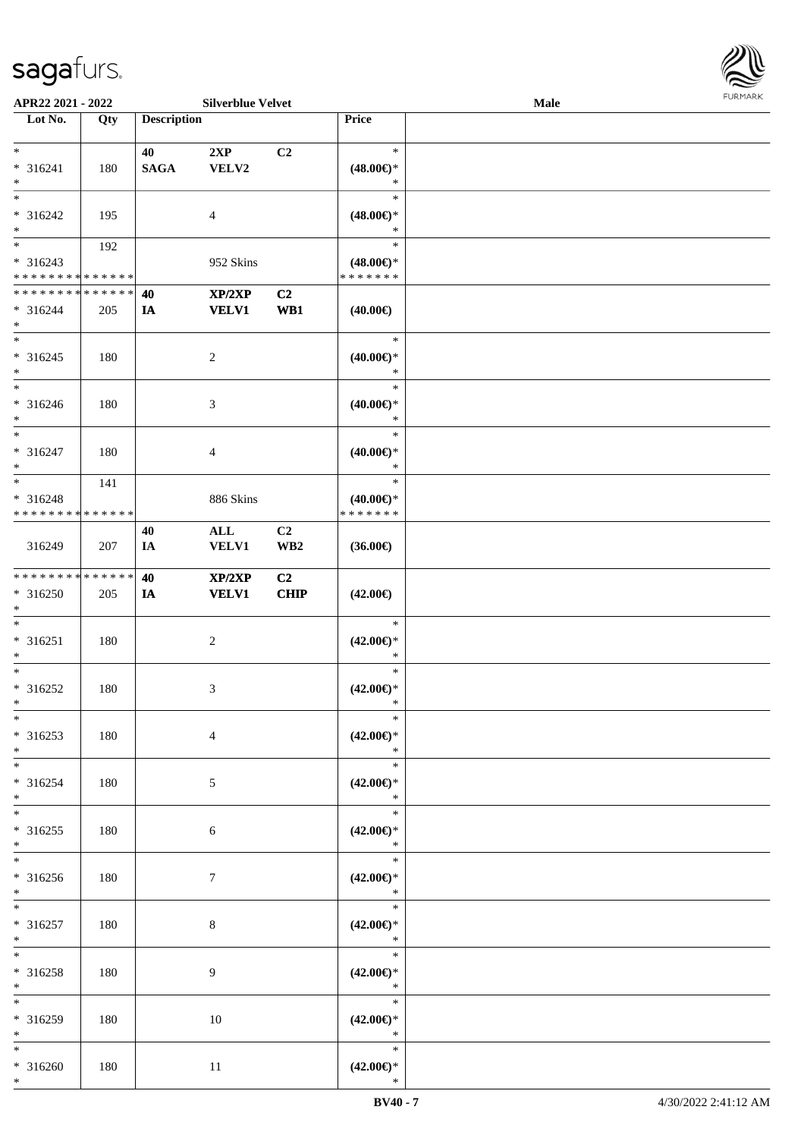

| APR22 2021 - 2022           |     |                    | <b>Silverblue Velvet</b> |                 |                               | Male |  |
|-----------------------------|-----|--------------------|--------------------------|-----------------|-------------------------------|------|--|
| Lot No.                     | Qty | <b>Description</b> |                          |                 | Price                         |      |  |
|                             |     |                    |                          |                 |                               |      |  |
| $*$                         |     | 40                 | 2XP                      | C <sub>2</sub>  | $\ast$                        |      |  |
| * 316241                    | 180 | <b>SAGA</b>        | VELV2                    |                 | $(48.00\epsilon)$ *           |      |  |
| $*$                         |     |                    |                          |                 | $\ast$                        |      |  |
| $\overline{\ast}$           |     |                    |                          |                 | $\ast$                        |      |  |
| $* 316242$                  | 195 |                    | 4                        |                 | $(48.00\epsilon)$ *           |      |  |
| $*$                         |     |                    |                          |                 | $\ast$                        |      |  |
| $\overline{\phantom{0}}$    | 192 |                    |                          |                 | $\ast$                        |      |  |
| * 316243                    |     |                    | 952 Skins                |                 | $(48.00\epsilon)$ *           |      |  |
| * * * * * * * * * * * * * * |     |                    |                          |                 | * * * * * * *                 |      |  |
| * * * * * * * * * * * * * * |     | 40                 | XP/2XP                   | C <sub>2</sub>  |                               |      |  |
| * 316244                    | 205 | IA                 | <b>VELV1</b>             | WB1             | $(40.00\epsilon)$             |      |  |
| $*$                         |     |                    |                          |                 |                               |      |  |
| $*$                         |     |                    |                          |                 | $\ast$                        |      |  |
| $* 316245$                  | 180 |                    | $\overline{c}$           |                 | $(40.00\epsilon)$ *           |      |  |
| $*$                         |     |                    |                          |                 | $\ast$                        |      |  |
| $\ast$                      |     |                    |                          |                 | $\ast$                        |      |  |
| $* 316246$                  | 180 |                    | 3                        |                 | $(40.00\epsilon)$ *           |      |  |
| $*$                         |     |                    |                          |                 | $\ast$                        |      |  |
| $*$                         |     |                    |                          |                 | $\ast$                        |      |  |
| $* 316247$                  | 180 |                    | 4                        |                 | $(40.00\epsilon)$ *           |      |  |
| $*$                         |     |                    |                          |                 | $\ast$                        |      |  |
| $*$                         | 141 |                    |                          |                 | $\ast$                        |      |  |
| * 316248                    |     |                    | 886 Skins                |                 | $(40.00\epsilon)$ *           |      |  |
| * * * * * * * * * * * * * * |     |                    |                          |                 | * * * * * * *                 |      |  |
|                             |     | 40                 | $\mathbf{ALL}$           | C2              |                               |      |  |
| 316249                      | 207 | IA                 | <b>VELV1</b>             | WB <sub>2</sub> | $(36.00\epsilon)$             |      |  |
|                             |     |                    |                          |                 |                               |      |  |
| * * * * * * * * * * * * * * |     | 40                 | XP/2XP                   | C <sub>2</sub>  |                               |      |  |
| $* 316250$                  | 205 | IA                 | <b>VELV1</b>             | <b>CHIP</b>     | $(42.00\epsilon)$             |      |  |
| $*$<br>$*$                  |     |                    |                          |                 | $\ast$                        |      |  |
|                             |     |                    |                          |                 |                               |      |  |
| $* 316251$<br>$*$           | 180 |                    | $\overline{c}$           |                 | $(42.00\epsilon)$ *<br>$\ast$ |      |  |
| $*$                         |     |                    |                          |                 | $\ast$                        |      |  |
|                             |     |                    |                          |                 |                               |      |  |
| $* 316252$<br>$*$           | 180 |                    | 3                        |                 | $(42.00\epsilon)$ *<br>$\ast$ |      |  |
| $*$                         |     |                    |                          |                 | $\ast$                        |      |  |
| * 316253                    | 180 |                    | 4                        |                 | $(42.00\epsilon)$ *           |      |  |
| $*$                         |     |                    |                          |                 | $\ast$                        |      |  |
| $*$                         |     |                    |                          |                 | $\ast$                        |      |  |
| $* 316254$                  | 180 |                    |                          |                 | $(42.00\epsilon)$ *           |      |  |
| $*$                         |     |                    | 5                        |                 | $\ast$                        |      |  |
| $*$                         |     |                    |                          |                 | $\ast$                        |      |  |
| $* 316255$                  | 180 |                    | 6                        |                 | $(42.00\epsilon)$ *           |      |  |
| $*$                         |     |                    |                          |                 | $\ast$                        |      |  |
| $*$                         |     |                    |                          |                 | $\ast$                        |      |  |
| $* 316256$                  | 180 |                    | 7                        |                 | $(42.00\epsilon)$ *           |      |  |
| $*$                         |     |                    |                          |                 | $\ast$                        |      |  |
| $*$                         |     |                    |                          |                 | $\ast$                        |      |  |
| $* 316257$                  | 180 |                    | 8                        |                 | $(42.00\epsilon)$ *           |      |  |
| $*$                         |     |                    |                          |                 | $\ast$                        |      |  |
| $*$                         |     |                    |                          |                 | $\ast$                        |      |  |
| * 316258                    | 180 |                    | 9                        |                 | $(42.00\epsilon)$ *           |      |  |
| $*$                         |     |                    |                          |                 | $\ast$                        |      |  |
| $*$                         |     |                    |                          |                 | $\ast$                        |      |  |
| * 316259                    | 180 |                    | 10                       |                 | $(42.00\epsilon)$ *           |      |  |
| $*$                         |     |                    |                          |                 | $\ast$                        |      |  |
| $*$                         |     |                    |                          |                 | $\ast$                        |      |  |
| $* 316260$                  | 180 |                    | 11                       |                 | $(42.00\epsilon)$ *           |      |  |
| $*$                         |     |                    |                          |                 | $\ast$                        |      |  |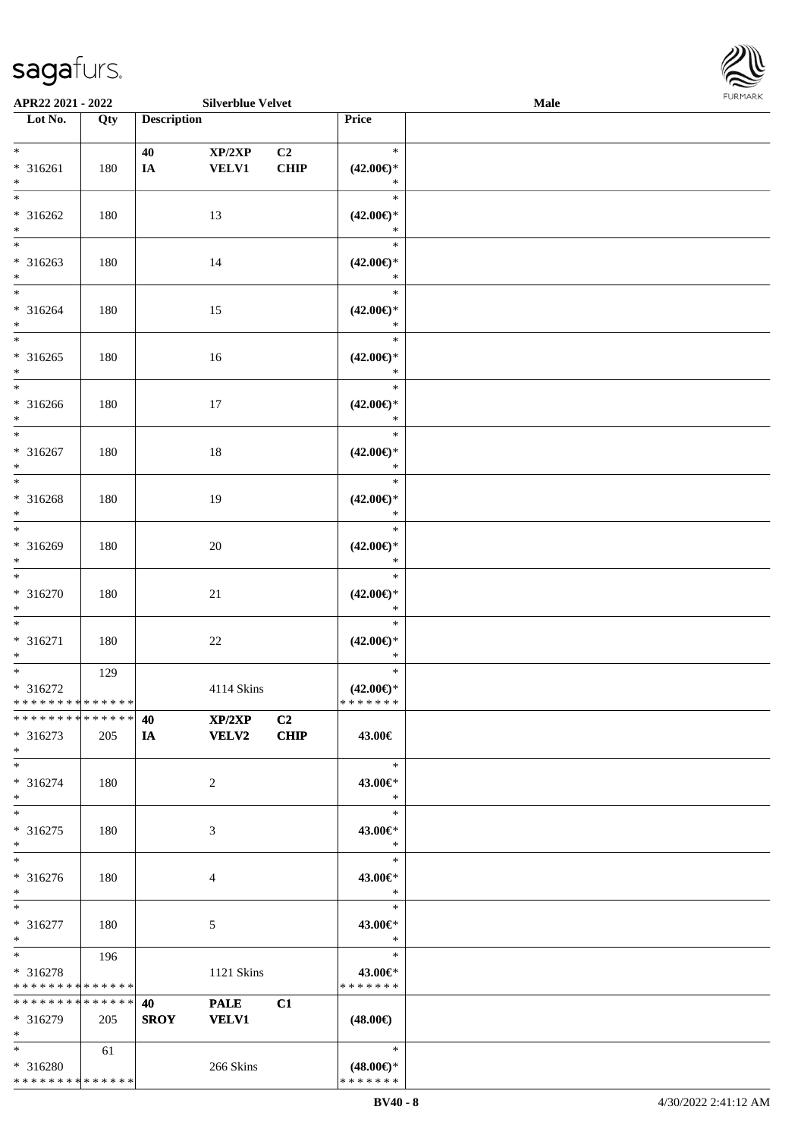

| APR22 2021 - 2022           |     |                    | <b>Silverblue Velvet</b> |                |                               | Male |  |
|-----------------------------|-----|--------------------|--------------------------|----------------|-------------------------------|------|--|
| Lot No.                     | Qty | <b>Description</b> |                          |                | Price                         |      |  |
|                             |     |                    |                          |                |                               |      |  |
| $*$                         |     | 40                 | XP/2XP                   | C2             | $\ast$                        |      |  |
| $* 316261$                  | 180 | IA                 | <b>VELV1</b>             | <b>CHIP</b>    | $(42.00\epsilon)$ *           |      |  |
| $\ast$                      |     |                    |                          |                | $\ast$                        |      |  |
| $\overline{\ast}$           |     |                    |                          |                | $\ast$                        |      |  |
| * 316262                    | 180 |                    | 13                       |                | $(42.00\epsilon)$ *           |      |  |
| $\ast$                      |     |                    |                          |                | $\ast$                        |      |  |
| $\overline{\phantom{0}}$    |     |                    |                          |                | $\ast$                        |      |  |
| $* 316263$                  | 180 |                    | 14                       |                | $(42.00\epsilon)$ *           |      |  |
| $*$                         |     |                    |                          |                | $\ast$                        |      |  |
| $\overline{\ast}$           |     |                    |                          |                | $\ast$                        |      |  |
|                             |     |                    |                          |                |                               |      |  |
| $* 316264$                  | 180 |                    | 15                       |                | $(42.00\epsilon)$ *<br>$\ast$ |      |  |
| $\ast$<br>$\overline{\ast}$ |     |                    |                          |                | $\ast$                        |      |  |
|                             |     |                    |                          |                |                               |      |  |
| $* 316265$                  | 180 |                    | 16                       |                | $(42.00\epsilon)$ *           |      |  |
| $\ast$                      |     |                    |                          |                | $\ast$                        |      |  |
| $\overline{\phantom{a}^*}$  |     |                    |                          |                | $\ast$                        |      |  |
| $* 316266$                  | 180 |                    | 17                       |                | $(42.00\epsilon)$ *           |      |  |
| $\ast$                      |     |                    |                          |                | $\ast$                        |      |  |
| $\ast$                      |     |                    |                          |                | $\ast$                        |      |  |
| $* 316267$                  | 180 |                    | 18                       |                | $(42.00\epsilon)$ *           |      |  |
| $\ast$                      |     |                    |                          |                | $\ast$                        |      |  |
| $\ast$                      |     |                    |                          |                | $\ast$                        |      |  |
| $* 316268$                  | 180 |                    | 19                       |                | $(42.00\epsilon)$ *           |      |  |
| $\ast$                      |     |                    |                          |                | $\ast$                        |      |  |
| $\overline{\phantom{a}^*}$  |     |                    |                          |                | $\ast$                        |      |  |
| * 316269                    | 180 |                    | $20\,$                   |                | $(42.00\epsilon)$ *           |      |  |
| $\ast$                      |     |                    |                          |                | $\ast$                        |      |  |
| $\overline{\phantom{a}^*}$  |     |                    |                          |                | $\ast$                        |      |  |
| $* 316270$                  | 180 |                    | 21                       |                | $(42.00\epsilon)$ *           |      |  |
| $*$                         |     |                    |                          |                | $\ast$                        |      |  |
| $\ast$                      |     |                    |                          |                | $\ast$                        |      |  |
| $* 316271$                  | 180 |                    | $22\,$                   |                | $(42.00\epsilon)$ *           |      |  |
| $\ast$                      |     |                    |                          |                | $\ast$                        |      |  |
| $\overline{\phantom{a}^*}$  | 129 |                    |                          |                | $\ast$                        |      |  |
| * 316272                    |     |                    | 4114 Skins               |                | $(42.00\epsilon)$ *           |      |  |
| * * * * * * * * * * * * * * |     |                    |                          |                | *******                       |      |  |
| * * * * * * * * * * * * * * |     | 40                 | XP/2XP                   | C <sub>2</sub> |                               |      |  |
| $* 316273$                  | 205 | IA                 | <b>VELV2</b>             | <b>CHIP</b>    | 43.00€                        |      |  |
| $*$                         |     |                    |                          |                |                               |      |  |
| $*$                         |     |                    |                          |                | $\ast$                        |      |  |
|                             |     |                    |                          |                |                               |      |  |
| * 316274                    | 180 |                    | $\overline{2}$           |                | 43.00€*                       |      |  |
| $*$                         |     |                    |                          |                | $\ast$                        |      |  |
| $\ast$                      |     |                    |                          |                | $\ast$                        |      |  |
| $* 316275$                  | 180 |                    | 3                        |                | 43.00€*                       |      |  |
| $*$                         |     |                    |                          |                | $\ast$                        |      |  |
| $\ast$                      |     |                    |                          |                | $\ast$                        |      |  |
| $* 316276$                  | 180 |                    | 4                        |                | 43.00€*                       |      |  |
| $*$                         |     |                    |                          |                | $\ast$                        |      |  |
| $*$                         |     |                    |                          |                | $\ast$                        |      |  |
| * 316277                    | 180 |                    | $5\phantom{.0}$          |                | 43.00€*                       |      |  |
| $*$                         |     |                    |                          |                | $\ast$                        |      |  |
| $*$                         | 196 |                    |                          |                | $\ast$                        |      |  |
| * 316278                    |     |                    | 1121 Skins               |                | 43.00€*                       |      |  |
| * * * * * * * * * * * * * * |     |                    |                          |                | * * * * * * *                 |      |  |
| * * * * * * * * * * * * * * |     | 40                 | <b>PALE</b>              | C1             |                               |      |  |
| * 316279                    | 205 | <b>SROY</b>        | <b>VELV1</b>             |                | $(48.00\epsilon)$             |      |  |
| $*$                         |     |                    |                          |                |                               |      |  |
| $*$                         | 61  |                    |                          |                | $\ast$                        |      |  |
| * 316280                    |     |                    | 266 Skins                |                | $(48.00\epsilon)$ *           |      |  |
| * * * * * * * * * * * * * * |     |                    |                          |                | * * * * * * *                 |      |  |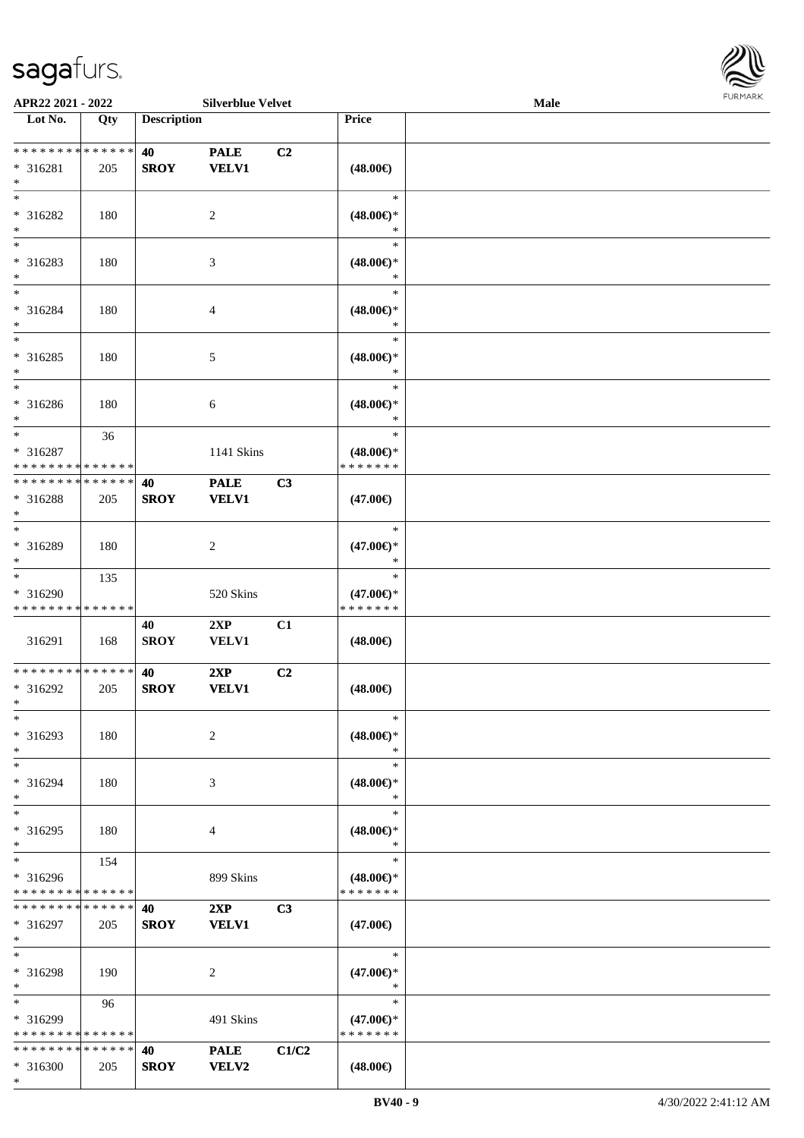\*



| APR22 2021 - 2022           |     |                    | <b>Silverblue Velvet</b> |       |                     | <b>Male</b> |  |
|-----------------------------|-----|--------------------|--------------------------|-------|---------------------|-------------|--|
| Lot No.                     | Qty | <b>Description</b> |                          |       | Price               |             |  |
|                             |     |                    |                          |       |                     |             |  |
| **************              |     | 40                 | <b>PALE</b>              | C2    |                     |             |  |
| $* 316281$                  | 205 | <b>SROY</b>        | <b>VELV1</b>             |       | $(48.00\epsilon)$   |             |  |
| $\ast$                      |     |                    |                          |       |                     |             |  |
| $\ast$                      |     |                    |                          |       | $\ast$              |             |  |
| * 316282                    | 180 |                    | 2                        |       | $(48.00\epsilon)$ * |             |  |
| $\ast$                      |     |                    |                          |       | $\ast$              |             |  |
| $\overline{\phantom{0}}$    |     |                    |                          |       | $\ast$              |             |  |
| * 316283                    | 180 |                    | $\mathfrak{Z}$           |       | $(48.00\epsilon)$ * |             |  |
| $\ast$                      |     |                    |                          |       | $\ast$              |             |  |
| $\ast$                      |     |                    |                          |       | $\ast$              |             |  |
| * 316284                    | 180 |                    | $\overline{4}$           |       | $(48.00\epsilon)$ * |             |  |
| $\ast$                      |     |                    |                          |       | $\ast$              |             |  |
| $\ast$                      |     |                    |                          |       | $\ast$              |             |  |
| $* 316285$                  | 180 |                    | $\sqrt{5}$               |       | $(48.00\epsilon)$ * |             |  |
| $\ast$                      |     |                    |                          |       | $\ast$              |             |  |
| $\overline{\phantom{1}}$    |     |                    |                          |       | $\ast$              |             |  |
| $* 316286$                  | 180 |                    | $6\,$                    |       | $(48.00\epsilon)$ * |             |  |
| $\ast$                      |     |                    |                          |       | $\ast$              |             |  |
| $\ast$                      | 36  |                    |                          |       | $\ast$              |             |  |
| * 316287                    |     |                    | 1141 Skins               |       | $(48.00\epsilon)$ * |             |  |
| * * * * * * * * * * * * * * |     |                    |                          |       | * * * * * * *       |             |  |
| * * * * * * * * * * * * * * |     | 40                 | <b>PALE</b>              | C3    |                     |             |  |
| * 316288                    | 205 | <b>SROY</b>        | <b>VELV1</b>             |       | $(47.00\epsilon)$   |             |  |
| $\ast$                      |     |                    |                          |       |                     |             |  |
| $\ast$                      |     |                    |                          |       | $\ast$              |             |  |
| * 316289                    | 180 |                    | $\sqrt{2}$               |       | $(47.00\epsilon)$ * |             |  |
| $\ast$                      |     |                    |                          |       | $\ast$              |             |  |
| $\overline{\phantom{1}}$    | 135 |                    |                          |       | $\ast$              |             |  |
| * 316290                    |     |                    | 520 Skins                |       | $(47.00\epsilon)$ * |             |  |
| * * * * * * * * * * * * * * |     |                    |                          |       | * * * * * * *       |             |  |
|                             |     | 40                 | 2XP                      | C1    |                     |             |  |
| 316291                      | 168 | <b>SROY</b>        | <b>VELV1</b>             |       | $(48.00\epsilon)$   |             |  |
|                             |     |                    |                          |       |                     |             |  |
| **************              |     | 40                 | 2XP                      | C2    |                     |             |  |
| * 316292                    | 205 | <b>SROY</b>        | <b>VELV1</b>             |       | $(48.00\epsilon)$   |             |  |
| $*$                         |     |                    |                          |       |                     |             |  |
| $*$                         |     |                    |                          |       | $\ast$              |             |  |
| * 316293                    | 180 |                    | $\overline{c}$           |       | $(48.00\epsilon)$ * |             |  |
| $\ast$                      |     |                    |                          |       | $\ast$              |             |  |
| $\ast$                      |     |                    |                          |       | $\ast$              |             |  |
| * 316294                    | 180 |                    | 3                        |       | $(48.00\epsilon)$ * |             |  |
| $\ast$                      |     |                    |                          |       | $\ast$              |             |  |
| $\ast$                      |     |                    |                          |       | $\ast$              |             |  |
| * 316295                    | 180 |                    | 4                        |       | $(48.00\epsilon)$ * |             |  |
| $\ast$                      |     |                    |                          |       | $\ast$              |             |  |
| $\ast$                      | 154 |                    |                          |       | $\ast$              |             |  |
| * 316296                    |     |                    | 899 Skins                |       | $(48.00\epsilon)$ * |             |  |
| * * * * * * * * * * * * * * |     |                    |                          |       | * * * * * * *       |             |  |
| * * * * * * * * * * * * * * |     | 40                 | 2XP                      | C3    |                     |             |  |
| * 316297                    | 205 | <b>SROY</b>        | <b>VELV1</b>             |       | $(47.00\epsilon)$   |             |  |
| $\ast$                      |     |                    |                          |       |                     |             |  |
| $\ast$                      |     |                    |                          |       | $\ast$              |             |  |
| * 316298                    | 190 |                    | $\overline{c}$           |       | $(47.00\epsilon)$ * |             |  |
| $\ast$                      |     |                    |                          |       | $\ast$              |             |  |
| $\ast$                      | 96  |                    |                          |       | $\ast$              |             |  |
| * 316299                    |     |                    | 491 Skins                |       | $(47.00\epsilon)$ * |             |  |
| * * * * * * * * * * * * * * |     |                    |                          |       | * * * * * * *       |             |  |
| * * * * * * * * * * * * * * |     | 40                 | <b>PALE</b>              | C1/C2 |                     |             |  |
| * 316300                    | 205 | <b>SROY</b>        | <b>VELV2</b>             |       | $(48.00\epsilon)$   |             |  |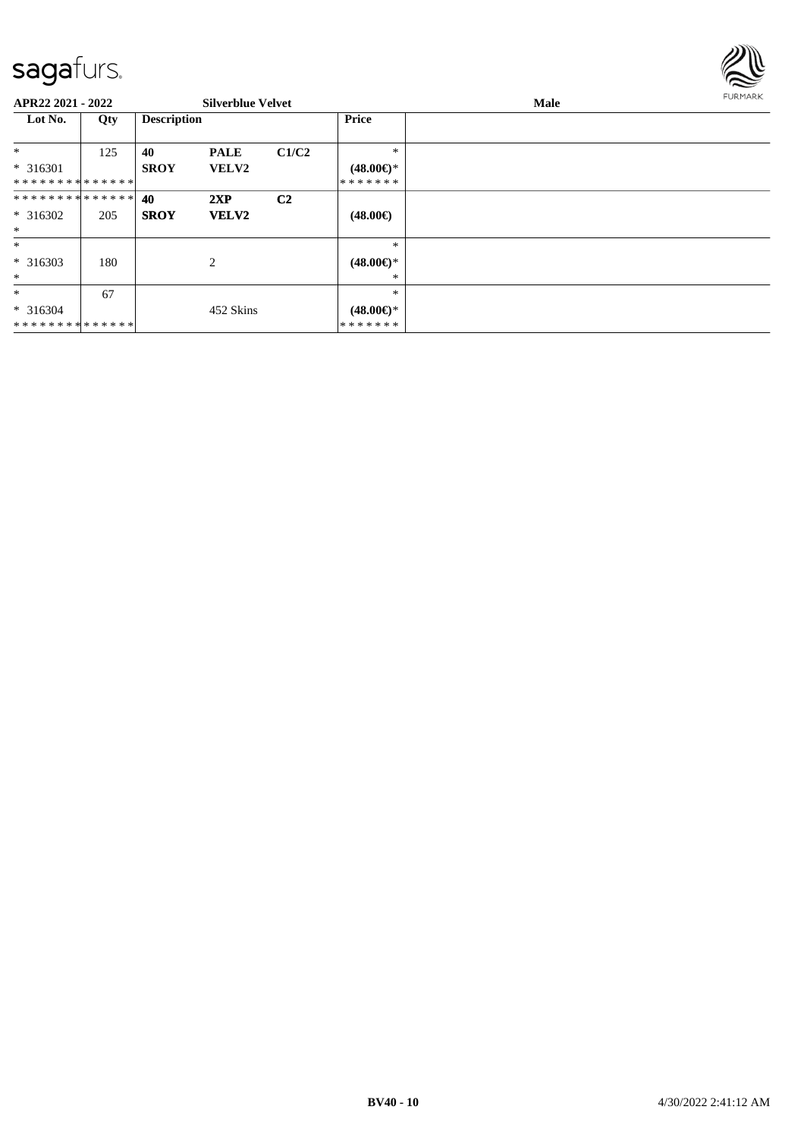

| APR22 2021 - 2022                      |     |                    | <b>Silverblue Velvet</b>    |                |                                          | <b>Male</b> | <b>FURMARK</b> |
|----------------------------------------|-----|--------------------|-----------------------------|----------------|------------------------------------------|-------------|----------------|
| Lot No.                                | Qty | <b>Description</b> |                             |                | Price                                    |             |                |
| $\ast$<br>$* 316301$<br>************** | 125 | 40<br><b>SROY</b>  | <b>PALE</b><br><b>VELV2</b> | C1/C2          | $*$<br>$(48.00\epsilon)$ *<br>*******    |             |                |
| **************<br>* 316302<br>$\ast$   | 205 | 40<br><b>SROY</b>  | 2XP<br><b>VELV2</b>         | C <sub>2</sub> | $(48.00\epsilon)$                        |             |                |
| $\ast$<br>$* 316303$<br>$\ast$         | 180 |                    | 2                           |                | $\ast$<br>$(48.00\epsilon)$ *<br>*       |             |                |
| $\ast$<br>$* 316304$<br>************** | 67  |                    | 452 Skins                   |                | $\ast$<br>$(48.00\epsilon)$ *<br>******* |             |                |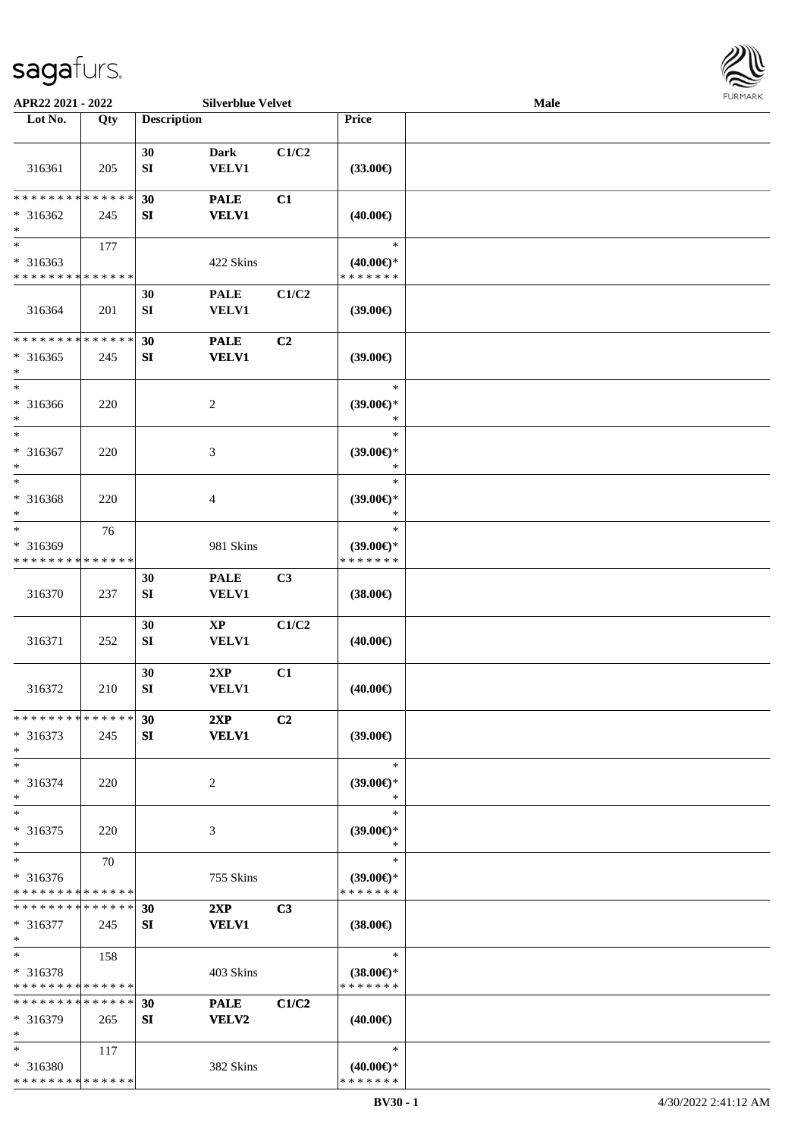

| APR22 2021 - 2022           |     |                    | <b>Silverblue Velvet</b> |                |                     | Male |  |
|-----------------------------|-----|--------------------|--------------------------|----------------|---------------------|------|--|
| Lot No.                     | Qty | <b>Description</b> |                          |                | Price               |      |  |
|                             |     |                    |                          |                |                     |      |  |
|                             |     | 30                 | <b>Dark</b>              | C1/C2          |                     |      |  |
| 316361                      | 205 | ${\bf SI}$         | <b>VELV1</b>             |                | $(33.00\epsilon)$   |      |  |
|                             |     |                    |                          |                |                     |      |  |
| * * * * * * * * * * * * * * |     | 30                 | <b>PALE</b>              | C1             |                     |      |  |
| $* 316362$                  | 245 | SI                 | <b>VELV1</b>             |                | $(40.00\epsilon)$   |      |  |
| $\ast$                      |     |                    |                          |                |                     |      |  |
| $\overline{\phantom{0}}$    | 177 |                    |                          |                | $\ast$              |      |  |
| $* 316363$                  |     |                    | 422 Skins                |                | $(40.00\epsilon)$ * |      |  |
| * * * * * * * * * * * * * * |     |                    |                          |                | * * * * * * *       |      |  |
|                             |     | 30                 | <b>PALE</b>              | C1/C2          |                     |      |  |
| 316364                      | 201 | ${\bf S}{\bf I}$   | <b>VELV1</b>             |                | (39.00)             |      |  |
|                             |     |                    |                          |                |                     |      |  |
| * * * * * * * * * * * * * * |     | 30                 | <b>PALE</b>              | C2             |                     |      |  |
| $* 316365$                  | 245 | ${\bf SI}$         | <b>VELV1</b>             |                | (39.00)             |      |  |
| $\ast$                      |     |                    |                          |                |                     |      |  |
| $\ast$                      |     |                    |                          |                | $\ast$              |      |  |
| $* 316366$                  | 220 |                    | $\sqrt{2}$               |                | $(39.00\epsilon)$ * |      |  |
| $\ast$                      |     |                    |                          |                | $\ast$              |      |  |
| $\ast$                      |     |                    |                          |                | $\ast$              |      |  |
| * 316367                    | 220 |                    | $\mathfrak{Z}$           |                | $(39.00\epsilon)$ * |      |  |
| $\ast$                      |     |                    |                          |                | $\ast$              |      |  |
| $\ast$                      |     |                    |                          |                | $\ast$              |      |  |
| * 316368                    | 220 |                    | $\overline{4}$           |                | $(39.00\epsilon)$ * |      |  |
| $\ast$                      |     |                    |                          |                | $\ast$              |      |  |
| $\ast$                      | 76  |                    |                          |                | $\ast$              |      |  |
| * 316369                    |     |                    | 981 Skins                |                | $(39.00\epsilon)$ * |      |  |
| * * * * * * * * * * * * * * |     |                    |                          |                | * * * * * * *       |      |  |
|                             |     | 30                 | <b>PALE</b>              | C3             |                     |      |  |
| 316370                      | 237 | ${\bf S}{\bf I}$   | <b>VELV1</b>             |                | $(38.00\epsilon)$   |      |  |
|                             |     |                    |                          |                |                     |      |  |
|                             |     | 30                 | $\mathbf{X}\mathbf{P}$   | C1/C2          |                     |      |  |
| 316371                      | 252 | ${\bf SI}$         | <b>VELV1</b>             |                | $(40.00\epsilon)$   |      |  |
|                             |     |                    |                          |                |                     |      |  |
| 316372                      | 210 | 30<br>${\bf SI}$   | 2XP<br><b>VELV1</b>      | C1             |                     |      |  |
|                             |     |                    |                          |                | $(40.00\epsilon)$   |      |  |
| * * * * * * * * * * * * * * |     | 30                 | 2XP                      | C <sub>2</sub> |                     |      |  |
| $* 316373$                  | 245 | SI                 | <b>VELV1</b>             |                | $(39.00\epsilon)$   |      |  |
| $\ast$                      |     |                    |                          |                |                     |      |  |
| $\ast$                      |     |                    |                          |                | $\ast$              |      |  |
| $* 316374$                  | 220 |                    | 2                        |                | $(39.00\epsilon)$ * |      |  |
| $\ast$                      |     |                    |                          |                | ∗                   |      |  |
| $\ast$                      |     |                    |                          |                | $\ast$              |      |  |
| $* 316375$                  | 220 |                    | 3                        |                | (39.00)             |      |  |
| $\ast$                      |     |                    |                          |                | $\ast$              |      |  |
| $\ast$                      | 70  |                    |                          |                | $\ast$              |      |  |
| $* 316376$                  |     |                    | 755 Skins                |                | $(39.00€)*$         |      |  |
| * * * * * * * * * * * * * * |     |                    |                          |                | * * * * * * *       |      |  |
| * * * * * * * * * * * * * * |     | 30                 | 2XP                      | C3             |                     |      |  |
| * 316377                    | 245 | SI                 | <b>VELV1</b>             |                | $(38.00\epsilon)$   |      |  |
| $\ast$                      |     |                    |                          |                |                     |      |  |
| $\ast$                      | 158 |                    |                          |                | $\ast$              |      |  |
| $* 316378$                  |     |                    | 403 Skins                |                | $(38.00\epsilon)$ * |      |  |
| * * * * * * * * * * * * * * |     |                    |                          |                | * * * * * * *       |      |  |
| * * * * * * * * * * * * * * |     | 30                 | <b>PALE</b>              | C1/C2          |                     |      |  |
| $* 316379$                  | 265 | SI                 | VELV2                    |                | $(40.00\epsilon)$   |      |  |
| $\ast$                      |     |                    |                          |                |                     |      |  |
| $*$                         | 117 |                    |                          |                | $\ast$              |      |  |
| * 316380                    |     |                    | 382 Skins                |                | $(40.00€)$ *        |      |  |
| * * * * * * * * * * * * * * |     |                    |                          |                | * * * * * * *       |      |  |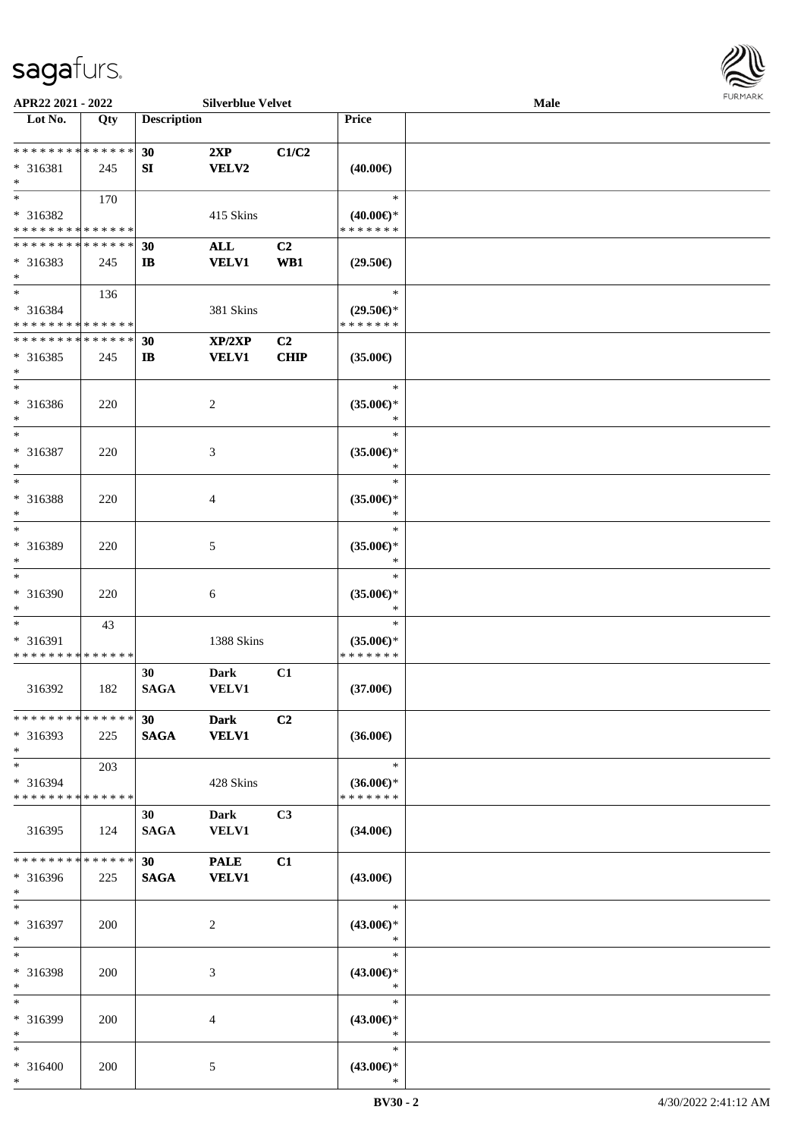

| APR22 2021 - 2022             |        |                    | <b>Silverblue Velvet</b> |                |                          | Male |  |
|-------------------------------|--------|--------------------|--------------------------|----------------|--------------------------|------|--|
| Lot No.                       | Qty    | <b>Description</b> |                          |                | <b>Price</b>             |      |  |
|                               |        |                    |                          |                |                          |      |  |
| ******** <mark>******</mark>  |        | 30                 | 2XP                      | C1/C2          |                          |      |  |
| * 316381                      | 245    | SI                 | VELV2                    |                | $(40.00\epsilon)$        |      |  |
| $*$                           |        |                    |                          |                |                          |      |  |
| $*$                           | 170    |                    |                          |                | $\ast$                   |      |  |
|                               |        |                    |                          |                |                          |      |  |
| * 316382                      |        |                    | 415 Skins                |                | $(40.00\epsilon)$ *      |      |  |
| * * * * * * * * * * * * * *   |        |                    |                          |                | * * * * * * *            |      |  |
| * * * * * * * * * * * * * *   |        | 30                 | ALL                      | C2             |                          |      |  |
| $* 316383$                    | 245    | $\mathbf{I}$       | <b>VELV1</b>             | WB1            | $(29.50\epsilon)$        |      |  |
| $*$                           |        |                    |                          |                |                          |      |  |
| $*$                           | 136    |                    |                          |                | $\ast$                   |      |  |
| * 316384                      |        |                    | 381 Skins                |                | $(29.50\epsilon)$ *      |      |  |
| * * * * * * * * * * * * * *   |        |                    |                          |                | * * * * * * *            |      |  |
| * * * * * * * * * * * * * *   |        | 30                 | XP/2XP                   | C <sub>2</sub> |                          |      |  |
| $* 316385$                    | 245    | $\mathbf{I}$       | <b>VELV1</b>             | <b>CHIP</b>    | $(35.00\epsilon)$        |      |  |
| $\ast$                        |        |                    |                          |                |                          |      |  |
| $*$                           |        |                    |                          |                | $\ast$                   |      |  |
|                               |        |                    |                          |                |                          |      |  |
| $* 316386$                    | 220    |                    | 2                        |                | $(35.00\epsilon)$ *      |      |  |
| $*$                           |        |                    |                          |                | $\ast$                   |      |  |
| $*$                           |        |                    |                          |                | ∗                        |      |  |
| $* 316387$                    | 220    |                    | 3                        |                | $(35.00\epsilon)$ *      |      |  |
| $\ast$                        |        |                    |                          |                | $\ast$                   |      |  |
| $*$                           |        |                    |                          |                | $\ast$                   |      |  |
| * 316388                      | 220    |                    | 4                        |                | $(35.00\epsilon)$ *      |      |  |
| $\ast$                        |        |                    |                          |                | ∗                        |      |  |
| $*$                           |        |                    |                          |                | $\ast$                   |      |  |
| * 316389                      |        |                    |                          |                |                          |      |  |
|                               | 220    |                    | 5                        |                | $(35.00\epsilon)$ *<br>* |      |  |
| $*$<br>$*$                    |        |                    |                          |                |                          |      |  |
|                               |        |                    |                          |                | $\ast$                   |      |  |
| * 316390                      | 220    |                    | 6                        |                | $(35.00\epsilon)$ *      |      |  |
| $*$                           |        |                    |                          |                | $\ast$                   |      |  |
| $*$                           | 43     |                    |                          |                | $\ast$                   |      |  |
| * 316391                      |        |                    | 1388 Skins               |                | $(35.00\epsilon)$ *      |      |  |
| * * * * * * * * * * * * * *   |        |                    |                          |                | * * * * * * *            |      |  |
|                               |        | 30                 | <b>Dark</b>              | C1             |                          |      |  |
| 316392                        | 182    | <b>SAGA</b>        | VELV1                    |                | $(37.00\epsilon)$        |      |  |
|                               |        |                    |                          |                |                          |      |  |
| * * * * * * * * * * * * * * * |        | 30                 | <b>Dark</b>              | C2             |                          |      |  |
| * 316393                      | 225    | <b>SAGA</b>        | <b>VELV1</b>             |                | $(36.00\epsilon)$        |      |  |
| $*$                           |        |                    |                          |                |                          |      |  |
| $*$                           | 203    |                    |                          |                | $\ast$                   |      |  |
|                               |        |                    |                          |                |                          |      |  |
| * 316394                      |        |                    | 428 Skins                |                | $(36.00\epsilon)$ *      |      |  |
| * * * * * * * * * * * * * *   |        |                    |                          |                | * * * * * * *            |      |  |
|                               |        | 30                 | Dark                     | C3             |                          |      |  |
| 316395                        | 124    | <b>SAGA</b>        | <b>VELV1</b>             |                | $(34.00\epsilon)$        |      |  |
|                               |        |                    |                          |                |                          |      |  |
| * * * * * * * *               | ****** | 30                 | <b>PALE</b>              | C1             |                          |      |  |
| * 316396                      | 225    | <b>SAGA</b>        | <b>VELV1</b>             |                | $(43.00\epsilon)$        |      |  |
| $*$                           |        |                    |                          |                |                          |      |  |
| $*$                           |        |                    |                          |                | $\ast$                   |      |  |
| * 316397                      | 200    |                    | $\overline{c}$           |                | $(43.00\epsilon)$ *      |      |  |
| $*$                           |        |                    |                          |                | $\ast$                   |      |  |
| $*$                           |        |                    |                          |                | $\ast$                   |      |  |
|                               |        |                    |                          |                |                          |      |  |
| * 316398                      | 200    |                    | 3                        |                | $(43.00\epsilon)$ *      |      |  |
| $*$                           |        |                    |                          |                | $\ast$                   |      |  |
| $*$                           |        |                    |                          |                | $\ast$                   |      |  |
| * 316399                      | 200    |                    | 4                        |                | $(43.00\epsilon)$ *      |      |  |
| $*$                           |        |                    |                          |                | $\ast$                   |      |  |
| $*$                           |        |                    |                          |                | $\ast$                   |      |  |
| * 316400                      | 200    |                    | 5                        |                | $(43.00\epsilon)$ *      |      |  |
| $*$                           |        |                    |                          |                | $\ast$                   |      |  |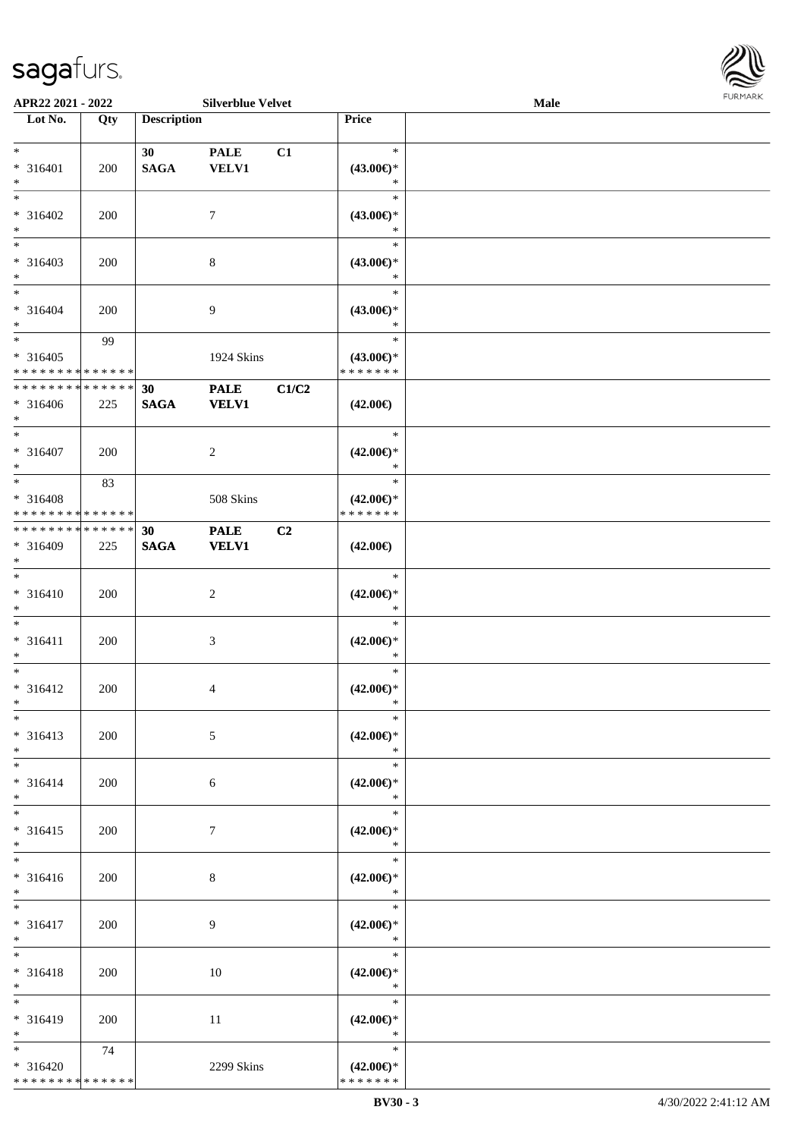

| APR22 2021 - 2022                                         |     |                                | <b>Silverblue Velvet</b>    |       |                                                   | Male |  |
|-----------------------------------------------------------|-----|--------------------------------|-----------------------------|-------|---------------------------------------------------|------|--|
| Lot No.                                                   | Qty | <b>Description</b>             |                             |       | Price                                             |      |  |
| $\ast$<br>* 316401<br>$\ast$                              | 200 | 30 <sup>1</sup><br><b>SAGA</b> | <b>PALE</b><br><b>VELV1</b> | C1    | $\ast$<br>$(43.00\epsilon)$ *<br>$\ast$           |      |  |
| $*$<br>$* 316402$<br>$\ast$                               | 200 |                                | $\tau$                      |       | $\ast$<br>$(43.00\epsilon)$ *<br>$\ast$           |      |  |
| $\overline{\phantom{a}^*}$<br>$* 316403$<br>$\ast$<br>$*$ | 200 |                                | $\,8\,$                     |       | $\ast$<br>$(43.00\epsilon)$ *<br>$\ast$           |      |  |
| $* 316404$<br>$\ast$                                      | 200 |                                | $\overline{9}$              |       | $\ast$<br>$(43.00\epsilon)$ *<br>$\ast$           |      |  |
| $\ast$<br>$* 316405$<br>* * * * * * * * * * * * * *       | 99  |                                | 1924 Skins                  |       | $\ast$<br>$(43.00\epsilon)$ *<br>* * * * * * *    |      |  |
| ******** <mark>*****</mark> *<br>$* 316406$<br>$*$        | 225 | 30<br><b>SAGA</b>              | <b>PALE</b><br><b>VELV1</b> | C1/C2 | $(42.00\epsilon)$                                 |      |  |
| $\ast$<br>$* 316407$<br>$\ast$                            | 200 |                                | $\overline{c}$              |       | $\ast$<br>$(42.00\epsilon)$ *<br>$\ast$           |      |  |
| $*$<br>* 316408<br>* * * * * * * * * * * * * *            | 83  |                                | 508 Skins                   |       | $\ast$<br>$(42.00\epsilon)$ *<br>* * * * * * *    |      |  |
| **************<br>$* 316409$<br>$*$                       | 225 | 30<br><b>SAGA</b>              | <b>PALE</b><br><b>VELV1</b> | C2    | $(42.00\epsilon)$                                 |      |  |
| $\overline{\phantom{0}}$<br>$* 316410$<br>$\ast$          | 200 |                                | $\sqrt{2}$                  |       | $\ast$<br>$(42.00\epsilon)$ *<br>$\ast$           |      |  |
| $\ast$<br>$* 316411$<br>$\ast$                            | 200 |                                | $\mathfrak{Z}$              |       | $\ast$<br>$(42.00\epsilon)$ *<br>$\ast$           |      |  |
| $\ast$<br>$* 316412$<br>$*$<br>$*$                        | 200 |                                | $\overline{4}$              |       | $\ast$<br>$(42.00\epsilon)$ *<br>$\ast$<br>$\ast$ |      |  |
| $* 316413$<br>$*$<br>$*$                                  | 200 |                                | 5                           |       | $(42.00\epsilon)$ *<br>$\ast$<br>$\ast$           |      |  |
| $* 316414$<br>$\ast$<br>$\ast$                            | 200 |                                | 6                           |       | $(42.00\epsilon)$ *<br>$\ast$<br>$\ast$           |      |  |
| $* 316415$<br>$*$<br>$\overline{\phantom{1}}$             | 200 |                                | $7\phantom{.0}$             |       | $(42.00\epsilon)$ *<br>$\ast$<br>$\ast$           |      |  |
| $* 316416$<br>$*$<br>$*$                                  | 200 |                                | 8                           |       | $(42.00\epsilon)$ *<br>$\ast$                     |      |  |
| $* 316417$<br>$*$                                         | 200 |                                | 9                           |       | $\ast$<br>$(42.00\epsilon)$ *<br>$\ast$<br>$\ast$ |      |  |
| $\ast$<br>* 316418<br>$*$                                 | 200 |                                | 10                          |       | $(42.00\epsilon)$ *<br>$\ast$                     |      |  |
| $\ast$<br>* 316419<br>$*$                                 | 200 |                                | 11                          |       | $\ast$<br>$(42.00\epsilon)$ *<br>$\ast$           |      |  |
| $*$<br>$* 316420$<br>******** <mark>******</mark>         | 74  |                                | 2299 Skins                  |       | $\ast$<br>$(42.00\epsilon)$ *<br>* * * * * * *    |      |  |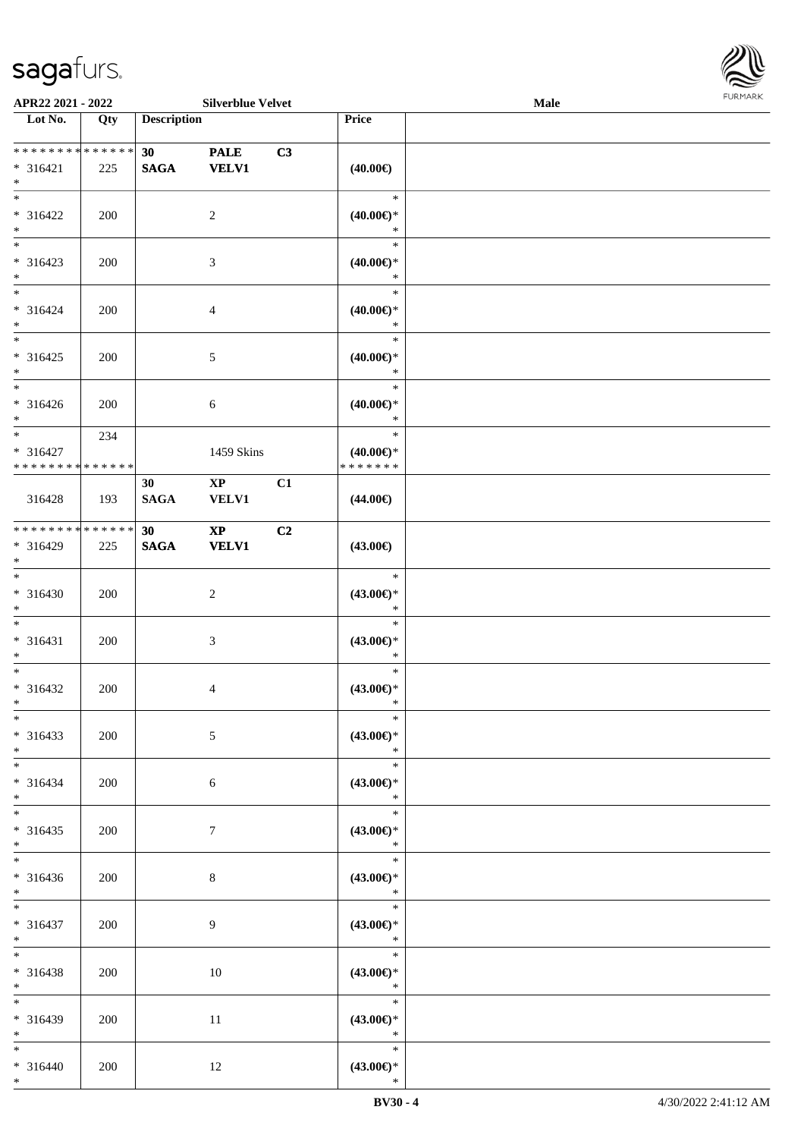

| APR22 2021 - 2022                                   |               |                                | <b>Silverblue Velvet</b>               |    |                                                | Male |  |
|-----------------------------------------------------|---------------|--------------------------------|----------------------------------------|----|------------------------------------------------|------|--|
| Lot No.                                             | Qty           | <b>Description</b>             |                                        |    | Price                                          |      |  |
| ******** <mark>******</mark><br>* 316421<br>$*$     | 225           | 30 <sub>1</sub><br><b>SAGA</b> | <b>PALE</b><br><b>VELV1</b>            | C3 | $(40.00\epsilon)$                              |      |  |
| $*$<br>* 316422<br>$*$                              | 200           |                                | 2                                      |    | $\ast$<br>$(40.00\epsilon)$ *<br>$\ast$        |      |  |
| $\overline{\phantom{0}}$<br>$* 316423$<br>$*$       | 200           |                                | $\mathfrak{Z}$                         |    | $\ast$<br>$(40.00\epsilon)$ *<br>$\ast$        |      |  |
| $*$<br>$* 316424$<br>$*$                            | 200           |                                | $\overline{4}$                         |    | $\ast$<br>$(40.00\epsilon)$ *<br>$\ast$        |      |  |
| $*$<br>$* 316425$<br>$*$                            | 200           |                                | $5\,$                                  |    | $\ast$<br>$(40.00\epsilon)$ *<br>$\ast$        |      |  |
| $\overline{\phantom{0}}$<br>$* 316426$<br>$*$       | 200           |                                | 6                                      |    | $\ast$<br>$(40.00\epsilon)$ *<br>$\ast$        |      |  |
| $\ast$<br>$* 316427$<br>* * * * * * * * * * * * * * | 234           |                                | 1459 Skins                             |    | $\ast$<br>$(40.00\epsilon)$ *<br>* * * * * * * |      |  |
| 316428                                              | 193           | 30<br><b>SAGA</b>              | $\mathbf{X}\mathbf{P}$<br>VELV1        | C1 | $(44.00\epsilon)$                              |      |  |
| * * * * * * * *<br>* 316429<br>$*$                  | ******<br>225 | 30<br>$\mathbf{SAGA}$          | $\mathbf{X}\mathbf{P}$<br><b>VELV1</b> | C2 | $(43.00\epsilon)$                              |      |  |
| $*$<br>$* 316430$<br>$*$                            | 200           |                                | $\sqrt{2}$                             |    | $\ast$<br>$(43.00\epsilon)$ *<br>$\ast$        |      |  |
| $*$<br>$* 316431$<br>$*$                            | 200           |                                | $\mathfrak{Z}$                         |    | $\ast$<br>$(43.00\epsilon)$ *<br>$\ast$        |      |  |
| $*$<br>$* 316432$<br>$*$                            | 200           |                                | 4                                      |    | $\ast$<br>$(43.00\epsilon)$ *<br>$\ast$        |      |  |
| $*$<br>$* 316433$<br>$*$                            | 200           |                                | $\mathfrak{S}$                         |    | $\ast$<br>$(43.00\epsilon)$ *<br>$\ast$        |      |  |
| $*$<br>$* 316434$<br>$*$                            | 200           |                                | 6                                      |    | $\ast$<br>$(43.00\epsilon)$ *<br>$\ast$        |      |  |
| $*$<br>$* 316435$<br>$*$<br>$*$                     | 200           |                                | $7\phantom{.0}$                        |    | $\ast$<br>$(43.00\epsilon)$ *<br>$\ast$        |      |  |
| $* 316436$<br>$*$                                   | 200           |                                | 8                                      |    | $\ast$<br>$(43.00\epsilon)$ *<br>$\ast$        |      |  |
| $*$<br>$* 316437$<br>$*$                            | 200           |                                | 9                                      |    | $\ast$<br>$(43.00\epsilon)$ *<br>$\ast$        |      |  |
| $*$<br>* 316438<br>$*$                              | 200           |                                | 10                                     |    | $\ast$<br>$(43.00\epsilon)$ *<br>$\ast$        |      |  |
| $*$<br>* 316439<br>$*$                              | 200           |                                | 11                                     |    | $\ast$<br>$(43.00\epsilon)$ *<br>$\ast$        |      |  |
| $*$<br>$* 316440$<br>$*$                            | 200           |                                | 12                                     |    | $\ast$<br>$(43.00\epsilon)$ *<br>$\ast$        |      |  |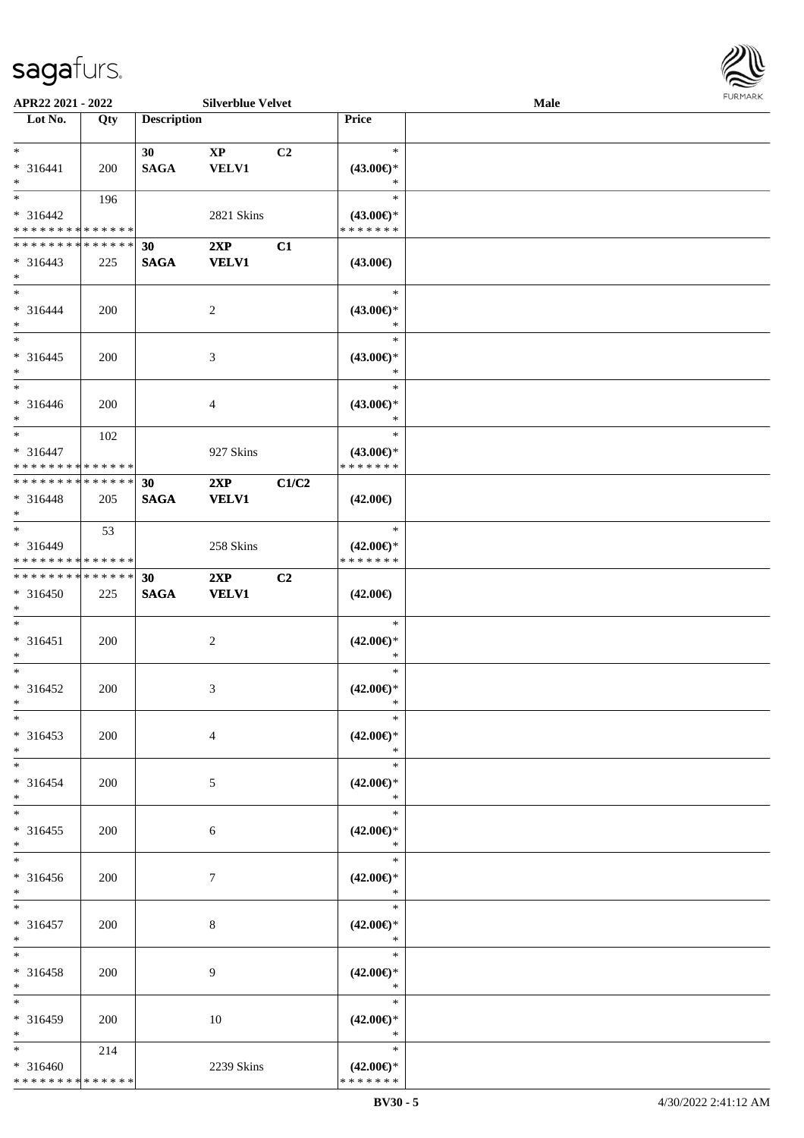

| APR22 2021 - 2022             |     |                    | <b>Silverblue Velvet</b> |                |                     | Male |  |
|-------------------------------|-----|--------------------|--------------------------|----------------|---------------------|------|--|
| Lot No.                       | Qty | <b>Description</b> |                          |                | Price               |      |  |
|                               |     |                    |                          |                |                     |      |  |
| $*$                           |     | 30                 | $\mathbf{XP}$            | C <sub>2</sub> | $\ast$              |      |  |
| $* 316441$                    | 200 | <b>SAGA</b>        | <b>VELV1</b>             |                | $(43.00\epsilon)$ * |      |  |
| $*$                           |     |                    |                          |                | $\ast$              |      |  |
| $*$                           | 196 |                    |                          |                | $\ast$              |      |  |
| * 316442                      |     |                    |                          |                |                     |      |  |
|                               |     |                    | 2821 Skins               |                | $(43.00\epsilon)$ * |      |  |
| * * * * * * * * * * * * * *   |     |                    |                          |                | * * * * * * *       |      |  |
| * * * * * * * * * * * * * * * |     | 30                 | 2XP                      | C1             |                     |      |  |
| $* 316443$                    | 225 | <b>SAGA</b>        | <b>VELV1</b>             |                | $(43.00\epsilon)$   |      |  |
| $*$                           |     |                    |                          |                |                     |      |  |
| $*$                           |     |                    |                          |                | $\ast$              |      |  |
| $* 316444$                    | 200 |                    | $\overline{c}$           |                | $(43.00\epsilon)$ * |      |  |
| $*$                           |     |                    |                          |                | $\ast$              |      |  |
| $*$                           |     |                    |                          |                | $\ast$              |      |  |
|                               |     |                    |                          |                |                     |      |  |
| $* 316445$                    | 200 |                    | 3                        |                | $(43.00\epsilon)$ * |      |  |
| $*$                           |     |                    |                          |                | $\ast$              |      |  |
| $*$                           |     |                    |                          |                | $\ast$              |      |  |
| $* 316446$                    | 200 |                    | 4                        |                | $(43.00\epsilon)$ * |      |  |
| $*$                           |     |                    |                          |                | $\ast$              |      |  |
| $*$                           | 102 |                    |                          |                | $\ast$              |      |  |
| $* 316447$                    |     |                    | 927 Skins                |                | $(43.00\epsilon)$ * |      |  |
| * * * * * * * * * * * * * *   |     |                    |                          |                | * * * * * * *       |      |  |
| * * * * * * * * * * * * * * * |     | 30                 | 2XP                      | C1/C2          |                     |      |  |
|                               |     |                    |                          |                |                     |      |  |
| $* 316448$                    | 205 | <b>SAGA</b>        | <b>VELV1</b>             |                | $(42.00\epsilon)$   |      |  |
| $*$                           |     |                    |                          |                |                     |      |  |
| $*$                           | 53  |                    |                          |                | $\ast$              |      |  |
| $* 316449$                    |     |                    | 258 Skins                |                | $(42.00\epsilon)$ * |      |  |
| * * * * * * * * * * * * * *   |     |                    |                          |                | * * * * * * *       |      |  |
| * * * * * * * * * * * * * * * |     | 30                 | 2XP                      | C <sub>2</sub> |                     |      |  |
| $* 316450$                    | 225 | <b>SAGA</b>        | <b>VELV1</b>             |                | $(42.00\epsilon)$   |      |  |
| $*$                           |     |                    |                          |                |                     |      |  |
| $*$                           |     |                    |                          |                | $\ast$              |      |  |
| $* 316451$                    | 200 |                    | $\overline{c}$           |                | $(42.00\epsilon)$ * |      |  |
| $*$                           |     |                    |                          |                | $\ast$              |      |  |
| $*$                           |     |                    |                          |                | $\ast$              |      |  |
|                               |     |                    |                          |                |                     |      |  |
| $* 316452$                    | 200 |                    | 3                        |                | $(42.00\epsilon)$ * |      |  |
| $*$                           |     |                    |                          |                | $\ast$              |      |  |
| $*$                           |     |                    |                          |                | $\ast$              |      |  |
| $* 316453$                    | 200 |                    | 4                        |                | $(42.00\epsilon)$ * |      |  |
| $*$                           |     |                    |                          |                | $\ast$              |      |  |
| $*$                           |     |                    |                          |                | $\ast$              |      |  |
| * 316454                      | 200 |                    | 5                        |                | $(42.00\epsilon)$ * |      |  |
| $*$                           |     |                    |                          |                | $\ast$              |      |  |
| $*$                           |     |                    |                          |                | $\ast$              |      |  |
|                               |     |                    |                          |                |                     |      |  |
| $* 316455$                    | 200 |                    | 6                        |                | $(42.00\epsilon)$ * |      |  |
| $*$                           |     |                    |                          |                | $\ast$              |      |  |
| $*$                           |     |                    |                          |                | $\ast$              |      |  |
| * 316456                      | 200 |                    | 7                        |                | $(42.00\epsilon)$ * |      |  |
| $*$                           |     |                    |                          |                | $\ast$              |      |  |
| $*$                           |     |                    |                          |                | $\ast$              |      |  |
| * 316457                      | 200 |                    | 8                        |                | $(42.00\epsilon)$ * |      |  |
| $*$                           |     |                    |                          |                | $\ast$              |      |  |
| $*$                           |     |                    |                          |                | $\ast$              |      |  |
|                               |     |                    |                          |                |                     |      |  |
| * 316458                      | 200 |                    | 9                        |                | $(42.00\epsilon)$ * |      |  |
| $*$                           |     |                    |                          |                | $\ast$              |      |  |
| $*$                           |     |                    |                          |                | $\ast$              |      |  |
| * 316459                      | 200 |                    | 10                       |                | $(42.00\epsilon)$ * |      |  |
| $*$                           |     |                    |                          |                | $\ast$              |      |  |
| $*$                           | 214 |                    |                          |                | $\ast$              |      |  |
| * 316460                      |     |                    | 2239 Skins               |                | $(42.00\epsilon)$ * |      |  |
| * * * * * * * * * * * * * *   |     |                    |                          |                | * * * * * * *       |      |  |
|                               |     |                    |                          |                |                     |      |  |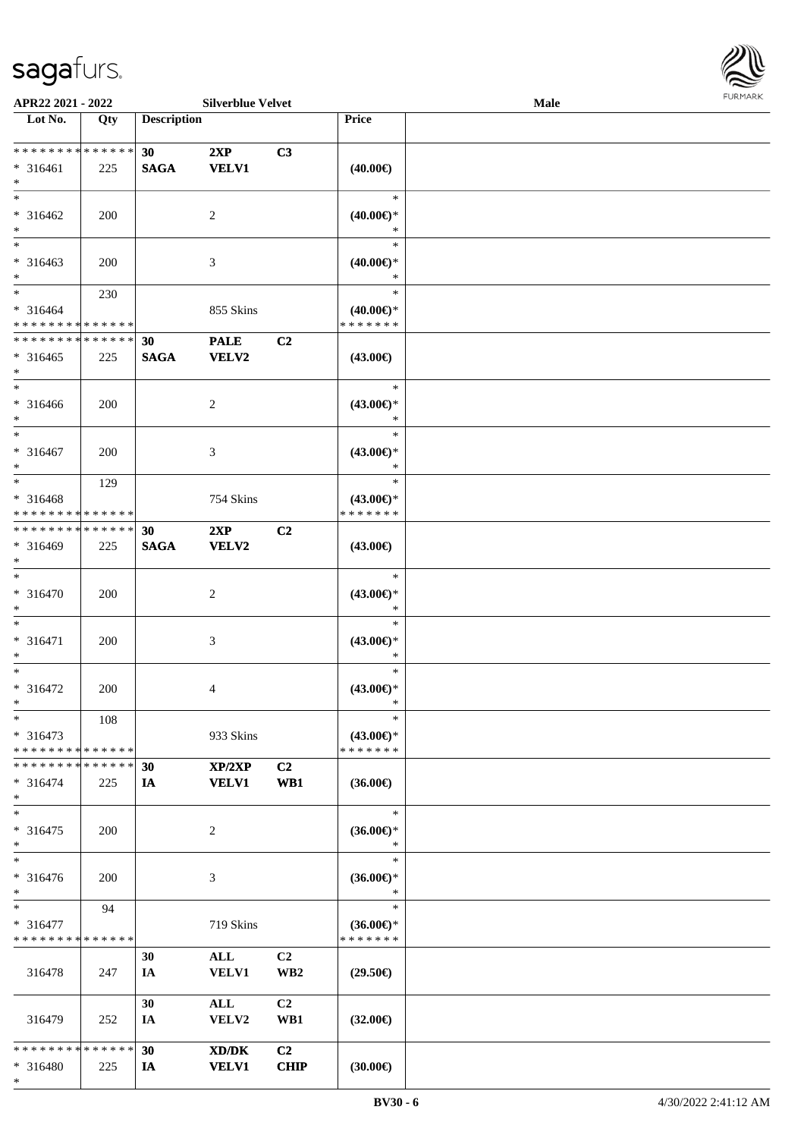\*



| APR22 2021 - 2022                          |            |                    | <b>Silverblue Velvet</b> |                 |                     | <b>Male</b> |  |
|--------------------------------------------|------------|--------------------|--------------------------|-----------------|---------------------|-------------|--|
| Lot No.                                    | Qty        | <b>Description</b> |                          |                 | Price               |             |  |
|                                            |            |                    |                          |                 |                     |             |  |
| ******** <mark>******</mark>               |            | 30                 | 2XP                      | C3              |                     |             |  |
| $* 316461$                                 | 225        | <b>SAGA</b>        | <b>VELV1</b>             |                 | $(40.00\epsilon)$   |             |  |
| $\ast$                                     |            |                    |                          |                 |                     |             |  |
| $\overline{\ast}$                          |            |                    |                          |                 | $\ast$              |             |  |
| $* 316462$                                 | 200        |                    | 2                        |                 | $(40.00\epsilon)$ * |             |  |
| $\ast$                                     |            |                    |                          |                 | ∗                   |             |  |
|                                            |            |                    |                          |                 | $\ast$              |             |  |
| $* 316463$                                 | 200        |                    | 3                        |                 | $(40.00\epsilon)$ * |             |  |
| $\ast$                                     |            |                    |                          |                 | $\ast$              |             |  |
| $\ddot{x}$                                 | 230        |                    |                          |                 | $\ast$              |             |  |
| $* 316464$                                 |            |                    | 855 Skins                |                 | $(40.00\epsilon)$ * |             |  |
| * * * * * * * * <mark>* * * * * *</mark>   |            |                    |                          |                 | * * * * * * *       |             |  |
| * * * * * * * * <mark>* * * * * *</mark>   |            | 30                 | <b>PALE</b>              | C2              |                     |             |  |
|                                            |            |                    |                          |                 |                     |             |  |
| $* 316465$                                 | 225        | <b>SAGA</b>        | <b>VELV2</b>             |                 | $(43.00\epsilon)$   |             |  |
| $\ast$<br>$\ast$                           |            |                    |                          |                 | $\ast$              |             |  |
|                                            |            |                    |                          |                 |                     |             |  |
| * 316466                                   | 200        |                    | 2                        |                 | $(43.00€)$ *        |             |  |
| $\ast$<br>$\overline{\ast}$                |            |                    |                          |                 | $\ast$              |             |  |
|                                            |            |                    |                          |                 | $\ast$              |             |  |
| $* 316467$                                 | 200        |                    | 3                        |                 | $(43.00\epsilon)$ * |             |  |
| $\ast$                                     |            |                    |                          |                 | $\ast$              |             |  |
| $\overline{\ast}$                          | 129        |                    |                          |                 | $\ast$              |             |  |
| * 316468                                   |            |                    | 754 Skins                |                 | $(43.00\epsilon)$ * |             |  |
| * * * * * * * * <mark>* * * * * *</mark>   |            |                    |                          |                 | * * * * * * *       |             |  |
| * * * * * * * * * * * * * * <mark>*</mark> |            | 30                 | 2XP                      | C2              |                     |             |  |
| * 316469                                   | 225        | <b>SAGA</b>        | <b>VELV2</b>             |                 | $(43.00\epsilon)$   |             |  |
| $\ast$                                     |            |                    |                          |                 |                     |             |  |
| $\ast$                                     |            |                    |                          |                 | $\ast$              |             |  |
| * 316470                                   | <b>200</b> |                    | 2                        |                 | $(43.00\epsilon)$ * |             |  |
| $\ast$                                     |            |                    |                          |                 | $\ast$              |             |  |
| $\ast$                                     |            |                    |                          |                 | $\ast$              |             |  |
| $* 316471$                                 | 200        |                    | 3                        |                 | $(43.00\epsilon)$ * |             |  |
| $\ast$                                     |            |                    |                          |                 | $\ast$              |             |  |
| $\ast$                                     |            |                    |                          |                 | $\ast$              |             |  |
| * 316472                                   | 200        |                    | $\overline{4}$           |                 | $(43.00\epsilon)$ * |             |  |
| $\ast$                                     |            |                    |                          |                 | $\ast$              |             |  |
| $\ast$                                     |            |                    |                          |                 | $\ast$              |             |  |
|                                            | 108        |                    |                          |                 |                     |             |  |
| $* 316473$                                 |            |                    | 933 Skins                |                 | $(43.00\epsilon)$ * |             |  |
| * * * * * * * * <mark>* * * * * *</mark>   |            |                    |                          |                 | * * * * * * *       |             |  |
| * * * * * * * * <mark>* * * * * * *</mark> |            | 30                 | XP/2XP                   | C2              |                     |             |  |
| $* 316474$                                 | 225        | <b>IA</b>          | <b>VELV1</b>             | WB1             | $(36.00\epsilon)$   |             |  |
| $\ast$                                     |            |                    |                          |                 |                     |             |  |
| $\ast$                                     |            |                    |                          |                 | $\ast$              |             |  |
| * 316475                                   | 200        |                    | 2                        |                 | $(36.00\epsilon)$ * |             |  |
| $\ast$                                     |            |                    |                          |                 | $\ast$              |             |  |
| $\overline{\ast}$                          |            |                    |                          |                 | $\ast$              |             |  |
| * 316476                                   | 200        |                    | 3                        |                 | $(36.00\epsilon)$ * |             |  |
| $\ast$                                     |            |                    |                          |                 | $\ast$              |             |  |
| $*$                                        | 94         |                    |                          |                 | $\ast$              |             |  |
| $* 316477$                                 |            |                    | 719 Skins                |                 | $(36.00\epsilon)$ * |             |  |
| * * * * * * * * <mark>* * * * * * *</mark> |            |                    |                          |                 | * * * * * * *       |             |  |
|                                            |            | 30                 | ALL                      | C2              |                     |             |  |
| 316478                                     | 247        | IA                 | <b>VELV1</b>             | WB <sub>2</sub> | $(29.50\epsilon)$   |             |  |
|                                            |            |                    |                          |                 |                     |             |  |
|                                            |            | 30                 | ALL                      | C2              |                     |             |  |
| 316479                                     | 252        | IA                 | VELV2                    | WB1             | $(32.00\epsilon)$   |             |  |
|                                            |            |                    |                          |                 |                     |             |  |
| * * * * * * * * <mark>* * * * * * *</mark> |            | 30                 | XD/DK                    | C2              |                     |             |  |
|                                            |            |                    | <b>VELV1</b>             | <b>CHIP</b>     |                     |             |  |
| $* 316480$                                 | 225        | IA                 |                          |                 | (30.00)             |             |  |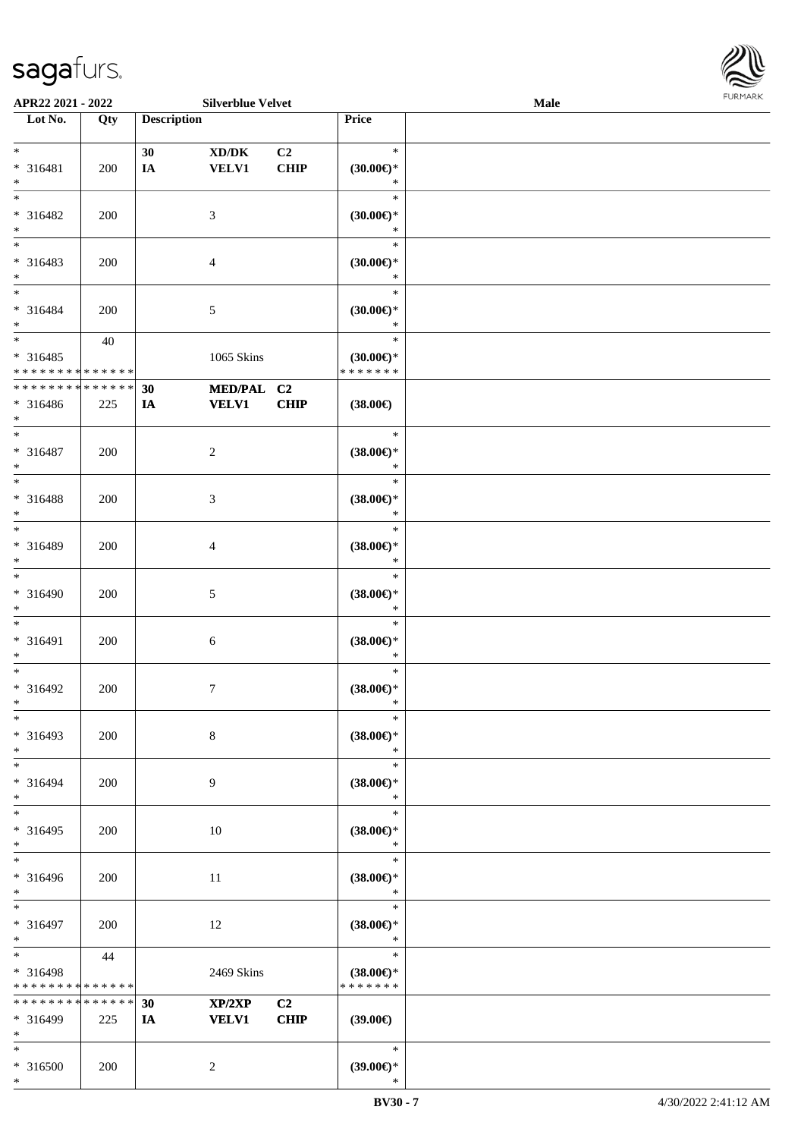

| APR22 2021 - 2022                          |             |                    | <b>Silverblue Velvet</b> |                |                     | <b>Male</b> |  |
|--------------------------------------------|-------------|--------------------|--------------------------|----------------|---------------------|-------------|--|
| Lot No.                                    | Qty         | <b>Description</b> |                          |                | Price               |             |  |
|                                            |             |                    |                          |                |                     |             |  |
| $*$                                        |             | 30                 | XD/DK                    | C <sub>2</sub> | $\ast$              |             |  |
| * 316481                                   | 200         | IA                 | <b>VELV1</b>             | <b>CHIP</b>    | $(30.00\epsilon)$ * |             |  |
| $*$                                        |             |                    |                          |                | ∗                   |             |  |
| $*$                                        |             |                    |                          |                | $\ast$              |             |  |
| * 316482                                   | 200         |                    | 3                        |                | $(30.00\epsilon)$ * |             |  |
| $*$                                        |             |                    |                          |                | *                   |             |  |
| $\overline{\phantom{0}}$                   |             |                    |                          |                | $\ast$              |             |  |
| * 316483                                   | 200         |                    | 4                        |                | (30.00)             |             |  |
| $*$                                        |             |                    |                          |                | $\ast$              |             |  |
| $*$                                        |             |                    |                          |                | $\ast$              |             |  |
|                                            |             |                    |                          |                |                     |             |  |
| * 316484                                   | 200         |                    | 5                        |                | $(30.00\epsilon)$ * |             |  |
| $*$                                        |             |                    |                          |                | $\ast$              |             |  |
| $*$                                        | 40          |                    |                          |                | $\ast$              |             |  |
| * 316485                                   |             |                    | 1065 Skins               |                | $(30.00\epsilon)$ * |             |  |
| * * * * * * * * <mark>* * * * * * *</mark> |             |                    |                          |                | * * * * * * *       |             |  |
| * * * * * * * * <mark>* * * * * * *</mark> |             | 30                 | MED/PAL C2               |                |                     |             |  |
| $* 316486$                                 | 225         | IA                 | <b>VELV1</b>             | <b>CHIP</b>    | $(38.00\epsilon)$   |             |  |
| $*$                                        |             |                    |                          |                |                     |             |  |
| $\ast$                                     |             |                    |                          |                | $\ast$              |             |  |
| * 316487                                   | 200         |                    | $\overline{c}$           |                | $(38.00\epsilon)$ * |             |  |
| $*$                                        |             |                    |                          |                | $\ast$              |             |  |
| $*$                                        |             |                    |                          |                | $\ast$              |             |  |
| * 316488                                   | 200         |                    | 3                        |                | $(38.00\epsilon)$ * |             |  |
| $\ast$                                     |             |                    |                          |                | $\ast$              |             |  |
| $*$                                        |             |                    |                          |                | $\ast$              |             |  |
| * 316489                                   | 200         |                    | 4                        |                | $(38.00\epsilon)$ * |             |  |
| $*$                                        |             |                    |                          |                | $\ast$              |             |  |
| $\ast$                                     |             |                    |                          |                | $\ast$              |             |  |
| * 316490                                   | 200         |                    |                          |                | $(38.00\epsilon)$ * |             |  |
| $*$                                        |             |                    | 5                        |                | $\ast$              |             |  |
| $*$                                        |             |                    |                          |                | $\ast$              |             |  |
|                                            |             |                    |                          |                |                     |             |  |
| * 316491                                   | 200         |                    | 6                        |                | $(38.00\epsilon)$ * |             |  |
| $*$                                        |             |                    |                          |                | $\ast$              |             |  |
| $*$                                        |             |                    |                          |                | $\ast$              |             |  |
| * 316492                                   | 200         |                    | $\tau$                   |                | $(38.00\epsilon)$ * |             |  |
| $*$                                        |             |                    |                          |                | $\ast$              |             |  |
| $*$                                        |             |                    |                          |                | $\ast$              |             |  |
| * 316493                                   | 200         |                    | $8\,$                    |                | $(38.00\epsilon)$ * |             |  |
| $*$                                        |             |                    |                          |                | $\ast$              |             |  |
| $*$                                        |             |                    |                          |                | $\ast$              |             |  |
| * 316494                                   | 200         |                    | 9                        |                | $(38.00\epsilon)$ * |             |  |
| $*$                                        |             |                    |                          |                | $\ast$              |             |  |
| $*$                                        |             |                    |                          |                | $\ast$              |             |  |
| * 316495                                   | 200         |                    | 10                       |                | $(38.00\in)^\ast$   |             |  |
| $*$                                        |             |                    |                          |                | $\ast$              |             |  |
| $*$                                        |             |                    |                          |                | $\ast$              |             |  |
| * 316496                                   | 200         |                    | 11                       |                | $(38.00\epsilon)$ * |             |  |
| $*$                                        |             |                    |                          |                | $\ast$              |             |  |
| $*$                                        |             |                    |                          |                | $\ast$              |             |  |
| * 316497                                   | 200         |                    | 12                       |                | $(38.00\epsilon)$ * |             |  |
| $*$                                        |             |                    |                          |                | $\ast$              |             |  |
| $*$                                        | 44          |                    |                          |                | $\ast$              |             |  |
| * 316498                                   |             |                    | 2469 Skins               |                | $(38.00\epsilon)$ * |             |  |
| * * * * * * * * * * * * * *                |             |                    |                          |                | * * * * * * *       |             |  |
| * * * * * * * *                            | * * * * * * |                    |                          |                |                     |             |  |
|                                            |             | 30                 | XP/2XP                   | C <sub>2</sub> |                     |             |  |
| * 316499                                   | 225         | <b>IA</b>          | <b>VELV1</b>             | <b>CHIP</b>    | $(39.00\epsilon)$   |             |  |
| $*$                                        |             |                    |                          |                |                     |             |  |
| $*$                                        |             |                    |                          |                | $\ast$              |             |  |
| * 316500                                   | 200         |                    | 2                        |                | $(39.00\epsilon)$ * |             |  |
| $\ast$                                     |             |                    |                          |                | $\ast$              |             |  |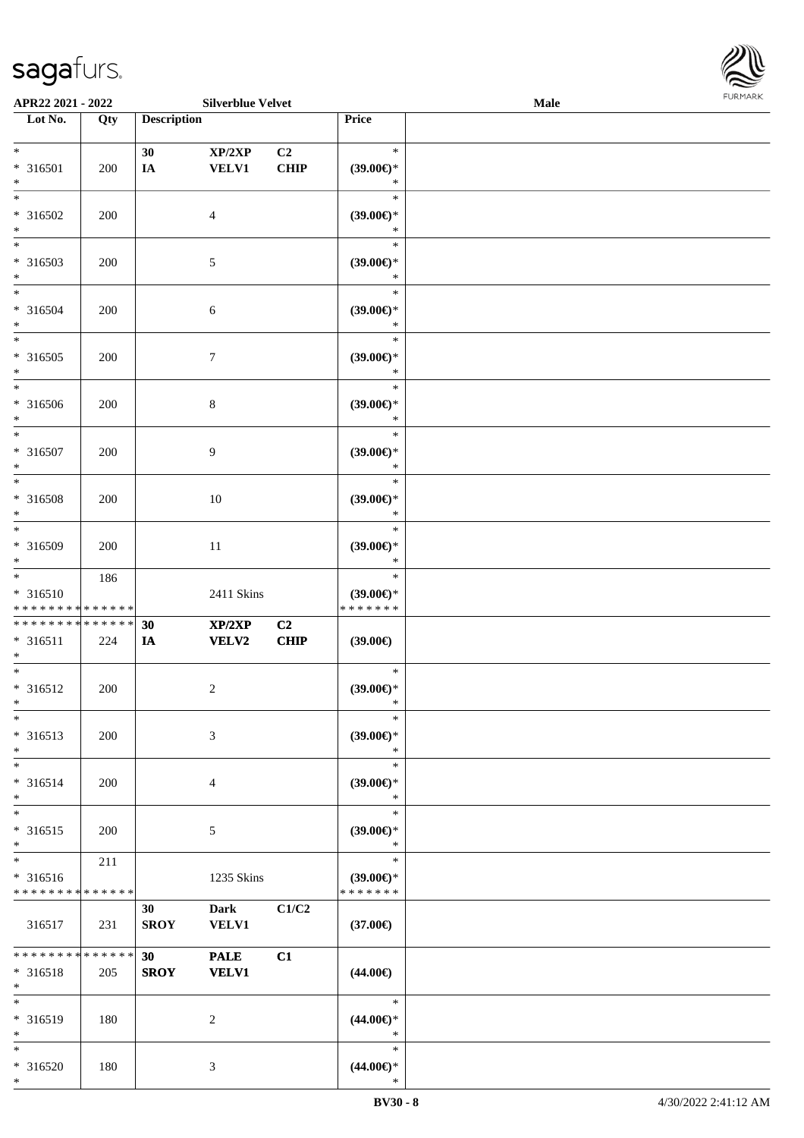\*



| APR22 2021 - 2022                                                           |                        |                    | <b>Silverblue Velvet</b>    |                        |                                                | <b>Male</b> |  |
|-----------------------------------------------------------------------------|------------------------|--------------------|-----------------------------|------------------------|------------------------------------------------|-------------|--|
| Lot No.                                                                     | Qty                    | <b>Description</b> |                             |                        | Price                                          |             |  |
| $*$<br>* 316501<br>$\ast$                                                   | 200                    | 30<br>$I\!\!A$     | XP/2XP<br><b>VELV1</b>      | C <sub>2</sub><br>CHIP | $\ast$<br>$(39.00\epsilon)$ *<br>$\ast$        |             |  |
| $\overline{\ast}$<br>* 316502<br>$\ast$                                     | 200                    |                    | $\overline{4}$              |                        | $\ast$<br>$(39.00\epsilon)$ *<br>$\ast$        |             |  |
| * 316503<br>$*$                                                             | 200                    |                    | 5                           |                        | $\ast$<br>$(39.00\epsilon)$ *<br>$\ast$        |             |  |
| $*$<br>* 316504<br>$*$                                                      | 200                    |                    | 6                           |                        | $\ast$<br>$(39.00\epsilon)$ *<br>$\ast$        |             |  |
| $\overline{\ast}$<br>* 316505<br>$\ast$                                     | 200                    |                    | $\boldsymbol{7}$            |                        | $\ast$<br>$(39.00\epsilon)$ *<br>$\ast$        |             |  |
| $\overline{\phantom{0}}$<br>* 316506<br>$\ast$                              | 200                    |                    | $\,8\,$                     |                        | $\ast$<br>$(39.00\epsilon)$ *<br>$\ast$        |             |  |
| $\overline{\ast}$<br>* 316507<br>$\ast$                                     | 200                    |                    | 9                           |                        | $\ast$<br>$(39.00\epsilon)$ *<br>$\ast$        |             |  |
| $\overline{\ast}$<br>* 316508<br>$\ast$                                     | 200                    |                    | 10                          |                        | $\ast$<br>$(39.00\epsilon)$ *<br>$\ast$        |             |  |
| $\overline{\ast}$<br>* 316509<br>$\ast$                                     | 200                    |                    | 11                          |                        | $\ast$<br>$(39.00\epsilon)$ *<br>$\ast$        |             |  |
| $*$<br>* 316510<br>* * * * * * * * <mark>* * * * * * *</mark>               | 186                    |                    | 2411 Skins                  |                        | $\ast$<br>$(39.00\epsilon)$ *<br>* * * * * * * |             |  |
| * * * * * * * * <mark>* * * * * *</mark><br>* 316511<br>$\ast$              | 224                    | 30<br>IA           | XP/2XP<br><b>VELV2</b>      | C2<br>CHIP             | $(39.00\epsilon)$                              |             |  |
| $*$<br>* 316512<br>$*$                                                      | 200                    |                    | $\overline{c}$              |                        | $\ast$<br>$(39.00\epsilon)$ *<br>$\ast$        |             |  |
| $\ast$<br>* 316513<br>$*$                                                   | 200                    |                    | 3                           |                        | $\ast$<br>$(39.00\epsilon)$ *<br>$\ast$        |             |  |
| $\ast$<br>$* 316514$<br>$\ast$                                              | 200                    |                    | $\overline{4}$              |                        | $\ast$<br>$(39.00\epsilon)$ *<br>$\ast$        |             |  |
| $\ast$<br>$* 316515$<br>$\ast$                                              | 200                    |                    | 5                           |                        | $\ast$<br>$(39.00\epsilon)$ *<br>$\ast$        |             |  |
| $\overline{\ast}$<br>* 316516<br>* * * * * * * * <mark>* * * * * * *</mark> | 211                    |                    | 1235 Skins                  |                        | $\ast$<br>$(39.00\epsilon)$ *<br>* * * * * * * |             |  |
| 316517                                                                      | 231                    | 30<br><b>SROY</b>  | <b>Dark</b><br><b>VELV1</b> | C1/C2                  | $(37.00\epsilon)$                              |             |  |
| * * * * * * * *<br>* 316518<br>$*$                                          | $* * * * * * *$<br>205 | 30<br><b>SROY</b>  | <b>PALE</b><br><b>VELV1</b> | C1                     | $(44.00\epsilon)$                              |             |  |
| $\ast$<br>* 316519<br>$*$                                                   | 180                    |                    | 2                           |                        | $\ast$<br>$(44.00\epsilon)$ *<br>$\ast$        |             |  |
| $\ast$<br>* 316520<br>$\ast$                                                | 180                    |                    | 3                           |                        | $\ast$<br>$(44.00\epsilon)$ *<br>$\ast$        |             |  |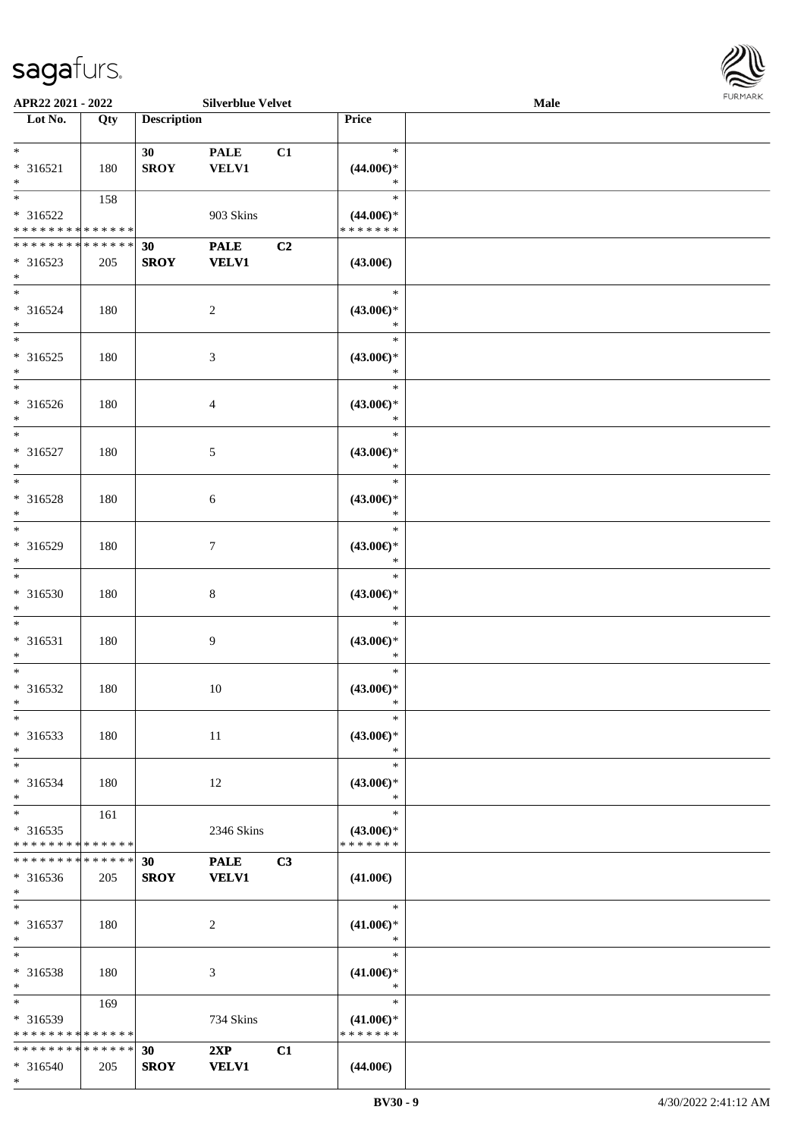| APR22 2021 - 2022             |             |                    | <b>Silverblue Velvet</b> |    |                               | Male | FURMARK |
|-------------------------------|-------------|--------------------|--------------------------|----|-------------------------------|------|---------|
| Lot No.                       | Qty         | <b>Description</b> |                          |    | Price                         |      |         |
| $\ast$                        |             |                    |                          |    | $\ast$                        |      |         |
|                               |             | 30 <sup>1</sup>    | <b>PALE</b>              | C1 |                               |      |         |
| $* 316521$<br>$\ast$          | 180         | <b>SROY</b>        | <b>VELV1</b>             |    | $(44.00\epsilon)$ *<br>$\ast$ |      |         |
| $\overline{\phantom{a}^*}$    | 158         |                    |                          |    | $\ast$                        |      |         |
| $* 316522$                    |             |                    | 903 Skins                |    | $(44.00\epsilon)$ *           |      |         |
| * * * * * * * * * * * * * *   |             |                    |                          |    | * * * * * * *                 |      |         |
| * * * * * * * * * * * * * *   |             | 30                 | <b>PALE</b>              | C2 |                               |      |         |
| $* 316523$                    | 205         | <b>SROY</b>        | <b>VELV1</b>             |    | $(43.00\epsilon)$             |      |         |
| $*$                           |             |                    |                          |    |                               |      |         |
| $\ast$                        |             |                    |                          |    | $\ast$                        |      |         |
| * 316524<br>$\ast$            | 180         |                    | 2                        |    | $(43.00\epsilon)$ *<br>$\ast$ |      |         |
| $\overline{\phantom{0}}$      |             |                    |                          |    | $\ast$                        |      |         |
| $* 316525$                    | 180         |                    | $\mathfrak{Z}$           |    | $(43.00\epsilon)$ *           |      |         |
| $\ast$                        |             |                    |                          |    | $\ast$                        |      |         |
| $\overline{\phantom{0}}$      |             |                    |                          |    | $\ast$                        |      |         |
| * 316526                      | 180         |                    | 4                        |    | $(43.00\epsilon)$ *           |      |         |
| $\ast$                        |             |                    |                          |    | $\ast$                        |      |         |
| $\overline{\ast}$             |             |                    |                          |    | $\ast$                        |      |         |
| $* 316527$                    | 180         |                    | 5                        |    | $(43.00\epsilon)$ *           |      |         |
| $\ast$<br>$\ast$              |             |                    |                          |    | $\ast$<br>$\ast$              |      |         |
| * 316528                      | 180         |                    |                          |    | $(43.00\epsilon)$ *           |      |         |
| $\ast$                        |             |                    | $\sqrt{6}$               |    | $\ast$                        |      |         |
| $\overline{\phantom{a}^*}$    |             |                    |                          |    | $\ast$                        |      |         |
| * 316529                      | 180         |                    | $\tau$                   |    | $(43.00\epsilon)$ *           |      |         |
| $\ast$                        |             |                    |                          |    | $\ast$                        |      |         |
| $\ast$                        |             |                    |                          |    | $\ast$                        |      |         |
| * 316530                      | 180         |                    | $\,8\,$                  |    | $(43.00\epsilon)$ *           |      |         |
| $\ast$                        |             |                    |                          |    | $\ast$                        |      |         |
| $\ast$                        |             |                    |                          |    | $\ast$                        |      |         |
| $* 316531$<br>$\ast$          | 180         |                    | 9                        |    | $(43.00\epsilon)$ *<br>$\ast$ |      |         |
| $\ast$                        |             |                    |                          |    | $\ast$                        |      |         |
| $* 316532$                    | 180         |                    | $10\,$                   |    | $(43.00\epsilon)$ *           |      |         |
|                               |             |                    |                          |    |                               |      |         |
| $\ast$                        |             |                    |                          |    | $\ast$                        |      |         |
| * 316533                      | 180         |                    | $11\,$                   |    | $(43.00\epsilon)$ *           |      |         |
| $\ast$                        |             |                    |                          |    | $\ast$                        |      |         |
| $*$                           |             |                    |                          |    | $\ast$                        |      |         |
| * 316534                      | 180         |                    | 12                       |    | $(43.00€)$ *                  |      |         |
| $\ast$<br>$\ast$              |             |                    |                          |    | $\ast$<br>$\ast$              |      |         |
| $*316535$                     | 161         |                    | 2346 Skins               |    | $(43.00\epsilon)$ *           |      |         |
| * * * * * * * * * * * * * *   |             |                    |                          |    | * * * * * * *                 |      |         |
| * * * * * * * *               | * * * * * * | 30                 | <b>PALE</b>              | C3 |                               |      |         |
| $* 316536$                    | 205         | <b>SROY</b>        | <b>VELV1</b>             |    | $(41.00\epsilon)$             |      |         |
| $*$                           |             |                    |                          |    |                               |      |         |
| $*$                           |             |                    |                          |    | $\ast$                        |      |         |
| * 316537                      | 180         |                    | $\overline{2}$           |    | $(41.00\epsilon)$ *           |      |         |
| $\ast$<br>$\ast$              |             |                    |                          |    | $\ast$<br>$\ast$              |      |         |
| * 316538                      | 180         |                    |                          |    |                               |      |         |
| $\ast$                        |             |                    | 3                        |    | $(41.00\epsilon)$ *<br>$\ast$ |      |         |
| $\ast$                        | 169         |                    |                          |    | $\ast$                        |      |         |
| * 316539                      |             |                    | 734 Skins                |    | $(41.00\epsilon)$ *           |      |         |
| * * * * * * * * * * * * * *   |             |                    |                          |    | * * * * * * *                 |      |         |
| * * * * * * * * * * * * * * * |             | 30                 | 2XP                      | C1 |                               |      |         |
| * 316540                      | 205         | <b>SROY</b>        | <b>VELV1</b>             |    | $(44.00\epsilon)$             |      |         |
| $*$                           |             |                    |                          |    |                               |      |         |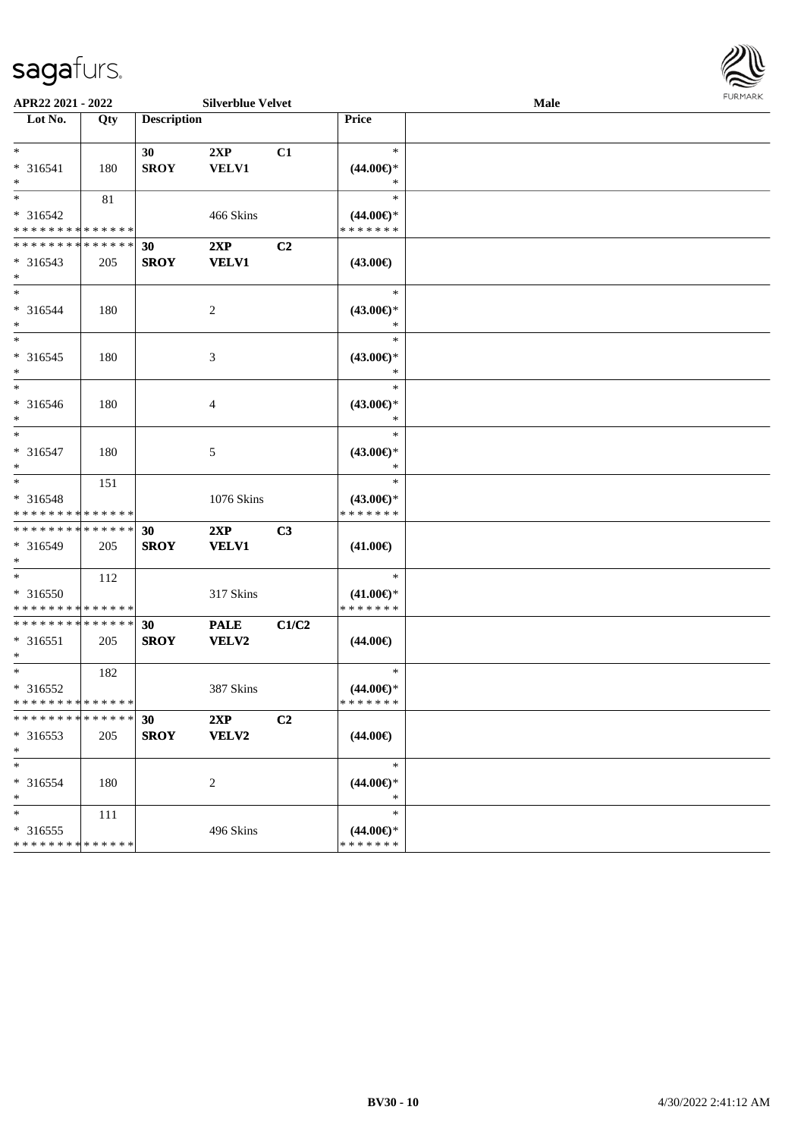

| APR22 2021 - 2022                                                         |     |                    | <b>Silverblue Velvet</b>    |                |                                                | Male | <b>FUNITANN</b> |
|---------------------------------------------------------------------------|-----|--------------------|-----------------------------|----------------|------------------------------------------------|------|-----------------|
| Lot No.                                                                   | Qty | <b>Description</b> |                             |                | Price                                          |      |                 |
| $\ast$<br>* 316541<br>$\ast$                                              | 180 | 30<br><b>SROY</b>  | 2XP<br><b>VELV1</b>         | C1             | $\ast$<br>$(44.00\epsilon)$ *<br>$\ast$        |      |                 |
| * 316542<br>* * * * * * * * <mark>* * * * * *</mark>                      | 81  |                    | 466 Skins                   |                | $\ast$<br>$(44.00\epsilon)$ *<br>* * * * * * * |      |                 |
| * * * * * * * * <mark>* * * * * * *</mark><br>* 316543<br>$\ast$          | 205 | 30<br><b>SROY</b>  | 2XP<br><b>VELV1</b>         | C <sub>2</sub> | $(43.00\epsilon)$                              |      |                 |
| $*$<br>* 316544<br>$\ast$                                                 | 180 |                    | 2                           |                | $\ast$<br>$(43.00\epsilon)$ *<br>$\ast$        |      |                 |
| $\overline{\ast}$<br>* 316545<br>$\ast$                                   | 180 |                    | 3                           |                | $\ast$<br>$(43.00\epsilon)$ *<br>$\ast$        |      |                 |
| $\ddot{x}$<br>* 316546<br>$\ast$                                          | 180 |                    | $\overline{4}$              |                | $\ast$<br>$(43.00\epsilon)$ *<br>$\ast$        |      |                 |
| $*$<br>* 316547<br>$\ast$                                                 | 180 |                    | 5                           |                | $\ast$<br>$(43.00\epsilon)$ *<br>$\ast$        |      |                 |
| * 316548<br>* * * * * * * * <mark>* * * * * *</mark>                      | 151 |                    | 1076 Skins                  |                | $\ast$<br>$(43.00\epsilon)$ *<br>* * * * * * * |      |                 |
| * * * * * * * * <mark>* * * * * * *</mark><br>* 316549<br>$\ast$          | 205 | 30<br><b>SROY</b>  | 2XP<br><b>VELV1</b>         | C <sub>3</sub> | $(41.00\epsilon)$                              |      |                 |
| $\overline{\ast}$<br>* 316550<br>* * * * * * * * <mark>* * * * * *</mark> | 112 |                    | 317 Skins                   |                | $\ast$<br>$(41.00\epsilon)$ *<br>* * * * * * * |      |                 |
| * * * * * * * * <mark>* * * * * *</mark><br>$* 316551$<br>$*$             | 205 | 30<br><b>SROY</b>  | <b>PALE</b><br><b>VELV2</b> | C1/C2          | $(44.00\epsilon)$                              |      |                 |
| $* 316552$<br>* * * * * * * * <mark>* * * * * *</mark>                    | 182 |                    | 387 Skins                   |                | $\ast$<br>$(44.00\epsilon)$ *<br>* * * * * * * |      |                 |
| * * * * * * * * * * * * * * *<br>* 316553<br>$\ast$                       | 205 | 30<br><b>SROY</b>  | 2XP<br>VELV2                | C2             | $(44.00\epsilon)$                              |      |                 |
| $\ast$<br>* 316554<br>$\ast$                                              | 180 |                    | 2                           |                | $\ast$<br>$(44.00\epsilon)$ *<br>$\ast$        |      |                 |
| $\ast$<br>* 316555<br>* * * * * * * * <mark>* * * * * * *</mark>          | 111 |                    | 496 Skins                   |                | $\ast$<br>$(44.00\epsilon)$ *<br>* * * * * * * |      |                 |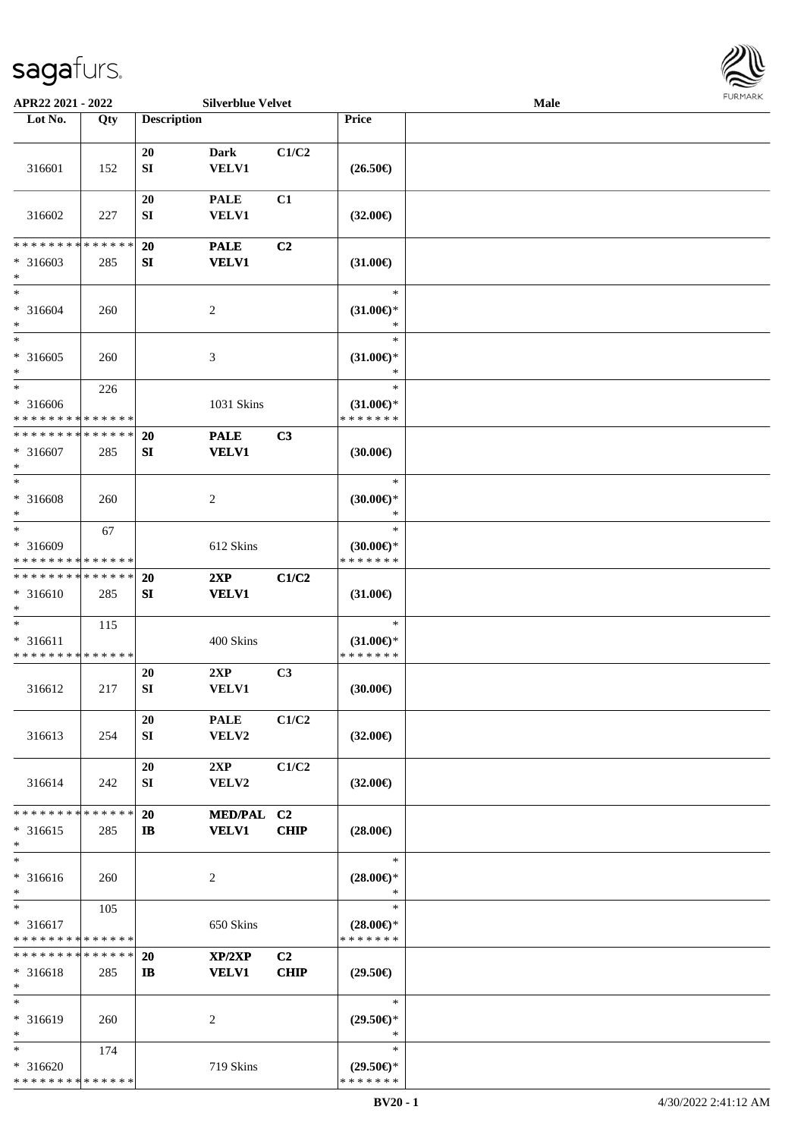

| APR22 2021 - 2022                                                                    |     |                    | <b>Silverblue Velvet</b>    |                               |                                                | Male | <b>FURMARK</b> |
|--------------------------------------------------------------------------------------|-----|--------------------|-----------------------------|-------------------------------|------------------------------------------------|------|----------------|
| Lot No.                                                                              | Qty | <b>Description</b> |                             |                               | Price                                          |      |                |
| 316601                                                                               | 152 | 20<br>${\bf SI}$   | <b>Dark</b><br><b>VELV1</b> | C1/C2                         | $(26.50\epsilon)$                              |      |                |
| 316602                                                                               | 227 | 20<br>SI           | <b>PALE</b><br><b>VELV1</b> | C1                            | $(32.00\epsilon)$                              |      |                |
| * * * * * * * * * * * * * *<br>$* 316603$<br>$\ast$                                  | 285 | 20<br>SI           | <b>PALE</b><br><b>VELV1</b> | C <sub>2</sub>                | $(31.00\epsilon)$                              |      |                |
| $\ast$<br>* 316604<br>$\ast$                                                         | 260 |                    | $\overline{c}$              |                               | $\ast$<br>$(31.00\epsilon)$ *<br>∗             |      |                |
| $\ast$<br>$* 316605$<br>$\ast$                                                       | 260 |                    | 3                           |                               | $\ast$<br>$(31.00\epsilon)$ *<br>$\ast$        |      |                |
| $\ast$<br>* 316606<br>* * * * * * * * * * * * * *                                    | 226 |                    | 1031 Skins                  |                               | $\ast$<br>$(31.00\epsilon)$ *<br>* * * * * * * |      |                |
| * * * * * * * * * * * * * *<br>* 316607<br>$\ast$                                    | 285 | 20<br>SI           | <b>PALE</b><br><b>VELV1</b> | C3                            | (30.00)                                        |      |                |
| $\ast$<br>* 316608<br>$\ast$                                                         | 260 |                    | $\overline{c}$              |                               | $\ast$<br>$(30.00\epsilon)$ *<br>$\ast$        |      |                |
| $\ast$<br>* 316609<br>* * * * * * * * * * * * * *                                    | 67  |                    | 612 Skins                   |                               | $\ast$<br>$(30.00\epsilon)$ *<br>* * * * * * * |      |                |
| * * * * * * * * * * * * * *<br>* 316610<br>$\ast$                                    | 285 | <b>20</b><br>SI    | 2XP<br><b>VELV1</b>         | C1/C2                         | $(31.00\epsilon)$                              |      |                |
| $\overline{\phantom{0}}$<br>* 316611<br>* * * * * * * * * * * * * *                  | 115 |                    | 400 Skins                   |                               | $\ast$<br>$(31.00\epsilon)$ *<br>* * * * * * * |      |                |
| 316612                                                                               | 217 | 20<br>SI           | 2XP<br><b>VELV1</b>         | C3                            | (30.00)                                        |      |                |
| 316613                                                                               | 254 | 20<br>SI           | <b>PALE</b><br>VELV2        | C1/C2                         | $(32.00\epsilon)$                              |      |                |
| 316614                                                                               | 242 | 20<br>${\bf SI}$   | 2XP<br>VELV2                | C1/C2                         | $(32.00\epsilon)$                              |      |                |
| * * * * * * * * * * * * * *<br>$* 316615$<br>$\ast$                                  | 285 | 20<br>$\mathbf{I}$ | MED/PAL C2<br><b>VELV1</b>  | <b>CHIP</b>                   | $(28.00\epsilon)$                              |      |                |
| $\ast$<br>* 316616<br>$\ast$                                                         | 260 |                    | 2                           |                               | $\ast$<br>$(28.00\epsilon)$ *<br>∗             |      |                |
| $\overline{\phantom{a}^*}$<br>* 316617<br>* * * * * * * * <mark>* * * * * * *</mark> | 105 |                    | 650 Skins                   |                               | $\ast$<br>$(28.00\epsilon)$ *<br>* * * * * * * |      |                |
| * * * * * * * * * * * * * *<br>$* 316618$<br>$\ast$                                  | 285 | 20<br>$\mathbf{I}$ | XP/2XP<br><b>VELV1</b>      | C <sub>2</sub><br><b>CHIP</b> | $(29.50\epsilon)$                              |      |                |
| $\ast$<br>* 316619<br>$\ast$                                                         | 260 |                    | 2                           |                               | $\ast$<br>$(29.50\epsilon)$ *<br>$\ast$        |      |                |
| $\ast$<br>* 316620<br>* * * * * * * * * * * * * *                                    | 174 |                    | 719 Skins                   |                               | $\ast$<br>$(29.50\epsilon)$ *<br>* * * * * * * |      |                |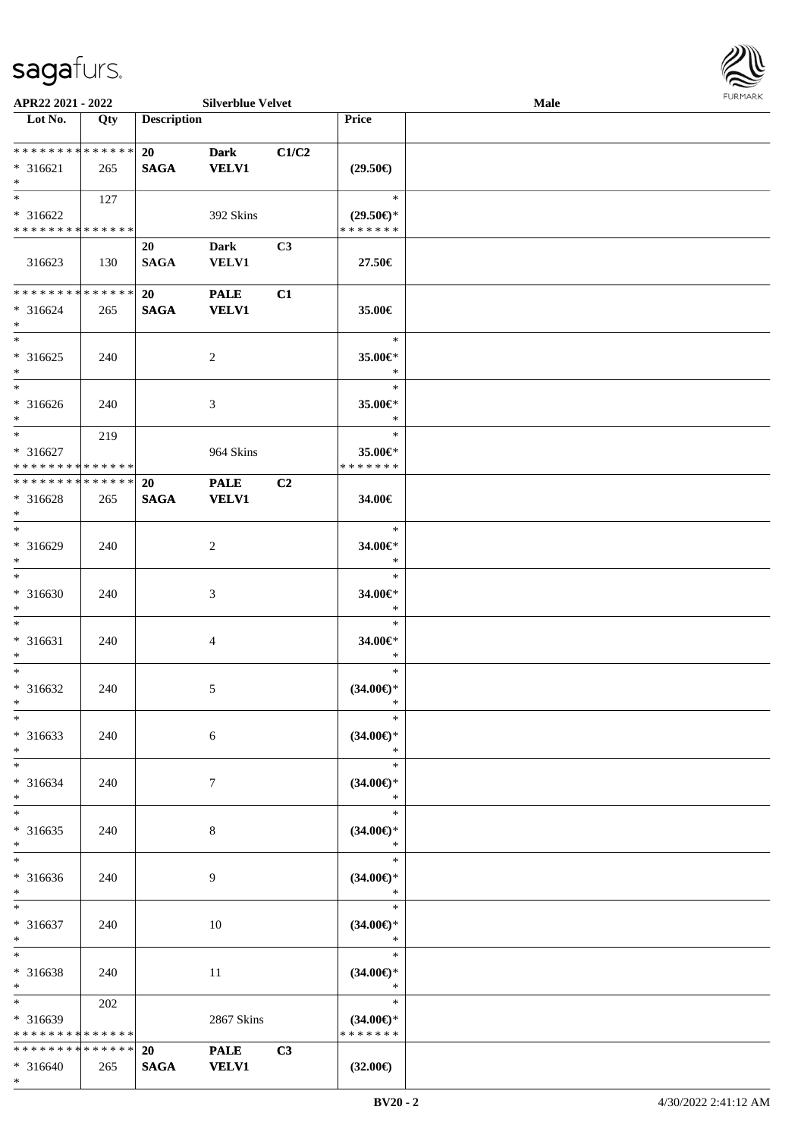

| APR22 2021 - 2022                                       |     |                          | <b>Silverblue Velvet</b>    |                |                                                | Male |  |
|---------------------------------------------------------|-----|--------------------------|-----------------------------|----------------|------------------------------------------------|------|--|
| Lot No.                                                 | Qty | <b>Description</b>       |                             |                | Price                                          |      |  |
| * * * * * * * * * * * * * *<br>$* 316621$<br>$*$        | 265 | 20<br><b>SAGA</b>        | <b>Dark</b><br><b>VELV1</b> | C1/C2          | $(29.50\epsilon)$                              |      |  |
| $* 316622$<br>* * * * * * * * * * * * * *               | 127 |                          | 392 Skins                   |                | $\ast$<br>$(29.50\epsilon)$ *<br>* * * * * * * |      |  |
| 316623                                                  | 130 | 20<br><b>SAGA</b>        | <b>Dark</b><br><b>VELV1</b> | C <sub>3</sub> | 27.50€                                         |      |  |
| * * * * * * * * * * * * * *<br>$* 316624$<br>$\ast$     | 265 | 20<br><b>SAGA</b>        | <b>PALE</b><br><b>VELV1</b> | C1             | 35.00€                                         |      |  |
| $*$<br>$* 316625$<br>$\ast$<br>$\overline{\phantom{1}}$ | 240 |                          | $\overline{2}$              |                | $\ast$<br>35.00€*<br>$\ast$                    |      |  |
| $* 316626$<br>$*$                                       | 240 |                          | $\mathfrak{Z}$              |                | $\ast$<br>35.00€*<br>$\ast$                    |      |  |
| $*$<br>$* 316627$<br>* * * * * * * * * * * * * *        | 219 |                          | 964 Skins                   |                | $\ast$<br>35.00€*<br>* * * * * * *             |      |  |
| **************<br>* 316628<br>$\ast$                    | 265 | 20<br><b>SAGA</b>        | <b>PALE</b><br><b>VELV1</b> | C2             | 34.00€                                         |      |  |
| $*$<br>* 316629<br>$\ast$                               | 240 |                          | $\overline{2}$              |                | $\ast$<br>34.00€*<br>$\ast$                    |      |  |
| $\ast$<br>* 316630<br>$\ast$                            | 240 |                          | $\mathfrak{Z}$              |                | $\ast$<br>34.00€*<br>$\ast$                    |      |  |
| $\ast$<br>$* 316631$<br>$\ast$                          | 240 |                          | 4                           |                | $\ast$<br>34.00€*<br>$\ast$                    |      |  |
| $\ast$<br>$* 316632$<br>$*$                             | 240 |                          | 5                           |                | $\ast$<br>$(34.00\epsilon)$ *<br>$\ast$        |      |  |
| $\ast$<br>$* 316633$<br>$\ast$                          | 240 |                          | 6                           |                | $\ast$<br>$(34.00\epsilon)$ *<br>$\ast$        |      |  |
| $\ast$<br>$* 316634$<br>$\ast$                          | 240 |                          | $\tau$                      |                | $\ast$<br>$(34.00\epsilon)$ *<br>$\ast$        |      |  |
| $\ast$<br>$* 316635$<br>$\ast$                          | 240 |                          | 8                           |                | $\ast$<br>$(34.00\epsilon)$ *<br>$\ast$        |      |  |
| $\ast$<br>$* 316636$<br>$*$                             | 240 |                          | 9                           |                | $\ast$<br>$(34.00\epsilon)$ *<br>$\ast$        |      |  |
| $\ast$<br>$* 316637$<br>$\ast$                          | 240 |                          | $10\,$                      |                | $\ast$<br>$(34.00\epsilon)$ *<br>$\ast$        |      |  |
| $\ast$<br>* 316638<br>$\ast$                            | 240 |                          | 11                          |                | $\ast$<br>$(34.00\epsilon)$ *<br>$\ast$        |      |  |
| $\ast$<br>* 316639<br>* * * * * * * * * * * * * *       | 202 |                          | 2867 Skins                  |                | $\ast$<br>$(34.00\epsilon)$ *<br>* * * * * * * |      |  |
| * * * * * * * * * * * * * *<br>* 316640<br>$*$          | 265 | <b>20</b><br><b>SAGA</b> | <b>PALE</b><br><b>VELV1</b> | C3             | $(32.00\epsilon)$                              |      |  |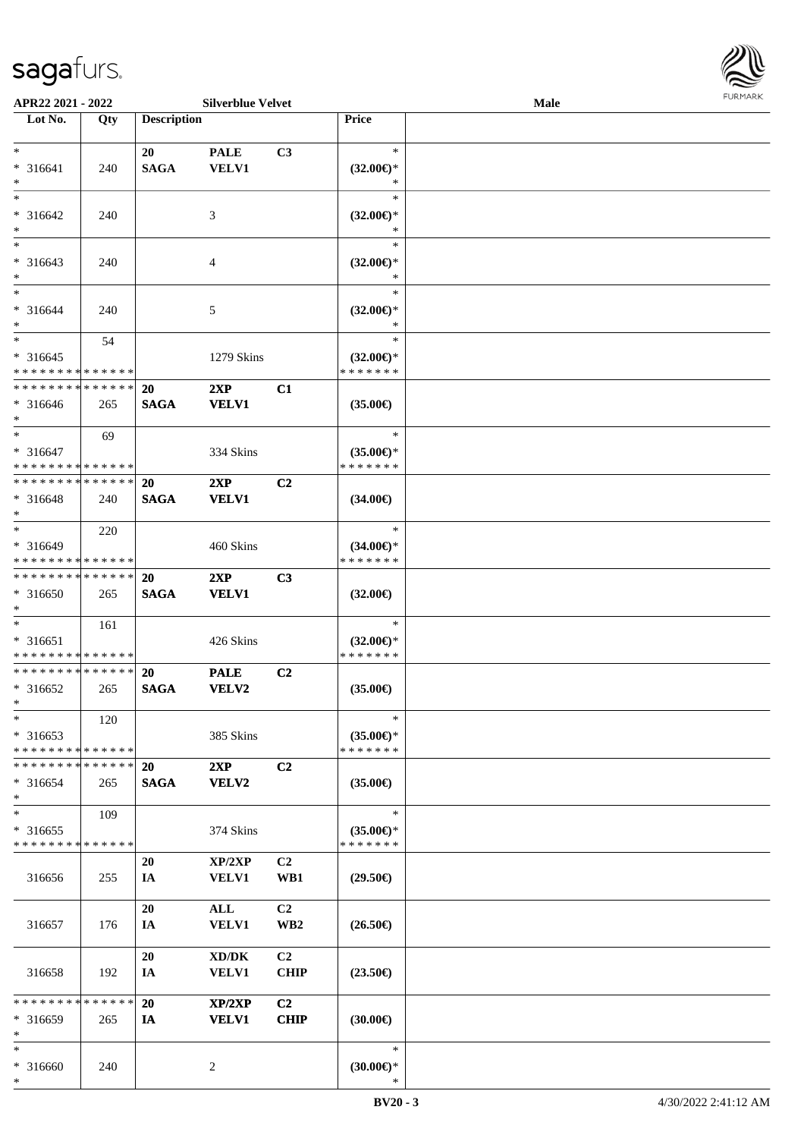

| APR22 2021 - 2022             |     |                    | <b>Silverblue Velvet</b> |                 |                     | <b>Male</b> |  |
|-------------------------------|-----|--------------------|--------------------------|-----------------|---------------------|-------------|--|
| Lot No.                       | Qty | <b>Description</b> |                          |                 | Price               |             |  |
|                               |     |                    |                          |                 |                     |             |  |
| $*$                           |     | 20                 | <b>PALE</b>              | C <sub>3</sub>  | $\ast$              |             |  |
| * 316641                      | 240 | <b>SAGA</b>        | <b>VELV1</b>             |                 | $(32.00\epsilon)$ * |             |  |
| $\ast$                        |     |                    |                          |                 | ∗                   |             |  |
| $*$                           |     |                    |                          |                 | $\ast$              |             |  |
| * 316642                      | 240 |                    | 3                        |                 | $(32.00\epsilon)$ * |             |  |
| $\ast$                        |     |                    |                          |                 | *                   |             |  |
|                               |     |                    |                          |                 | $\ast$              |             |  |
|                               |     |                    |                          |                 |                     |             |  |
| $* 316643$                    | 240 |                    | $\overline{4}$           |                 | $(32.00\epsilon)$ * |             |  |
| $\ast$                        |     |                    |                          |                 | $\ast$              |             |  |
| $*$                           |     |                    |                          |                 | $\ast$              |             |  |
| * 316644                      | 240 |                    | 5                        |                 | $(32.00\epsilon)$ * |             |  |
| $*$                           |     |                    |                          |                 | $\ast$              |             |  |
| $*$                           | 54  |                    |                          |                 | $\ast$              |             |  |
| * 316645                      |     |                    | 1279 Skins               |                 | $(32.00\epsilon)$ * |             |  |
| * * * * * * * * * * * * * *   |     |                    |                          |                 | * * * * * * *       |             |  |
| * * * * * * * * * * * * * *   |     | 20                 | 2XP                      | C1              |                     |             |  |
| * 316646                      | 265 | <b>SAGA</b>        | <b>VELV1</b>             |                 | $(35.00\epsilon)$   |             |  |
| $*$                           |     |                    |                          |                 |                     |             |  |
| $*$                           |     |                    |                          |                 | $\ast$              |             |  |
|                               | 69  |                    |                          |                 |                     |             |  |
| $* 316647$                    |     |                    | 334 Skins                |                 | $(35.00\epsilon)$ * |             |  |
| * * * * * * * * * * * * * *   |     |                    |                          |                 | * * * * * * *       |             |  |
| * * * * * * * * * * * * * * * |     | <b>20</b>          | 2XP                      | C <sub>2</sub>  |                     |             |  |
| * 316648                      | 240 | <b>SAGA</b>        | <b>VELV1</b>             |                 | $(34.00\epsilon)$   |             |  |
| $\ast$                        |     |                    |                          |                 |                     |             |  |
| $*$                           | 220 |                    |                          |                 | $\ast$              |             |  |
| * 316649                      |     |                    | 460 Skins                |                 | $(34.00\epsilon)$ * |             |  |
| * * * * * * * * * * * * * *   |     |                    |                          |                 | * * * * * * *       |             |  |
| * * * * * * * * * * * * * * * |     | <b>20</b>          | 2XP                      | C <sub>3</sub>  |                     |             |  |
| $* 316650$                    | 265 | <b>SAGA</b>        | <b>VELV1</b>             |                 | $(32.00\epsilon)$   |             |  |
| $*$                           |     |                    |                          |                 |                     |             |  |
| $*$                           |     |                    |                          |                 | $\ast$              |             |  |
|                               | 161 |                    |                          |                 |                     |             |  |
| * 316651                      |     |                    | 426 Skins                |                 | $(32.00\epsilon)$ * |             |  |
| * * * * * * * * * * * * * *   |     |                    |                          |                 | * * * * * * *       |             |  |
| * * * * * * * * * * * * * *   |     | <b>20</b>          | <b>PALE</b>              | C <sub>2</sub>  |                     |             |  |
| * 316652                      | 265 | <b>SAGA</b>        | <b>VELV2</b>             |                 | $(35.00\epsilon)$   |             |  |
| $*$                           |     |                    |                          |                 |                     |             |  |
| $\ast$                        | 120 |                    |                          |                 | $\ast$              |             |  |
| * 316653                      |     |                    | 385 Skins                |                 | $(35.00\epsilon)$ * |             |  |
| * * * * * * * * * * * * * *   |     |                    |                          |                 | * * * * * * *       |             |  |
| * * * * * * * * * * * * * * * |     | <b>20</b>          | 2XP                      | C <sub>2</sub>  |                     |             |  |
| * 316654                      | 265 | <b>SAGA</b>        | <b>VELV2</b>             |                 | $(35.00\epsilon)$   |             |  |
| $\ast$                        |     |                    |                          |                 |                     |             |  |
| $*$                           |     |                    |                          |                 | $\ast$              |             |  |
|                               | 109 |                    |                          |                 |                     |             |  |
| * 316655                      |     |                    | 374 Skins                |                 | $(35.00\epsilon)$ * |             |  |
| * * * * * * * * * * * * * *   |     |                    |                          |                 | * * * * * * *       |             |  |
|                               |     | 20                 | XP/2XP                   | C <sub>2</sub>  |                     |             |  |
| 316656                        | 255 | IA                 | <b>VELV1</b>             | WB1             | $(29.50\epsilon)$   |             |  |
|                               |     |                    |                          |                 |                     |             |  |
|                               |     | 20                 | $\mathbf{ALL}$           | C2              |                     |             |  |
| 316657                        | 176 | IA                 | <b>VELV1</b>             | WB <sub>2</sub> | $(26.50\epsilon)$   |             |  |
|                               |     |                    |                          |                 |                     |             |  |
|                               |     | 20                 | XD/DK                    | C <sub>2</sub>  |                     |             |  |
| 316658                        | 192 | IA                 | <b>VELV1</b>             | <b>CHIP</b>     | $(23.50\epsilon)$   |             |  |
|                               |     |                    |                          |                 |                     |             |  |
| * * * * * * * * * * * * * *   |     |                    |                          |                 |                     |             |  |
|                               |     | <b>20</b>          | XP/2XP                   | C <sub>2</sub>  |                     |             |  |
| $* 316659$                    | 265 | IA                 | <b>VELV1</b>             | <b>CHIP</b>     | $(30.00\epsilon)$   |             |  |
| $\ast$                        |     |                    |                          |                 |                     |             |  |
| $*$                           |     |                    |                          |                 | $\ast$              |             |  |
| * 316660                      | 240 |                    | 2                        |                 | $(30.00\epsilon)$ * |             |  |
| $\ast$                        |     |                    |                          |                 | $\ast$              |             |  |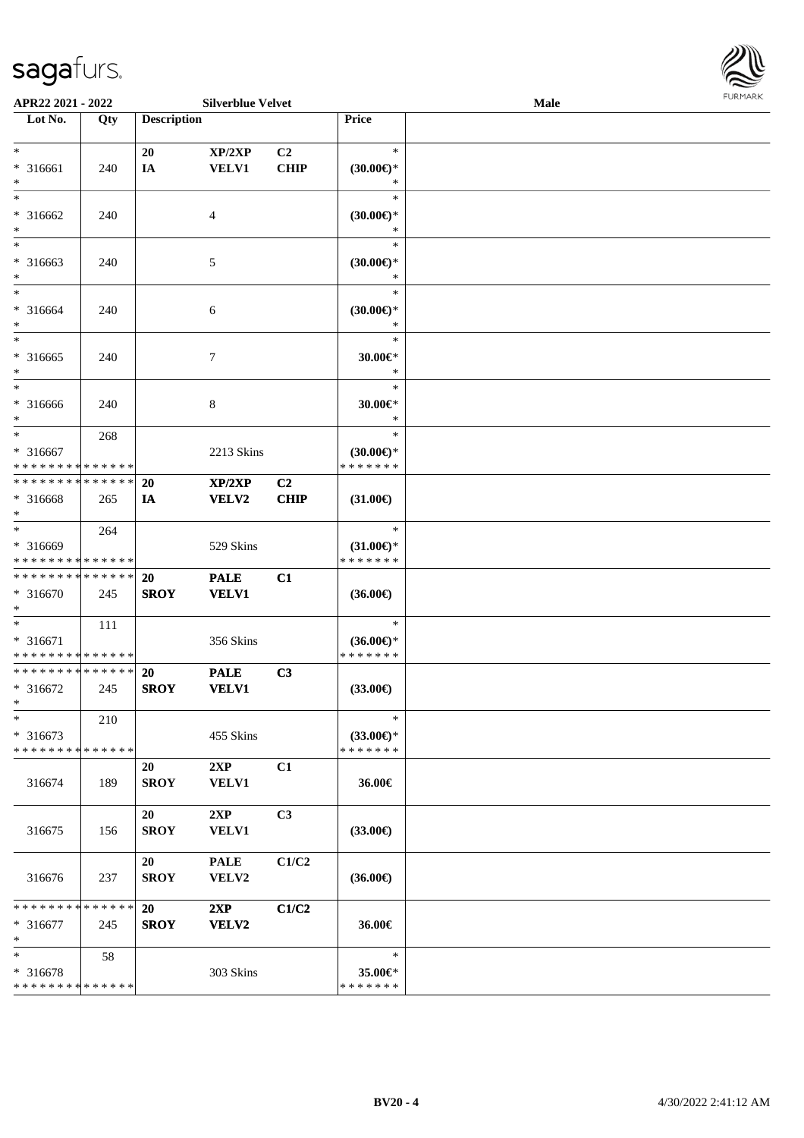

| APR22 2021 - 2022                                                            |                    |                          | <b>Silverblue Velvet</b>    |                               |                                                | <b>Male</b> | <b>FUNITANN</b> |
|------------------------------------------------------------------------------|--------------------|--------------------------|-----------------------------|-------------------------------|------------------------------------------------|-------------|-----------------|
| Lot No.                                                                      | Qty                | <b>Description</b>       |                             |                               | Price                                          |             |                 |
| $\ast$<br>* 316661<br>$\ast$                                                 | 240                | 20<br>IA                 | XP/2XP<br><b>VELV1</b>      | C2<br><b>CHIP</b>             | $\ast$<br>$(30.00\epsilon)$ *<br>$\ast$        |             |                 |
| $\ast$<br>* 316662<br>$\ast$                                                 | 240                |                          | $\overline{4}$              |                               | $\ast$<br>$(30.00\epsilon)$ *<br>∗             |             |                 |
| $\ast$<br>* 316663<br>$\ast$                                                 | 240                |                          | 5                           |                               | $\ast$<br>$(30.00\epsilon)$ *<br>$\ast$        |             |                 |
| $*$<br>* 316664<br>$\ast$                                                    | 240                |                          | 6                           |                               | $\ast$<br>$(30.00\epsilon)$ *<br>$\ast$        |             |                 |
| * 316665<br>$\ast$                                                           | 240                |                          | $\tau$                      |                               | $\ast$<br>$30.00 \in$ *<br>$\ast$              |             |                 |
| $*$<br>* 316666<br>$\ast$                                                    | 240                |                          | 8                           |                               | $\ast$<br>$30.00 \in$ *<br>$\ast$              |             |                 |
| $*$<br>* 316667<br>* * * * * * * * <mark>* * * * * * *</mark>                | 268                |                          | 2213 Skins                  |                               | $\ast$<br>$(30.00€)$ *<br>* * * * * * *        |             |                 |
| * * * * * * * * * * * * * *<br>* 316668<br>$\ast$                            | 265                | 20<br>IA                 | XP/2XP<br><b>VELV2</b>      | C <sub>2</sub><br><b>CHIP</b> | $(31.00\epsilon)$                              |             |                 |
| $\ast$<br>* 316669<br>* * * * * * * * <mark>* * * * * *</mark>               | 264                |                          | 529 Skins                   |                               | $\ast$<br>$(31.00\epsilon)$ *<br>* * * * * * * |             |                 |
| * * * * * * * * * * * * * * *<br>* 316670<br>$\ast$                          | 245                | <b>20</b><br><b>SROY</b> | <b>PALE</b><br><b>VELV1</b> | C1                            | $(36.00\epsilon)$                              |             |                 |
| $\ddot{\ddot{\ }}$<br>* 316671<br>* * * * * * * * <mark>* * * * * * *</mark> | 111                |                          | 356 Skins                   |                               | $\ast$<br>$(36.00\epsilon)$ *<br>* * * * * * * |             |                 |
| * * * * * * * * <mark>* * * * * * *</mark><br>* 316672<br>$\ast$             | 245                | <b>20</b><br><b>SROY</b> | <b>PALE</b><br><b>VELV1</b> | C <sub>3</sub>                | $(33.00\epsilon)$                              |             |                 |
| *<br>$* 316673$<br>* * * * * * * * <mark>* * * * * *</mark>                  | 210                |                          | 455 Skins                   |                               | $\ast$<br>$(33.00\epsilon)$ *<br>* * * * * * * |             |                 |
| 316674                                                                       | 189                | 20<br><b>SROY</b>        | 2XP<br><b>VELV1</b>         | C1                            | 36.00€                                         |             |                 |
| 316675                                                                       | 156                | 20<br><b>SROY</b>        | 2XP<br>VELV1                | C3                            | $(33.00\epsilon)$                              |             |                 |
| 316676                                                                       | 237                | 20<br><b>SROY</b>        | <b>PALE</b><br>VELV2        | C1/C2                         | $(36.00\epsilon)$                              |             |                 |
| * * * * * * * *<br>* 316677<br>$\ast$                                        | * * * * * *<br>245 | 20<br><b>SROY</b>        | 2XP<br>VELV2                | C1/C2                         | 36.00€                                         |             |                 |
| $\ast$<br>* 316678<br>* * * * * * * * <mark>* * * * * * *</mark>             | 58                 |                          | 303 Skins                   |                               | $\ast$<br>35.00€*<br>* * * * * * *             |             |                 |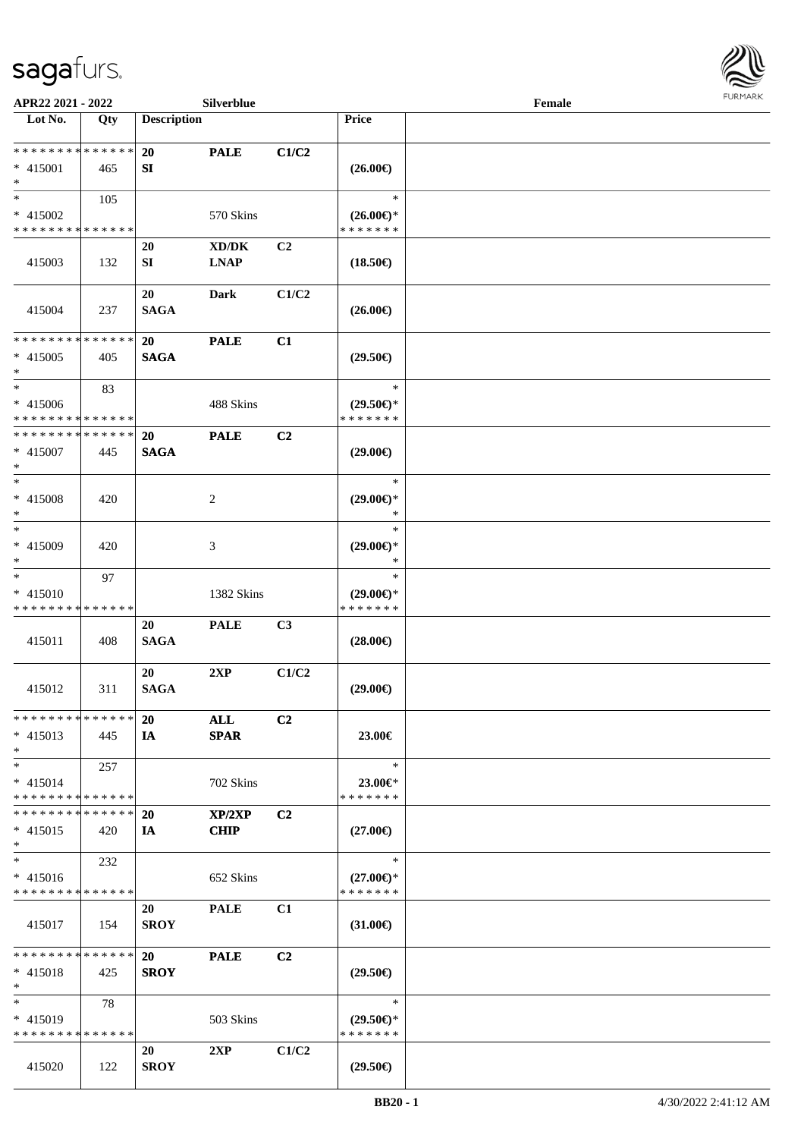

| APR22 2021 - 2022                                  |     |                          | Silverblue            |                |                                                | Female |  |
|----------------------------------------------------|-----|--------------------------|-----------------------|----------------|------------------------------------------------|--------|--|
| Lot No.                                            | Qty | <b>Description</b>       |                       |                | <b>Price</b>                                   |        |  |
| * * * * * * * * * * * * * *<br>* 415001<br>$*$     | 465 | <b>20</b><br>SI          | <b>PALE</b>           | C1/C2          | $(26.00\epsilon)$                              |        |  |
| $*$<br>* 415002<br>* * * * * * * * * * * * * *     | 105 |                          | 570 Skins             |                | $\ast$<br>$(26.00\epsilon)$ *<br>* * * * * * * |        |  |
| 415003                                             | 132 | 20<br>SI                 | XD/DK<br><b>LNAP</b>  | C <sub>2</sub> | $(18.50\epsilon)$                              |        |  |
| 415004                                             | 237 | 20<br><b>SAGA</b>        | <b>Dark</b>           | C1/C2          | $(26.00\epsilon)$                              |        |  |
| * * * * * * * * * * * * * *<br>$* 415005$<br>$*$   | 405 | 20<br><b>SAGA</b>        | <b>PALE</b>           | C1             | $(29.50\epsilon)$                              |        |  |
| $\ast$<br>* 415006<br>* * * * * * * * * * * * * *  | 83  |                          | 488 Skins             |                | $\ast$<br>$(29.50\epsilon)$ *<br>* * * * * * * |        |  |
| * * * * * * * * * * * * * *<br>$* 415007$<br>$*$   | 445 | <b>20</b><br><b>SAGA</b> | <b>PALE</b>           | C <sub>2</sub> | $(29.00\epsilon)$                              |        |  |
| $*$<br>* 415008<br>$*$                             | 420 |                          | 2                     |                | $\ast$<br>$(29.00\epsilon)$ *<br>*             |        |  |
| $*$<br>* 415009<br>$*$                             | 420 |                          | 3                     |                | $\ast$<br>$(29.00\epsilon)$ *<br>*             |        |  |
| $*$<br>* 415010<br>* * * * * * * * * * * * * *     | 97  |                          | 1382 Skins            |                | $\ast$<br>$(29.00\epsilon)$ *<br>* * * * * * * |        |  |
| 415011                                             | 408 | 20<br><b>SAGA</b>        | <b>PALE</b>           | C3             | $(28.00\epsilon)$                              |        |  |
| 415012                                             | 311 | 20<br><b>SAGA</b>        | 2XP                   | C1/C2          | $(29.00\epsilon)$                              |        |  |
| * * * * * * * * * * * * * * *<br>$* 415013$<br>$*$ | 445 | <b>20</b><br>IA          | ALL<br><b>SPAR</b>    | C <sub>2</sub> | 23.00€                                         |        |  |
| $*$<br>$* 415014$<br>* * * * * * * * * * * * * * * | 257 |                          | 702 Skins             |                | $\ast$<br>23.00€*<br>* * * * * * *             |        |  |
| * * * * * * * * * * * * * * *<br>$* 415015$<br>$*$ | 420 | <b>20</b><br>IA          | XP/2XP<br><b>CHIP</b> | C <sub>2</sub> | $(27.00\epsilon)$                              |        |  |
| $*$<br>$* 415016$<br>* * * * * * * * * * * * * *   | 232 |                          | 652 Skins             |                | $\ast$<br>$(27.00\epsilon)$ *<br>* * * * * * * |        |  |
| 415017                                             | 154 | 20<br><b>SROY</b>        | <b>PALE</b>           | C1             | $(31.00\epsilon)$                              |        |  |
| * * * * * * * * * * * * * * *<br>$* 415018$<br>$*$ | 425 | 20<br><b>SROY</b>        | <b>PALE</b>           | C <sub>2</sub> | $(29.50\epsilon)$                              |        |  |
| $*$<br>* 415019<br>* * * * * * * * * * * * * *     | 78  |                          | 503 Skins             |                | $\ast$<br>$(29.50\epsilon)$ *<br>* * * * * * * |        |  |
| 415020                                             | 122 | 20<br><b>SROY</b>        | 2XP                   | C1/C2          | $(29.50\epsilon)$                              |        |  |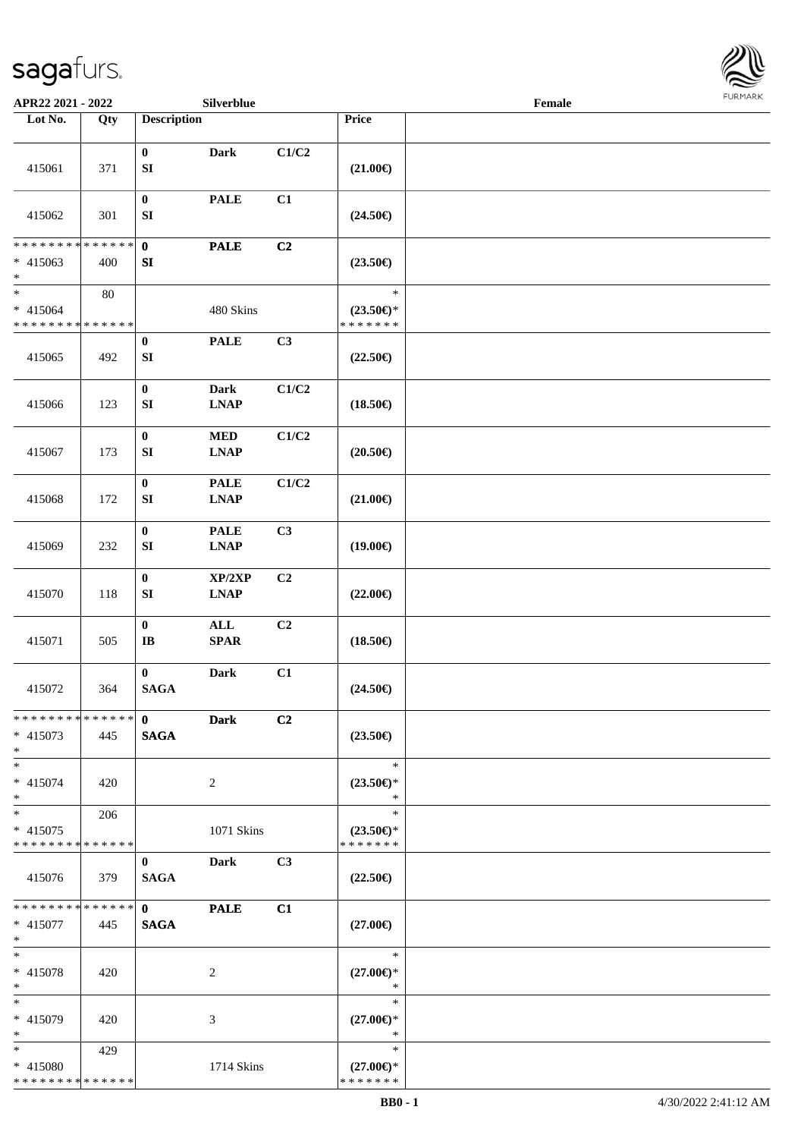

| APR22 2021 - 2022                       |                   |                                      | Silverblue     |                |                                      | Female |  |
|-----------------------------------------|-------------------|--------------------------------------|----------------|----------------|--------------------------------------|--------|--|
| Lot No.                                 | $\overline{Q}$ ty | <b>Description</b>                   |                |                | Price                                |        |  |
|                                         |                   |                                      |                |                |                                      |        |  |
| 415061                                  | 371               | $\bf{0}$<br>${\bf S}{\bf I}$         | <b>Dark</b>    | C1/C2          | $(21.00\epsilon)$                    |        |  |
| 415062                                  | 301               | $\boldsymbol{0}$<br>${\bf S}{\bf I}$ | <b>PALE</b>    | C1             | $(24.50\epsilon)$                    |        |  |
| * * * * * * * *                         | * * * * * *       | $\mathbf{0}$                         | <b>PALE</b>    | C <sub>2</sub> |                                      |        |  |
| $* 415063$<br>$\ast$                    | 400               | ${\bf S}{\bf I}$                     |                |                | $(23.50\epsilon)$                    |        |  |
| $\ast$                                  | $80\,$            |                                      |                |                | $\ast$                               |        |  |
| $* 415064$                              |                   |                                      | 480 Skins      |                | $(23.50\epsilon)$ *                  |        |  |
| * * * * * * * * * * * * * *             |                   | $\pmb{0}$                            | <b>PALE</b>    | C3             | * * * * * * *                        |        |  |
| 415065                                  | 492               | SI                                   |                |                | $(22.50\epsilon)$                    |        |  |
|                                         |                   | $\pmb{0}$                            | <b>Dark</b>    | $\rm C1/C2$    |                                      |        |  |
| 415066                                  | 123               | ${\bf S}{\bf I}$                     | <b>LNAP</b>    |                | $(18.50\epsilon)$                    |        |  |
|                                         |                   | $\pmb{0}$                            | $\bf MED$      | C1/C2          |                                      |        |  |
| 415067                                  | 173               | ${\bf S}{\bf I}$                     | <b>LNAP</b>    |                | $(20.50\epsilon)$                    |        |  |
|                                         |                   | $\boldsymbol{0}$                     | <b>PALE</b>    | C1/C2          |                                      |        |  |
| 415068                                  | 172               | ${\bf SI}$                           | <b>LNAP</b>    |                | $(21.00\epsilon)$                    |        |  |
|                                         |                   | $\pmb{0}$                            | <b>PALE</b>    | C3             |                                      |        |  |
| 415069                                  | 232               | ${\bf S}{\bf I}$                     | <b>LNAP</b>    |                | $(19.00\epsilon)$                    |        |  |
|                                         |                   | $\pmb{0}$                            | XP/2XP         | C2             |                                      |        |  |
| 415070                                  | 118               | ${\bf S}{\bf I}$                     | <b>LNAP</b>    |                | $(22.00\epsilon)$                    |        |  |
|                                         |                   | $\pmb{0}$                            | $\mathbf{ALL}$ | C2             |                                      |        |  |
| 415071                                  | 505               | $\bf IB$                             | <b>SPAR</b>    |                | $(18.50\epsilon)$                    |        |  |
|                                         |                   | $\mathbf{0}$                         | <b>Dark</b>    | C1             |                                      |        |  |
| 415072                                  | 364               | <b>SAGA</b>                          |                |                | $(24.50\epsilon)$                    |        |  |
| * * * * * * * * * * * * * * *           |                   | $\mathbf{0}$                         | <b>Dark</b>    | C2             |                                      |        |  |
| * 415073<br>$*$                         | 445               | <b>SAGA</b>                          |                |                | $(23.50\epsilon)$                    |        |  |
| $*$                                     |                   |                                      |                |                | $\ast$                               |        |  |
| $* 415074$<br>$*$                       | 420               |                                      | $\overline{2}$ |                | $(23.50\epsilon)$ *<br>$\ast$        |        |  |
| $*$                                     | 206               |                                      |                |                | $\ast$                               |        |  |
| * 415075                                |                   |                                      | 1071 Skins     |                | $(23.50\epsilon)$ *                  |        |  |
| * * * * * * * * * * * * * *             |                   |                                      |                |                | * * * * * * *                        |        |  |
| 415076                                  | 379               | $\bf{0}$<br><b>SAGA</b>              | Dark           | C3             | $(22.50\epsilon)$                    |        |  |
| * * * * * * * * * * * * * * *           |                   | $\mathbf{0}$                         | <b>PALE</b>    | C1             |                                      |        |  |
| * 415077                                | 445               | <b>SAGA</b>                          |                |                | $(27.00\epsilon)$                    |        |  |
| $*$                                     |                   |                                      |                |                |                                      |        |  |
| $*$                                     |                   |                                      |                |                | $\ast$                               |        |  |
| $* 415078$<br>$*$                       | 420               |                                      | 2              |                | $(27.00\epsilon)$ *<br>$\ast$        |        |  |
| $*$                                     |                   |                                      |                |                | $\ast$                               |        |  |
| * 415079                                | 420               |                                      | 3              |                | $(27.00\epsilon)$ *                  |        |  |
| $*$                                     |                   |                                      |                |                | $\ast$                               |        |  |
| $*$                                     | 429               |                                      |                |                | $\ast$                               |        |  |
| * 415080<br>* * * * * * * * * * * * * * |                   |                                      | 1714 Skins     |                | $(27.00\epsilon)$ *<br>* * * * * * * |        |  |
|                                         |                   |                                      |                |                |                                      |        |  |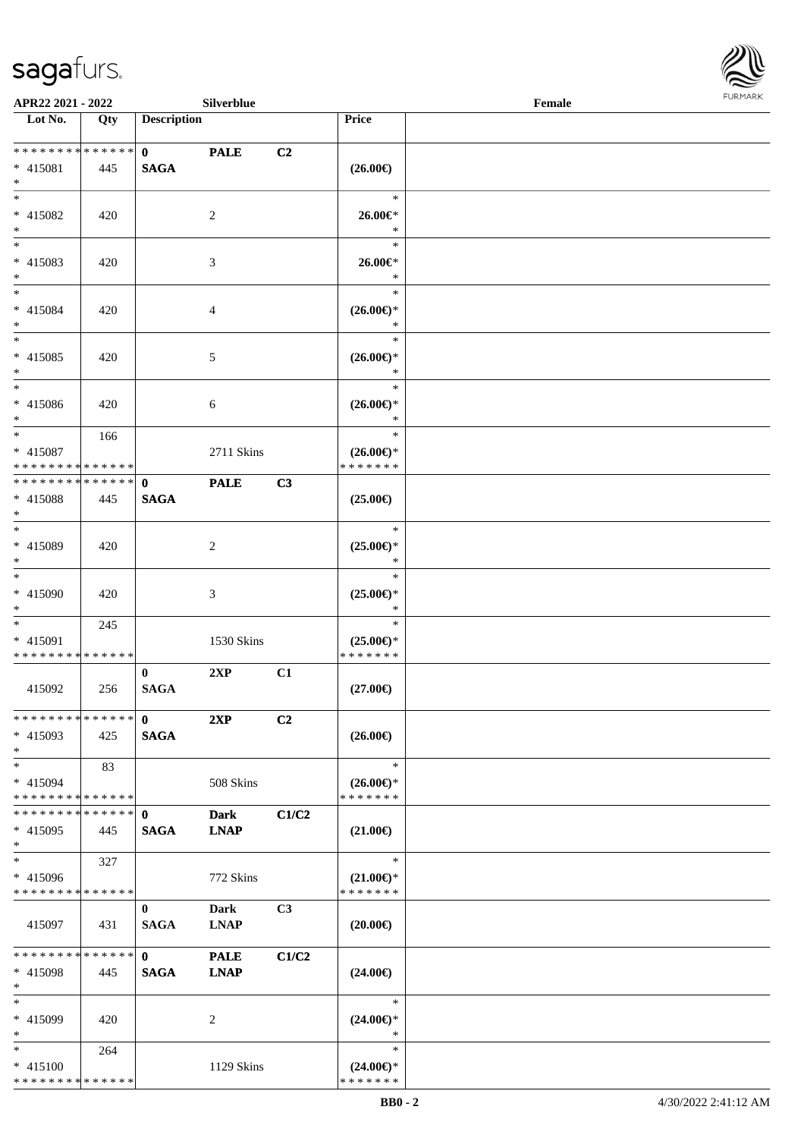

|                                                                 | APR22 2021 - 2022<br>Silverblue |                             |                            |                |                                                | Female |  |  |
|-----------------------------------------------------------------|---------------------------------|-----------------------------|----------------------------|----------------|------------------------------------------------|--------|--|--|
| Lot No.                                                         | Qty                             | <b>Description</b>          |                            |                | Price                                          |        |  |  |
| * * * * * * * * * * * * * *<br>* 415081<br>$*$                  | 445                             | $\mathbf{0}$<br><b>SAGA</b> | <b>PALE</b>                | C <sub>2</sub> | $(26.00\epsilon)$                              |        |  |  |
| $*$<br>* 415082<br>$*$                                          | 420                             |                             | 2                          |                | $\ast$<br>$26.00 \in$<br>$\ast$                |        |  |  |
| $*$<br>$* 415083$<br>$*$                                        | 420                             |                             | 3                          |                | $\ast$<br>$26.00 \in$<br>$\ast$                |        |  |  |
| $*$<br>* 415084<br>$*$                                          | 420                             |                             | 4                          |                | $\ast$<br>$(26.00\epsilon)$ *<br>$\ast$        |        |  |  |
| $*$<br>$* 415085$<br>$*$                                        | 420                             |                             | 5                          |                | $\ast$<br>$(26.00\epsilon)$ *<br>$\ast$        |        |  |  |
| $*$<br>$* 415086$<br>$*$                                        | 420                             |                             | 6                          |                | $\ast$<br>$(26.00\epsilon)$ *<br>$\ast$        |        |  |  |
| $*$<br>* 415087<br>* * * * * * * * * * * * * *                  | 166                             |                             | 2711 Skins                 |                | $\ast$<br>$(26.00\epsilon)$ *<br>* * * * * * * |        |  |  |
| * * * * * * * * * * * * * * *<br>* 415088<br>$*$                | 445                             | $\mathbf{0}$<br><b>SAGA</b> | <b>PALE</b>                | C <sub>3</sub> | $(25.00\epsilon)$                              |        |  |  |
| $*$<br>$* 415089$<br>$*$                                        | 420                             |                             | 2                          |                | $\ast$<br>$(25.00\epsilon)$ *<br>$\ast$        |        |  |  |
| $*$<br>$* 415090$<br>$*$                                        | 420                             |                             | $\mathfrak{Z}$             |                | $\ast$<br>$(25.00\epsilon)$ *<br>$\ast$        |        |  |  |
| $*$<br>* 415091<br>* * * * * * * * * * * * * *                  | 245                             |                             | 1530 Skins                 |                | $\ast$<br>$(25.00\epsilon)$ *<br>* * * * * * * |        |  |  |
| 415092                                                          | 256                             | $\bf{0}$<br><b>SAGA</b>     | 2XP                        | C1             | $(27.00\epsilon)$                              |        |  |  |
| * * * * * * * * * * * * * * *<br>$* 415093$<br>$*$              | 425                             | $\mathbf{0}$<br><b>SAGA</b> | 2XP                        | C <sub>2</sub> | $(26.00\epsilon)$                              |        |  |  |
| $*$<br>* 415094<br>* * * * * * * * * * * * * *                  | 83                              |                             | 508 Skins                  |                | $\ast$<br>$(26.00\epsilon)$ *<br>* * * * * * * |        |  |  |
| * * * * * * * * * * * * * *<br>* 415095<br>$*$                  | 445                             | $\mathbf{0}$<br><b>SAGA</b> | <b>Dark</b><br><b>LNAP</b> | C1/C2          | $(21.00\epsilon)$                              |        |  |  |
| $\ast$<br>* 415096<br>* * * * * * * * * * * * * *               | 327                             |                             | 772 Skins                  |                | $\ast$<br>$(21.00\epsilon)$ *<br>* * * * * * * |        |  |  |
| 415097                                                          | 431                             | $\bf{0}$<br><b>SAGA</b>     | Dark<br><b>LNAP</b>        | C <sub>3</sub> | $(20.00\epsilon)$                              |        |  |  |
| * * * * * * * *<br>* 415098<br>$*$                              | * * * * * *<br>445              | $\mathbf{0}$<br><b>SAGA</b> | <b>PALE</b><br><b>LNAP</b> | C1/C2          | $(24.00\epsilon)$                              |        |  |  |
| $*$<br>* 415099<br>$*$                                          | 420                             |                             | 2                          |                | $\ast$<br>$(24.00\epsilon)$ *<br>$\ast$        |        |  |  |
| $*$<br>$* 415100$<br>* * * * * * * * <mark>* * * * * * *</mark> | 264                             |                             | 1129 Skins                 |                | $\ast$<br>$(24.00\epsilon)$ *<br>* * * * * * * |        |  |  |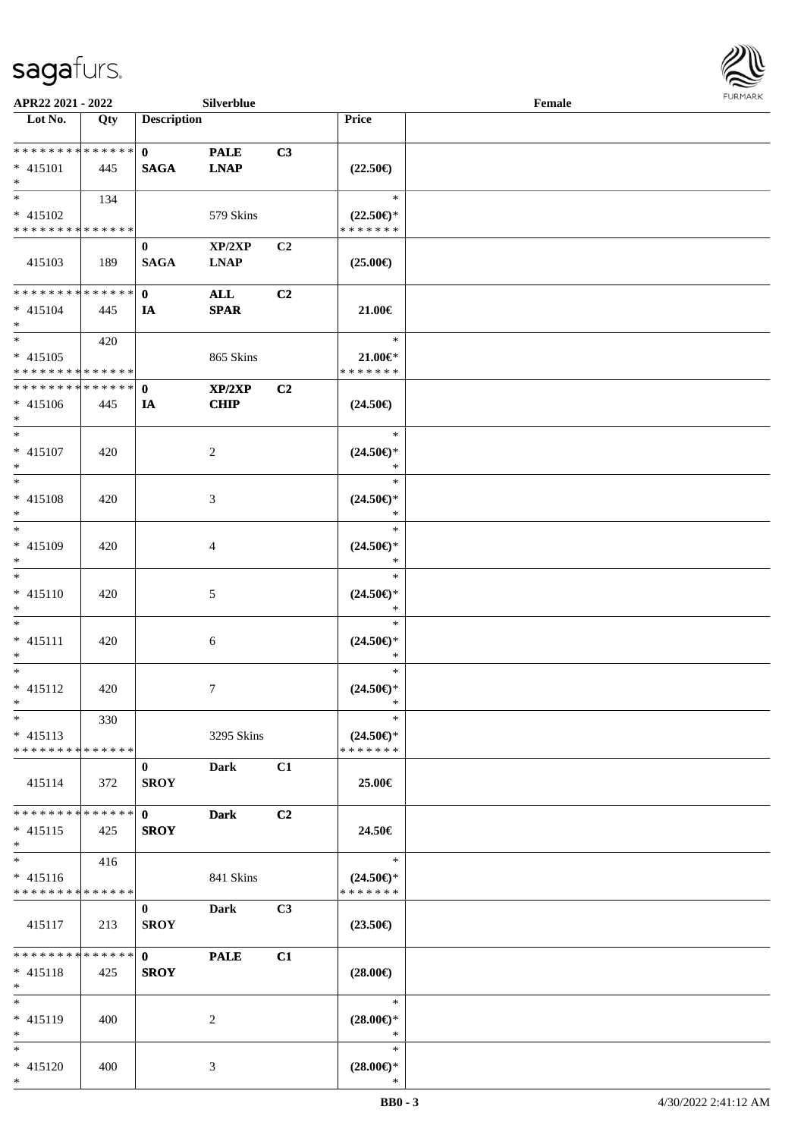

| APR22 2021 - 2022             |        |                    | Silverblue     |                |                     | Female |  |
|-------------------------------|--------|--------------------|----------------|----------------|---------------------|--------|--|
| Lot No.                       | Qty    | <b>Description</b> |                |                | Price               |        |  |
|                               |        |                    |                |                |                     |        |  |
| ******** <mark>******</mark>  |        | $\mathbf{0}$       | <b>PALE</b>    | C3             |                     |        |  |
| $* 415101$                    | 445    | <b>SAGA</b>        | <b>LNAP</b>    |                | $(22.50\epsilon)$   |        |  |
| $*$                           |        |                    |                |                |                     |        |  |
| $*$                           | 134    |                    |                |                | $\ast$              |        |  |
| $* 415102$                    |        |                    | 579 Skins      |                | $(22.50\epsilon)$ * |        |  |
| * * * * * * * * * * * * * *   |        |                    |                |                | * * * * * * *       |        |  |
|                               |        |                    |                | C <sub>2</sub> |                     |        |  |
|                               |        | $\bf{0}$           | XP/2XP         |                |                     |        |  |
| 415103                        | 189    | <b>SAGA</b>        | <b>LNAP</b>    |                | $(25.00\epsilon)$   |        |  |
|                               |        |                    |                |                |                     |        |  |
| * * * * * * * * * * * * * * * |        | $\mathbf{0}$       | <b>ALL</b>     | C2             |                     |        |  |
| $* 415104$                    | 445    | IA                 | <b>SPAR</b>    |                | 21.00€              |        |  |
| $*$                           |        |                    |                |                |                     |        |  |
| $*$                           | 420    |                    |                |                | $\ast$              |        |  |
| $* 415105$                    |        |                    | 865 Skins      |                | $21.00 \in$         |        |  |
| * * * * * * * * * * * * * *   |        |                    |                |                | * * * * * * *       |        |  |
| * * * * * * * * * * * * * *   |        | $\mathbf 0$        | XP/2XP         | C2             |                     |        |  |
| $* 415106$                    | 445    | IA                 | <b>CHIP</b>    |                | $(24.50\epsilon)$   |        |  |
| $*$                           |        |                    |                |                |                     |        |  |
| $*$                           |        |                    |                |                | $\ast$              |        |  |
| * 415107                      | 420    |                    | $\overline{2}$ |                | $(24.50\epsilon)$ * |        |  |
| $*$                           |        |                    |                |                | $\ast$              |        |  |
| $*$                           |        |                    |                |                | $\ast$              |        |  |
| * 415108                      | 420    |                    | 3              |                | $(24.50\epsilon)$ * |        |  |
| $*$                           |        |                    |                |                | $\ast$              |        |  |
| $*$                           |        |                    |                |                | $\ast$              |        |  |
|                               |        |                    |                |                |                     |        |  |
| * 415109                      | 420    |                    | 4              |                | $(24.50\epsilon)$ * |        |  |
| $*$                           |        |                    |                |                | $\ast$              |        |  |
| $*$                           |        |                    |                |                | $\ast$              |        |  |
| $* 415110$                    | 420    |                    | 5              |                | $(24.50\epsilon)$ * |        |  |
| $*$                           |        |                    |                |                | $\ast$              |        |  |
| $*$                           |        |                    |                |                | $\ast$              |        |  |
| $* 415111$                    | 420    |                    | 6              |                | $(24.50\epsilon)$ * |        |  |
| $*$                           |        |                    |                |                | $\ast$              |        |  |
| $*$                           |        |                    |                |                | $\ast$              |        |  |
| $* 415112$                    | 420    |                    | $\overline{7}$ |                | $(24.50\epsilon)$ * |        |  |
| $*$                           |        |                    |                |                | $\ast$              |        |  |
| $*$                           | 330    |                    |                |                | $\ast$              |        |  |
| $* 415113$                    |        |                    | 3295 Skins     |                | $(24.50\epsilon)$ * |        |  |
| * * * * * * * * * * * * * *   |        |                    |                |                | * * * * * * *       |        |  |
|                               |        | $\bf{0}$           | Dark           | C1             |                     |        |  |
| 415114                        | 372    | <b>SROY</b>        |                |                | 25.00€              |        |  |
|                               |        |                    |                |                |                     |        |  |
| * * * * * * * *               | ****** |                    |                |                |                     |        |  |
|                               |        | $\mathbf{0}$       | <b>Dark</b>    | C2             |                     |        |  |
| $* 415115$                    | 425    | <b>SROY</b>        |                |                | 24.50€              |        |  |
| $*$                           |        |                    |                |                |                     |        |  |
|                               | 416    |                    |                |                | $\ast$              |        |  |
| $* 415116$                    |        |                    | 841 Skins      |                | $(24.50\epsilon)$ * |        |  |
| * * * * * * * * * * * * * *   |        |                    |                |                | * * * * * * *       |        |  |
|                               |        | $\mathbf{0}$       | Dark           | C3             |                     |        |  |
| 415117                        | 213    | <b>SROY</b>        |                |                | $(23.50\epsilon)$   |        |  |
|                               |        |                    |                |                |                     |        |  |
| * * * * * * * * * * * * * * * |        | $\mathbf{0}$       | <b>PALE</b>    | C1             |                     |        |  |
| $* 415118$                    | 425    | <b>SROY</b>        |                |                | $(28.00\epsilon)$   |        |  |
| $*$                           |        |                    |                |                |                     |        |  |
| $*$                           |        |                    |                |                | $\ast$              |        |  |
| * 415119                      | 400    |                    | 2              |                | $(28.00\epsilon)$ * |        |  |
| $*$                           |        |                    |                |                | $\ast$              |        |  |
| $*$                           |        |                    |                |                | $\ast$              |        |  |
| * 415120                      | 400    |                    | 3              |                | $(28.00\epsilon)$ * |        |  |
| $*$                           |        |                    |                |                | $\ast$              |        |  |
|                               |        |                    |                |                |                     |        |  |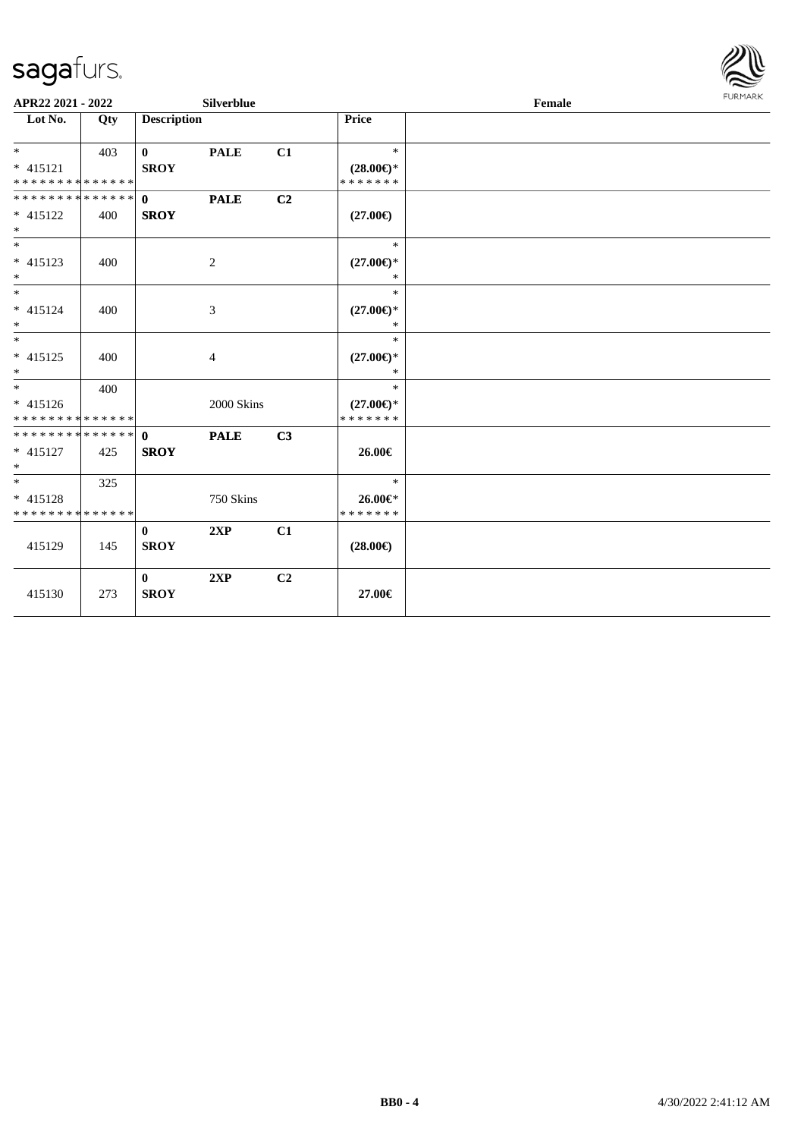

| APR22 2021 - 2022                                  |     |                             | Silverblue     |                |                                                | <b>FURMARK</b><br>Female |  |  |
|----------------------------------------------------|-----|-----------------------------|----------------|----------------|------------------------------------------------|--------------------------|--|--|
| Lot No.                                            | Qty | <b>Description</b>          |                |                | Price                                          |                          |  |  |
| $* 415121$<br>* * * * * * * * * * * * * *          | 403 | $\mathbf{0}$<br><b>SROY</b> | <b>PALE</b>    | C1             | $\ast$<br>$(28.00\epsilon)$ *<br>* * * * * * * |                          |  |  |
| ******** <mark>******</mark><br>* 415122<br>$*$    | 400 | $\mathbf{0}$<br><b>SROY</b> | <b>PALE</b>    | C2             | $(27.00\epsilon)$                              |                          |  |  |
| $*$<br>$* 415123$<br>$*$                           | 400 |                             | 2              |                | $\ast$<br>$(27.00\epsilon)$ *<br>$\ast$        |                          |  |  |
| $*$<br>$* 415124$<br>$\ast$                        | 400 |                             | 3              |                | $\ast$<br>$(27.00\epsilon)$ *<br>$*$           |                          |  |  |
| $*$<br>$* 415125$<br>$*$                           | 400 |                             | $\overline{4}$ |                | *<br>$(27.00\epsilon)$ *<br>$\ast$             |                          |  |  |
| $*$<br>* 415126<br>* * * * * * * * * * * * * *     | 400 |                             | 2000 Skins     |                | $\ast$<br>$(27.00\epsilon)$ *<br>* * * * * * * |                          |  |  |
| * * * * * * * * * * * * * * *<br>$* 415127$<br>$*$ | 425 | $\mathbf{0}$<br><b>SROY</b> | <b>PALE</b>    | C3             | 26.00€                                         |                          |  |  |
| $*$<br>* 415128<br>* * * * * * * * * * * * * *     | 325 |                             | 750 Skins      |                | $\ast$<br>26.00€*<br>* * * * * * *             |                          |  |  |
| 415129                                             | 145 | $\mathbf{0}$<br><b>SROY</b> | 2XP            | C1             | $(28.00\epsilon)$                              |                          |  |  |
| 415130                                             | 273 | $\bf{0}$<br><b>SROY</b>     | 2XP            | C <sub>2</sub> | 27.00€                                         |                          |  |  |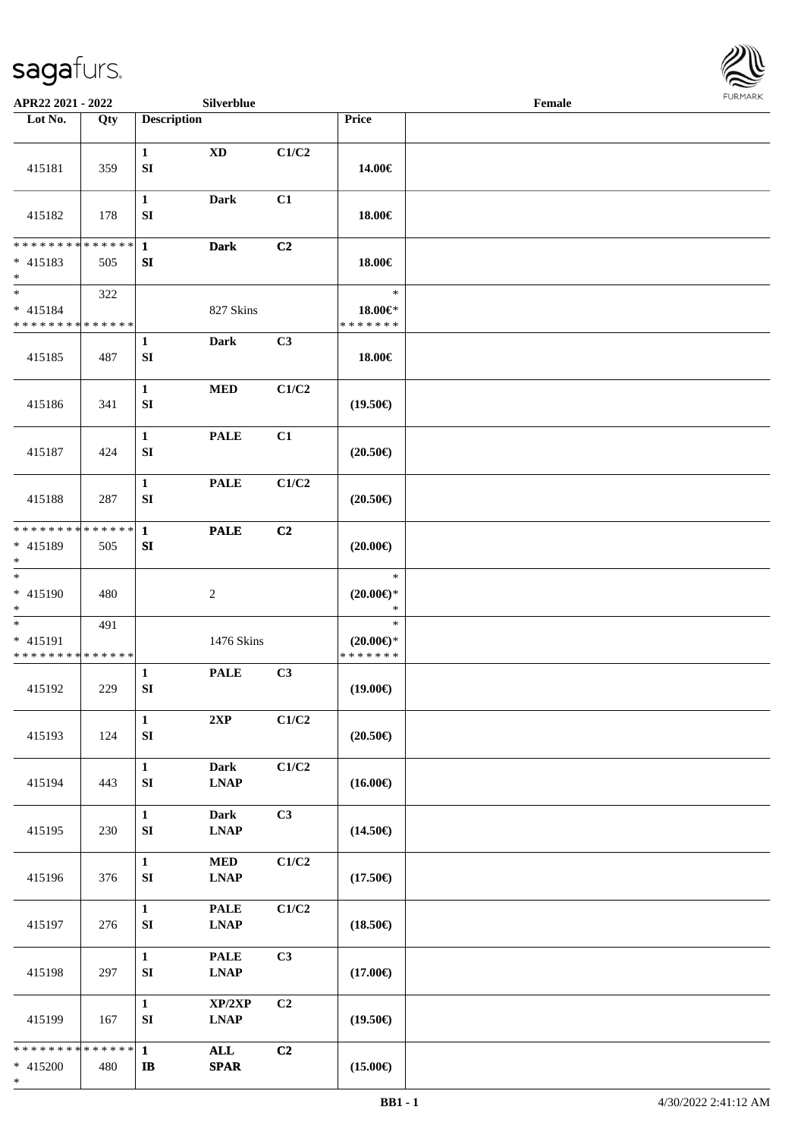\*



| APR22 2021 - 2022                                      |     |                                      | Silverblue                                                |       |                                                | Female |  |
|--------------------------------------------------------|-----|--------------------------------------|-----------------------------------------------------------|-------|------------------------------------------------|--------|--|
| Lot No.                                                | Qty | <b>Description</b>                   |                                                           |       | Price                                          |        |  |
| 415181                                                 | 359 | $\mathbf{1}$<br>${\bf S}{\bf I}$     | $\mathbf{X}\mathbf{D}$                                    | C1/C2 | 14.00€                                         |        |  |
| 415182                                                 | 178 | $\mathbf{1}$<br>SI                   | <b>Dark</b>                                               | C1    | 18.00€                                         |        |  |
| * * * * * * * * * * * * * * *<br>$* 415183$<br>$\ast$  | 505 | $\mathbf{1}$<br>${\bf SI}$           | <b>Dark</b>                                               | C2    | 18.00€                                         |        |  |
| $*$<br>* 415184<br>* * * * * * * * * * * * * *         | 322 |                                      | 827 Skins                                                 |       | $\ast$<br>18.00€*<br>* * * * * * *             |        |  |
| 415185                                                 | 487 | $\mathbf{1}$<br>SI                   | <b>Dark</b>                                               | C3    | 18.00€                                         |        |  |
| 415186                                                 | 341 | $\mathbf{1}$<br>SI                   | <b>MED</b>                                                | C1/C2 | $(19.50\epsilon)$                              |        |  |
| 415187                                                 | 424 | $\mathbf{1}$<br>SI                   | <b>PALE</b>                                               | C1    | $(20.50\epsilon)$                              |        |  |
| 415188                                                 | 287 | $\mathbf{1}$<br>SI                   | <b>PALE</b>                                               | C1/C2 | $(20.50\epsilon)$                              |        |  |
| * * * * * * * * * * * * * * *<br>* 415189<br>$\ast$    | 505 | $\mathbf{1}$<br>SI                   | <b>PALE</b>                                               | C2    | $(20.00\epsilon)$                              |        |  |
| $\ast$<br>* 415190<br>$*$                              | 480 |                                      | $\overline{c}$                                            |       | $\ast$<br>$(20.00\epsilon)$ *<br>$\ast$        |        |  |
| $*$<br>* 415191<br>* * * * * * * * * * * * * *         | 491 |                                      | 1476 Skins                                                |       | $\ast$<br>$(20.00\epsilon)$ *<br>* * * * * * * |        |  |
| 415192                                                 | 229 | $\mathbf{1}$<br>SI                   | <b>PALE</b>                                               | C3    | $(19.00\epsilon)$                              |        |  |
| 415193                                                 | 124 | $\mathbf{1}$<br>${\bf S}{\bf I}$     | $2{\bf XP}$                                               | C1/C2 | $(20.50\epsilon)$                              |        |  |
| 415194                                                 | 443 | $\mathbf{1}$<br>${\bf S}{\bf I}$     | <b>Dark</b><br><b>LNAP</b>                                | C1/C2 | $(16.00\epsilon)$                              |        |  |
| 415195                                                 | 230 | $\mathbf{1}$<br>SI                   | <b>Dark</b><br><b>LNAP</b>                                | C3    | $(14.50\epsilon)$                              |        |  |
| 415196                                                 | 376 | $\mathbf{1}$<br>${\bf S}{\bf I}$     | <b>MED</b><br><b>LNAP</b>                                 | C1/C2 | $(17.50\epsilon)$                              |        |  |
| 415197                                                 | 276 | $\mathbf{1}$<br>SI                   | <b>PALE</b><br><b>LNAP</b>                                | C1/C2 | $(18.50\epsilon)$                              |        |  |
| 415198                                                 | 297 | $\mathbf{1}$<br>${\bf SI}$           | <b>PALE</b><br>$\mathbf{L}\mathbf{N}\mathbf{A}\mathbf{P}$ | C3    | $(17.00\epsilon)$                              |        |  |
| 415199                                                 | 167 | $\mathbf{1}$<br>${\bf SI}$           | XP/2XP<br><b>LNAP</b>                                     | C2    | $(19.50\epsilon)$                              |        |  |
| * * * * * * * * <mark>* * * * * * *</mark><br>* 415200 | 480 | $\mathbf{1}$<br>$\mathbf I\mathbf B$ | ALL<br><b>SPAR</b>                                        | C2    | $(15.00\epsilon)$                              |        |  |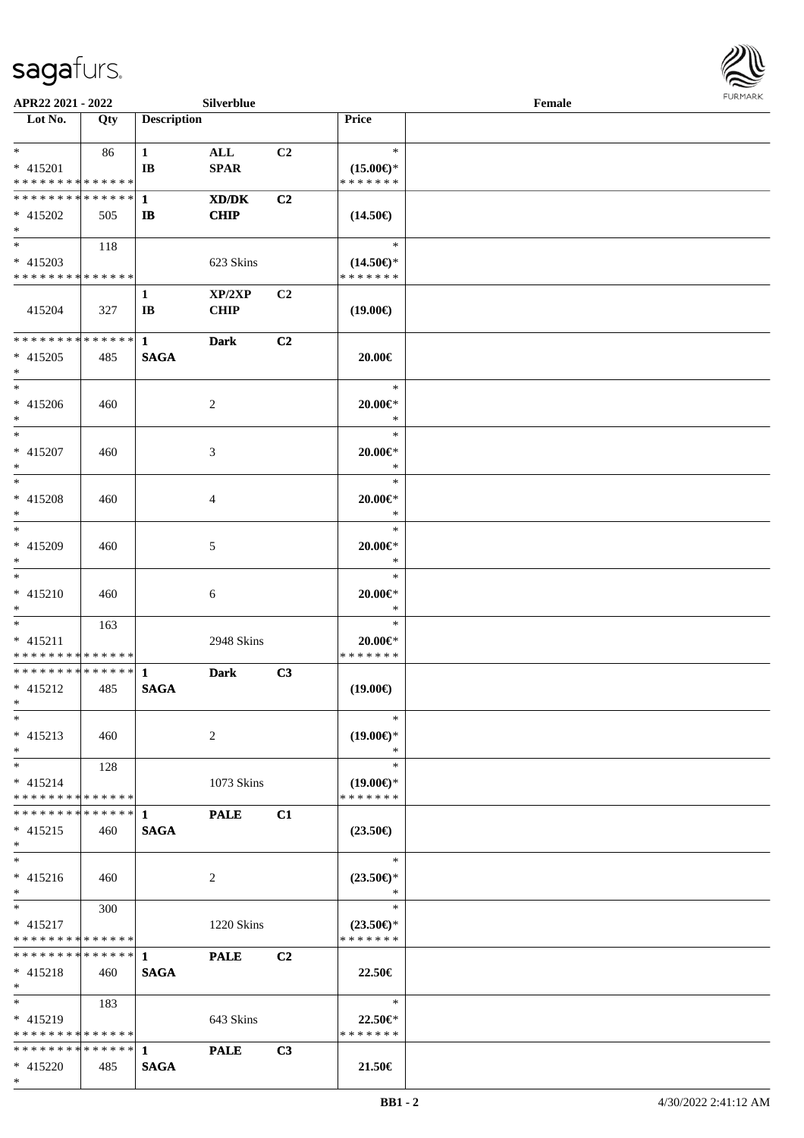

| APR22 2021 - 2022                  |     |                    | Silverblue     |                |                     | Female |  |
|------------------------------------|-----|--------------------|----------------|----------------|---------------------|--------|--|
| Lot No.                            | Qty | <b>Description</b> |                |                | Price               |        |  |
|                                    |     |                    |                |                |                     |        |  |
| $*$                                | 86  | $\mathbf{1}$       | ALL            | C <sub>2</sub> | $\ast$              |        |  |
| $* 415201$                         |     | IB                 | <b>SPAR</b>    |                | $(15.00\epsilon)$ * |        |  |
| * * * * * * * * * * * * * *        |     |                    |                |                | * * * * * * *       |        |  |
| * * * * * * * * * * * * * * *      |     | $\mathbf{1}$       | XD/DK          | C2             |                     |        |  |
|                                    |     |                    |                |                |                     |        |  |
| $* 415202$                         | 505 | $\mathbf{I}$       | <b>CHIP</b>    |                | $(14.50\epsilon)$   |        |  |
| $\ast$<br>$\overline{\phantom{0}}$ |     |                    |                |                |                     |        |  |
|                                    | 118 |                    |                |                | $\ast$              |        |  |
| $* 415203$                         |     |                    | 623 Skins      |                | $(14.50\epsilon)$ * |        |  |
| * * * * * * * * * * * * * *        |     |                    |                |                | * * * * * * *       |        |  |
|                                    |     | $\mathbf{1}$       | XP/2XP         | C <sub>2</sub> |                     |        |  |
| 415204                             | 327 | IB                 | <b>CHIP</b>    |                | $(19.00\epsilon)$   |        |  |
|                                    |     |                    |                |                |                     |        |  |
| * * * * * * * * * * * * * *        |     | $\mathbf{1}$       | <b>Dark</b>    | C <sub>2</sub> |                     |        |  |
| $* 415205$                         | 485 | <b>SAGA</b>        |                |                | 20.00€              |        |  |
| $\ast$                             |     |                    |                |                |                     |        |  |
| $\overline{\phantom{a}^*}$         |     |                    |                |                | $\ast$              |        |  |
|                                    |     |                    |                |                |                     |        |  |
| $* 415206$                         | 460 |                    | $\overline{2}$ |                | 20.00€*             |        |  |
| $\ast$                             |     |                    |                |                | $\ast$              |        |  |
| $\ast$                             |     |                    |                |                | $\ast$              |        |  |
| $* 415207$                         | 460 |                    | 3              |                | 20.00€*             |        |  |
| $\ast$                             |     |                    |                |                | $\ast$              |        |  |
| $*$                                |     |                    |                |                | $\ast$              |        |  |
| * 415208                           | 460 |                    | 4              |                | $20.00 \in$ *       |        |  |
| $\ast$                             |     |                    |                |                | $\ast$              |        |  |
| $\ast$                             |     |                    |                |                | $\ast$              |        |  |
| * 415209                           | 460 |                    | 5              |                | $20.00 \in$ *       |        |  |
| $\ast$                             |     |                    |                |                | $\ast$              |        |  |
| $\overline{\phantom{0}}$           |     |                    |                |                | $\ast$              |        |  |
|                                    |     |                    |                |                |                     |        |  |
| $* 415210$                         | 460 |                    | 6              |                | $20.00 \in$ *       |        |  |
| $*$                                |     |                    |                |                | $\ast$              |        |  |
| $\ast$                             | 163 |                    |                |                | $\ast$              |        |  |
| $* 415211$                         |     |                    | 2948 Skins     |                | $20.00 \in$         |        |  |
| ******** <mark>******</mark>       |     |                    |                |                | * * * * * * *       |        |  |
| **************                     |     | $\mathbf{1}$       | <b>Dark</b>    | C3             |                     |        |  |
| $* 415212$                         | 485 | <b>SAGA</b>        |                |                | $(19.00\epsilon)$   |        |  |
| $*$                                |     |                    |                |                |                     |        |  |
| $*$                                |     |                    |                |                | $\ast$              |        |  |
| $* 415213$                         | 460 |                    | 2              |                | $(19.00\epsilon)$ * |        |  |
| $*$                                |     |                    |                |                | $\ast$              |        |  |
| $*$                                | 128 |                    |                |                | $\ast$              |        |  |
|                                    |     |                    |                |                |                     |        |  |
| $* 415214$                         |     |                    | 1073 Skins     |                | $(19.00\epsilon)$ * |        |  |
| * * * * * * * * * * * * * *        |     |                    |                |                | * * * * * * *       |        |  |
| * * * * * * * * * * * * * * *      |     | $\mathbf 1$        | <b>PALE</b>    | C1             |                     |        |  |
| $* 415215$                         | 460 | <b>SAGA</b>        |                |                | $(23.50\epsilon)$   |        |  |
| $*$                                |     |                    |                |                |                     |        |  |
| $\ast$                             |     |                    |                |                | $\ast$              |        |  |
| $* 415216$                         | 460 |                    | 2              |                | $(23.50\epsilon)$ * |        |  |
| $*$                                |     |                    |                |                | $\ast$              |        |  |
| $*$ and $*$                        | 300 |                    |                |                | $\ast$              |        |  |
| $* 415217$                         |     |                    | 1220 Skins     |                | $(23.50\epsilon)$ * |        |  |
| * * * * * * * * * * * * * *        |     |                    |                |                | * * * * * * *       |        |  |
| **************                     |     | $\mathbf{1}$       |                | C <sub>2</sub> |                     |        |  |
|                                    |     |                    | <b>PALE</b>    |                |                     |        |  |
| $* 415218$                         | 460 | <b>SAGA</b>        |                |                | 22.50€              |        |  |
| $*$                                |     |                    |                |                |                     |        |  |
| $*$                                | 183 |                    |                |                | $\ast$              |        |  |
| $* 415219$                         |     |                    | 643 Skins      |                | $22.50 \in$ *       |        |  |
| * * * * * * * * * * * * * *        |     |                    |                |                | * * * * * * *       |        |  |
| * * * * * * * * * * * * * * *      |     | $\mathbf{1}$       | <b>PALE</b>    | C3             |                     |        |  |
| $* 415220$                         | 485 | <b>SAGA</b>        |                |                | 21.50€              |        |  |
| $*$                                |     |                    |                |                |                     |        |  |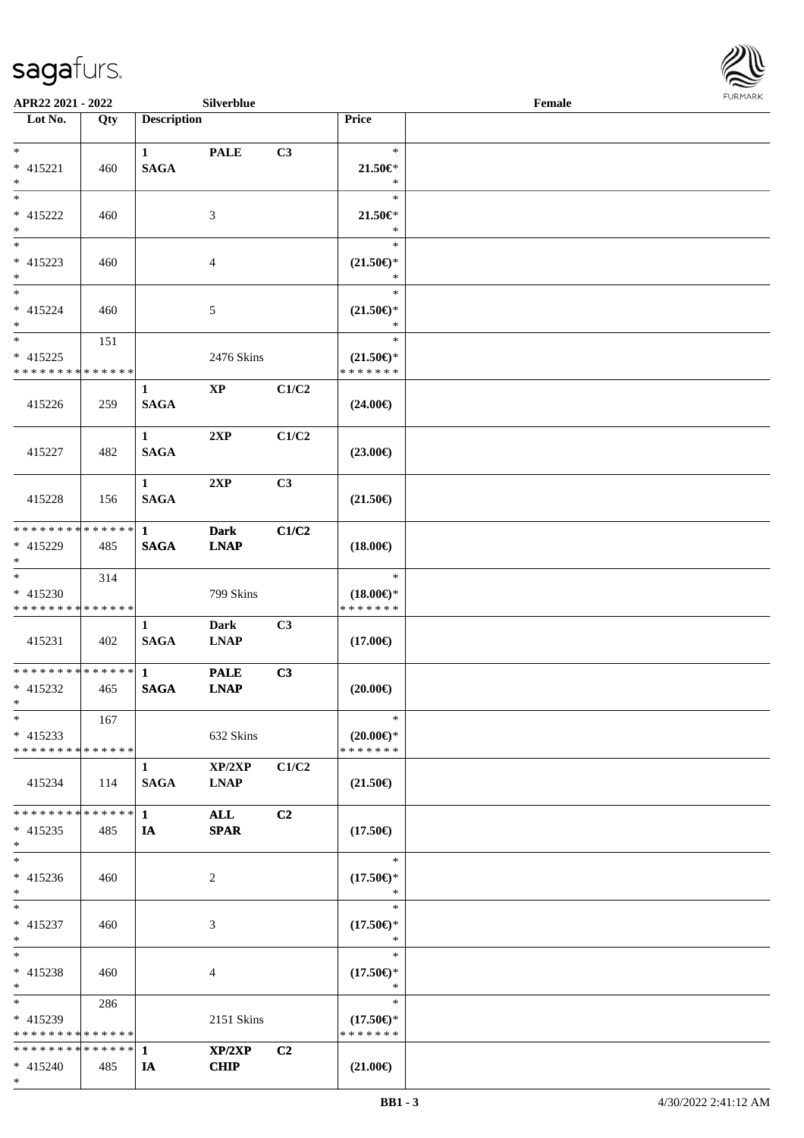\*



| APR22 2021 - 2022                          |             |                    | Silverblue             |       |                     | Female |  |
|--------------------------------------------|-------------|--------------------|------------------------|-------|---------------------|--------|--|
| Lot No.                                    | Qty         | <b>Description</b> |                        |       | Price               |        |  |
|                                            |             |                    |                        |       |                     |        |  |
| $*$                                        |             | $\mathbf{1}$       | <b>PALE</b>            | C3    | $\ast$              |        |  |
| * 415221                                   | 460         | <b>SAGA</b>        |                        |       | $21.50 \in$         |        |  |
| $*$                                        |             |                    |                        |       | $\ast$              |        |  |
| $*$                                        |             |                    |                        |       | $\ast$              |        |  |
| * 415222                                   | 460         |                    | 3                      |       | $21.50 \in$         |        |  |
| $\ast$                                     |             |                    |                        |       | $\ast$              |        |  |
|                                            |             |                    |                        |       | $\ast$              |        |  |
| $* 415223$                                 | 460         |                    | $\overline{4}$         |       | $(21.50\epsilon)$ * |        |  |
| $\ast$                                     |             |                    |                        |       | $\ast$              |        |  |
| $\ast$                                     |             |                    |                        |       | $\ast$              |        |  |
| * 415224                                   | 460         |                    | 5                      |       | $(21.50\epsilon)$ * |        |  |
| $\ast$                                     |             |                    |                        |       | $\ast$              |        |  |
| $\ast$                                     | 151         |                    |                        |       | $\ast$              |        |  |
| $* 415225$                                 |             |                    | 2476 Skins             |       | $(21.50\epsilon)$ * |        |  |
| * * * * * * * * <mark>* * * * * *</mark>   |             |                    |                        |       | * * * * * * *       |        |  |
|                                            |             | $\mathbf{1}$       | $\mathbf{X}\mathbf{P}$ | C1/C2 |                     |        |  |
| 415226                                     | 259         | <b>SAGA</b>        |                        |       | $(24.00\epsilon)$   |        |  |
|                                            |             |                    |                        |       |                     |        |  |
|                                            |             | $\mathbf{1}$       | 2XP                    | C1/C2 |                     |        |  |
| 415227                                     | 482         | <b>SAGA</b>        |                        |       | $(23.00\epsilon)$   |        |  |
|                                            |             |                    |                        |       |                     |        |  |
|                                            |             | $\mathbf{1}$       | 2XP                    | C3    |                     |        |  |
| 415228                                     | 156         | <b>SAGA</b>        |                        |       | $(21.50\epsilon)$   |        |  |
|                                            |             |                    |                        |       |                     |        |  |
| * * * * * * * * <mark>* * * * * * *</mark> |             | $\mathbf{1}$       | <b>Dark</b>            | C1/C2 |                     |        |  |
| * 415229                                   | 485         | <b>SAGA</b>        | <b>LNAP</b>            |       | $(18.00\epsilon)$   |        |  |
| $\ast$                                     |             |                    |                        |       |                     |        |  |
| $\overline{\ast}$                          | 314         |                    |                        |       | $\ast$              |        |  |
| $* 415230$                                 |             |                    | 799 Skins              |       | $(18.00\epsilon)$ * |        |  |
| * * * * * * * * <mark>* * * * * * *</mark> |             |                    |                        |       | * * * * * * *       |        |  |
|                                            |             | $\mathbf{1}$       | <b>Dark</b>            | C3    |                     |        |  |
| 415231                                     | 402         | <b>SAGA</b>        | <b>LNAP</b>            |       | $(17.00\epsilon)$   |        |  |
|                                            |             |                    |                        |       |                     |        |  |
|                                            |             |                    | <b>PALE</b>            | C3    |                     |        |  |
| * 415232                                   | 465         | <b>SAGA</b>        | <b>LNAP</b>            |       | $(20.00\epsilon)$   |        |  |
| $*$ $-$                                    |             |                    |                        |       |                     |        |  |
| $\ast$                                     | 167         |                    |                        |       | $\ast$              |        |  |
| $* 415233$                                 |             |                    | 632 Skins              |       | $(20.00\epsilon)$ * |        |  |
| * * * * * * * * <mark>* * * * * * *</mark> |             |                    |                        |       | * * * * * * *       |        |  |
|                                            |             | $\mathbf{1}$       | XP/2XP                 | C1/C2 |                     |        |  |
| 415234                                     | 114         | <b>SAGA</b>        | <b>LNAP</b>            |       | $(21.50\epsilon)$   |        |  |
|                                            |             |                    |                        |       |                     |        |  |
| * * * * * * * *                            | * * * * * * | $\mathbf{1}$       | ALL                    | C2    |                     |        |  |
| $* 415235$                                 | 485         | IA                 | <b>SPAR</b>            |       | $(17.50\epsilon)$   |        |  |
| $\ast$                                     |             |                    |                        |       |                     |        |  |
| $*$                                        |             |                    |                        |       | $\ast$              |        |  |
| * 415236                                   | 460         |                    | 2                      |       | $(17.50\epsilon)$ * |        |  |
| $*$                                        |             |                    |                        |       | $\ast$              |        |  |
| $*$                                        |             |                    |                        |       | $\ast$              |        |  |
| $* 415237$                                 | 460         |                    | 3                      |       | $(17.50\epsilon)$ * |        |  |
| $*$                                        |             |                    |                        |       | $\ast$              |        |  |
| $\ddot{x}$                                 |             |                    |                        |       | $\ast$              |        |  |
| * 415238                                   | 460         |                    | 4                      |       | $(17.50\epsilon)$ * |        |  |
| $*$                                        |             |                    |                        |       | $\ast$              |        |  |
| $\overline{\mathbf{r}}$                    | 286         |                    |                        |       | $\ast$              |        |  |
| * 415239                                   |             |                    | 2151 Skins             |       | $(17.50\epsilon)$ * |        |  |
| * * * * * * * * <mark>* * * * * * *</mark> |             |                    |                        |       | * * * * * * *       |        |  |
|                                            |             |                    | XP/2XP                 | C2    |                     |        |  |
| $* 415240$                                 | 485         | IA                 | <b>CHIP</b>            |       | $(21.00\epsilon)$   |        |  |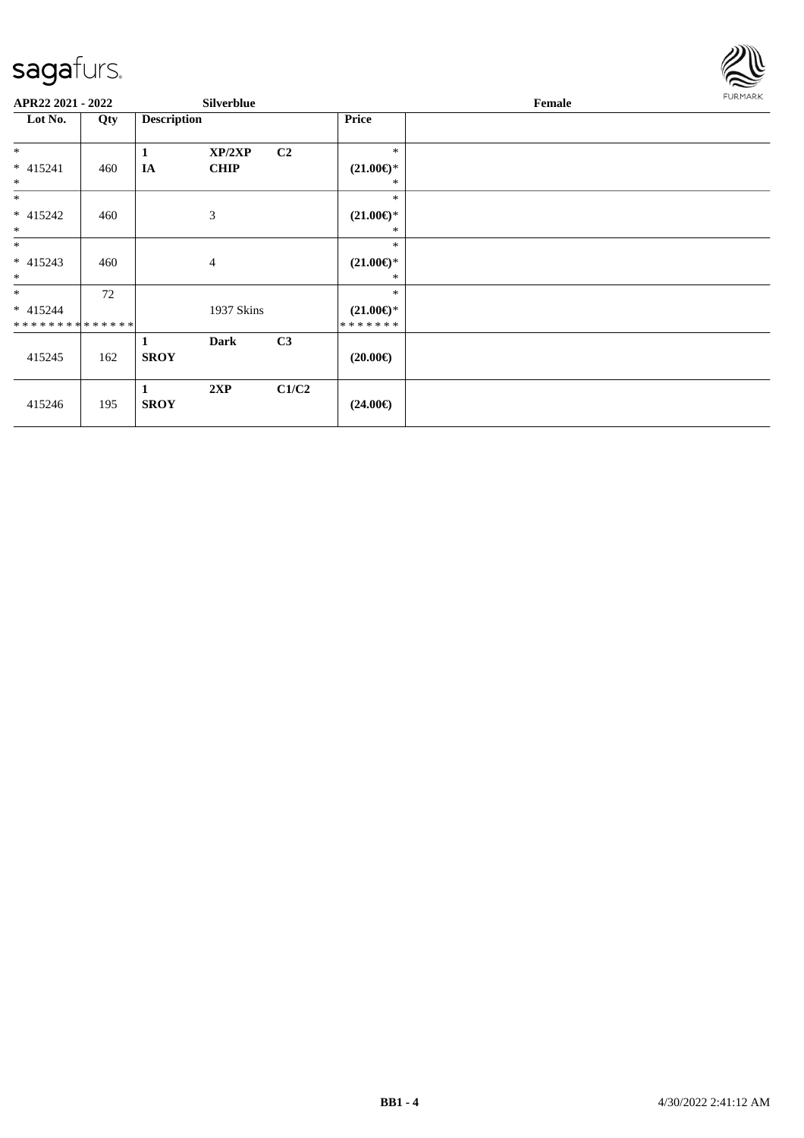

| APR22 2021 - 2022            |     |                    | <b>Silverblue</b> |                |                                | Female |  |  |
|------------------------------|-----|--------------------|-------------------|----------------|--------------------------------|--------|--|--|
| Lot No.                      | Qty | <b>Description</b> |                   |                | <b>Price</b>                   |        |  |  |
| $\ast$                       |     | $\mathbf{1}$       | XP/2XP            | C <sub>2</sub> | $\ast$                         |        |  |  |
| $* 415241$<br>$\ast$         | 460 | IA                 | <b>CHIP</b>       |                | $(21.00\epsilon)$ *<br>∗       |        |  |  |
| $*$                          |     |                    |                   |                | $\ast$                         |        |  |  |
| $* 415242$<br>$\ast$         | 460 |                    | $\mathfrak{Z}$    |                | $(21.00\epsilon)$ *<br>$\ast$  |        |  |  |
| $\ast$                       |     |                    |                   |                | $\ast$                         |        |  |  |
| $* 415243$<br>$\ast$         | 460 |                    | $\overline{4}$    |                | $(21.00\epsilon)$ *<br>$\ast$  |        |  |  |
| $*$                          | 72  |                    |                   |                | $\ast$                         |        |  |  |
| $* 415244$<br>************** |     |                    | 1937 Skins        |                | $(21.00\epsilon)$ *<br>******* |        |  |  |
| 415245                       | 162 | 1<br><b>SROY</b>   | Dark              | C3             | $(20.00\epsilon)$              |        |  |  |
| 415246                       | 195 | 1<br><b>SROY</b>   | 2XP               | C1/C2          | $(24.00\epsilon)$              |        |  |  |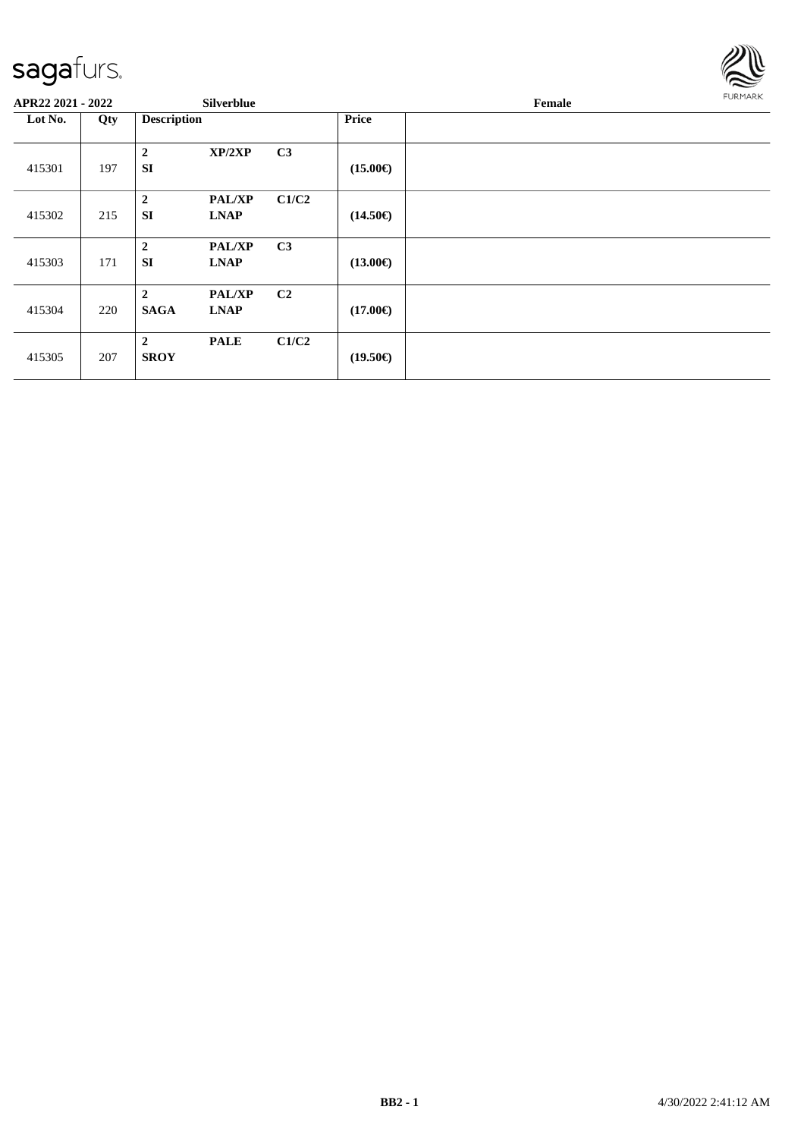

| APR22 2021 - 2022 |     |                               | <b>Silverblue</b>            |                |                   | Female | <b>FURMARK</b> |
|-------------------|-----|-------------------------------|------------------------------|----------------|-------------------|--------|----------------|
| Lot No.           | Qty | <b>Description</b>            |                              |                | <b>Price</b>      |        |                |
| 415301            | 197 | $\overline{2}$<br><b>SI</b>   | XP/2XP                       | C3             | $(15.00\epsilon)$ |        |                |
| 415302            | 215 | $\overline{2}$<br><b>SI</b>   | <b>PAL/XP</b><br><b>LNAP</b> | C1/C2          | $(14.50\epsilon)$ |        |                |
| 415303            | 171 | $\overline{2}$<br><b>SI</b>   | <b>PAL/XP</b><br><b>LNAP</b> | C <sub>3</sub> | $(13.00\epsilon)$ |        |                |
| 415304            | 220 | $\overline{2}$<br><b>SAGA</b> | <b>PAL/XP</b><br><b>LNAP</b> | C <sub>2</sub> | $(17.00\epsilon)$ |        |                |
| 415305            | 207 | $\overline{2}$<br><b>SROY</b> | <b>PALE</b>                  | C1/C2          | $(19.50\epsilon)$ |        |                |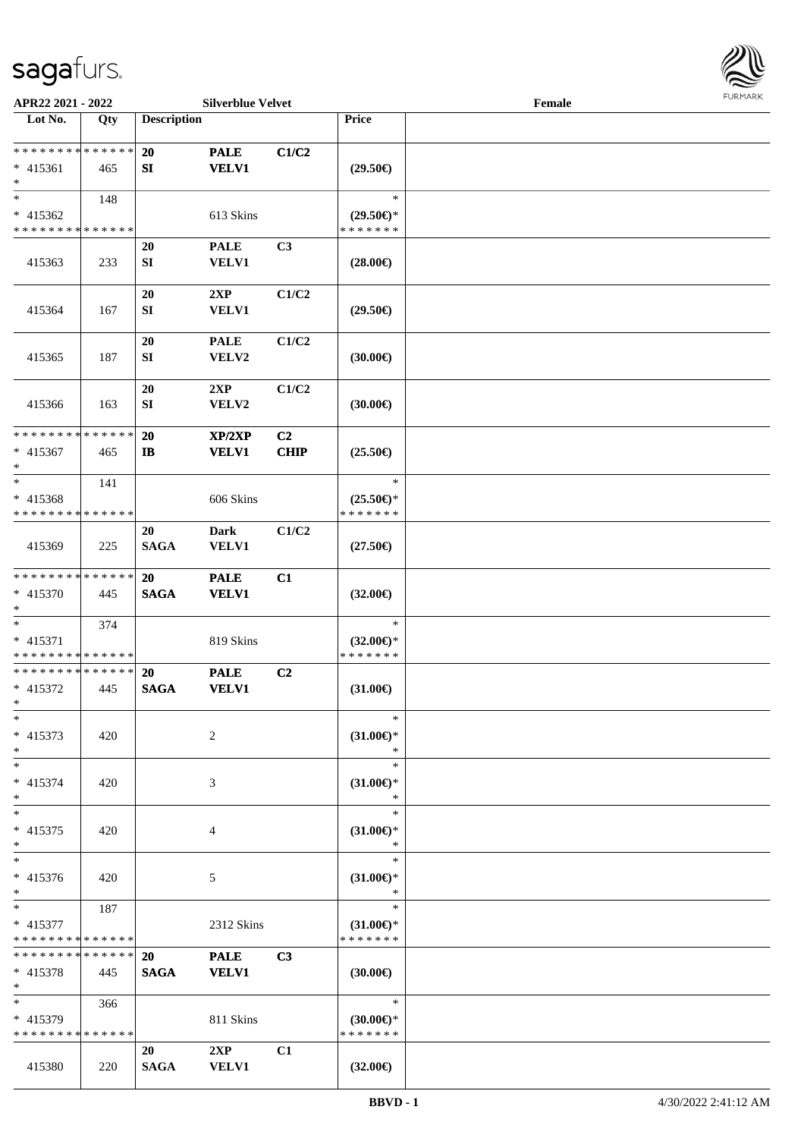

| APR22 2021 - 2022                                          |     |                    | <b>Silverblue Velvet</b>    |                |                                          | Female |  |
|------------------------------------------------------------|-----|--------------------|-----------------------------|----------------|------------------------------------------|--------|--|
| Lot No.                                                    | Qty | <b>Description</b> |                             |                | Price                                    |        |  |
|                                                            |     |                    |                             |                |                                          |        |  |
| * * * * * * * * * * * * * *                                |     | 20                 | <b>PALE</b>                 | C1/C2          |                                          |        |  |
| $* 415361$                                                 | 465 | SI                 | <b>VELV1</b>                |                | $(29.50\epsilon)$                        |        |  |
| $\ast$                                                     |     |                    |                             |                |                                          |        |  |
| $*$                                                        | 148 |                    |                             |                | $\ast$                                   |        |  |
| $* 415362$                                                 |     |                    | 613 Skins                   |                | $(29.50\epsilon)$ *                      |        |  |
| * * * * * * * * * * * * * *                                |     |                    |                             |                | * * * * * * *                            |        |  |
|                                                            |     | 20                 | <b>PALE</b>                 | C3             |                                          |        |  |
| 415363                                                     | 233 | SI                 | VELV1                       |                | $(28.00\epsilon)$                        |        |  |
|                                                            |     |                    |                             |                |                                          |        |  |
|                                                            |     | 20                 | 2XP                         | C1/C2          |                                          |        |  |
| 415364                                                     | 167 | ${\bf SI}$         | VELV1                       |                | $(29.50\epsilon)$                        |        |  |
|                                                            |     | 20                 | <b>PALE</b>                 | C1/C2          |                                          |        |  |
| 415365                                                     | 187 | SI                 | VELV2                       |                | (30.00)                                  |        |  |
|                                                            |     |                    |                             |                |                                          |        |  |
|                                                            |     | 20                 | 2XP                         | C1/C2          |                                          |        |  |
| 415366                                                     | 163 | ${\bf SI}$         | VELV2                       |                | (30.00)                                  |        |  |
|                                                            |     |                    |                             |                |                                          |        |  |
| * * * * * * * * * * * * * *                                |     | 20                 | XP/2XP                      | C <sub>2</sub> |                                          |        |  |
| $* 415367$                                                 | 465 | $\mathbf{I}$       | <b>VELV1</b>                | <b>CHIP</b>    | $(25.50\epsilon)$                        |        |  |
| $*$                                                        |     |                    |                             |                |                                          |        |  |
| $*$                                                        | 141 |                    |                             |                | $\ast$                                   |        |  |
| $* 415368$                                                 |     |                    | 606 Skins                   |                | $(25.50\epsilon)$ *                      |        |  |
| * * * * * * * * * * * * * *                                |     |                    |                             |                | * * * * * * *                            |        |  |
|                                                            |     | 20                 | <b>Dark</b>                 | C1/C2          |                                          |        |  |
| 415369                                                     | 225 | <b>SAGA</b>        | VELV1                       |                | $(27.50\epsilon)$                        |        |  |
|                                                            |     |                    |                             |                |                                          |        |  |
| * * * * * * * * * * * * * *                                |     | <b>20</b>          | <b>PALE</b>                 | C1             |                                          |        |  |
| * 415370                                                   | 445 | <b>SAGA</b>        | <b>VELV1</b>                |                | $(32.00\epsilon)$                        |        |  |
| $*$                                                        |     |                    |                             |                |                                          |        |  |
| $*$                                                        | 374 |                    |                             |                | $\ast$                                   |        |  |
| * 415371                                                   |     |                    | 819 Skins                   |                | $(32.00\epsilon)$ *<br>* * * * * * *     |        |  |
| * * * * * * * * * * * * * *<br>* * * * * * * * * * * * * * |     |                    |                             |                |                                          |        |  |
|                                                            | 445 | 20<br><b>SAGA</b>  | <b>PALE</b><br><b>VELV1</b> | C2             | $(31.00\epsilon)$                        |        |  |
| $* 415372$<br>$*$                                          |     |                    |                             |                |                                          |        |  |
| $\ast$                                                     |     |                    |                             |                | $\ast$                                   |        |  |
| $* 415373$                                                 | 420 |                    | 2                           |                | $(31.00\epsilon)$ *                      |        |  |
| $\ast$                                                     |     |                    |                             |                | ∗                                        |        |  |
| $*$                                                        |     |                    |                             |                | $\ast$                                   |        |  |
| * 415374                                                   | 420 |                    | 3                           |                | $(31.00\epsilon)$ *                      |        |  |
| $*$                                                        |     |                    |                             |                | ∗                                        |        |  |
| $*$                                                        |     |                    |                             |                | $\ast$                                   |        |  |
| $* 415375$                                                 | 420 |                    | 4                           |                | $(31.00\epsilon)$ *                      |        |  |
| $\ast$                                                     |     |                    |                             |                | *                                        |        |  |
| $*$                                                        |     |                    |                             |                | $\ast$                                   |        |  |
| * 415376                                                   | 420 |                    | 5                           |                | $(31.00\epsilon)$ *                      |        |  |
| $*$                                                        |     |                    |                             |                | $\ast$                                   |        |  |
| $*$ $-$                                                    | 187 |                    |                             |                | $\ast$                                   |        |  |
| $* 415377$                                                 |     |                    | 2312 Skins                  |                | $(31.00\epsilon)$ *                      |        |  |
| * * * * * * * * * * * * * *                                |     |                    |                             |                | * * * * * * *                            |        |  |
| * * * * * * * * * * * * * * *                              |     | <b>20</b>          | <b>PALE</b>                 | C <sub>3</sub> |                                          |        |  |
| $* 415378$<br>$*$                                          | 445 | <b>SAGA</b>        | <b>VELV1</b>                |                | $(30.00\epsilon)$                        |        |  |
| $*$ $*$                                                    |     |                    |                             |                | $\ast$                                   |        |  |
| $* 415379$                                                 | 366 |                    |                             |                |                                          |        |  |
| * * * * * * * * * * * * * *                                |     |                    | 811 Skins                   |                | $(30.00€)$ <sup>*</sup><br>* * * * * * * |        |  |
|                                                            |     | 20                 | 2XP                         | C1             |                                          |        |  |
| 415380                                                     | 220 | <b>SAGA</b>        | <b>VELV1</b>                |                | $(32.00\epsilon)$                        |        |  |
|                                                            |     |                    |                             |                |                                          |        |  |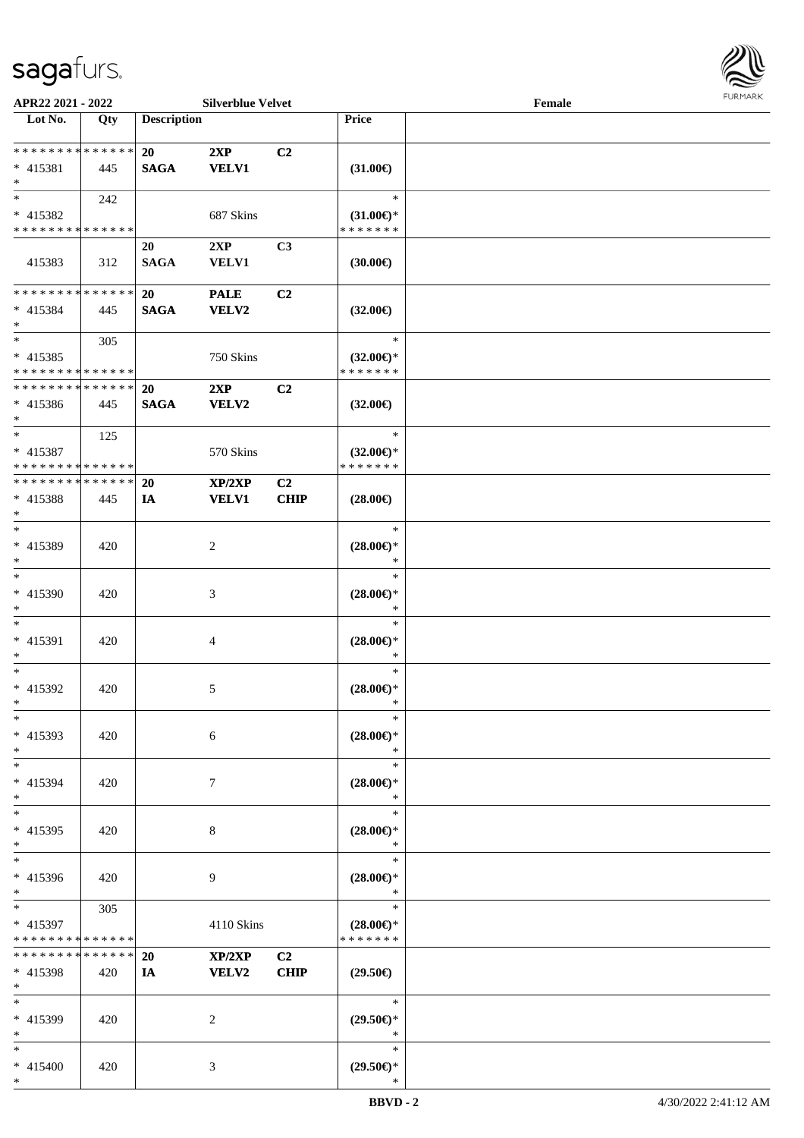

| APR22 2021 - 2022                       |             |                    | <b>Silverblue Velvet</b>    |                |                                      | Female |  |
|-----------------------------------------|-------------|--------------------|-----------------------------|----------------|--------------------------------------|--------|--|
| Lot No.                                 | Qty         | <b>Description</b> |                             |                | Price                                |        |  |
|                                         |             |                    |                             |                |                                      |        |  |
| * * * * * * * * * * * * * *             |             | 20                 | 2XP                         | C <sub>2</sub> |                                      |        |  |
| * 415381                                | 445         | <b>SAGA</b>        | <b>VELV1</b>                |                | $(31.00\epsilon)$                    |        |  |
| $*$<br>$*$                              |             |                    |                             |                | $\ast$                               |        |  |
|                                         | 242         |                    |                             |                |                                      |        |  |
| * 415382<br>* * * * * * * * * * * * * * |             |                    | 687 Skins                   |                | $(31.00\epsilon)$ *<br>* * * * * * * |        |  |
|                                         |             | 20                 | 2XP                         | C3             |                                      |        |  |
| 415383                                  | 312         | <b>SAGA</b>        | VELV1                       |                | $(30.00\epsilon)$                    |        |  |
|                                         |             |                    |                             |                |                                      |        |  |
| * * * * * * * * * * * * * *             |             | 20                 | <b>PALE</b>                 | C2             |                                      |        |  |
| * 415384                                | 445         | <b>SAGA</b>        | <b>VELV2</b>                |                | $(32.00\epsilon)$                    |        |  |
| $*$                                     |             |                    |                             |                |                                      |        |  |
| $*$                                     | 305         |                    |                             |                | $\ast$                               |        |  |
| $* 415385$                              |             |                    | 750 Skins                   |                | $(32.00\epsilon)$ *                  |        |  |
| * * * * * * * * * * * * * *             |             |                    |                             |                | * * * * * * *                        |        |  |
| * * * * * * * * * * * * * *             |             | <b>20</b>          | 2XP                         | C2             |                                      |        |  |
| $* 415386$                              | 445         | <b>SAGA</b>        | VELV2                       |                | $(32.00\epsilon)$                    |        |  |
| $*$                                     |             |                    |                             |                |                                      |        |  |
| $*$                                     | 125         |                    |                             |                | $\ast$                               |        |  |
| $* 415387$                              |             |                    | 570 Skins                   |                | $(32.00\epsilon)$ *                  |        |  |
| * * * * * * * * * * * * * *             |             |                    |                             |                | * * * * * * *                        |        |  |
| * * * * * * * * * * * * * *             |             | 20                 | XP/2XP                      | C <sub>2</sub> |                                      |        |  |
| * 415388                                | 445         | IA                 | <b>VELV1</b>                | <b>CHIP</b>    | $(28.00\epsilon)$                    |        |  |
| $*$                                     |             |                    |                             |                |                                      |        |  |
| $*$                                     |             |                    |                             |                | $\ast$                               |        |  |
| $* 415389$                              | 420         |                    | 2                           |                | $(28.00\epsilon)$ *                  |        |  |
| $*$                                     |             |                    |                             |                | *                                    |        |  |
| $*$                                     |             |                    |                             |                | $\ast$                               |        |  |
| $* 415390$                              | 420         |                    | $\ensuremath{\mathfrak{Z}}$ |                | $(28.00\epsilon)$ *                  |        |  |
| $*$                                     |             |                    |                             |                | $\ast$                               |        |  |
| $*$                                     |             |                    |                             |                | $\ast$                               |        |  |
| * 415391                                | 420         |                    | 4                           |                | $(28.00\epsilon)$ *                  |        |  |
| $*$                                     |             |                    |                             |                | $\ast$                               |        |  |
| $*$                                     |             |                    |                             |                | $\ast$                               |        |  |
| * 415392                                | 420         |                    | 5                           |                | $(28.00\epsilon)$ *                  |        |  |
| $*$                                     |             |                    |                             |                | $\ast$                               |        |  |
| $\ast$                                  |             |                    |                             |                | $\ast$                               |        |  |
| * 415393                                | 420         |                    | 6                           |                | $(28.00\epsilon)$ *                  |        |  |
| $*$                                     |             |                    |                             |                | ∗                                    |        |  |
| $*$                                     |             |                    |                             |                | $\ast$                               |        |  |
| * 415394<br>$*$                         | 420         |                    | 7                           |                | $(28.00\epsilon)$ *<br>$\ast$        |        |  |
| $*$                                     |             |                    |                             |                | $\ast$                               |        |  |
|                                         |             |                    |                             |                |                                      |        |  |
| * 415395<br>$*$                         | 420         |                    | 8                           |                | $(28.00\epsilon)$ *<br>$\ast$        |        |  |
| $*$                                     |             |                    |                             |                | $\ast$                               |        |  |
| * 415396                                | 420         |                    | 9                           |                | $(28.00\epsilon)$ *                  |        |  |
| $*$                                     |             |                    |                             |                | $\ast$                               |        |  |
| $*$                                     | 305         |                    |                             |                | $\ast$                               |        |  |
| * 415397                                |             |                    | 4110 Skins                  |                | $(28.00\epsilon)$ *                  |        |  |
| * * * * * * * * * * * * * *             |             |                    |                             |                | * * * * * * *                        |        |  |
| * * * * * * * *                         | * * * * * * | 20                 | XP/2XP                      | C <sub>2</sub> |                                      |        |  |
| * 415398                                | 420         | IA                 | <b>VELV2</b>                | <b>CHIP</b>    | $(29.50\epsilon)$                    |        |  |
| $*$                                     |             |                    |                             |                |                                      |        |  |
| $*$                                     |             |                    |                             |                | $\ast$                               |        |  |
| * 415399                                | 420         |                    | 2                           |                | $(29.50\epsilon)$ *                  |        |  |
| $*$                                     |             |                    |                             |                | $\ast$                               |        |  |
| $*$                                     |             |                    |                             |                | $\ast$                               |        |  |
| * 415400                                | 420         |                    | 3                           |                | $(29.50\epsilon)$ *                  |        |  |
| $*$                                     |             |                    |                             |                | ∗                                    |        |  |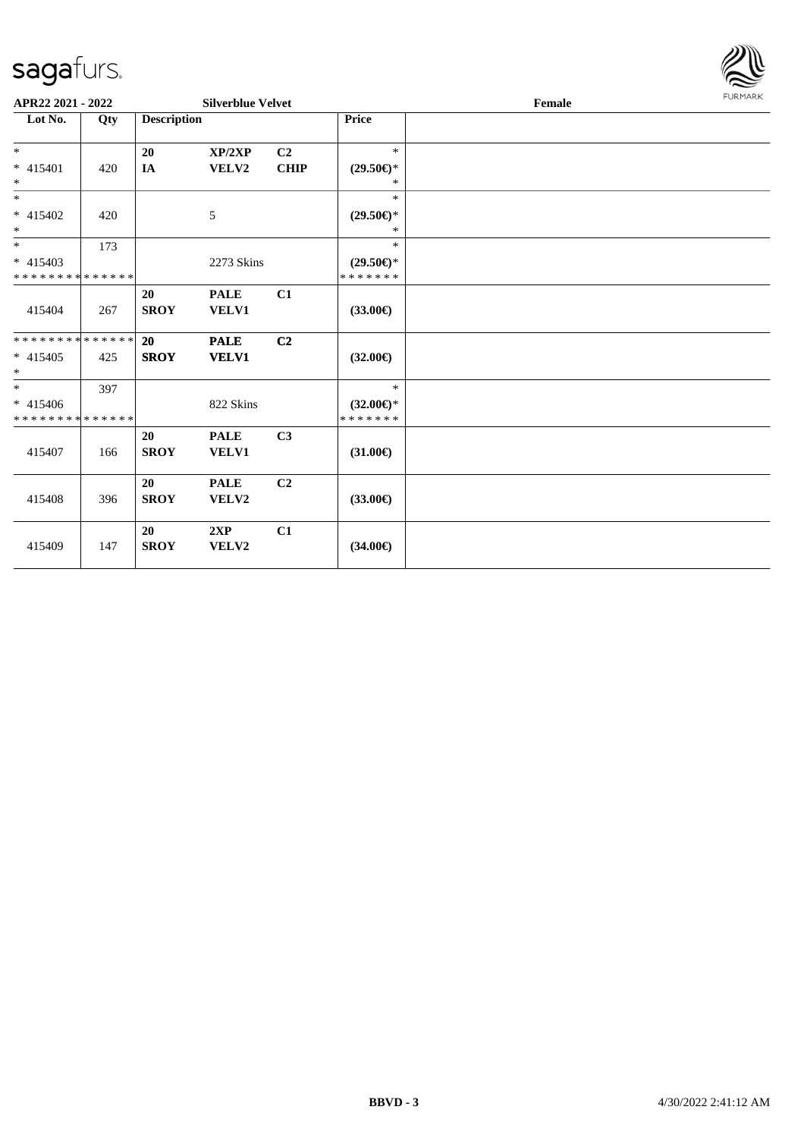

| APR22 2021 - 2022                                   |     |                          | <b>Silverblue Velvet</b>    |                               |                                                | Female |  |  |
|-----------------------------------------------------|-----|--------------------------|-----------------------------|-------------------------------|------------------------------------------------|--------|--|--|
| Lot No.                                             | Qty | <b>Description</b>       |                             |                               | Price                                          |        |  |  |
| $*$<br>$* 415401$<br>$\ast$                         | 420 | 20<br>IA                 | XP/2XP<br>VELV2             | C <sub>2</sub><br><b>CHIP</b> | $\ast$<br>$(29.50\epsilon)$ *<br>$\ast$        |        |  |  |
| $*$<br>* 415402<br>$\ast$                           | 420 |                          | 5                           |                               | $\ast$<br>$(29.50\epsilon)$ *<br>$\ast$        |        |  |  |
| $\ast$<br>$* 415403$<br>* * * * * * * * * * * * * * | 173 |                          | 2273 Skins                  |                               | $\ast$<br>$(29.50\epsilon)$ *<br>* * * * * * * |        |  |  |
| 415404                                              | 267 | <b>20</b><br><b>SROY</b> | <b>PALE</b><br><b>VELV1</b> | C1                            | $(33.00\epsilon)$                              |        |  |  |
| * * * * * * * * * * * * * *<br>$* 415405$<br>$*$    | 425 | 20<br><b>SROY</b>        | <b>PALE</b><br><b>VELV1</b> | C2                            | $(32.00\epsilon)$                              |        |  |  |
| $*$<br>$* 415406$<br>* * * * * * * * * * * * * *    | 397 |                          | 822 Skins                   |                               | $\ast$<br>$(32.00\epsilon)$ *<br>*******       |        |  |  |
| 415407                                              | 166 | 20<br><b>SROY</b>        | <b>PALE</b><br>VELV1        | C <sub>3</sub>                | $(31.00\epsilon)$                              |        |  |  |
| 415408                                              | 396 | 20<br><b>SROY</b>        | <b>PALE</b><br>VELV2        | C <sub>2</sub>                | $(33.00\epsilon)$                              |        |  |  |
| 415409                                              | 147 | 20<br><b>SROY</b>        | 2XP<br>VELV2                | C1                            | $(34.00\epsilon)$                              |        |  |  |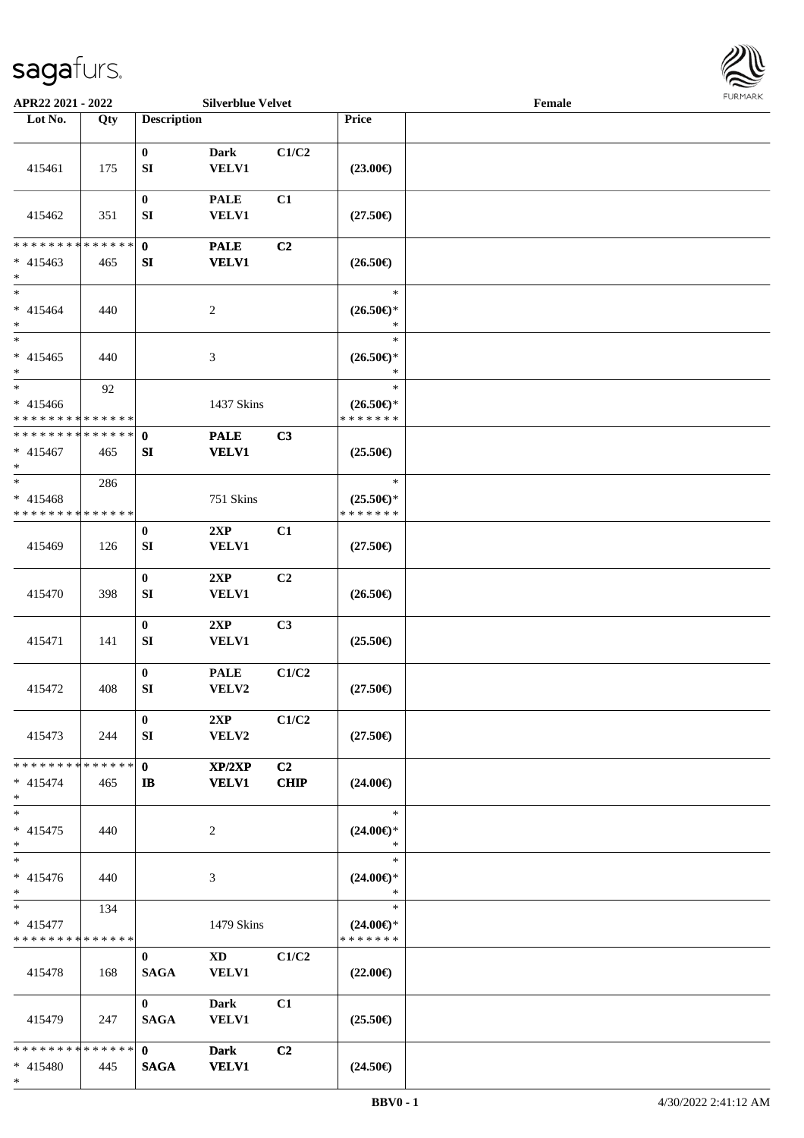\*



| APR22 2021 - 2022                                |                    |                                  | <b>Silverblue Velvet</b>               |                   |                                                | Female |  |
|--------------------------------------------------|--------------------|----------------------------------|----------------------------------------|-------------------|------------------------------------------------|--------|--|
| Lot No.                                          | Qty                | <b>Description</b>               |                                        |                   | Price                                          |        |  |
| 415461                                           | 175                | $\bf{0}$<br>${\bf S}{\bf I}$     | <b>Dark</b><br><b>VELV1</b>            | C1/C2             | $(23.00\epsilon)$                              |        |  |
| 415462                                           | 351                | $\bf{0}$<br>SI                   | <b>PALE</b><br>VELV1                   | C1                | $(27.50\epsilon)$                              |        |  |
| * * * * * * * *<br>$* 415463$<br>$*$             | ******<br>465      | $\mathbf{0}$<br>${\bf S}{\bf I}$ | <b>PALE</b><br><b>VELV1</b>            | C2                | $(26.50\epsilon)$                              |        |  |
| $*$<br>$* 415464$<br>$\ast$                      | 440                |                                  | $\sqrt{2}$                             |                   | $\ast$<br>$(26.50\epsilon)$ *<br>$\ast$        |        |  |
| $*$<br>$* 415465$<br>$\ast$                      | 440                |                                  | $\mathfrak{Z}$                         |                   | $\ast$<br>$(26.50\epsilon)$ *<br>$\ast$        |        |  |
| $*$<br>$* 415466$<br>* * * * * * * * * * * * * * | 92                 |                                  | 1437 Skins                             |                   | $\ast$<br>$(26.50\epsilon)$ *<br>* * * * * * * |        |  |
| * * * * * * * * * * * * * *<br>$* 415467$<br>$*$ | 465                | $\mathbf 0$<br>SI                | <b>PALE</b><br><b>VELV1</b>            | C3                | $(25.50\epsilon)$                              |        |  |
| $*$<br>$* 415468$<br>* * * * * * * * * * * * * * | 286                |                                  | 751 Skins                              |                   | $\ast$<br>$(25.50\epsilon)$ *<br>* * * * * * * |        |  |
| 415469                                           | 126                | $\bf{0}$<br>SI                   | 2XP<br>VELV1                           | C1                | $(27.50\epsilon)$                              |        |  |
| 415470                                           | 398                | $\bf{0}$<br>${\bf SI}$           | 2XP<br>VELV1                           | C <sub>2</sub>    | $(26.50\epsilon)$                              |        |  |
| 415471                                           | 141                | $\bf{0}$<br>SI                   | 2XP<br>VELV1                           | C3                | $(25.50\epsilon)$                              |        |  |
| 415472                                           | 408                | $\bf{0}$<br>${\bf SI}$           | <b>PALE</b><br>VELV2                   | C1/C2             | $(27.50\epsilon)$                              |        |  |
| 415473                                           | 244                | $\bf{0}$<br>SI                   | 2XP<br>VELV2                           | C1/C2             | $(27.50\epsilon)$                              |        |  |
| * * * * * * * *<br>$* 415474$<br>$*$             | * * * * * *<br>465 | $\mathbf{0}$<br>$\mathbf{I}$     | XP/2XP<br><b>VELV1</b>                 | C2<br><b>CHIP</b> | $(24.00\epsilon)$                              |        |  |
| $*$<br>$* 415475$<br>$*$                         | 440                |                                  | 2                                      |                   | $\ast$<br>$(24.00\epsilon)$ *<br>$\ast$        |        |  |
| $\ast$<br>$* 415476$<br>$*$                      | 440                |                                  | 3                                      |                   | $\ast$<br>$(24.00\epsilon)$ *<br>$\ast$        |        |  |
| $*$<br>* 415477<br>* * * * * * * * * * * * * *   | 134                |                                  | 1479 Skins                             |                   | $\ast$<br>$(24.00\epsilon)$ *<br>* * * * * * * |        |  |
| 415478                                           | 168                | $\bf{0}$<br><b>SAGA</b>          | $\mathbf{X}\mathbf{D}$<br><b>VELV1</b> | C1/C2             | $(22.00\epsilon)$                              |        |  |
| 415479                                           | 247                | $\mathbf{0}$<br><b>SAGA</b>      | <b>Dark</b><br><b>VELV1</b>            | C1                | $(25.50\epsilon)$                              |        |  |
| * * * * * * * * * * * * * * *<br>* 415480        | 445                | $\mathbf{0}$<br><b>SAGA</b>      | <b>Dark</b><br><b>VELV1</b>            | C2                | $(24.50\epsilon)$                              |        |  |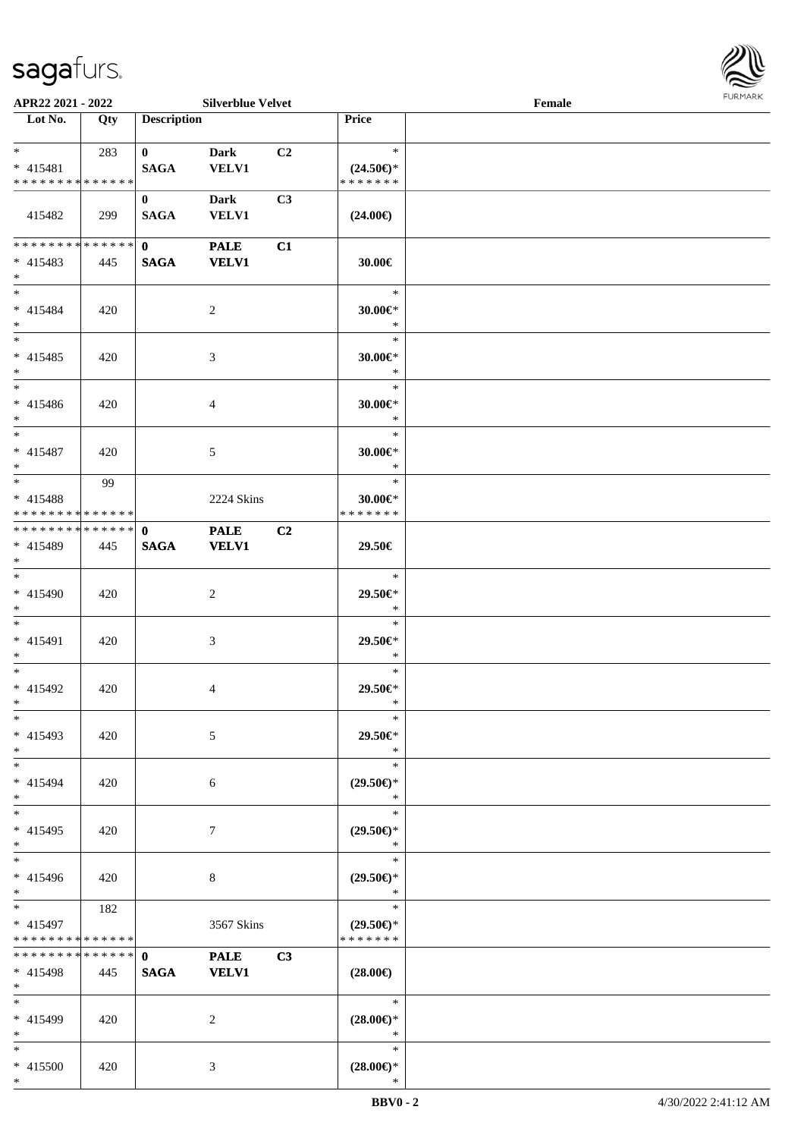

| APR22 2021 - 2022                                        |     |                             | <b>Silverblue Velvet</b>    |                |                                                | Female |  |
|----------------------------------------------------------|-----|-----------------------------|-----------------------------|----------------|------------------------------------------------|--------|--|
| Lot No.                                                  | Qty | <b>Description</b>          |                             |                | Price                                          |        |  |
| $*$ and $*$<br>$* 415481$<br>* * * * * * * * * * * * * * | 283 | $\mathbf{0}$<br><b>SAGA</b> | <b>Dark</b><br><b>VELV1</b> | C <sub>2</sub> | $\ast$<br>$(24.50\epsilon)$ *<br>* * * * * * * |        |  |
| 415482                                                   | 299 | $\bf{0}$<br><b>SAGA</b>     | <b>Dark</b><br><b>VELV1</b> | C3             | $(24.00\epsilon)$                              |        |  |
| ******** <mark>******</mark><br>* 415483<br>$*$          | 445 | $\mathbf{0}$<br><b>SAGA</b> | <b>PALE</b><br><b>VELV1</b> | C1             | 30.00€                                         |        |  |
| $*$<br>$* 415484$<br>$*$                                 | 420 |                             | 2                           |                | $\ast$<br>$30.00 \in$ *<br>$\ast$              |        |  |
| $*$<br>$* 415485$<br>$*$                                 | 420 |                             | 3                           |                | $\ast$<br>$30.00 \in$ *<br>$\ast$              |        |  |
| $*$<br>$* 415486$<br>$*$                                 | 420 |                             | 4                           |                | $\ast$<br>30.00€*<br>$\ast$                    |        |  |
| $*$<br>$* 415487$<br>$*$<br>$*$                          | 420 |                             | 5                           |                | $\ast$<br>30.00 $\in$ *<br>$\ast$              |        |  |
| * 415488<br>* * * * * * * * * * * * * * *                | 99  |                             | 2224 Skins                  |                | $\ast$<br>$30.00 \in$ *<br>* * * * * * *       |        |  |
| * * * * * * * * * * * * * * *<br>* 415489<br>$*$         | 445 | $\mathbf 0$<br><b>SAGA</b>  | <b>PALE</b><br><b>VELV1</b> | C2             | 29.50€                                         |        |  |
| $*$<br>$* 415490$<br>$*$                                 | 420 |                             | 2                           |                | $\ast$<br>29.50€*<br>$\ast$                    |        |  |
| $*$<br>* 415491<br>$*$                                   | 420 |                             | 3                           |                | $\ast$<br>29.50€*<br>$\ast$                    |        |  |
| $*$<br>* 415492<br>$*$                                   | 420 |                             | 4                           |                | $\ast$<br>29.50€*<br>$\ast$                    |        |  |
| $*$<br>* 415493<br>$*$                                   | 420 |                             | 5                           |                | $\ast$<br>29.50€*<br>$\ast$                    |        |  |
| $*$<br>* 415494<br>$*$                                   | 420 |                             | 6                           |                | $\ast$<br>$(29.50\epsilon)$ *<br>$\ast$        |        |  |
| $*$<br>$* 415495$<br>$*$                                 | 420 |                             | 7                           |                | $\ast$<br>$(29.50\epsilon)$ *<br>$\ast$        |        |  |
| $*$<br>* 415496<br>$*$                                   | 420 |                             | 8                           |                | $\ast$<br>$(29.50\epsilon)$ *<br>$\ast$        |        |  |
| $*$<br>* 415497<br>* * * * * * * * * * * * * *           | 182 |                             | 3567 Skins                  |                | $\ast$<br>$(29.50\epsilon)$ *<br>* * * * * * * |        |  |
| * * * * * * * * * * * * * * *<br>* 415498<br>$*$         | 445 | $\mathbf{0}$<br><b>SAGA</b> | <b>PALE</b><br><b>VELV1</b> | C3             | $(28.00\epsilon)$                              |        |  |
| $*$<br>* 415499<br>$*$                                   | 420 |                             | 2                           |                | $\ast$<br>$(28.00\epsilon)$ *<br>$\ast$        |        |  |
| $*$<br>* 415500<br>$*$                                   | 420 |                             | 3                           |                | $\ast$<br>$(28.00\epsilon)$ *<br>$\ast$        |        |  |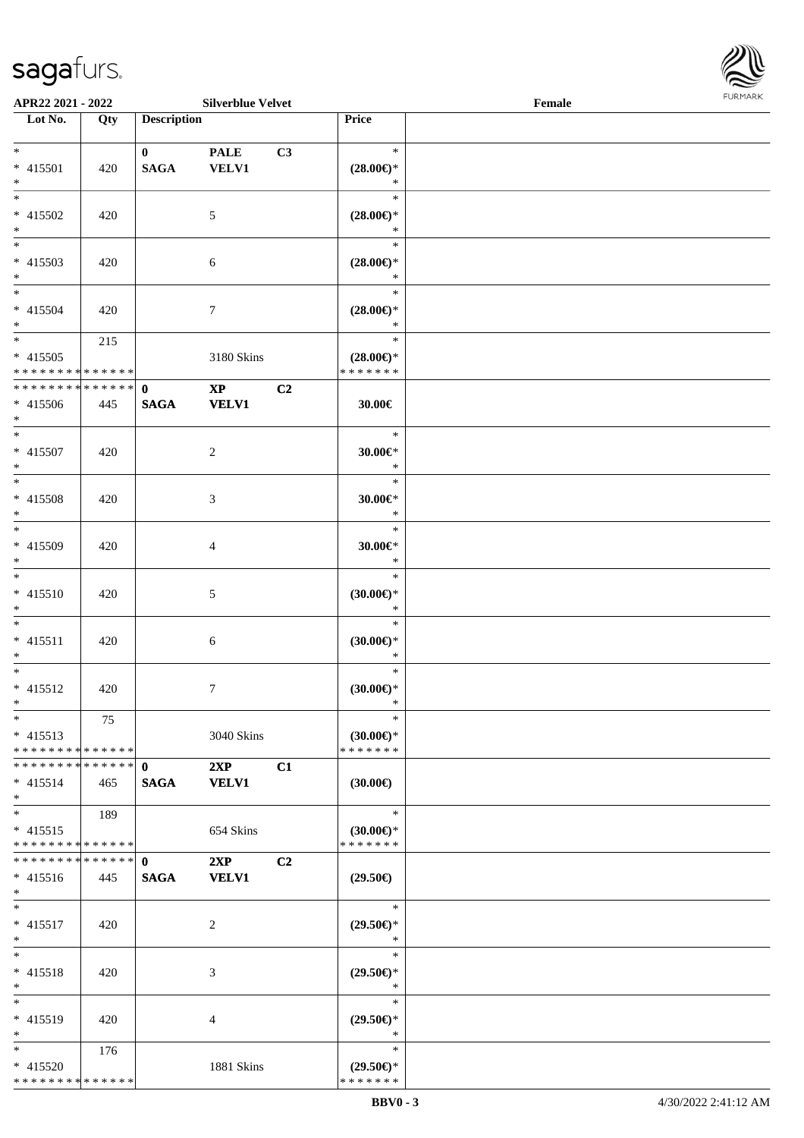

| APR22 2021 - 2022                    |     |                    | <b>Silverblue Velvet</b> |    |                      | Female |  |
|--------------------------------------|-----|--------------------|--------------------------|----|----------------------|--------|--|
| Lot No.                              | Qty | <b>Description</b> |                          |    | Price                |        |  |
|                                      |     |                    |                          |    |                      |        |  |
| $*$                                  |     | $\mathbf{0}$       | <b>PALE</b>              | C3 | $\ast$               |        |  |
| * 415501                             | 420 | <b>SAGA</b>        | <b>VELV1</b>             |    | $(28.00\epsilon)$ *  |        |  |
| $\ast$                               |     |                    |                          |    | $\ast$               |        |  |
| $\overline{\ast}$                    |     |                    |                          |    | $\ast$               |        |  |
|                                      |     |                    |                          |    |                      |        |  |
| * 415502                             | 420 |                    | 5                        |    | $(28.00\epsilon)$ *  |        |  |
| $\ast$<br>$\overline{\phantom{a}^*}$ |     |                    |                          |    | $\ast$               |        |  |
|                                      |     |                    |                          |    | $\ast$               |        |  |
| $* 415503$                           | 420 |                    | $\sqrt{6}$               |    | $(28.00\in)\!\!^*$   |        |  |
| $*$                                  |     |                    |                          |    | $\ast$               |        |  |
| $\overline{\phantom{0}}$             |     |                    |                          |    | $\ast$               |        |  |
| $* 415504$                           | 420 |                    | $\boldsymbol{7}$         |    | $(28.00\epsilon)$ *  |        |  |
| $*$                                  |     |                    |                          |    | $\ast$               |        |  |
| $\ast$                               | 215 |                    |                          |    | $\ast$               |        |  |
| $* 415505$                           |     |                    | 3180 Skins               |    | $(28.00\epsilon)$ *  |        |  |
| * * * * * * * * * * * * * *          |     |                    |                          |    | * * * * * * *        |        |  |
| * * * * * * * * * * * * * *          |     | $\mathbf{0}$       | $\mathbf{X}\mathbf{P}$   | C2 |                      |        |  |
|                                      |     |                    |                          |    |                      |        |  |
| $* 415506$                           | 445 | <b>SAGA</b>        | <b>VELV1</b>             |    | 30.00€               |        |  |
| $*$                                  |     |                    |                          |    |                      |        |  |
| $\ast$                               |     |                    |                          |    | $\ast$               |        |  |
| $* 415507$                           | 420 |                    | $\overline{c}$           |    | $30.00 \in$ *        |        |  |
| $\ast$                               |     |                    |                          |    | $\ast$               |        |  |
| $\ast$                               |     |                    |                          |    | $\ast$               |        |  |
| $* 415508$                           | 420 |                    | $\mathfrak{Z}$           |    | $30.00 \in$ *        |        |  |
| $\ast$                               |     |                    |                          |    | $\ast$               |        |  |
| $*$                                  |     |                    |                          |    | $\ast$               |        |  |
| * 415509                             | 420 |                    | $\overline{4}$           |    | $30.00 \textrm{E}^*$ |        |  |
| $*$                                  |     |                    |                          |    | $\ast$               |        |  |
| $\overline{\ast}$                    |     |                    |                          |    | $\ast$               |        |  |
| $* 415510$                           | 420 |                    | $5\,$                    |    | (30.00)              |        |  |
| $*$                                  |     |                    |                          |    | $\ast$               |        |  |
| $*$                                  |     |                    |                          |    | $\ast$               |        |  |
|                                      |     |                    |                          |    |                      |        |  |
| $* 415511$                           | 420 |                    | 6                        |    | (30.00)              |        |  |
| $*$                                  |     |                    |                          |    | $\ast$               |        |  |
| $*$                                  |     |                    |                          |    | $\ast$               |        |  |
| $* 415512$                           | 420 |                    | $7\phantom{.0}$          |    | (30.00)              |        |  |
| $*$                                  |     |                    |                          |    | $\ast$               |        |  |
| $*$                                  | 75  |                    |                          |    | $\ast$               |        |  |
| $* 415513$                           |     |                    | 3040 Skins               |    | $(30.00\epsilon)$ *  |        |  |
| * * * * * * * * * * * * * *          |     |                    |                          |    | * * * * * * *        |        |  |
| * * * * * * * * * * * * * * *        |     | $\mathbf{0}$       | 2XP                      | C1 |                      |        |  |
| $* 415514$                           | 465 | <b>SAGA</b>        | <b>VELV1</b>             |    | $(30.00\epsilon)$    |        |  |
| $*$                                  |     |                    |                          |    |                      |        |  |
| $\overline{\ast}$                    | 189 |                    |                          |    | $\ast$               |        |  |
| $* 415515$                           |     |                    | 654 Skins                |    | $(30.00\epsilon)$ *  |        |  |
| * * * * * * * * * * * * * *          |     |                    |                          |    | * * * * * * *        |        |  |
| * * * * * * * * * * * * * *          |     |                    |                          |    |                      |        |  |
|                                      |     | $\mathbf{0}$       | 2XP                      | C2 |                      |        |  |
| $* 415516$                           | 445 | <b>SAGA</b>        | <b>VELV1</b>             |    | $(29.50\epsilon)$    |        |  |
| $*$                                  |     |                    |                          |    |                      |        |  |
| $*$                                  |     |                    |                          |    | $\ast$               |        |  |
| $* 415517$                           | 420 |                    | 2                        |    | $(29.50\epsilon)$ *  |        |  |
| $*$                                  |     |                    |                          |    | $\ast$               |        |  |
| $*$                                  |     |                    |                          |    | $\ast$               |        |  |
| $* 415518$                           | 420 |                    | 3                        |    | $(29.50\epsilon)$ *  |        |  |
| $*$                                  |     |                    |                          |    | $\ast$               |        |  |
| $\ast$                               |     |                    |                          |    | $\ast$               |        |  |
| $* 415519$                           | 420 |                    | 4                        |    | $(29.50\epsilon)$ *  |        |  |
| $\ast$                               |     |                    |                          |    | $\ast$               |        |  |
| $*$                                  | 176 |                    |                          |    | $\ast$               |        |  |
| $* 415520$                           |     |                    | 1881 Skins               |    | $(29.50\epsilon)$ *  |        |  |
| * * * * * * * * * * * * * *          |     |                    |                          |    | * * * * * * *        |        |  |
|                                      |     |                    |                          |    |                      |        |  |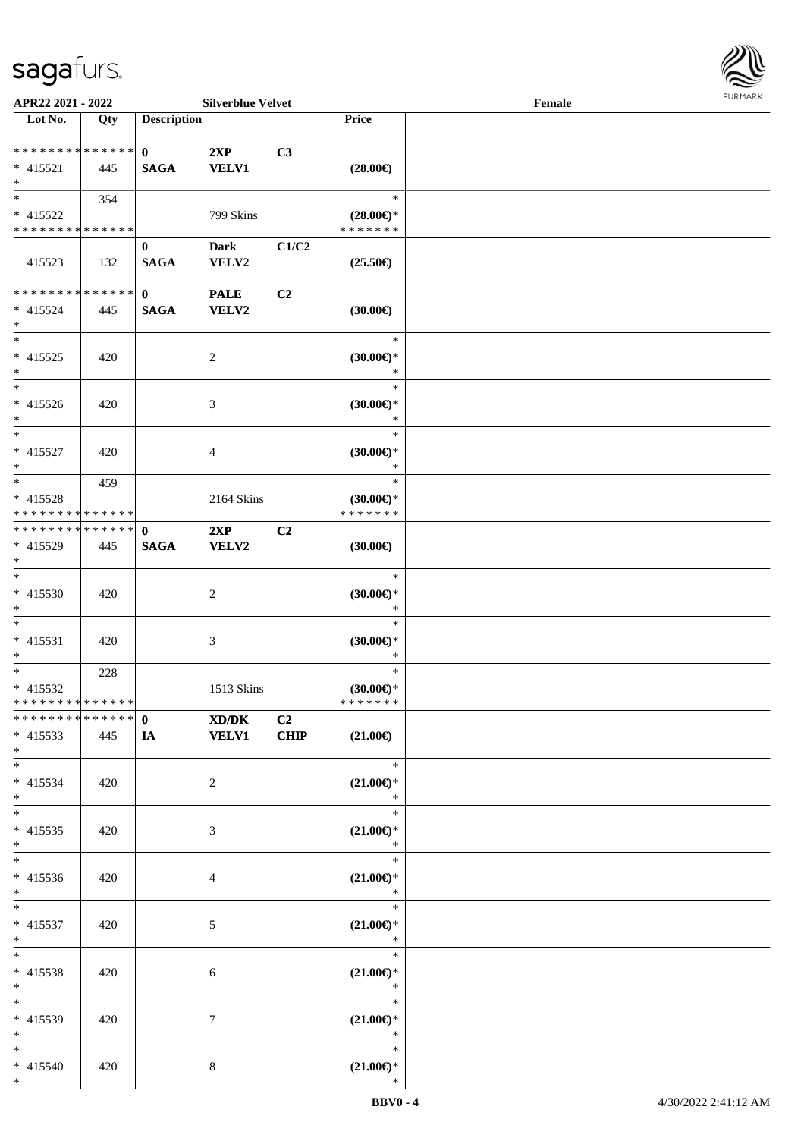

| APR22 2021 - 2022                                            |     |                             | <b>Silverblue Velvet</b>    |                        |                                                | Female |  |
|--------------------------------------------------------------|-----|-----------------------------|-----------------------------|------------------------|------------------------------------------------|--------|--|
| Lot No.                                                      | Qty | <b>Description</b>          |                             |                        | Price                                          |        |  |
| ******** <mark>******</mark><br>$* 415521$<br>$*$            | 445 | $\mathbf{0}$<br><b>SAGA</b> | 2XP<br><b>VELV1</b>         | C3                     | $(28.00\epsilon)$                              |        |  |
| $*$<br>* 415522<br>* * * * * * * * * * * * * *               | 354 |                             | 799 Skins                   |                        | $\ast$<br>$(28.00\epsilon)$ *<br>* * * * * * * |        |  |
| 415523                                                       | 132 | $\bf{0}$<br><b>SAGA</b>     | Dark<br>VELV2               | C1/C2                  | $(25.50\epsilon)$                              |        |  |
| * * * * * * * * * * * * * *<br>$* 415524$<br>$*$             | 445 | $\mathbf{0}$<br><b>SAGA</b> | <b>PALE</b><br><b>VELV2</b> | C2                     | (30.00)                                        |        |  |
| $*$<br>$* 415525$<br>$*$                                     | 420 |                             | $\overline{c}$              |                        | $\ast$<br>$(30.00\epsilon)$ *<br>$\ast$        |        |  |
| $*$<br>$* 415526$<br>$*$                                     | 420 |                             | 3                           |                        | $\ast$<br>$(30.00\epsilon)$ *<br>$\ast$        |        |  |
| $*$<br>* 415527<br>$*$                                       | 420 |                             | 4                           |                        | $\ast$<br>$(30.00\epsilon)$ *<br>$\ast$        |        |  |
| $\overline{\ast}$<br>* 415528<br>* * * * * * * * * * * * * * | 459 |                             | 2164 Skins                  |                        | $\ast$<br>$(30.00\epsilon)$ *<br>* * * * * * * |        |  |
| * * * * * * * * * * * * * * *<br>* 415529<br>$*$             | 445 | $\mathbf 0$<br><b>SAGA</b>  | 2XP<br>VELV2                | C2                     | $(30.00\epsilon)$                              |        |  |
| $*$<br>$* 415530$<br>$*$                                     | 420 |                             | $\overline{2}$              |                        | $\ast$<br>$(30.00\varepsilon)$ *<br>$\ast$     |        |  |
| $*$<br>$* 415531$<br>$*$                                     | 420 |                             | $\mathfrak{Z}$              |                        | $\ast$<br>$(30.00\epsilon)$ *<br>$\ast$        |        |  |
| $*$<br>$* 415532$<br>* * * * * * * * * * * * * *             | 228 |                             | 1513 Skins                  |                        | $\ast$<br>$(30.00\epsilon)$ *<br>* * * * * * * |        |  |
| * * * * * * * * * * * * * * *<br>$* 415533$<br>$*$ $*$       | 445 | $\mathbf{0}$<br><b>IA</b>   | XD/DK<br><b>VELV1</b>       | C <sub>2</sub><br>CHIP | $(21.00\epsilon)$                              |        |  |
| $*$<br>$* 415534$<br>$*$                                     | 420 |                             | $\overline{2}$              |                        | $\ast$<br>$(21.00\epsilon)$ *<br>$\ast$        |        |  |
| $*$<br>$* 415535$<br>$*$                                     | 420 |                             | 3                           |                        | $\ast$<br>$(21.00\in)\!\!^*$<br>$\ast$         |        |  |
| $*$<br>* 415536<br>$*$ $*$                                   | 420 |                             | 4                           |                        | $\ast$<br>$(21.00\epsilon)$ *<br>$\ast$        |        |  |
| $*$ and $*$<br>$* 415537$<br>$*$ $-$                         | 420 |                             | 5                           |                        | $\ast$<br>$(21.00\epsilon)$ *<br>$\ast$        |        |  |
| $*$<br>* 415538<br>$*$ $*$                                   | 420 |                             | 6                           |                        | $\ast$<br>$(21.00\epsilon)$ *<br>$\ast$        |        |  |
| $*$<br>* 415539<br>$*$                                       | 420 |                             | 7                           |                        | $\ast$<br>$(21.00\epsilon)$ *<br>$\ast$        |        |  |
| $*$<br>* 415540<br>$*$                                       | 420 |                             | 8                           |                        | $\ast$<br>$(21.00\epsilon)$ *<br>$\ast$        |        |  |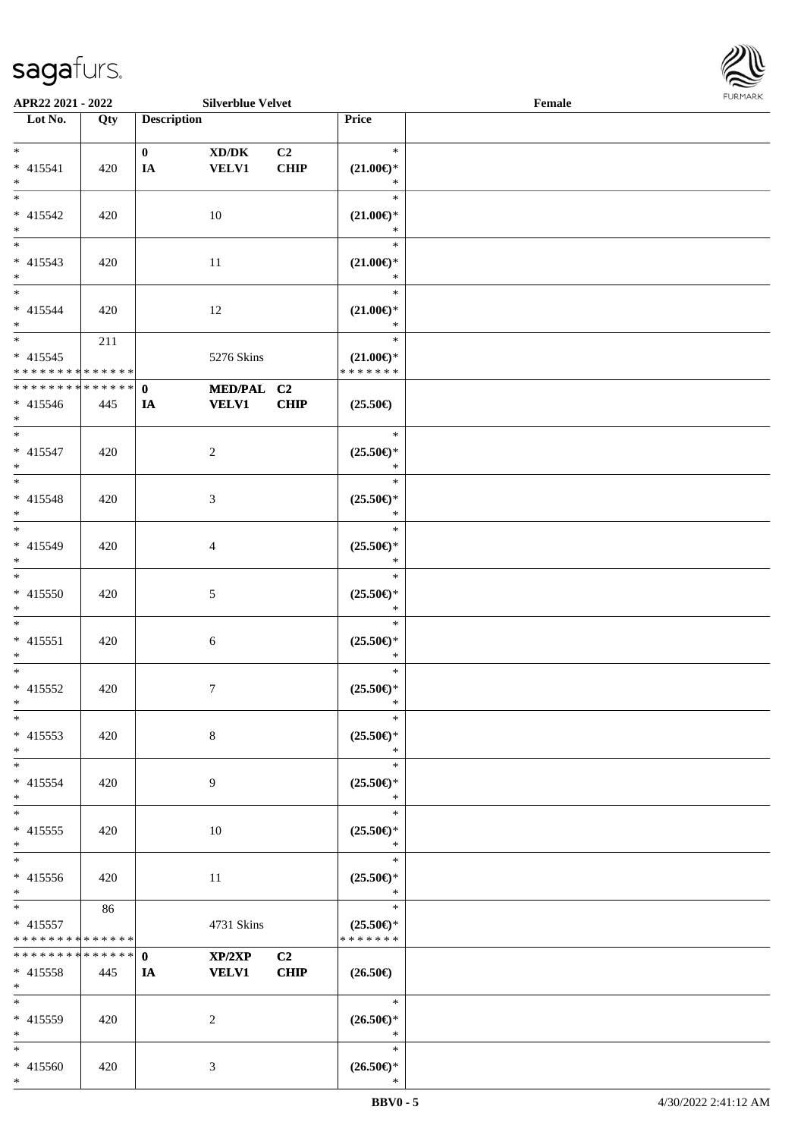\*



| APR22 2021 - 2022                          |     |                    | <b>Silverblue Velvet</b> |             |                               | Female |  |
|--------------------------------------------|-----|--------------------|--------------------------|-------------|-------------------------------|--------|--|
| Lot No.                                    | Qty | <b>Description</b> |                          |             | Price                         |        |  |
|                                            |     |                    |                          |             |                               |        |  |
| $*$                                        |     | $\mathbf{0}$       | XD/DK                    | C2          | $\ast$                        |        |  |
| $* 415541$                                 | 420 | IA                 | <b>VELV1</b>             | <b>CHIP</b> | $(21.00\epsilon)$ *           |        |  |
| $*$                                        |     |                    |                          |             | $\ast$                        |        |  |
|                                            |     |                    |                          |             | $\ast$                        |        |  |
| * 415542                                   | 420 |                    | 10                       |             | $(21.00\epsilon)$ *           |        |  |
| $*$                                        |     |                    |                          |             | $\ast$                        |        |  |
|                                            |     |                    |                          |             | $\ast$                        |        |  |
| $* 415543$                                 | 420 |                    | 11                       |             | $(21.00\epsilon)$ *           |        |  |
| $*$                                        |     |                    |                          |             | $\ast$                        |        |  |
| $*$                                        |     |                    |                          |             | $\ast$                        |        |  |
| * 415544                                   | 420 |                    | 12                       |             | $(21.00\epsilon)$ *           |        |  |
| $*$                                        |     |                    |                          |             | $\ast$                        |        |  |
| $*$                                        | 211 |                    |                          |             | $\ast$                        |        |  |
| $* 415545$                                 |     |                    | 5276 Skins               |             | $(21.00\epsilon)$ *           |        |  |
| * * * * * * * * * * * * * *                |     |                    |                          |             | * * * * * * *                 |        |  |
| * * * * * * * * * * * * * * *              |     | $\mathbf{0}$       | MED/PAL C2               |             |                               |        |  |
| $* 415546$                                 | 445 | IA                 | <b>VELV1</b>             | CHIP        | $(25.50\epsilon)$             |        |  |
| $*$                                        |     |                    |                          |             |                               |        |  |
| $*$                                        |     |                    |                          |             | $\ast$                        |        |  |
| $* 415547$                                 |     |                    |                          |             |                               |        |  |
| $*$                                        | 420 |                    | $\overline{2}$           |             | $(25.50\epsilon)$ *<br>$\ast$ |        |  |
|                                            |     |                    |                          |             | $\ast$                        |        |  |
|                                            |     |                    |                          |             |                               |        |  |
| * 415548                                   | 420 |                    | 3                        |             | $(25.50\epsilon)$ *           |        |  |
| $\ast$                                     |     |                    |                          |             | $\ast$                        |        |  |
| $*$                                        |     |                    |                          |             | $\ast$                        |        |  |
| * 415549                                   | 420 |                    | 4                        |             | $(25.50\mathbb{E})^*$         |        |  |
| $*$                                        |     |                    |                          |             | *                             |        |  |
| $*$                                        |     |                    |                          |             | $\ast$                        |        |  |
| $* 415550$                                 | 420 |                    | 5                        |             | $(25.50\epsilon)$ *           |        |  |
| $*$                                        |     |                    |                          |             | $\ast$                        |        |  |
| $*$                                        |     |                    |                          |             | $\ast$                        |        |  |
| $* 415551$                                 | 420 |                    | $\sqrt{6}$               |             | $(25.50\epsilon)$ *           |        |  |
| $*$                                        |     |                    |                          |             | $\ast$                        |        |  |
| $*$                                        |     |                    |                          |             | $\ast$                        |        |  |
| * 415552                                   | 420 |                    | $\boldsymbol{7}$         |             | $(25.50\epsilon)$ *           |        |  |
| $*$                                        |     |                    |                          |             | $\ast$                        |        |  |
| $*$                                        |     |                    |                          |             | $\ast$                        |        |  |
| $* 415553$                                 | 420 |                    | 8                        |             | $(25.50 \in )^*$              |        |  |
| $*$                                        |     |                    |                          |             | $\ast$                        |        |  |
| $*$                                        |     |                    |                          |             | $\ast$                        |        |  |
| * 415554                                   | 420 |                    | 9                        |             | $(25.50\epsilon)$ *           |        |  |
| $*$                                        |     |                    |                          |             | $\ast$                        |        |  |
| $*$                                        |     |                    |                          |             | $\ast$                        |        |  |
| $* 415555$                                 | 420 |                    | 10                       |             | $(25.50\epsilon)$ *           |        |  |
| $*$                                        |     |                    |                          |             | $\ast$                        |        |  |
| $*$                                        |     |                    |                          |             | $\ast$                        |        |  |
| * 415556                                   | 420 |                    | 11                       |             | $(25.50\epsilon)$ *           |        |  |
| $*$                                        |     |                    |                          |             | $\ast$                        |        |  |
| $*$                                        | 86  |                    |                          |             | $\ast$                        |        |  |
| * 415557                                   |     |                    | 4731 Skins               |             | $(25.50\epsilon)$ *           |        |  |
| * * * * * * * * <mark>* * * * * * *</mark> |     |                    |                          |             | * * * * * * *                 |        |  |
| * * * * * * * * * * * * * * *              |     | $\mathbf{0}$       | XP/2XP                   | C2          |                               |        |  |
| $* 415558$                                 | 445 | IA                 | <b>VELV1</b>             | <b>CHIP</b> | $(26.50\epsilon)$             |        |  |
| $*$                                        |     |                    |                          |             |                               |        |  |
| $*$                                        |     |                    |                          |             | $\ast$                        |        |  |
| * 415559                                   | 420 |                    | 2                        |             | $(26.50\epsilon)$ *           |        |  |
| $*$                                        |     |                    |                          |             | $\ast$                        |        |  |
| $*$                                        |     |                    |                          |             | $\ast$                        |        |  |
| * 415560                                   | 420 |                    | 3                        |             | $(26.50\epsilon)$ *           |        |  |
| $\ast$                                     |     |                    |                          |             | $\ast$                        |        |  |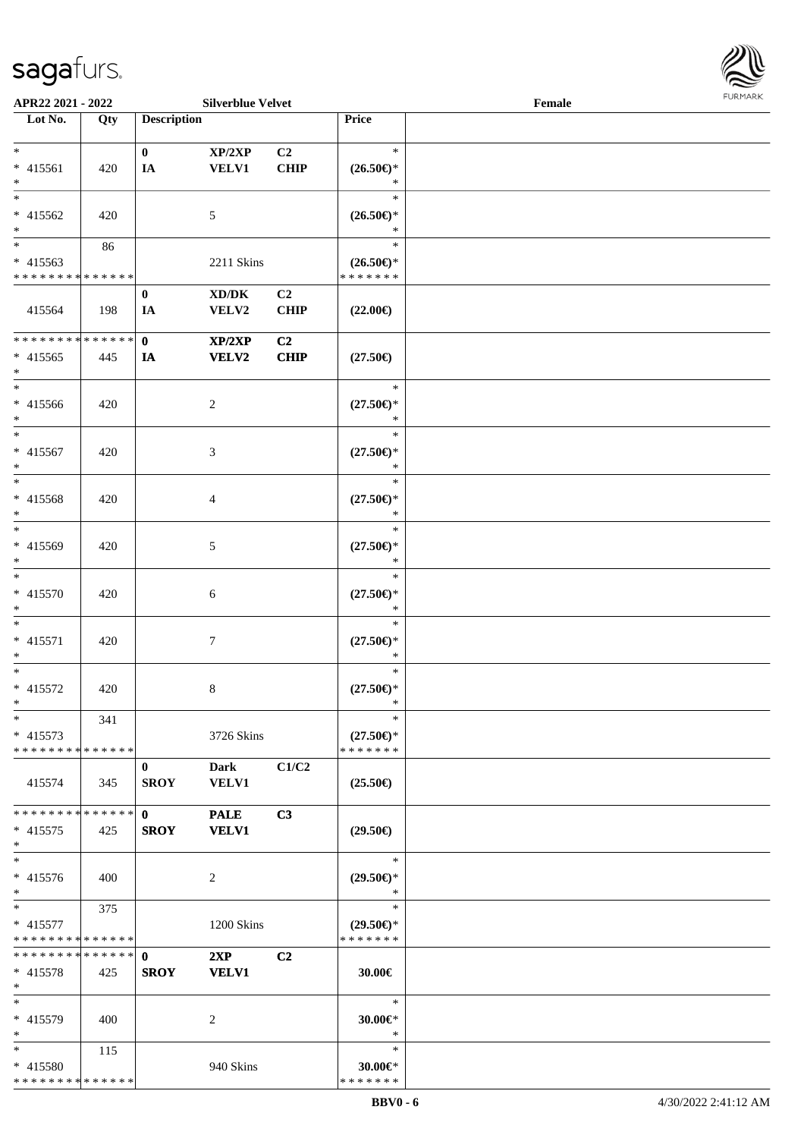

| APR22 2021 - 2022           |     |                    | <b>Silverblue Velvet</b>            |                |                                | Female |  |
|-----------------------------|-----|--------------------|-------------------------------------|----------------|--------------------------------|--------|--|
| Lot No.                     | Qty | <b>Description</b> |                                     |                | Price                          |        |  |
|                             |     |                    |                                     |                |                                |        |  |
| $\ast$                      |     | $\bf{0}$           | XP/2XP                              | C <sub>2</sub> | $\ast$                         |        |  |
| $* 415561$                  |     |                    | <b>VELV1</b>                        | <b>CHIP</b>    |                                |        |  |
|                             | 420 | IA                 |                                     |                | $(26.50\epsilon)$ *            |        |  |
| $\ast$                      |     |                    |                                     |                | $\ast$                         |        |  |
| $\overline{\ast}$           |     |                    |                                     |                | $\ast$                         |        |  |
| $* 415562$                  | 420 |                    | 5                                   |                | $(26.50\epsilon)$ *            |        |  |
| $\ast$                      |     |                    |                                     |                | $\ast$                         |        |  |
| $\overline{\ast}$           |     |                    |                                     |                | $\ast$                         |        |  |
|                             | 86  |                    |                                     |                |                                |        |  |
| $* 415563$                  |     |                    | 2211 Skins                          |                | $(26.50\epsilon)$ *            |        |  |
| * * * * * * * * * * * * * * |     |                    |                                     |                | * * * * * * *                  |        |  |
|                             |     | $\bf{0}$           | $\bold{X}\bold{D}/\bold{D}\bold{K}$ | C2             |                                |        |  |
| 415564                      | 198 | IA                 | VELV2                               | CHIP           | $(22.00\epsilon)$              |        |  |
|                             |     |                    |                                     |                |                                |        |  |
|                             |     |                    |                                     |                |                                |        |  |
| * * * * * * * * * * * * * * |     | $\mathbf 0$        | XP/2XP                              | C2             |                                |        |  |
| $* 415565$                  | 445 | IA                 | <b>VELV2</b>                        | CHIP           | $(27.50\epsilon)$              |        |  |
| $\ast$                      |     |                    |                                     |                |                                |        |  |
| $\overline{\phantom{a}^*}$  |     |                    |                                     |                | $\ast$                         |        |  |
|                             |     |                    |                                     |                |                                |        |  |
| $* 415566$                  | 420 |                    | $\sqrt{2}$                          |                | $(27.50\epsilon)$ *            |        |  |
| $\ast$                      |     |                    |                                     |                | $\ast$                         |        |  |
| $\ast$                      |     |                    |                                     |                | $\ast$                         |        |  |
| $* 415567$                  | 420 |                    | 3                                   |                | $(27.50\epsilon)$ *            |        |  |
| $\ast$                      |     |                    |                                     |                | $\ast$                         |        |  |
|                             |     |                    |                                     |                |                                |        |  |
| $\ast$                      |     |                    |                                     |                | $\ast$                         |        |  |
| $* 415568$                  | 420 |                    | 4                                   |                | $(27.50\epsilon)$ *            |        |  |
| $\ast$                      |     |                    |                                     |                | $\ast$                         |        |  |
| $\ast$                      |     |                    |                                     |                | $\ast$                         |        |  |
|                             |     |                    |                                     |                |                                |        |  |
| * 415569                    | 420 |                    | 5                                   |                | $(27.50\epsilon)$ *            |        |  |
| $\ast$                      |     |                    |                                     |                | $\ast$                         |        |  |
| $\ast$                      |     |                    |                                     |                | $\ast$                         |        |  |
| $* 415570$                  | 420 |                    | $\sqrt{6}$                          |                | $(27.50\epsilon)$ *            |        |  |
| $\ast$                      |     |                    |                                     |                | $\ast$                         |        |  |
|                             |     |                    |                                     |                |                                |        |  |
| $\ast$                      |     |                    |                                     |                | $\ast$                         |        |  |
| $* 415571$                  | 420 |                    | $\boldsymbol{7}$                    |                | $(27.50\epsilon)$ *            |        |  |
| $\ast$                      |     |                    |                                     |                | $\ast$                         |        |  |
| $\ast$                      |     |                    |                                     |                | $\ast$                         |        |  |
|                             |     |                    |                                     |                |                                |        |  |
| $* 415572$                  | 420 |                    | 8                                   |                | $(27.50\mathnormal{\infty})^*$ |        |  |
| $*$                         |     |                    |                                     |                | $\ast$                         |        |  |
| $*$                         | 341 |                    |                                     |                | $\ast$                         |        |  |
| $* 415573$                  |     |                    | 3726 Skins                          |                | $(27.50\epsilon)$ *            |        |  |
| * * * * * * * * * * * * * * |     |                    |                                     |                | * * * * * * *                  |        |  |
|                             |     |                    |                                     |                |                                |        |  |
|                             |     | $\bf{0}$           | Dark                                | C1/C2          |                                |        |  |
| 415574                      | 345 | <b>SROY</b>        | <b>VELV1</b>                        |                | $(25.50\epsilon)$              |        |  |
|                             |     |                    |                                     |                |                                |        |  |
| * * * * * * * * * * * * * * |     | $\mathbf{0}$       | <b>PALE</b>                         | C3             |                                |        |  |
|                             |     | <b>SROY</b>        | <b>VELV1</b>                        |                | $(29.50\epsilon)$              |        |  |
| $* 415575$                  | 425 |                    |                                     |                |                                |        |  |
| $*$                         |     |                    |                                     |                |                                |        |  |
| $\ast$                      |     |                    |                                     |                | $\ast$                         |        |  |
| * 415576                    | 400 |                    | 2                                   |                | $(29.50\epsilon)$ *            |        |  |
| $*$                         |     |                    |                                     |                | $\ast$                         |        |  |
| $*$                         |     |                    |                                     |                | $\ast$                         |        |  |
|                             | 375 |                    |                                     |                |                                |        |  |
| $* 415577$                  |     |                    | 1200 Skins                          |                | $(29.50\epsilon)$ *            |        |  |
| * * * * * * * * * * * * * * |     |                    |                                     |                | * * * * * * *                  |        |  |
| * * * * * * * * * * * * * * |     | $\mathbf{0}$       | 2XP                                 | C <sub>2</sub> |                                |        |  |
| $* 415578$                  | 425 | <b>SROY</b>        | <b>VELV1</b>                        |                | 30.00€                         |        |  |
|                             |     |                    |                                     |                |                                |        |  |
| $*$                         |     |                    |                                     |                |                                |        |  |
| $*$                         |     |                    |                                     |                | $\ast$                         |        |  |
| * 415579                    | 400 |                    | 2                                   |                | $30.00 \in$ *                  |        |  |
| $*$                         |     |                    |                                     |                | $\ast$                         |        |  |
|                             |     |                    |                                     |                | $\ast$                         |        |  |
| $*$                         | 115 |                    |                                     |                |                                |        |  |
| * 415580                    |     |                    | 940 Skins                           |                | 30.00€*                        |        |  |
| * * * * * * * * * * * * * * |     |                    |                                     |                | * * * * * * *                  |        |  |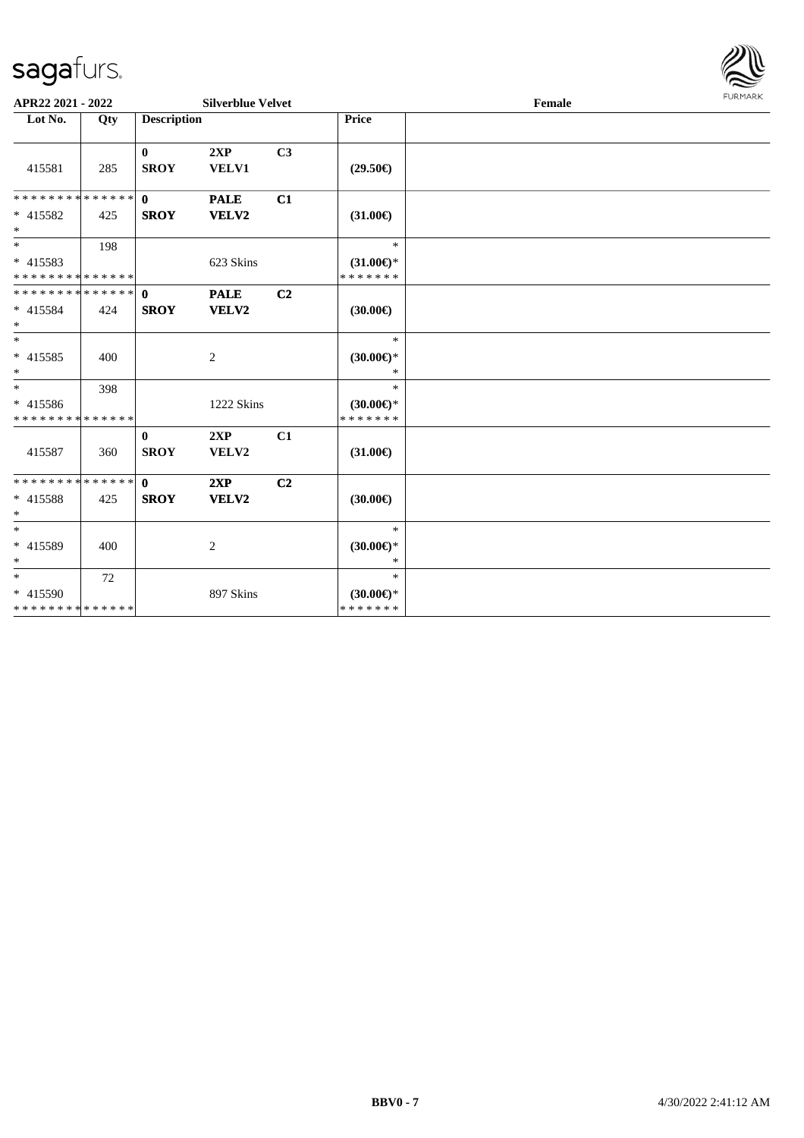

| APR22 2021 - 2022                                     |     |                             | <b>Silverblue Velvet</b> |                |                                                | FURMARK<br>Female |  |  |
|-------------------------------------------------------|-----|-----------------------------|--------------------------|----------------|------------------------------------------------|-------------------|--|--|
| Lot No.<br>Qty                                        |     | <b>Description</b>          |                          |                | <b>Price</b>                                   |                   |  |  |
| 415581                                                | 285 | $\mathbf{0}$<br><b>SROY</b> | 2XP<br>VELV1             | C <sub>3</sub> | $(29.50\epsilon)$                              |                   |  |  |
| * * * * * * * * * * * * * * *<br>* 415582<br>$*$      | 425 | $\mathbf{0}$<br><b>SROY</b> | <b>PALE</b><br>VELV2     | C1             | $(31.00\epsilon)$                              |                   |  |  |
| $*$<br>* 415583<br>* * * * * * * * * * * * * * *      | 198 |                             | 623 Skins                |                | $\ast$<br>$(31.00\epsilon)$ *<br>* * * * * * * |                   |  |  |
| * * * * * * * * * * * * * * *<br>$* 415584$<br>$\ast$ | 424 | $\mathbf{0}$<br><b>SROY</b> | <b>PALE</b><br>VELV2     | C <sub>2</sub> | $(30.00\epsilon)$                              |                   |  |  |
| $*$<br>* 415585<br>$\ast$                             | 400 |                             | 2                        |                | $\ast$<br>$(30.00\epsilon)$ *<br>$\ast$        |                   |  |  |
| $_{*}$<br>$* 415586$<br>* * * * * * * * * * * * * *   | 398 |                             | 1222 Skins               |                | $\ast$<br>$(30.00\epsilon)$ *<br>* * * * * * * |                   |  |  |
| 415587                                                | 360 | $\mathbf{0}$<br><b>SROY</b> | 2XP<br>VELV2             | C1             | $(31.00\epsilon)$                              |                   |  |  |
| * * * * * * * * * * * * * * *<br>* 415588<br>$*$      | 425 | $\mathbf{0}$<br><b>SROY</b> | 2XP<br>VELV2             | C <sub>2</sub> | $(30.00\epsilon)$                              |                   |  |  |
| $*$<br>* 415589<br>$*$                                | 400 |                             | $\overline{c}$           |                | $\ast$<br>$(30.00 \in )^*$<br>$*$              |                   |  |  |
| $*$<br>* 415590<br>* * * * * * * * * * * * * *        | 72  |                             | 897 Skins                |                | $\ast$<br>$(30.00\epsilon)$ *<br>* * * * * * * |                   |  |  |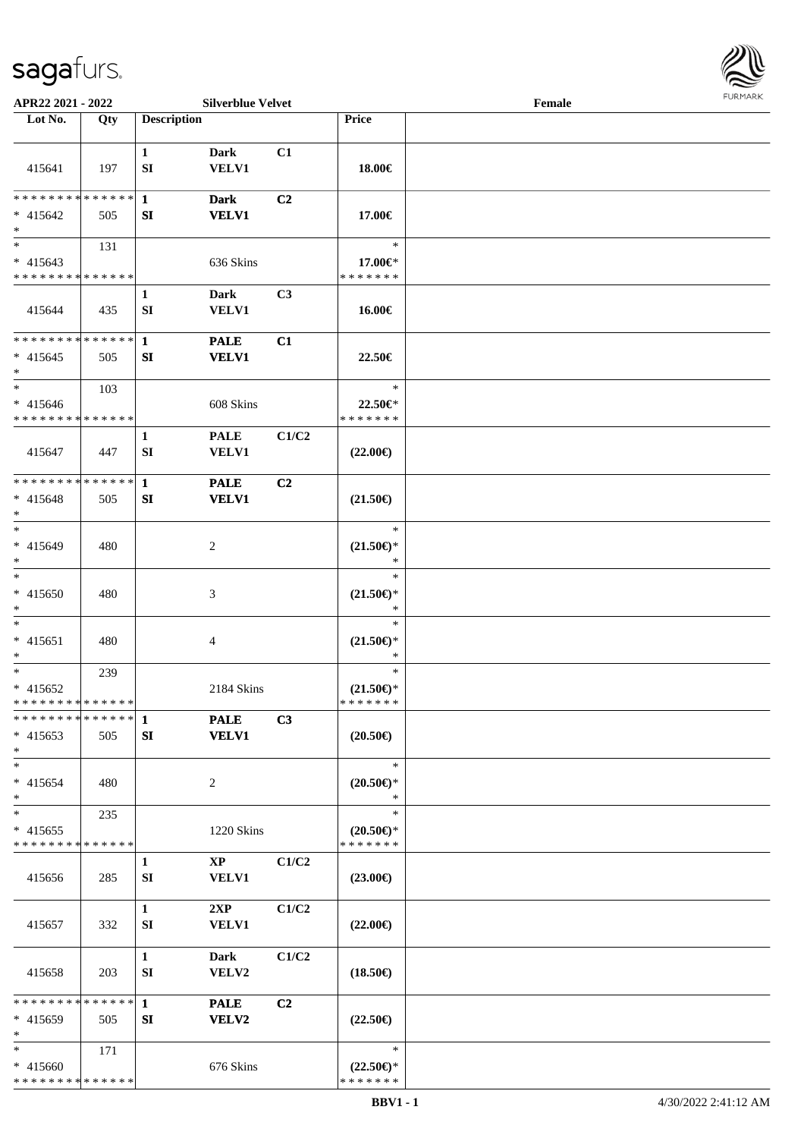

| APR22 2021 - 2022                                              |     |                    | <b>Silverblue Velvet</b>      |                |                                                                         | Female |  |
|----------------------------------------------------------------|-----|--------------------|-------------------------------|----------------|-------------------------------------------------------------------------|--------|--|
| Lot No.                                                        | Qty | <b>Description</b> |                               |                | Price                                                                   |        |  |
| 415641                                                         | 197 | $\mathbf{1}$<br>SI | <b>Dark</b><br><b>VELV1</b>   | C1             | 18.00€                                                                  |        |  |
| ******** <mark>******</mark><br>$* 415642$<br>$\ast$           | 505 | $\mathbf{1}$<br>SI | <b>Dark</b><br><b>VELV1</b>   | C <sub>2</sub> | 17.00€                                                                  |        |  |
| $\overline{\ast}$<br>$* 415643$<br>* * * * * * * * * * * * * * | 131 |                    | 636 Skins                     |                | $\ast$<br>17.00€*<br>* * * * * * *                                      |        |  |
| 415644                                                         | 435 | $\mathbf{1}$<br>SI | <b>Dark</b><br><b>VELV1</b>   | C3             | 16.00€                                                                  |        |  |
| **************<br>$* 415645$<br>$\ast$                         | 505 | $\mathbf{1}$<br>SI | <b>PALE</b><br><b>VELV1</b>   | C1             | 22.50€                                                                  |        |  |
| $\ast$<br>$* 415646$<br>* * * * * * * * * * * * * *            | 103 |                    | 608 Skins                     |                | $\ast$<br>22.50€*<br>* * * * * * *                                      |        |  |
| 415647                                                         | 447 | $\mathbf{1}$<br>SI | <b>PALE</b><br><b>VELV1</b>   | C1/C2          | $(22.00\epsilon)$                                                       |        |  |
| **************<br>$* 415648$<br>$\ast$                         | 505 | $\mathbf{1}$<br>SI | <b>PALE</b><br><b>VELV1</b>   | C2             | $(21.50\epsilon)$                                                       |        |  |
| $\ast$<br>$* 415649$<br>$\ast$                                 | 480 |                    | $\overline{c}$                |                | $\ast$<br>$(21.50\epsilon)$ *<br>$\ast$                                 |        |  |
| $\overline{\ast}$<br>$* 415650$<br>$\ast$                      | 480 |                    | 3                             |                | $\ast$<br>$(21.50\epsilon)$ *<br>$\ast$                                 |        |  |
| $\ast$<br>$* 415651$<br>$\ast$                                 | 480 |                    | $\overline{4}$                |                | $\ast$<br>$(21.50\mathnormal{\in }\mathcal{)^{\! \! \times}}$<br>$\ast$ |        |  |
| $\ast$<br>$* 415652$<br>**************                         | 239 |                    | 2184 Skins                    |                | $\ast$<br>$(21.50\epsilon)$ *<br>*******                                |        |  |
| * * * * * * * * * * * * * * *<br>$* 415653$<br>$*$             | 505 | 1<br>SI            | <b>PALE</b><br><b>VELV1</b>   | C3             | $(20.50\epsilon)$                                                       |        |  |
| $\ast$<br>$* 415654$<br>$*$                                    | 480 |                    | $\overline{c}$                |                | $\ast$<br>$(20.50 \in )^*$<br>$\ast$                                    |        |  |
| $\ast$<br>$* 415655$<br>* * * * * * * * * * * * * *            | 235 |                    | 1220 Skins                    |                | $\ast$<br>$(20.50 \in )^*$<br>* * * * * * *                             |        |  |
| 415656                                                         | 285 | 1<br>SI            | $\mathbf{XP}$<br><b>VELV1</b> | C1/C2          | $(23.00\epsilon)$                                                       |        |  |
| 415657                                                         | 332 | $\mathbf{1}$<br>SI | 2XP<br><b>VELV1</b>           | C1/C2          | $(22.00\epsilon)$                                                       |        |  |
| 415658                                                         | 203 | $\mathbf{1}$<br>SI | <b>Dark</b><br>VELV2          | C1/C2          | $(18.50\epsilon)$                                                       |        |  |
| * * * * * * * * * * * * * *<br>$* 415659$<br>$\ast$            | 505 | $\mathbf{1}$<br>SI | <b>PALE</b><br><b>VELV2</b>   | C2             | $(22.50\epsilon)$                                                       |        |  |
| $\ast$<br>$* 415660$<br>* * * * * * * * * * * * * *            | 171 |                    | 676 Skins                     |                | $\ast$<br>$(22.50\epsilon)$ *<br>* * * * * * *                          |        |  |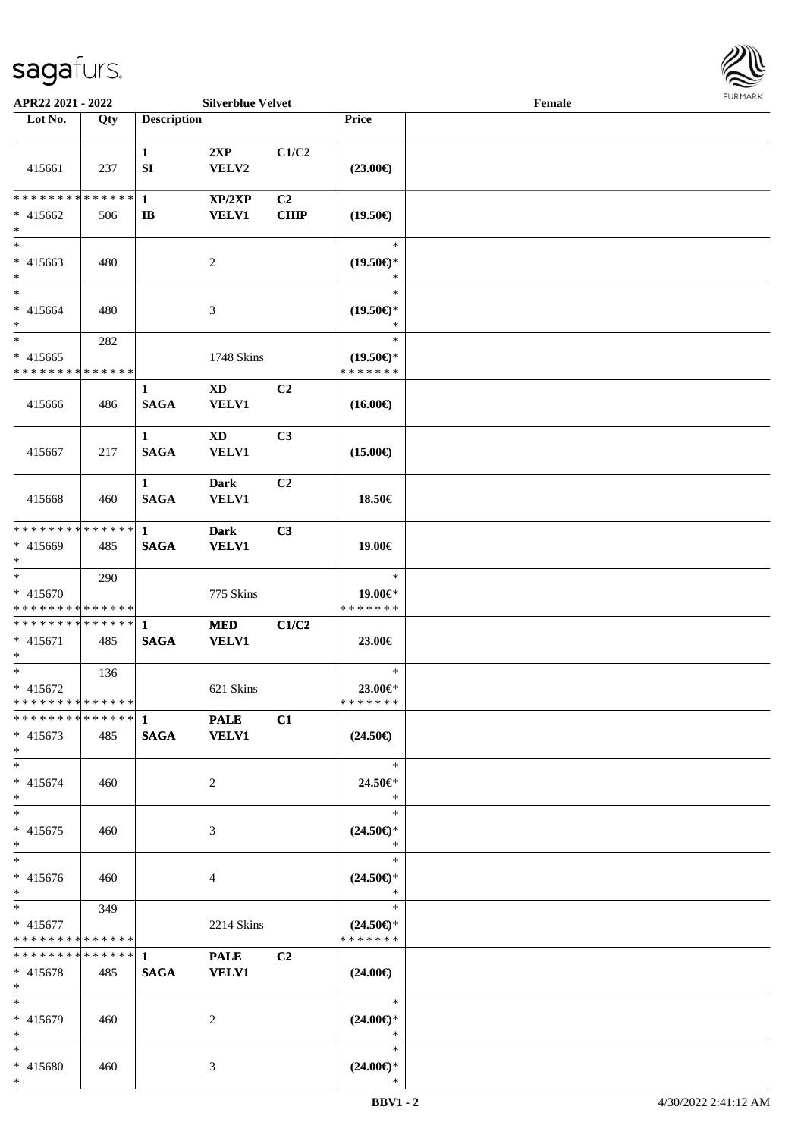

| APR22 2021 - 2022                                                     |     |                              | <b>Silverblue Velvet</b>               |                   |                                                | Female | <b>FURPIARR</b> |
|-----------------------------------------------------------------------|-----|------------------------------|----------------------------------------|-------------------|------------------------------------------------|--------|-----------------|
| Lot No.                                                               | Qty | <b>Description</b>           |                                        |                   | Price                                          |        |                 |
| 415661                                                                | 237 | $\mathbf{1}$<br>SI           | 2XP<br>VELV2                           | C1/C2             | $(23.00\epsilon)$                              |        |                 |
| * * * * * * * * * * * * * * *<br>* 415662<br>$*$                      | 506 | $\mathbf{1}$<br>$\mathbf{I}$ | XP/2XP<br><b>VELV1</b>                 | C2<br><b>CHIP</b> | $(19.50\epsilon)$                              |        |                 |
| $*$<br>$* 415663$<br>$*$                                              | 480 |                              | 2                                      |                   | $\ast$<br>$(19.50\epsilon)$ *<br>∗             |        |                 |
| $*$<br>* 415664<br>$\ast$                                             | 480 |                              | 3                                      |                   | $\ast$<br>$(19.50\epsilon)$ *<br>∗             |        |                 |
| $\overline{\phantom{0}}$<br>$* 415665$<br>* * * * * * * * * * * * * * | 282 |                              | 1748 Skins                             |                   | $\ast$<br>$(19.50\epsilon)$ *<br>* * * * * * * |        |                 |
| 415666                                                                | 486 | 1<br><b>SAGA</b>             | <b>XD</b><br><b>VELV1</b>              | C <sub>2</sub>    | $(16.00\epsilon)$                              |        |                 |
| 415667                                                                | 217 | $\mathbf{1}$<br><b>SAGA</b>  | $\mathbf{X}\mathbf{D}$<br><b>VELV1</b> | C3                | $(15.00\epsilon)$                              |        |                 |
| 415668                                                                | 460 | $\mathbf{1}$<br><b>SAGA</b>  | <b>Dark</b><br><b>VELV1</b>            | C2                | 18.50€                                         |        |                 |
| ******** <mark>******</mark><br>* 415669<br>$*$                       | 485 | $\mathbf{1}$<br><b>SAGA</b>  | <b>Dark</b><br><b>VELV1</b>            | C3                | 19.00€                                         |        |                 |
| $*$<br>* 415670<br>* * * * * * * * * * * * * *                        | 290 |                              | 775 Skins                              |                   | $\ast$<br>19.00€*<br>* * * * * * *             |        |                 |
| * * * * * * * * * * * * * * *<br>* 415671<br>$*$                      | 485 | -1<br><b>SAGA</b>            | <b>MED</b><br><b>VELV1</b>             | C1/C2             | 23.00€                                         |        |                 |
| $\overline{\phantom{0}}$<br>$* 415672$<br>* * * * * * * * * * * * * * | 136 |                              | 621 Skins                              |                   | $\ast$<br>23.00€*<br>* * * * * * *             |        |                 |
| ************** 1<br>$* 415673$<br>$*$                                 | 485 | <b>SAGA</b>                  | <b>PALE</b><br><b>VELV1</b>            | C1                | $(24.50\epsilon)$                              |        |                 |
| $*$<br>$* 415674$<br>$*$                                              | 460 |                              | 2                                      |                   | $\ast$<br>24.50€*<br>$\ast$                    |        |                 |
| $*$<br>$* 415675$<br>$*$                                              | 460 |                              | 3                                      |                   | $\ast$<br>$(24.50\epsilon)$ *<br>$\ast$        |        |                 |
| $*$<br>* 415676<br>$*$                                                | 460 |                              | 4                                      |                   | $\ast$<br>$(24.50\epsilon)$ *<br>$\ast$        |        |                 |
| $*$ $*$<br>$* 415677$<br>* * * * * * * * * * * * * *                  | 349 |                              | 2214 Skins                             |                   | $\ast$<br>$(24.50\epsilon)$ *<br>* * * * * * * |        |                 |
| * * * * * * * * * * * * * * *<br>$* 415678$<br>$*$                    | 485 | 1<br><b>SAGA</b>             | <b>PALE</b><br><b>VELV1</b>            | C <sub>2</sub>    | $(24.00\epsilon)$                              |        |                 |
| $*$<br>* 415679<br>$*$                                                | 460 |                              | $\overline{2}$                         |                   | $\ast$<br>$(24.00\epsilon)$ *<br>$\ast$        |        |                 |
| $*$<br>* 415680<br>$*$                                                | 460 |                              | 3                                      |                   | $\ast$<br>$(24.00\epsilon)$ *<br>$\ast$        |        |                 |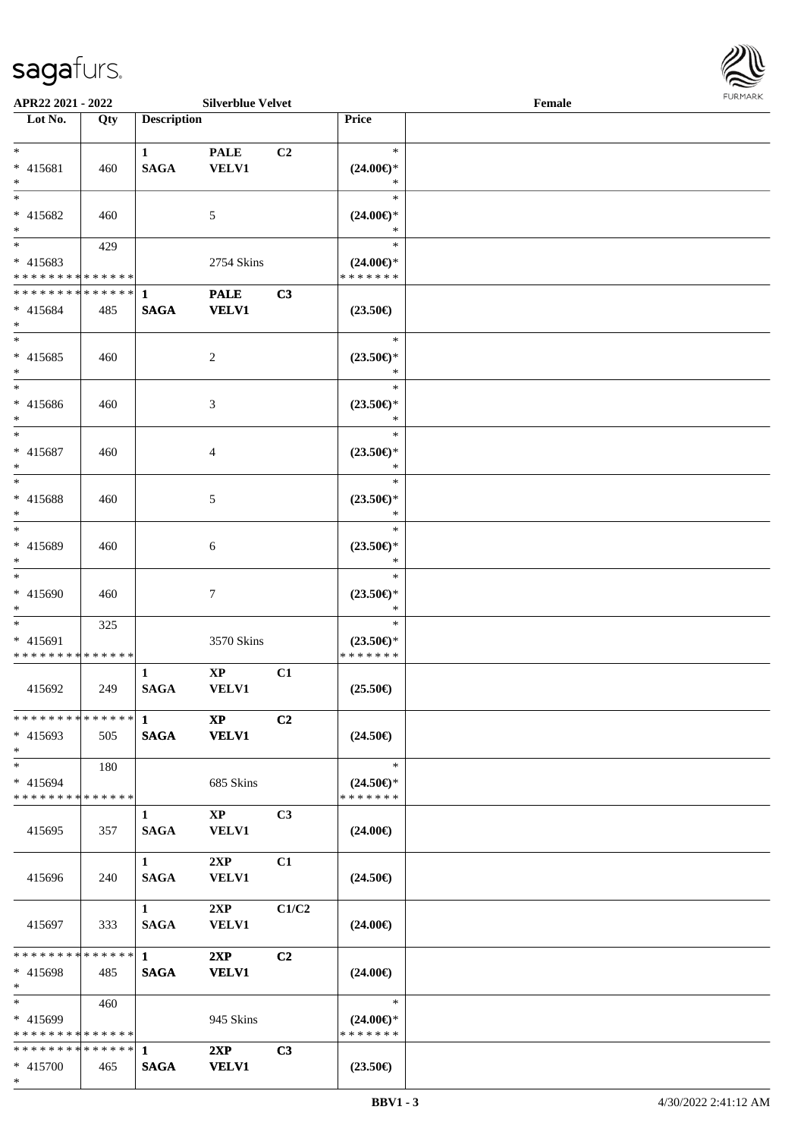\*



| APR22 2021 - 2022             |     |                        | <b>Silverblue Velvet</b>   |                |                          | Female |  |
|-------------------------------|-----|------------------------|----------------------------|----------------|--------------------------|--------|--|
| Lot No.                       | Qty | <b>Description</b>     |                            |                | <b>Price</b>             |        |  |
|                               |     |                        |                            |                |                          |        |  |
| $*$                           |     | $\mathbf{1}$           | <b>PALE</b>                | C <sub>2</sub> | $\ast$                   |        |  |
| * 415681                      | 460 | <b>SAGA</b>            | <b>VELV1</b>               |                | $(24.00\epsilon)$ *      |        |  |
| $*$                           |     |                        |                            |                | ∗                        |        |  |
| $*$                           |     |                        |                            |                | $\ast$                   |        |  |
| * 415682                      | 460 |                        | 5                          |                | $(24.00\epsilon)$ *      |        |  |
| $*$                           |     |                        |                            |                | ∗                        |        |  |
|                               | 429 |                        |                            |                | $\ast$                   |        |  |
| * 415683                      |     |                        | 2754 Skins                 |                | $(24.00\epsilon)$ *      |        |  |
| * * * * * * * * * * * * * *   |     |                        |                            |                | * * * * * * *            |        |  |
| * * * * * * * * * * * * * * * |     | $\mathbf{1}$           | <b>PALE</b>                | C3             |                          |        |  |
| * 415684                      | 485 | <b>SAGA</b>            | <b>VELV1</b>               |                | $(23.50\epsilon)$        |        |  |
| $*$                           |     |                        |                            |                |                          |        |  |
| $*$                           |     |                        |                            |                | $\ast$                   |        |  |
| $* 415685$                    | 460 |                        | 2                          |                | $(23.50\epsilon)$ *      |        |  |
| $*$                           |     |                        |                            |                | $\ast$                   |        |  |
| $\ast$                        |     |                        |                            |                | $\ast$                   |        |  |
| * 415686                      | 460 |                        | 3                          |                | $(23.50\epsilon)$ *      |        |  |
| $*$                           |     |                        |                            |                | $\ast$                   |        |  |
| $*$                           |     |                        |                            |                | $\ast$                   |        |  |
| * 415687                      | 460 |                        | 4                          |                | $(23.50\epsilon)$ *      |        |  |
| $*$                           |     |                        |                            |                | ∗                        |        |  |
| $*$                           |     |                        |                            |                | $\ast$                   |        |  |
| * 415688                      |     |                        |                            |                | $(23.50\epsilon)$ *      |        |  |
| $*$                           | 460 |                        | 5                          |                | ∗                        |        |  |
| $*$                           |     |                        |                            |                | $\ast$                   |        |  |
|                               |     |                        |                            |                |                          |        |  |
| * 415689<br>$*$               | 460 |                        | 6                          |                | $(23.50\epsilon)$ *<br>* |        |  |
| $*$                           |     |                        |                            |                | $\ast$                   |        |  |
|                               |     |                        |                            |                |                          |        |  |
| * 415690                      | 460 |                        | 7                          |                | $(23.50\epsilon)$ *      |        |  |
| $*$                           |     |                        |                            |                | $\ast$                   |        |  |
| $*$                           | 325 |                        |                            |                | $\ast$                   |        |  |
| * 415691                      |     |                        | 3570 Skins                 |                | $(23.50\epsilon)$ *      |        |  |
| * * * * * * * * * * * * * *   |     |                        |                            |                | * * * * * * *            |        |  |
|                               |     | $\mathbf{1}$           | $\mathbf{XP}$              | C1             |                          |        |  |
| 415692                        | 249 | <b>SAGA</b>            | VELV1                      |                | $(25.50\epsilon)$        |        |  |
|                               |     |                        |                            |                |                          |        |  |
|                               |     |                        | $\boldsymbol{\mathrm{XP}}$ | C <sub>2</sub> |                          |        |  |
| $* 415693$                    | 505 | <b>SAGA</b>            | <b>VELV1</b>               |                | $(24.50\epsilon)$        |        |  |
| $*$                           |     |                        |                            |                |                          |        |  |
| $*$                           | 180 |                        |                            |                | $\ast$                   |        |  |
| * 415694                      |     |                        | 685 Skins                  |                | $(24.50\epsilon)$ *      |        |  |
| * * * * * * * * * * * * * * * |     |                        |                            |                | * * * * * * *            |        |  |
|                               |     | 1                      | $\mathbf{X}\mathbf{P}$     | C <sub>3</sub> |                          |        |  |
| 415695                        | 357 | <b>SAGA</b>            | <b>VELV1</b>               |                | $(24.00\epsilon)$        |        |  |
|                               |     |                        |                            |                |                          |        |  |
|                               |     | $1 \quad \blacksquare$ | 2XP                        | C1             |                          |        |  |
| 415696                        | 240 | <b>SAGA</b>            | <b>VELV1</b>               |                | $(24.50\epsilon)$        |        |  |
|                               |     |                        |                            |                |                          |        |  |
|                               |     | $1 \quad \blacksquare$ | 2XP                        | C1/C2          |                          |        |  |
| 415697                        | 333 | <b>SAGA</b>            | <b>VELV1</b>               |                | $(24.00\epsilon)$        |        |  |
|                               |     |                        |                            |                |                          |        |  |
|                               |     |                        | 2XP                        | C <sub>2</sub> |                          |        |  |
| $* 415698$                    | 485 | <b>SAGA</b>            | <b>VELV1</b>               |                | $(24.00\epsilon)$        |        |  |
| $*$                           |     |                        |                            |                |                          |        |  |
| $*$ $*$                       | 460 |                        |                            |                | $\ast$                   |        |  |
| * 415699                      |     |                        | 945 Skins                  |                | $(24.00\epsilon)$ *      |        |  |
| * * * * * * * * * * * * * * * |     |                        |                            |                | * * * * * * *            |        |  |
|                               |     |                        | 2XP                        | C3             |                          |        |  |
| * 415700                      | 465 | <b>SAGA</b>            | <b>VELV1</b>               |                | $(23.50\epsilon)$        |        |  |
|                               |     |                        |                            |                |                          |        |  |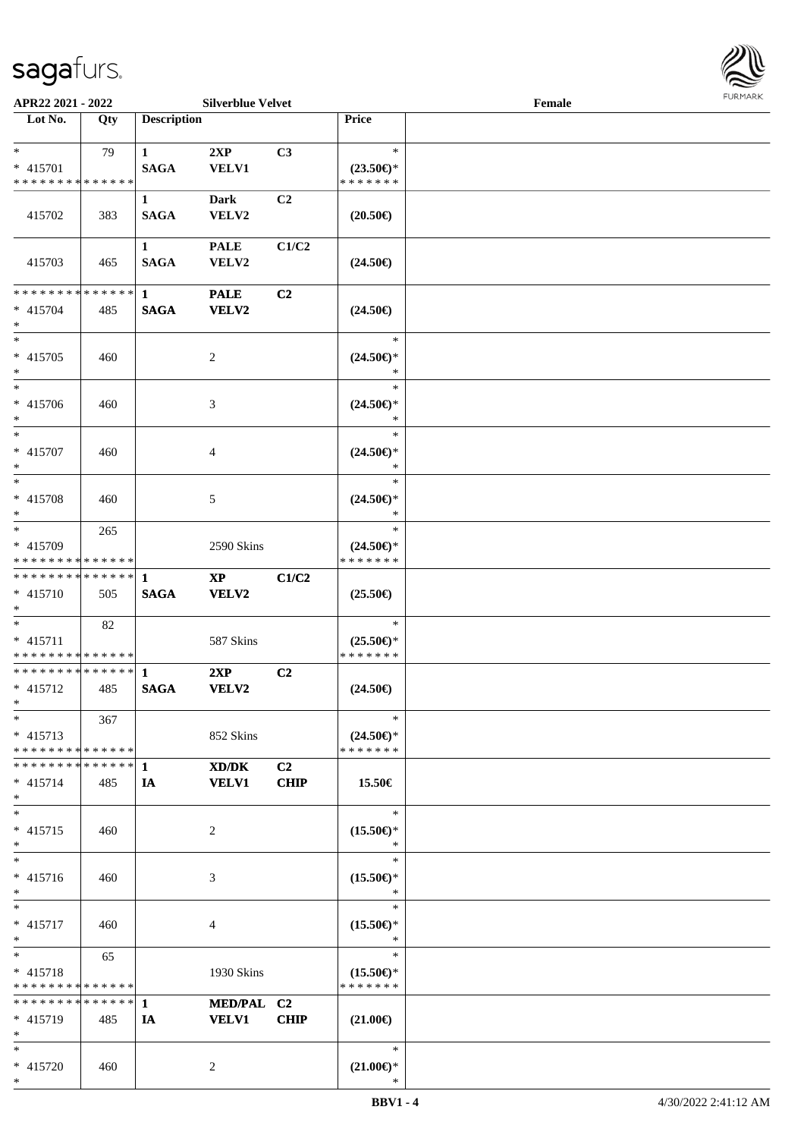

| APR22 2021 - 2022                                          |     |                    | <b>Silverblue Velvet</b> |                |                                      | Female |  |
|------------------------------------------------------------|-----|--------------------|--------------------------|----------------|--------------------------------------|--------|--|
| Lot No.                                                    | Qty | <b>Description</b> |                          |                | Price                                |        |  |
|                                                            |     |                    |                          |                |                                      |        |  |
| $*$                                                        | 79  | $\mathbf{1}$       | 2XP                      | C3             | $\ast$                               |        |  |
| * 415701                                                   |     | <b>SAGA</b>        | <b>VELV1</b>             |                | $(23.50\epsilon)$ *                  |        |  |
| * * * * * * * * * * * * * *                                |     |                    |                          |                | * * * * * * *                        |        |  |
|                                                            |     | $\mathbf{1}$       | <b>Dark</b>              | C2             |                                      |        |  |
| 415702                                                     | 383 | <b>SAGA</b>        | VELV2                    |                | $(20.50\epsilon)$                    |        |  |
|                                                            |     |                    |                          |                |                                      |        |  |
|                                                            |     | $\mathbf{1}$       | <b>PALE</b>              | C1/C2          |                                      |        |  |
| 415703                                                     | 465 | <b>SAGA</b>        | VELV2                    |                | $(24.50\epsilon)$                    |        |  |
|                                                            |     |                    |                          |                |                                      |        |  |
| * * * * * * * * * * * * * *                                |     | $\mathbf{1}$       | <b>PALE</b>              | C2             |                                      |        |  |
| * 415704<br>$*$                                            | 485 | <b>SAGA</b>        | <b>VELV2</b>             |                | $(24.50\epsilon)$                    |        |  |
| $*$                                                        |     |                    |                          |                | $\ast$                               |        |  |
| $* 415705$                                                 | 460 |                    | $\overline{c}$           |                | $(24.50\epsilon)$ *                  |        |  |
| $\ast$                                                     |     |                    |                          |                | $\ast$                               |        |  |
| $*$                                                        |     |                    |                          |                | $\ast$                               |        |  |
| $* 415706$                                                 | 460 |                    | 3                        |                | $(24.50\epsilon)$ *                  |        |  |
| $*$                                                        |     |                    |                          |                | $\ast$                               |        |  |
| $*$                                                        |     |                    |                          |                | $\ast$                               |        |  |
| * 415707                                                   | 460 |                    | 4                        |                | $(24.50\epsilon)$ *                  |        |  |
| $*$                                                        |     |                    |                          |                | $\ast$                               |        |  |
| $*$                                                        |     |                    |                          |                | $\ast$                               |        |  |
| * 415708                                                   | 460 |                    | 5                        |                | $(24.50\epsilon)$ *                  |        |  |
| $*$                                                        |     |                    |                          |                | $\ast$                               |        |  |
| $*$                                                        | 265 |                    |                          |                | $\ast$                               |        |  |
| * 415709                                                   |     |                    | 2590 Skins               |                | $(24.50\epsilon)$ *                  |        |  |
| * * * * * * * * * * * * * *                                |     |                    |                          |                | * * * * * * *                        |        |  |
| * * * * * * * * * * * * * *                                |     | 1                  | $\mathbf{X}\mathbf{P}$   | C1/C2          |                                      |        |  |
| * 415710                                                   | 505 | <b>SAGA</b>        | VELV2                    |                | $(25.50\epsilon)$                    |        |  |
| $*$                                                        |     |                    |                          |                |                                      |        |  |
| $*$                                                        | 82  |                    |                          |                | $\ast$                               |        |  |
| $* 415711$<br>* * * * * * * * * * * * * *                  |     |                    | 587 Skins                |                | $(25.50\epsilon)$ *<br>* * * * * * * |        |  |
| * * * * * * * * * * * * * * *                              |     | $\mathbf{1}$       |                          | C2             |                                      |        |  |
| $* 415712$                                                 | 485 | <b>SAGA</b>        | 2XP<br><b>VELV2</b>      |                | $(24.50\epsilon)$                    |        |  |
| $*$ $*$                                                    |     |                    |                          |                |                                      |        |  |
| $*$                                                        | 367 |                    |                          |                | $\ast$                               |        |  |
| $* 415713$                                                 |     |                    | 852 Skins                |                | $(24.50\epsilon)$ *                  |        |  |
| * * * * * * * * * * * * * *                                |     |                    |                          |                | * * * * * * *                        |        |  |
| * * * * * * * * * * * * * * *                              |     | 1                  | XD/DK                    | C <sub>2</sub> |                                      |        |  |
| $* 415714$                                                 | 485 | IA                 | <b>VELV1</b>             | <b>CHIP</b>    | 15.50€                               |        |  |
| $*$                                                        |     |                    |                          |                |                                      |        |  |
| $*$                                                        |     |                    |                          |                | $\ast$                               |        |  |
| $* 415715$                                                 | 460 |                    | 2                        |                | $(15.50\epsilon)$ *                  |        |  |
| $*$                                                        |     |                    |                          |                | $\ast$                               |        |  |
| $*$                                                        |     |                    |                          |                | $\ast$                               |        |  |
| * 415716                                                   | 460 |                    | 3                        |                | $(15.50\epsilon)$ *                  |        |  |
| $*$                                                        |     |                    |                          |                | $\ast$                               |        |  |
| $*$                                                        |     |                    |                          |                | $\ast$                               |        |  |
| * 415717                                                   | 460 |                    | 4                        |                | $(15.50\epsilon)$ *                  |        |  |
| $*$                                                        |     |                    |                          |                | $\ast$                               |        |  |
| $*$                                                        | 65  |                    |                          |                | $\ast$                               |        |  |
| * 415718                                                   |     |                    | 1930 Skins               |                | $(15.50\epsilon)$ *                  |        |  |
| * * * * * * * * * * * * * *<br>* * * * * * * * * * * * * * |     |                    |                          |                | * * * * * * *                        |        |  |
|                                                            |     | $\mathbf{1}$       | MED/PAL C2               |                |                                      |        |  |
| * 415719<br>$*$                                            | 485 | IA                 | <b>VELV1</b>             | <b>CHIP</b>    | $(21.00\epsilon)$                    |        |  |
| $*$                                                        |     |                    |                          |                | $\ast$                               |        |  |
| * 415720                                                   | 460 |                    | 2                        |                | $(21.00\epsilon)$ *                  |        |  |
| $*$                                                        |     |                    |                          |                | $\ast$                               |        |  |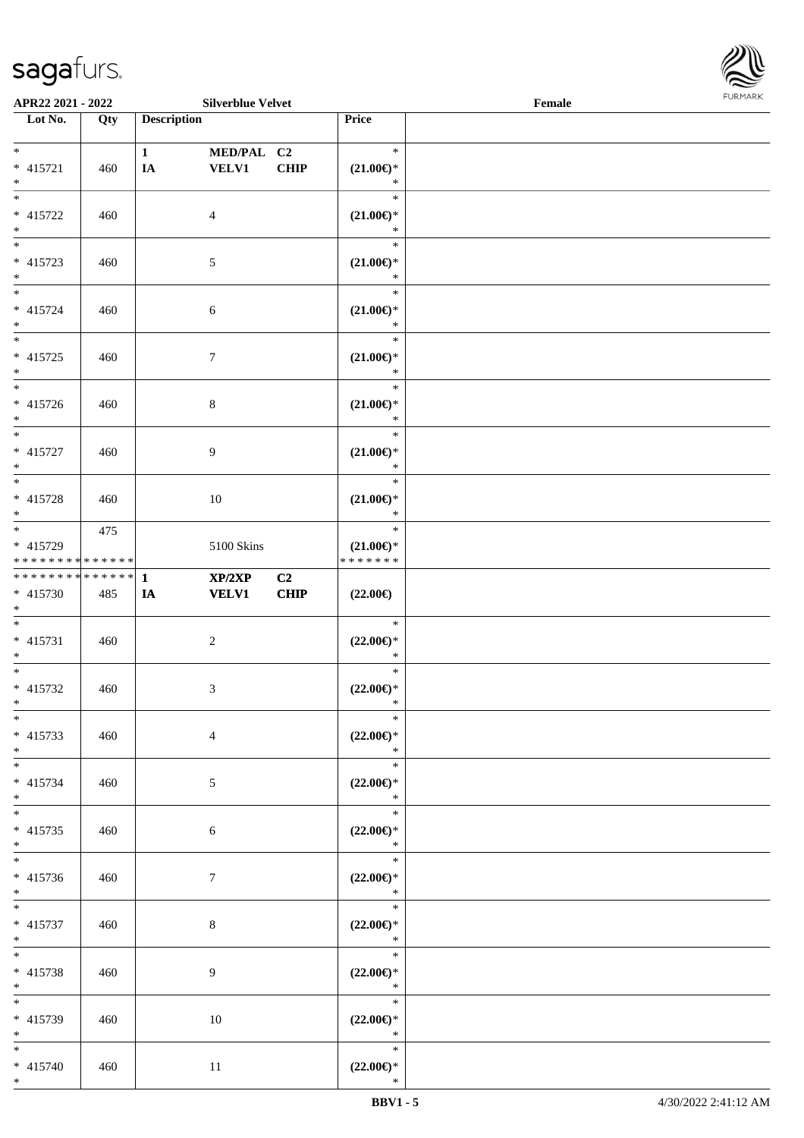

| APR22 2021 - 2022                                                        |            |                    | <b>Silverblue Velvet</b>   |             |                                                   | Female |  |
|--------------------------------------------------------------------------|------------|--------------------|----------------------------|-------------|---------------------------------------------------|--------|--|
| Lot No.                                                                  | Qty        | <b>Description</b> |                            |             | Price                                             |        |  |
| $*$<br>* 415721<br>$*$                                                   | 460        | $\mathbf{1}$<br>IA | MED/PAL C2<br><b>VELV1</b> | <b>CHIP</b> | $\ast$<br>$(21.00\epsilon)$ *<br>$\ast$           |        |  |
| $*$<br>* 415722<br>$*$                                                   | 460        |                    | 4                          |             | $\ast$<br>$(21.00\epsilon)$ *<br>$\ast$           |        |  |
| $* 415723$<br>$*$                                                        | 460        |                    | $\mathfrak{S}$             |             | $\ast$<br>$(21.00\epsilon)$ *<br>$\ast$           |        |  |
| $*$<br>$* 415724$<br>$*$<br>$*$                                          | 460        |                    | 6                          |             | $\ast$<br>$(21.00\epsilon)$ *<br>$\ast$<br>$\ast$ |        |  |
| $* 415725$<br>$*$                                                        | 460        |                    | $\tau$                     |             | $(21.00\epsilon)$ *<br>$\ast$<br>$\ast$           |        |  |
| $* 415726$<br>$*$<br>$*$                                                 | 460        |                    | $8\,$                      |             | $(21.00\epsilon)$ *<br>$\ast$<br>$\ast$           |        |  |
| $* 415727$<br>$*$                                                        | 460        |                    | 9                          |             | $(21.00\epsilon)$ *<br>$\ast$<br>$\ast$           |        |  |
| * 415728<br>$*$                                                          | 460<br>475 |                    | 10                         |             | $(21.00\epsilon)$ *<br>$\ast$<br>$\ast$           |        |  |
| * 415729<br>* * * * * * * * * * * * * *<br>* * * * * * * * * * * * * * * |            | $\mathbf{1}$       | 5100 Skins<br>XP/2XP       | C2          | $(21.00\epsilon)$ *<br>* * * * * * *              |        |  |
| * 415730<br>$*$<br>$*$                                                   | 485        | IA                 | <b>VELV1</b>               | <b>CHIP</b> | $(22.00\epsilon)$<br>$\ast$                       |        |  |
| $* 415731$<br>$*$<br>$*$                                                 | 460        |                    | $\boldsymbol{2}$           |             | $(22.00\epsilon)$ *<br>$\ast$<br>$\ast$           |        |  |
| * 415732<br>$*$<br>$*$                                                   | 460        |                    | 3                          |             | $(22.00\epsilon)$ *<br>$\ast$<br>$\ast$           |        |  |
| $* 415733$<br>$*$<br>$*$                                                 | 460        |                    | $\overline{4}$             |             | $(22.00\epsilon)$ *<br>$\ast$<br>$\ast$           |        |  |
| $* 415734$<br>$*$<br>$*$                                                 | 460        |                    | 5                          |             | $(22.00\epsilon)$ *<br>$\ast$<br>$\ast$           |        |  |
| $* 415735$<br>$*$                                                        | 460        |                    | 6                          |             | $(22.00\epsilon)$ *<br>$\ast$<br>$\ast$           |        |  |
| $* 415736$<br>$*$<br>$*$                                                 | 460        |                    | 7                          |             | $(22.00\epsilon)$ *<br>$\ast$<br>$\ast$           |        |  |
| * 415737<br>$*$<br>$*$                                                   | 460        |                    | $8\,$                      |             | $(22.00\epsilon)$ *<br>$\ast$<br>$\ast$           |        |  |
| * 415738<br>$*$<br>$\ast$                                                | 460        |                    | 9                          |             | $(22.00\epsilon)$ *<br>$\ast$<br>$\ast$           |        |  |
| * 415739<br>$*$<br>$*$                                                   | 460        |                    | 10                         |             | $(22.00\epsilon)$ *<br>$\ast$<br>$\ast$           |        |  |
| $* 415740$<br>$*$                                                        | 460        |                    | 11                         |             | $(22.00\epsilon)$ *<br>$\ast$                     |        |  |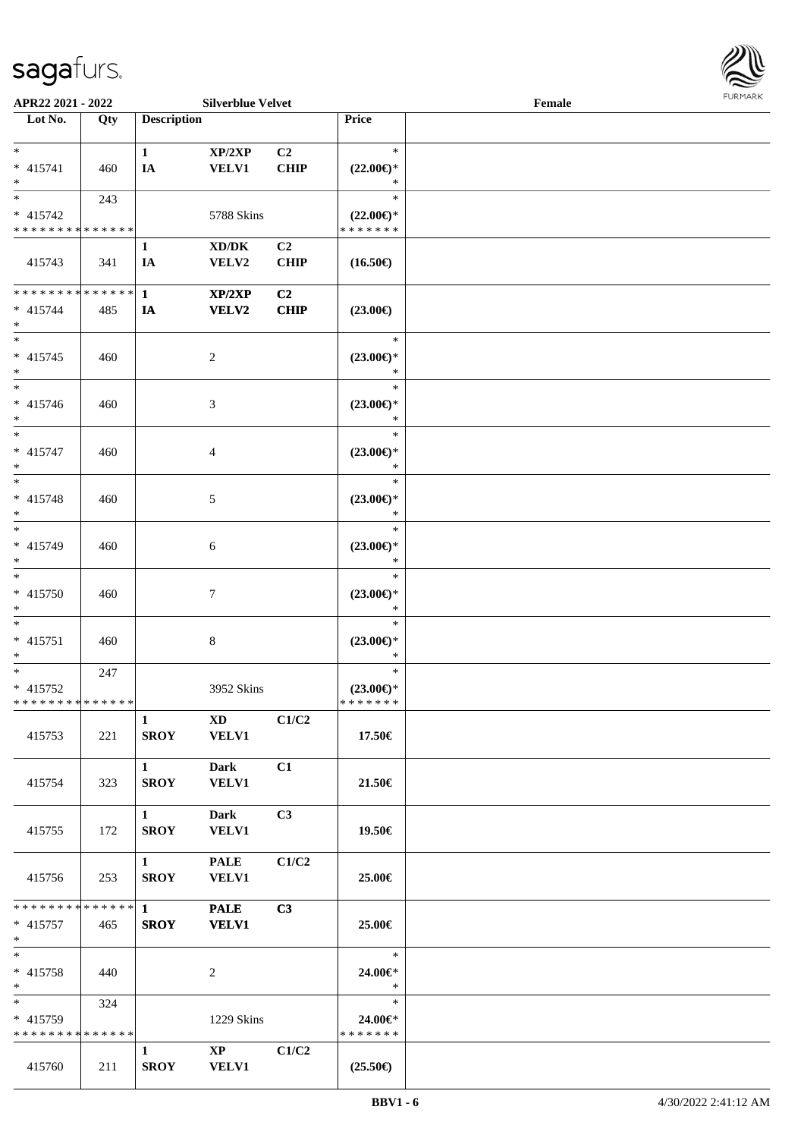

| APR22 2021 - 2022             |     |                        | <b>Silverblue Velvet</b>     |                |                               | Female |  |
|-------------------------------|-----|------------------------|------------------------------|----------------|-------------------------------|--------|--|
| Lot No.                       | Qty | <b>Description</b>     |                              |                | Price                         |        |  |
|                               |     |                        |                              |                |                               |        |  |
| $*$                           |     | $\mathbf{1}$           | XP/2XP                       | C <sub>2</sub> | $\ast$                        |        |  |
| $* 415741$                    | 460 | <b>IA</b>              | <b>VELV1</b>                 | <b>CHIP</b>    | $(22.00\epsilon)$ *           |        |  |
| $*$                           |     |                        |                              |                | ∗                             |        |  |
| $*$                           | 243 |                        |                              |                | $\ast$                        |        |  |
| $* 415742$                    |     |                        | 5788 Skins                   |                | $(22.00\epsilon)$ *           |        |  |
| * * * * * * * * * * * * * *   |     |                        |                              |                | * * * * * * *                 |        |  |
|                               |     | $\mathbf{1}$           | XD/DK                        | C <sub>2</sub> |                               |        |  |
| 415743                        | 341 | IA                     | VELV2                        | <b>CHIP</b>    | $(16.50\epsilon)$             |        |  |
|                               |     |                        |                              |                |                               |        |  |
| * * * * * * * * * * * * * * * |     | $\mathbf{1}$           | XP/2XP                       | C2             |                               |        |  |
| $* 415744$                    | 485 | IA                     | <b>VELV2</b>                 | <b>CHIP</b>    | $(23.00\epsilon)$             |        |  |
| $*$                           |     |                        |                              |                |                               |        |  |
| $*$                           |     |                        |                              |                | $\ast$                        |        |  |
| $* 415745$                    | 460 |                        | $\overline{c}$               |                | $(23.00\epsilon)$ *           |        |  |
| $*$                           |     |                        |                              |                | $\ast$                        |        |  |
| $*$                           |     |                        |                              |                | $\ast$                        |        |  |
| $* 415746$                    | 460 |                        | 3                            |                | $(23.00\epsilon)$ *           |        |  |
| $*$                           |     |                        |                              |                | $\ast$                        |        |  |
| $*$                           |     |                        |                              |                | $\ast$                        |        |  |
| * 415747                      | 460 |                        | 4                            |                | $(23.00\epsilon)$ *           |        |  |
| $*$                           |     |                        |                              |                | $\ast$                        |        |  |
| $*$                           |     |                        |                              |                | $\ast$                        |        |  |
| * 415748                      |     |                        |                              |                | $(23.00\epsilon)$ *           |        |  |
| $*$                           | 460 |                        | 5                            |                | $\ast$                        |        |  |
| $*$                           |     |                        |                              |                | $\ast$                        |        |  |
| * 415749                      |     |                        |                              |                |                               |        |  |
| $*$                           | 460 |                        | 6                            |                | $(23.00\epsilon)$ *<br>$\ast$ |        |  |
| $*$                           |     |                        |                              |                | $\ast$                        |        |  |
| $* 415750$                    |     |                        |                              |                |                               |        |  |
| $*$                           | 460 |                        | 7                            |                | $(23.00\epsilon)$ *<br>$\ast$ |        |  |
| $*$                           |     |                        |                              |                | $\ast$                        |        |  |
|                               |     |                        |                              |                |                               |        |  |
| $* 415751$<br>$*$             | 460 |                        | 8                            |                | $(23.00\epsilon)$ *<br>$\ast$ |        |  |
| $*$                           | 247 |                        |                              |                | $\ast$                        |        |  |
| $* 415752$                    |     |                        | 3952 Skins                   |                | $(23.00\epsilon)$ *           |        |  |
| * * * * * * * * * * * * * * * |     |                        |                              |                | * * * * * * *                 |        |  |
|                               |     | $\mathbf{1}$           |                              |                |                               |        |  |
|                               |     | <b>SROY</b>            | $XD$ $C1/C2$<br><b>VELV1</b> |                |                               |        |  |
| 415753                        | 221 |                        |                              |                | 17.50€                        |        |  |
|                               |     |                        |                              |                |                               |        |  |
|                               |     | $1 \quad \blacksquare$ | Dark                         | C1             |                               |        |  |
| 415754                        | 323 | <b>SROY</b>            | <b>VELV1</b>                 |                | 21.50€                        |        |  |
|                               |     | $1 \quad \blacksquare$ | Dark                         | C3             |                               |        |  |
|                               |     |                        |                              |                |                               |        |  |
| 415755                        | 172 | <b>SROY</b>            | <b>VELV1</b>                 |                | 19.50€                        |        |  |
|                               |     | $1 \quad \blacksquare$ | <b>PALE</b>                  | C1/C2          |                               |        |  |
|                               |     |                        |                              |                |                               |        |  |
| 415756                        | 253 | <b>SROY</b>            | <b>VELV1</b>                 |                | 25.00€                        |        |  |
|                               |     |                        | <b>PALE</b>                  | C3             |                               |        |  |
| $* 415757$                    | 465 | <b>SROY</b>            | <b>VELV1</b>                 |                | 25.00€                        |        |  |
| $*$ $*$                       |     |                        |                              |                |                               |        |  |
| $*$                           |     |                        |                              |                | $\ast$                        |        |  |
| $* 415758$                    |     |                        |                              |                | 24.00€*                       |        |  |
| $*$                           | 440 |                        | 2                            |                | $\ast$                        |        |  |
|                               | 324 |                        |                              |                | $\ast$                        |        |  |
| * 415759                      |     |                        | 1229 Skins                   |                | 24.00€*                       |        |  |
| * * * * * * * * * * * * * *   |     |                        |                              |                | * * * * * * *                 |        |  |
|                               |     | $\mathbf{1}$           | $\mathbf{X}\mathbf{P}$       | C1/C2          |                               |        |  |
| 415760                        | 211 | <b>SROY</b>            | <b>VELV1</b>                 |                | $(25.50\epsilon)$             |        |  |
|                               |     |                        |                              |                |                               |        |  |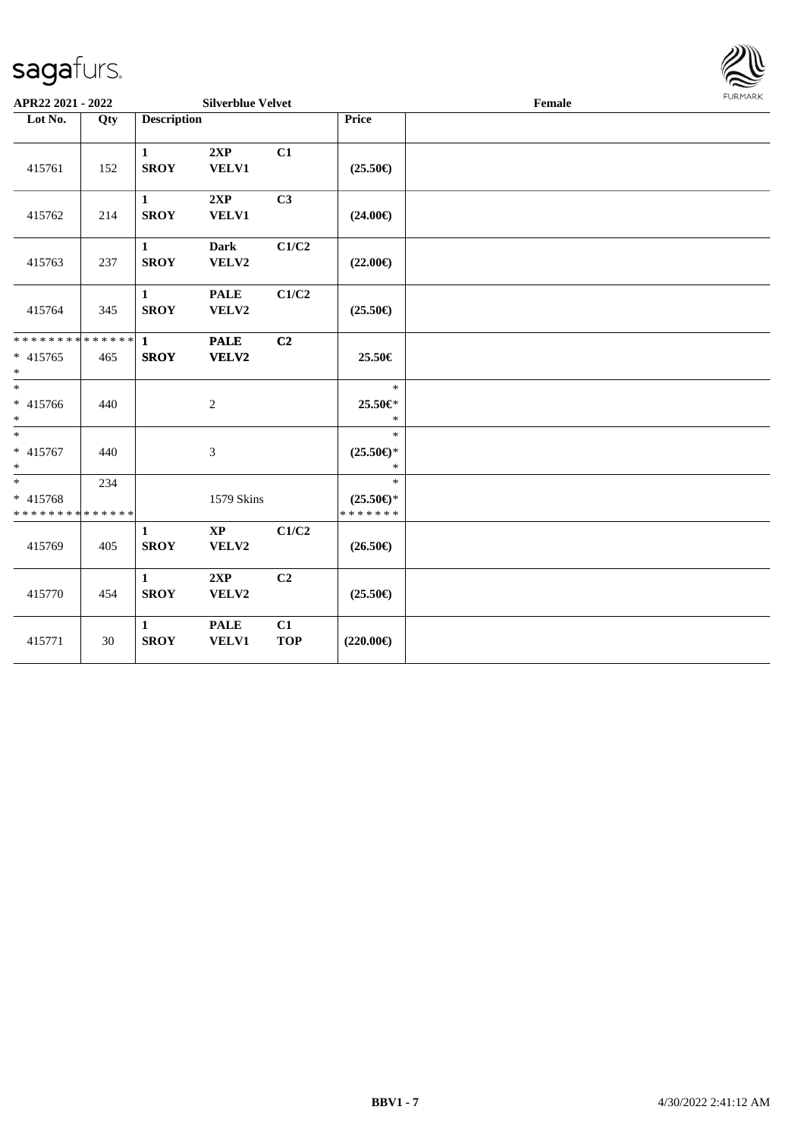

| Lot No.<br><b>Description</b><br>Price<br>Qty<br>2XP<br>C1<br>$\mathbf{1}$<br><b>SROY</b><br>VELV1<br>415761<br>152<br>$(25.50\epsilon)$<br>2XP<br>C3<br>$\mathbf{1}$<br><b>SROY</b><br>VELV1<br>415762<br>214<br>$(24.00\epsilon)$<br>C1/C2<br><b>Dark</b><br>$\mathbf{1}$<br><b>SROY</b><br>VELV2<br>$(22.00\epsilon)$<br>415763<br>237<br>C1/C2<br><b>PALE</b><br>$\mathbf{1}$<br><b>SROY</b><br>415764<br>345<br>VELV2<br>$(25.50\epsilon)$<br>* * * * * * * * * * * * * * *<br><b>PALE</b><br>C2<br>$\mathbf{1}$<br><b>SROY</b><br>VELV2<br>25.50€<br>$* 415765$<br>465<br>$*$<br>$\ast$<br>$\ast$<br>* 415766<br>25.50€*<br>440<br>$\mathbf{2}$<br>$*$<br>$\ast$<br>$*$<br>$\ast$<br>* 415767<br>$(25.50\epsilon)$ *<br>$\mathfrak{Z}$<br>440<br>$*$<br>$\ast$<br>$\ast$<br>$\ast$<br>234<br>* 415768<br>1579 Skins<br>$(25.50\epsilon)$ *<br>* * * * * * *<br>* * * * * * * * * * * * * *<br>C1/C2<br>$\mathbf{X}\mathbf{P}$<br>$\mathbf{1}$<br><b>SROY</b><br>415769<br>VELV2<br>$(26.50\epsilon)$<br>405<br>2XP<br>C2<br>$\mathbf{1}$<br><b>SROY</b><br>VELV2<br>415770<br>$(25.50\epsilon)$<br>454<br><b>PALE</b><br>C1<br>$\mathbf{1}$<br><b>SROY</b><br><b>TOP</b><br>$(220.00\epsilon)$<br>415771<br><b>VELV1</b><br>30 | APR22 2021 - 2022 |  | <b>Silverblue Velvet</b> |  | $\ensuremath{\textnormal{\textbf{Female}}}$ |  |  |  |  |
|--------------------------------------------------------------------------------------------------------------------------------------------------------------------------------------------------------------------------------------------------------------------------------------------------------------------------------------------------------------------------------------------------------------------------------------------------------------------------------------------------------------------------------------------------------------------------------------------------------------------------------------------------------------------------------------------------------------------------------------------------------------------------------------------------------------------------------------------------------------------------------------------------------------------------------------------------------------------------------------------------------------------------------------------------------------------------------------------------------------------------------------------------------------------------------------------------------------------------------------|-------------------|--|--------------------------|--|---------------------------------------------|--|--|--|--|
|                                                                                                                                                                                                                                                                                                                                                                                                                                                                                                                                                                                                                                                                                                                                                                                                                                                                                                                                                                                                                                                                                                                                                                                                                                      |                   |  |                          |  |                                             |  |  |  |  |
|                                                                                                                                                                                                                                                                                                                                                                                                                                                                                                                                                                                                                                                                                                                                                                                                                                                                                                                                                                                                                                                                                                                                                                                                                                      |                   |  |                          |  |                                             |  |  |  |  |
|                                                                                                                                                                                                                                                                                                                                                                                                                                                                                                                                                                                                                                                                                                                                                                                                                                                                                                                                                                                                                                                                                                                                                                                                                                      |                   |  |                          |  |                                             |  |  |  |  |
|                                                                                                                                                                                                                                                                                                                                                                                                                                                                                                                                                                                                                                                                                                                                                                                                                                                                                                                                                                                                                                                                                                                                                                                                                                      |                   |  |                          |  |                                             |  |  |  |  |
|                                                                                                                                                                                                                                                                                                                                                                                                                                                                                                                                                                                                                                                                                                                                                                                                                                                                                                                                                                                                                                                                                                                                                                                                                                      |                   |  |                          |  |                                             |  |  |  |  |
|                                                                                                                                                                                                                                                                                                                                                                                                                                                                                                                                                                                                                                                                                                                                                                                                                                                                                                                                                                                                                                                                                                                                                                                                                                      |                   |  |                          |  |                                             |  |  |  |  |
|                                                                                                                                                                                                                                                                                                                                                                                                                                                                                                                                                                                                                                                                                                                                                                                                                                                                                                                                                                                                                                                                                                                                                                                                                                      |                   |  |                          |  |                                             |  |  |  |  |
|                                                                                                                                                                                                                                                                                                                                                                                                                                                                                                                                                                                                                                                                                                                                                                                                                                                                                                                                                                                                                                                                                                                                                                                                                                      |                   |  |                          |  |                                             |  |  |  |  |
|                                                                                                                                                                                                                                                                                                                                                                                                                                                                                                                                                                                                                                                                                                                                                                                                                                                                                                                                                                                                                                                                                                                                                                                                                                      |                   |  |                          |  |                                             |  |  |  |  |
|                                                                                                                                                                                                                                                                                                                                                                                                                                                                                                                                                                                                                                                                                                                                                                                                                                                                                                                                                                                                                                                                                                                                                                                                                                      |                   |  |                          |  |                                             |  |  |  |  |
|                                                                                                                                                                                                                                                                                                                                                                                                                                                                                                                                                                                                                                                                                                                                                                                                                                                                                                                                                                                                                                                                                                                                                                                                                                      |                   |  |                          |  |                                             |  |  |  |  |
|                                                                                                                                                                                                                                                                                                                                                                                                                                                                                                                                                                                                                                                                                                                                                                                                                                                                                                                                                                                                                                                                                                                                                                                                                                      |                   |  |                          |  |                                             |  |  |  |  |